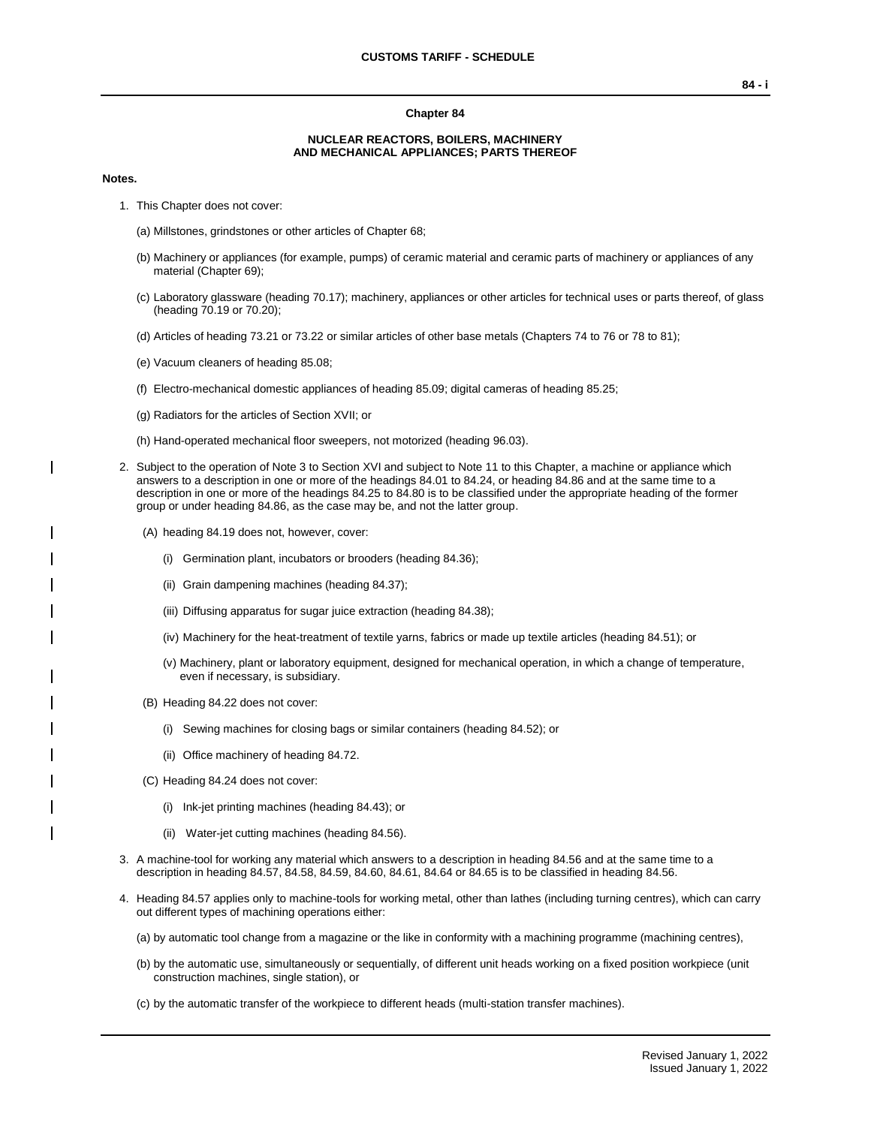### **Chapter 84**

### **NUCLEAR REACTORS, BOILERS, MACHINERY AND MECHANICAL APPLIANCES; PARTS THEREOF**

### **Notes.**

- 1. This Chapter does not cover:
	- (a) Millstones, grindstones or other articles of Chapter 68;
	- (b) Machinery or appliances (for example, pumps) of ceramic material and ceramic parts of machinery or appliances of any material (Chapter 69);
	- (c) Laboratory glassware (heading 70.17); machinery, appliances or other articles for technical uses or parts thereof, of glass (heading 70.19 or 70.20);
	- (d) Articles of heading 73.21 or 73.22 or similar articles of other base metals (Chapters 74 to 76 or 78 to 81);
	- (e) Vacuum cleaners of heading 85.08;
	- (f) Electro-mechanical domestic appliances of heading 85.09; digital cameras of heading 85.25;
	- (g) Radiators for the articles of Section XVII; or
	- (h) Hand-operated mechanical floor sweepers, not motorized (heading 96.03).
- 2. Subject to the operation of Note 3 to Section XVI and subject to Note 11 to this Chapter, a machine or appliance which answers to a description in one or more of the headings 84.01 to 84.24, or heading 84.86 and at the same time to a description in one or more of the headings 84.25 to 84.80 is to be classified under the appropriate heading of the former group or under heading 84.86, as the case may be, and not the latter group.
	- (A) heading 84.19 does not, however, cover:
		- (i) Germination plant, incubators or brooders (heading 84.36);
		- (ii) Grain dampening machines (heading 84.37);
		- (iii) Diffusing apparatus for sugar juice extraction (heading 84.38);
		- (iv) Machinery for the heat-treatment of textile yarns, fabrics or made up textile articles (heading 84.51); or
		- (v) Machinery, plant or laboratory equipment, designed for mechanical operation, in which a change of temperature, even if necessary, is subsidiary.
	- (B) Heading 84.22 does not cover:
		- (i) Sewing machines for closing bags or similar containers (heading 84.52); or
		- (ii) Office machinery of heading 84.72.
	- (C) Heading 84.24 does not cover:
		- (i) Ink-jet printing machines (heading 84.43); or
		- (ii) Water-jet cutting machines (heading 84.56).
- 3. A machine-tool for working any material which answers to a description in heading 84.56 and at the same time to a description in heading 84.57, 84.58, 84.59, 84.60, 84.61, 84.64 or 84.65 is to be classified in heading 84.56.
- 4. Heading 84.57 applies only to machine-tools for working metal, other than lathes (including turning centres), which can carry out different types of machining operations either:
	- (a) by automatic tool change from a magazine or the like in conformity with a machining programme (machining centres),
	- (b) by the automatic use, simultaneously or sequentially, of different unit heads working on a fixed position workpiece (unit construction machines, single station), or
	- (c) by the automatic transfer of the workpiece to different heads (multi-station transfer machines).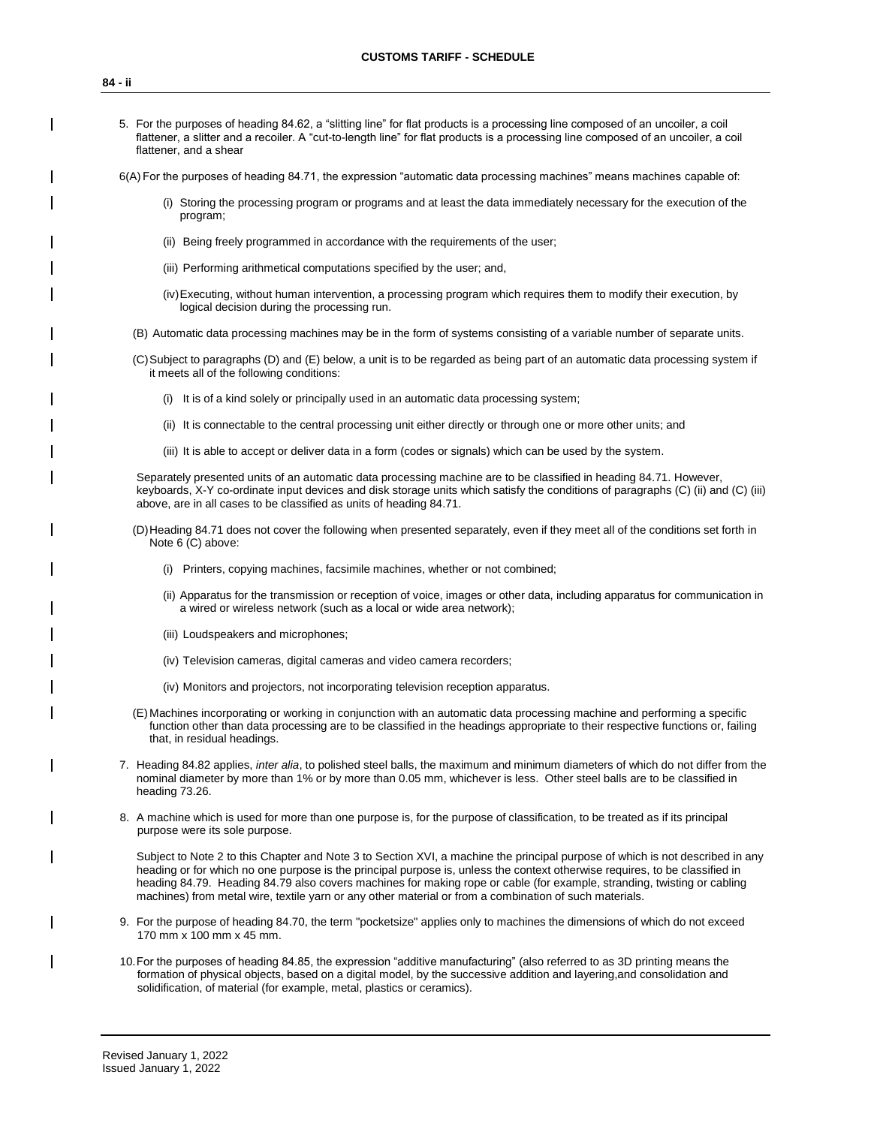- 5. For the purposes of heading 84.62, a "slitting line" for flat products is a processing line composed of an uncoiler, a coil flattener, a slitter and a recoiler. A "cut-to-length line" for flat products is a processing line composed of an uncoiler, a coil flattener, and a shear
- 6(A) For the purposes of heading 84.71, the expression "automatic data processing machines" means machines capable of:
	- (i) Storing the processing program or programs and at least the data immediately necessary for the execution of the program;
	- (ii) Being freely programmed in accordance with the requirements of the user;
	- (iii) Performing arithmetical computations specified by the user; and,
	- (iv)Executing, without human intervention, a processing program which requires them to modify their execution, by logical decision during the processing run.
	- (B) Automatic data processing machines may be in the form of systems consisting of a variable number of separate units.
	- (C)Subject to paragraphs (D) and (E) below, a unit is to be regarded as being part of an automatic data processing system if it meets all of the following conditions:
		- (i) It is of a kind solely or principally used in an automatic data processing system;
		- (ii) It is connectable to the central processing unit either directly or through one or more other units; and
		- (iii) It is able to accept or deliver data in a form (codes or signals) which can be used by the system.

Separately presented units of an automatic data processing machine are to be classified in heading 84.71. However, keyboards, X-Y co-ordinate input devices and disk storage units which satisfy the conditions of paragraphs (C) (ii) and (C) (iii) above, are in all cases to be classified as units of heading 84.71.

- (D)Heading 84.71 does not cover the following when presented separately, even if they meet all of the conditions set forth in Note 6 (C) above:
	- (i) Printers, copying machines, facsimile machines, whether or not combined;
	- (ii) Apparatus for the transmission or reception of voice, images or other data, including apparatus for communication in a wired or wireless network (such as a local or wide area network);
	- (iii) Loudspeakers and microphones;
	- (iv) Television cameras, digital cameras and video camera recorders;
	- (iv) Monitors and projectors, not incorporating television reception apparatus.
- (E) Machines incorporating or working in conjunction with an automatic data processing machine and performing a specific function other than data processing are to be classified in the headings appropriate to their respective functions or, failing that, in residual headings.
- 7. Heading 84.82 applies, *inter alia*, to polished steel balls, the maximum and minimum diameters of which do not differ from the nominal diameter by more than 1% or by more than 0.05 mm, whichever is less. Other steel balls are to be classified in heading 73.26.
- 8. A machine which is used for more than one purpose is, for the purpose of classification, to be treated as if its principal purpose were its sole purpose.

Subject to Note 2 to this Chapter and Note 3 to Section XVI, a machine the principal purpose of which is not described in any heading or for which no one purpose is the principal purpose is, unless the context otherwise requires, to be classified in heading 84.79. Heading 84.79 also covers machines for making rope or cable (for example, stranding, twisting or cabling machines) from metal wire, textile yarn or any other material or from a combination of such materials.

- 9. For the purpose of heading 84.70, the term "pocketsize" applies only to machines the dimensions of which do not exceed 170 mm x 100 mm x 45 mm.
- 10.For the purposes of heading 84.85, the expression "additive manufacturing" (also referred to as 3D printing means the formation of physical objects, based on a digital model, by the successive addition and layering,and consolidation and solidification, of material (for example, metal, plastics or ceramics).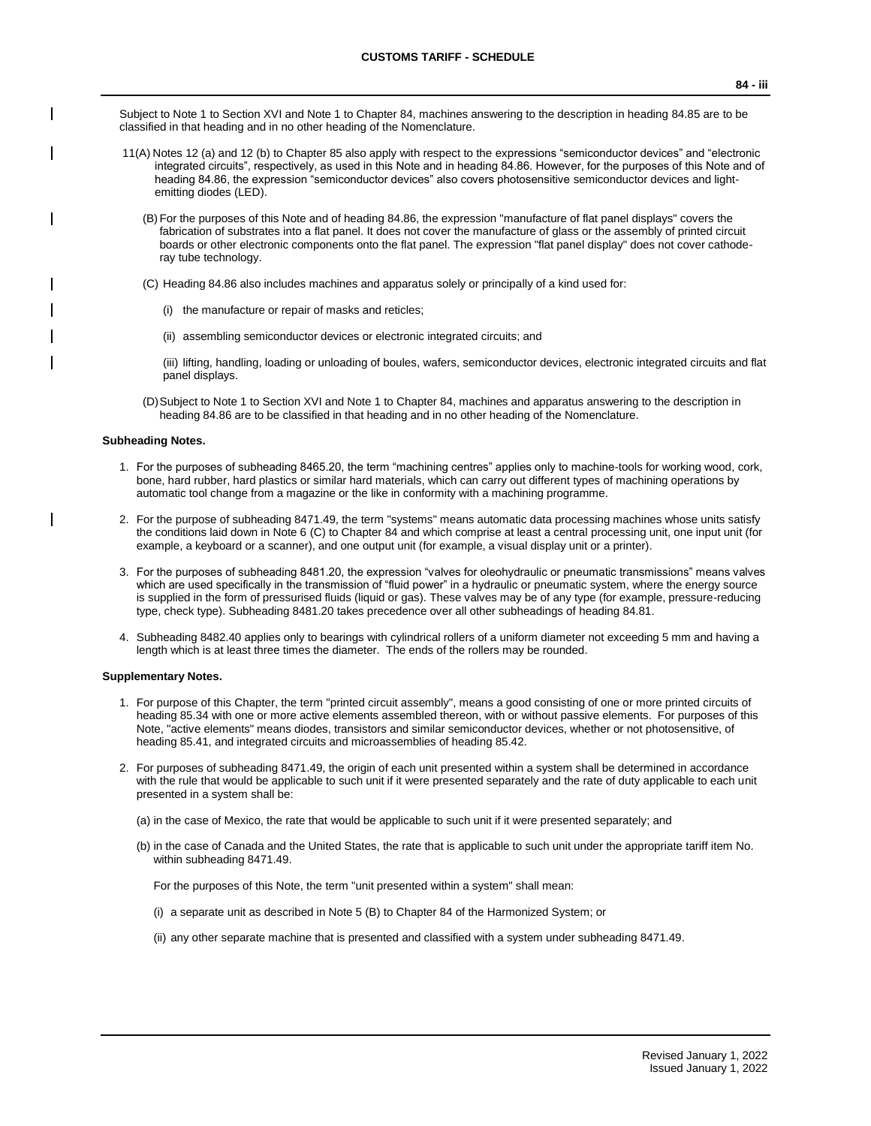Subject to Note 1 to Section XVI and Note 1 to Chapter 84, machines answering to the description in heading 84.85 are to be classified in that heading and in no other heading of the Nomenclature.

- 11(A) Notes 12 (a) and 12 (b) to Chapter 85 also apply with respect to the expressions "semiconductor devices" and "electronic integrated circuits", respectively, as used in this Note and in heading 84.86. However, for the purposes of this Note and of heading 84.86, the expression "semiconductor devices" also covers photosensitive semiconductor devices and lightemitting diodes (LED).
	- (B)For the purposes of this Note and of heading 84.86, the expression "manufacture of flat panel displays" covers the fabrication of substrates into a flat panel. It does not cover the manufacture of glass or the assembly of printed circuit boards or other electronic components onto the flat panel. The expression "flat panel display" does not cover cathoderay tube technology.
	- (C) Heading 84.86 also includes machines and apparatus solely or principally of a kind used for:
		- (i) the manufacture or repair of masks and reticles;
		- (ii) assembling semiconductor devices or electronic integrated circuits; and

(iii) lifting, handling, loading or unloading of boules, wafers, semiconductor devices, electronic integrated circuits and flat panel displays.

(D)Subject to Note 1 to Section XVI and Note 1 to Chapter 84, machines and apparatus answering to the description in heading 84.86 are to be classified in that heading and in no other heading of the Nomenclature.

### **Subheading Notes.**

- 1. For the purposes of subheading 8465.20, the term "machining centres" applies only to machine-tools for working wood, cork, bone, hard rubber, hard plastics or similar hard materials, which can carry out different types of machining operations by automatic tool change from a magazine or the like in conformity with a machining programme.
- 2. For the purpose of subheading 8471.49, the term "systems" means automatic data processing machines whose units satisfy the conditions laid down in Note 6 (C) to Chapter 84 and which comprise at least a central processing unit, one input unit (for example, a keyboard or a scanner), and one output unit (for example, a visual display unit or a printer).
- 3. For the purposes of subheading 8481.20, the expression "valves for oleohydraulic or pneumatic transmissions" means valves which are used specifically in the transmission of "fluid power" in a hydraulic or pneumatic system, where the energy source is supplied in the form of pressurised fluids (liquid or gas). These valves may be of any type (for example, pressure-reducing type, check type). Subheading 8481.20 takes precedence over all other subheadings of heading 84.81.
- 4. Subheading 8482.40 applies only to bearings with cylindrical rollers of a uniform diameter not exceeding 5 mm and having a length which is at least three times the diameter. The ends of the rollers may be rounded.

### **Supplementary Notes.**

- 1. For purpose of this Chapter, the term "printed circuit assembly", means a good consisting of one or more printed circuits of heading 85.34 with one or more active elements assembled thereon, with or without passive elements. For purposes of this Note, "active elements" means diodes, transistors and similar semiconductor devices, whether or not photosensitive, of heading 85.41, and integrated circuits and microassemblies of heading 85.42.
- 2. For purposes of subheading 8471.49, the origin of each unit presented within a system shall be determined in accordance with the rule that would be applicable to such unit if it were presented separately and the rate of duty applicable to each unit presented in a system shall be:
	- (a) in the case of Mexico, the rate that would be applicable to such unit if it were presented separately; and
	- (b) in the case of Canada and the United States, the rate that is applicable to such unit under the appropriate tariff item No. within subheading 8471.49.

For the purposes of this Note, the term "unit presented within a system" shall mean:

- (i) a separate unit as described in Note 5 (B) to Chapter 84 of the Harmonized System; or
- (ii) any other separate machine that is presented and classified with a system under subheading 8471.49.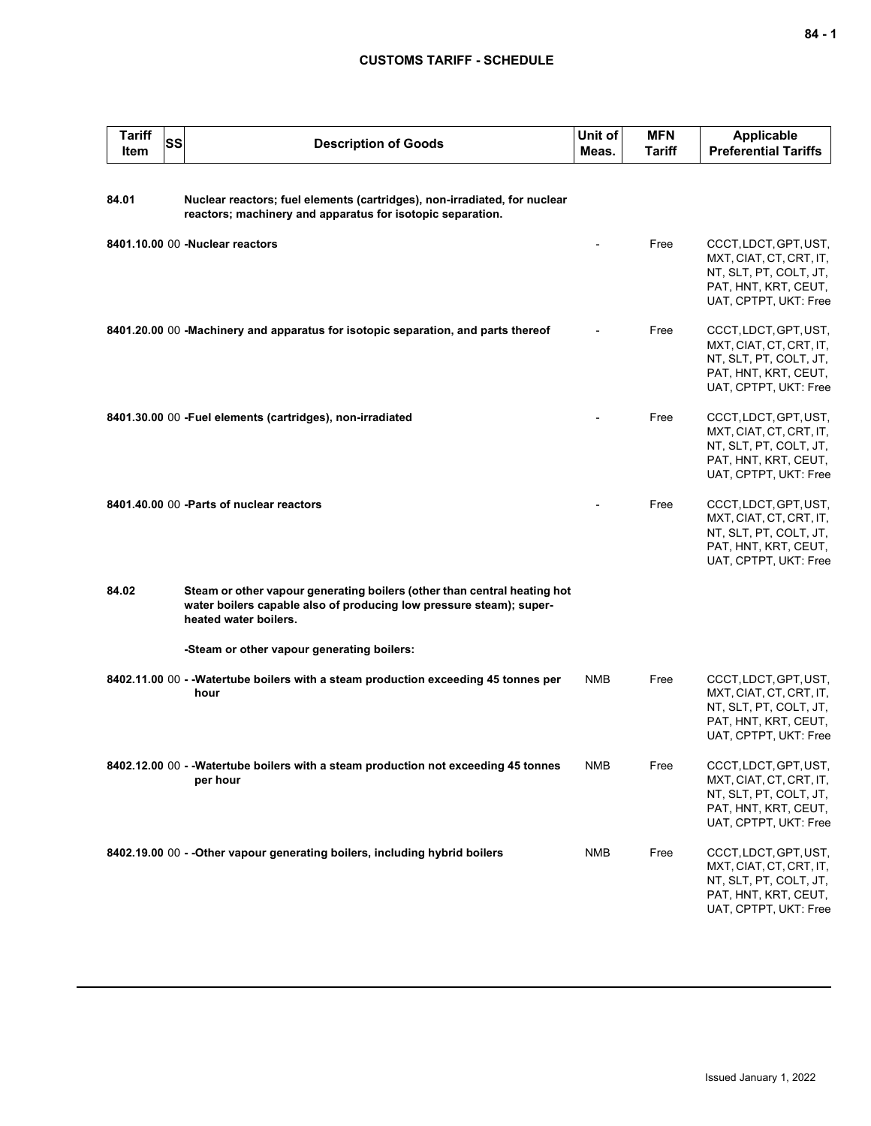| <b>Tariff</b><br>Item | SS | <b>Description of Goods</b>                                                                                                                                              | Unit of<br>Meas. | <b>MFN</b><br>Tariff | <b>Applicable</b><br><b>Preferential Tariffs</b>                                                                            |
|-----------------------|----|--------------------------------------------------------------------------------------------------------------------------------------------------------------------------|------------------|----------------------|-----------------------------------------------------------------------------------------------------------------------------|
| 84.01                 |    | Nuclear reactors; fuel elements (cartridges), non-irradiated, for nuclear<br>reactors; machinery and apparatus for isotopic separation.                                  |                  |                      |                                                                                                                             |
|                       |    | 8401.10.00 00 -Nuclear reactors                                                                                                                                          |                  | Free                 | CCCT, LDCT, GPT, UST,<br>MXT, CIAT, CT, CRT, IT,<br>NT, SLT, PT, COLT, JT,<br>PAT, HNT, KRT, CEUT,<br>UAT, CPTPT, UKT: Free |
|                       |    | 8401.20.00 00 -Machinery and apparatus for isotopic separation, and parts thereof                                                                                        |                  | Free                 | CCCT, LDCT, GPT, UST,<br>MXT, CIAT, CT, CRT, IT,<br>NT, SLT, PT, COLT, JT,<br>PAT, HNT, KRT, CEUT,<br>UAT, CPTPT, UKT: Free |
|                       |    | 8401.30.00 00 - Fuel elements (cartridges), non-irradiated                                                                                                               |                  | Free                 | CCCT, LDCT, GPT, UST,<br>MXT, CIAT, CT, CRT, IT,<br>NT, SLT, PT, COLT, JT,<br>PAT, HNT, KRT, CEUT,<br>UAT, CPTPT, UKT: Free |
|                       |    | 8401.40.00 00 - Parts of nuclear reactors                                                                                                                                |                  | Free                 | CCCT, LDCT, GPT, UST,<br>MXT, CIAT, CT, CRT, IT,<br>NT, SLT, PT, COLT, JT,<br>PAT, HNT, KRT, CEUT,<br>UAT, CPTPT, UKT: Free |
| 84.02                 |    | Steam or other vapour generating boilers (other than central heating hot<br>water boilers capable also of producing low pressure steam); super-<br>heated water boilers. |                  |                      |                                                                                                                             |
|                       |    | -Steam or other vapour generating boilers:                                                                                                                               |                  |                      |                                                                                                                             |
|                       |    | 8402.11.00 00 - - Watertube boilers with a steam production exceeding 45 tonnes per<br>hour                                                                              | <b>NMB</b>       | Free                 | CCCT, LDCT, GPT, UST,<br>MXT, CIAT, CT, CRT, IT,<br>NT, SLT, PT, COLT, JT,<br>PAT, HNT, KRT, CEUT,<br>UAT, CPTPT, UKT: Free |
|                       |    | 8402.12.00 00 - - Watertube boilers with a steam production not exceeding 45 tonnes<br>per hour                                                                          | <b>NMB</b>       | Free                 | CCCT, LDCT, GPT, UST,<br>MXT, CIAT, CT, CRT, IT,<br>NT, SLT, PT, COLT, JT,<br>PAT, HNT, KRT, CEUT,<br>UAT, CPTPT, UKT: Free |
|                       |    | 8402.19.00 00 - - Other vapour generating boilers, including hybrid boilers                                                                                              | <b>NMB</b>       | Free                 | CCCT, LDCT, GPT, UST,<br>MXT, CIAT, CT, CRT, IT,<br>NT, SLT, PT, COLT, JT,<br>PAT, HNT, KRT, CEUT,<br>UAT, CPTPT, UKT: Free |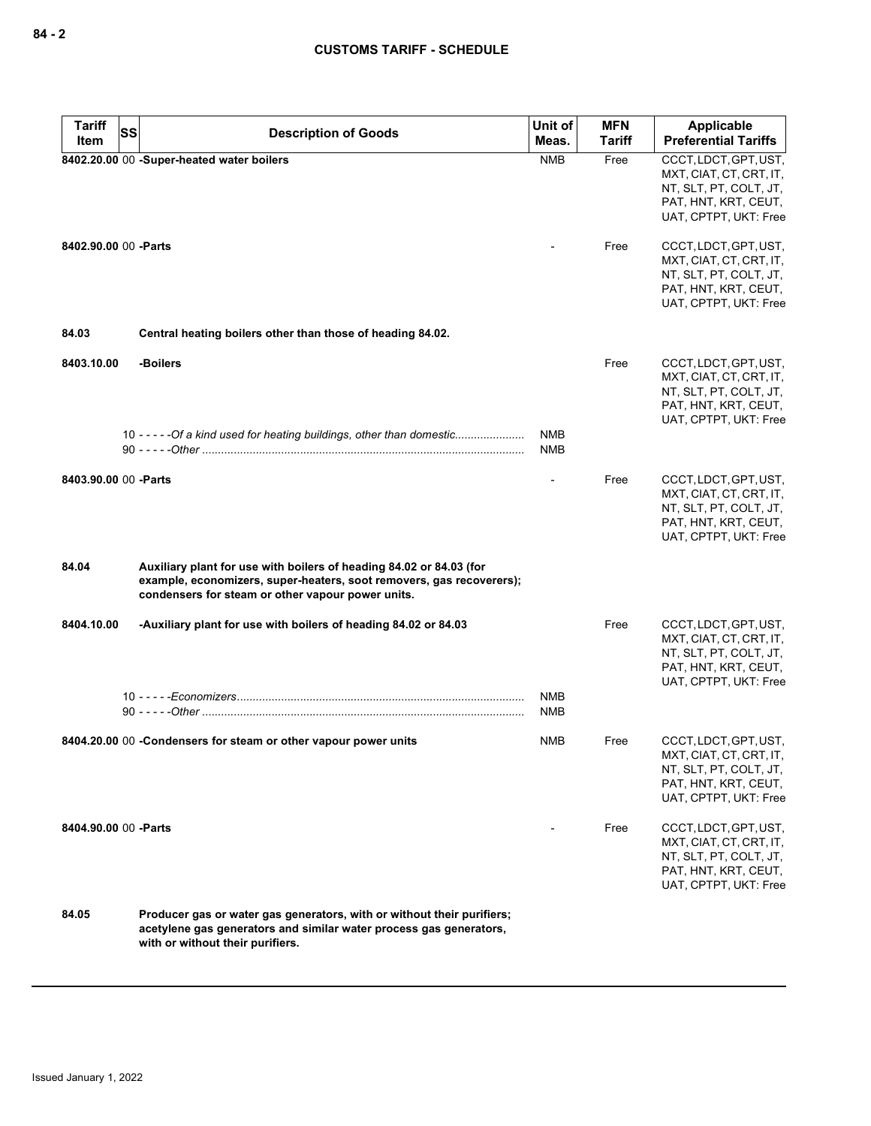| <b>Tariff</b><br><b>SS</b> |                                                                                                                                                                                                  | Unit of           | <b>MFN</b>    | <b>Applicable</b>                                                                                                           |
|----------------------------|--------------------------------------------------------------------------------------------------------------------------------------------------------------------------------------------------|-------------------|---------------|-----------------------------------------------------------------------------------------------------------------------------|
| Item                       | <b>Description of Goods</b>                                                                                                                                                                      | Meas.             | <b>Tariff</b> | <b>Preferential Tariffs</b>                                                                                                 |
|                            | 8402.20.00 00 -Super-heated water boilers                                                                                                                                                        | <b>NMB</b>        | Free          | CCCT, LDCT, GPT, UST,<br>MXT, CIAT, CT, CRT, IT,<br>NT, SLT, PT, COLT, JT,<br>PAT, HNT, KRT, CEUT,<br>UAT, CPTPT, UKT: Free |
| 8402.90.00 00 -Parts       |                                                                                                                                                                                                  |                   | Free          | CCCT, LDCT, GPT, UST,<br>MXT, CIAT, CT, CRT, IT,<br>NT, SLT, PT, COLT, JT,<br>PAT, HNT, KRT, CEUT,<br>UAT, CPTPT, UKT: Free |
| 84.03                      | Central heating boilers other than those of heading 84.02.                                                                                                                                       |                   |               |                                                                                                                             |
| 8403.10.00                 | -Boilers<br>10 - - - - - Of a kind used for heating buildings, other than domestic                                                                                                               | <b>NMB</b>        | Free          | CCCT, LDCT, GPT, UST,<br>MXT, CIAT, CT, CRT, IT,<br>NT, SLT, PT, COLT, JT,<br>PAT, HNT, KRT, CEUT,<br>UAT, CPTPT, UKT: Free |
|                            |                                                                                                                                                                                                  | <b>NMB</b>        |               |                                                                                                                             |
| 8403.90.00 00 - Parts      |                                                                                                                                                                                                  |                   | Free          | CCCT, LDCT, GPT, UST,<br>MXT, CIAT, CT, CRT, IT,<br>NT, SLT, PT, COLT, JT,<br>PAT, HNT, KRT, CEUT,<br>UAT, CPTPT, UKT: Free |
| 84.04                      | Auxiliary plant for use with boilers of heading 84.02 or 84.03 (for<br>example, economizers, super-heaters, soot removers, gas recoverers);<br>condensers for steam or other vapour power units. |                   |               |                                                                                                                             |
| 8404.10.00                 | -Auxiliary plant for use with boilers of heading 84.02 or 84.03                                                                                                                                  |                   | Free          | CCCT, LDCT, GPT, UST,<br>MXT, CIAT, CT, CRT, IT,<br>NT, SLT, PT, COLT, JT,<br>PAT, HNT, KRT, CEUT,<br>UAT, CPTPT, UKT: Free |
|                            |                                                                                                                                                                                                  | <b>NMB</b><br>NMB |               |                                                                                                                             |
|                            | 8404.20.00 00 -Condensers for steam or other vapour power units                                                                                                                                  | <b>NMB</b>        | Free          | CCCT, LDCT, GPT, UST,<br>MXT, CIAT, CT, CRT, IT,<br>NT, SLT, PT, COLT, JT,<br>PAT, HNT, KRT, CEUT,<br>UAT, CPTPT, UKT: Free |
| 8404.90.00 00 - Parts      |                                                                                                                                                                                                  |                   | Free          | CCCT, LDCT, GPT, UST,<br>MXT, CIAT, CT, CRT, IT,<br>NT, SLT, PT, COLT, JT,<br>PAT, HNT, KRT, CEUT,<br>UAT, CPTPT, UKT: Free |
| 84.05                      | Producer gas or water gas generators, with or without their purifiers;<br>acetylene gas generators and similar water process gas generators,<br>with or without their purifiers.                 |                   |               |                                                                                                                             |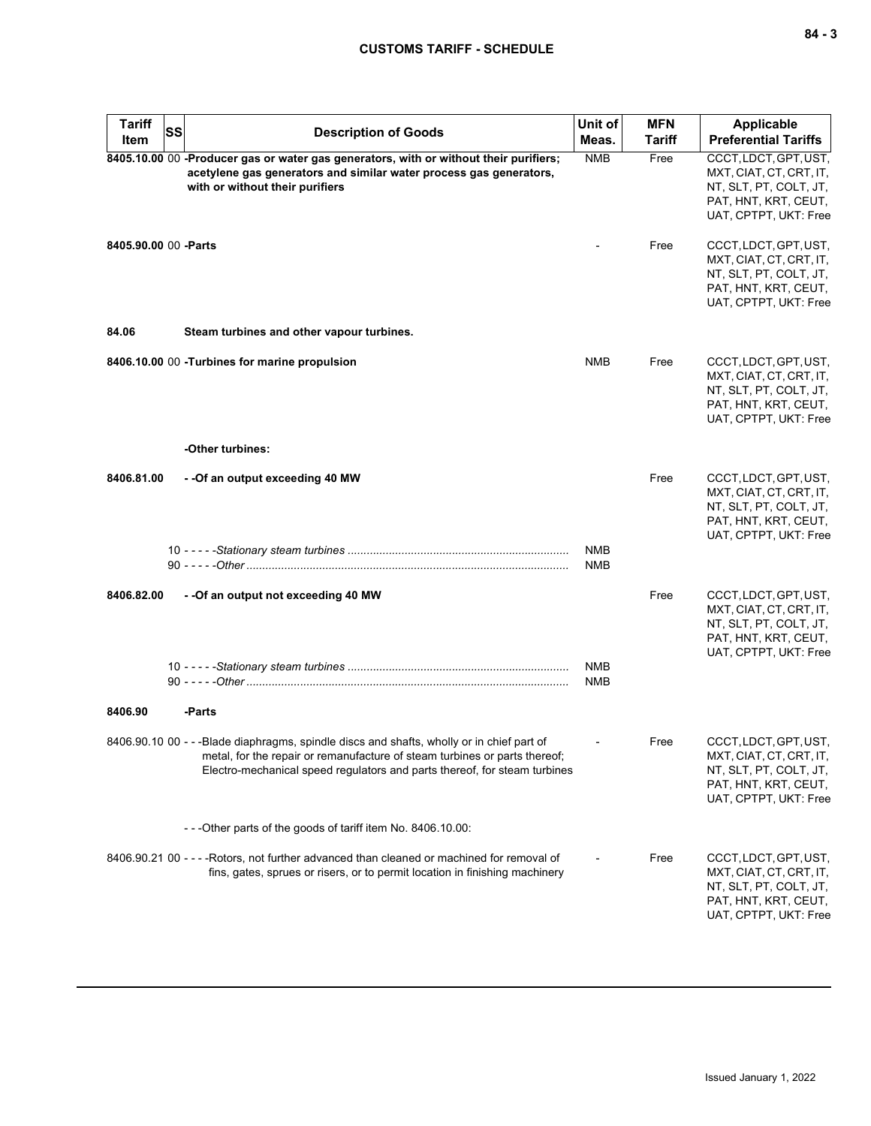| <b>Tariff</b>         | <b>Description of Goods</b>                                                                                                                                                                                                                          | Unit of                  | <b>MFN</b>    | <b>Applicable</b>                                                                                                           |
|-----------------------|------------------------------------------------------------------------------------------------------------------------------------------------------------------------------------------------------------------------------------------------------|--------------------------|---------------|-----------------------------------------------------------------------------------------------------------------------------|
| Item                  | <b>SS</b>                                                                                                                                                                                                                                            | Meas.                    | <b>Tariff</b> | <b>Preferential Tariffs</b>                                                                                                 |
|                       | 8405.10.00 00 -Producer gas or water gas generators, with or without their purifiers;<br>acetylene gas generators and similar water process gas generators,<br>with or without their purifiers                                                       | <b>NMB</b>               | Free          | CCCT, LDCT, GPT, UST,<br>MXT, CIAT, CT, CRT, IT,<br>NT, SLT, PT, COLT, JT,<br>PAT, HNT, KRT, CEUT,<br>UAT, CPTPT, UKT: Free |
| 8405.90.00 00 - Parts |                                                                                                                                                                                                                                                      |                          | Free          | CCCT, LDCT, GPT, UST,<br>MXT, CIAT, CT, CRT, IT,<br>NT, SLT, PT, COLT, JT,<br>PAT, HNT, KRT, CEUT,<br>UAT, CPTPT, UKT: Free |
| 84.06                 | Steam turbines and other vapour turbines.                                                                                                                                                                                                            |                          |               |                                                                                                                             |
|                       | 8406.10.00 00 - Turbines for marine propulsion                                                                                                                                                                                                       | <b>NMB</b>               | Free          | CCCT, LDCT, GPT, UST,<br>MXT, CIAT, CT, CRT, IT,<br>NT, SLT, PT, COLT, JT,<br>PAT, HNT, KRT, CEUT,<br>UAT, CPTPT, UKT: Free |
|                       | -Other turbines:                                                                                                                                                                                                                                     |                          |               |                                                                                                                             |
| 8406.81.00            | - -Of an output exceeding 40 MW                                                                                                                                                                                                                      |                          | Free          | CCCT, LDCT, GPT, UST,<br>MXT, CIAT, CT, CRT, IT,<br>NT, SLT, PT, COLT, JT,<br>PAT, HNT, KRT, CEUT,<br>UAT, CPTPT, UKT: Free |
|                       |                                                                                                                                                                                                                                                      | <b>NMB</b><br><b>NMB</b> |               |                                                                                                                             |
| 8406.82.00            | - - Of an output not exceeding 40 MW                                                                                                                                                                                                                 |                          | Free          | CCCT, LDCT, GPT, UST,<br>MXT, CIAT, CT, CRT, IT,<br>NT, SLT, PT, COLT, JT,<br>PAT, HNT, KRT, CEUT,<br>UAT, CPTPT, UKT: Free |
|                       |                                                                                                                                                                                                                                                      | <b>NMB</b><br><b>NMB</b> |               |                                                                                                                             |
| 8406.90               | -Parts                                                                                                                                                                                                                                               |                          |               |                                                                                                                             |
|                       | 8406.90.10 00 - - -Blade diaphragms, spindle discs and shafts, wholly or in chief part of<br>metal, for the repair or remanufacture of steam turbines or parts thereof;<br>Electro-mechanical speed regulators and parts thereof, for steam turbines |                          | Free          | CCCT, LDCT, GPT, UST,<br>MXI, CIAI, CI, CRI, II,<br>NT, SLT, PT, COLT, JT,<br>PAT, HNT, KRT, CEUT,<br>UAT, CPTPT, UKT: Free |
|                       | - - - Other parts of the goods of tariff item No. 8406.10.00:                                                                                                                                                                                        |                          |               |                                                                                                                             |
|                       | 8406.90.21 00 - - - - Rotors, not further advanced than cleaned or machined for removal of<br>fins, gates, sprues or risers, or to permit location in finishing machinery                                                                            |                          | Free          | CCCT, LDCT, GPT, UST,<br>MXT, CIAT, CT, CRT, IT,<br>NT, SLT, PT, COLT, JT,<br>PAT, HNT, KRT, CEUT,<br>UAT, CPTPT, UKT: Free |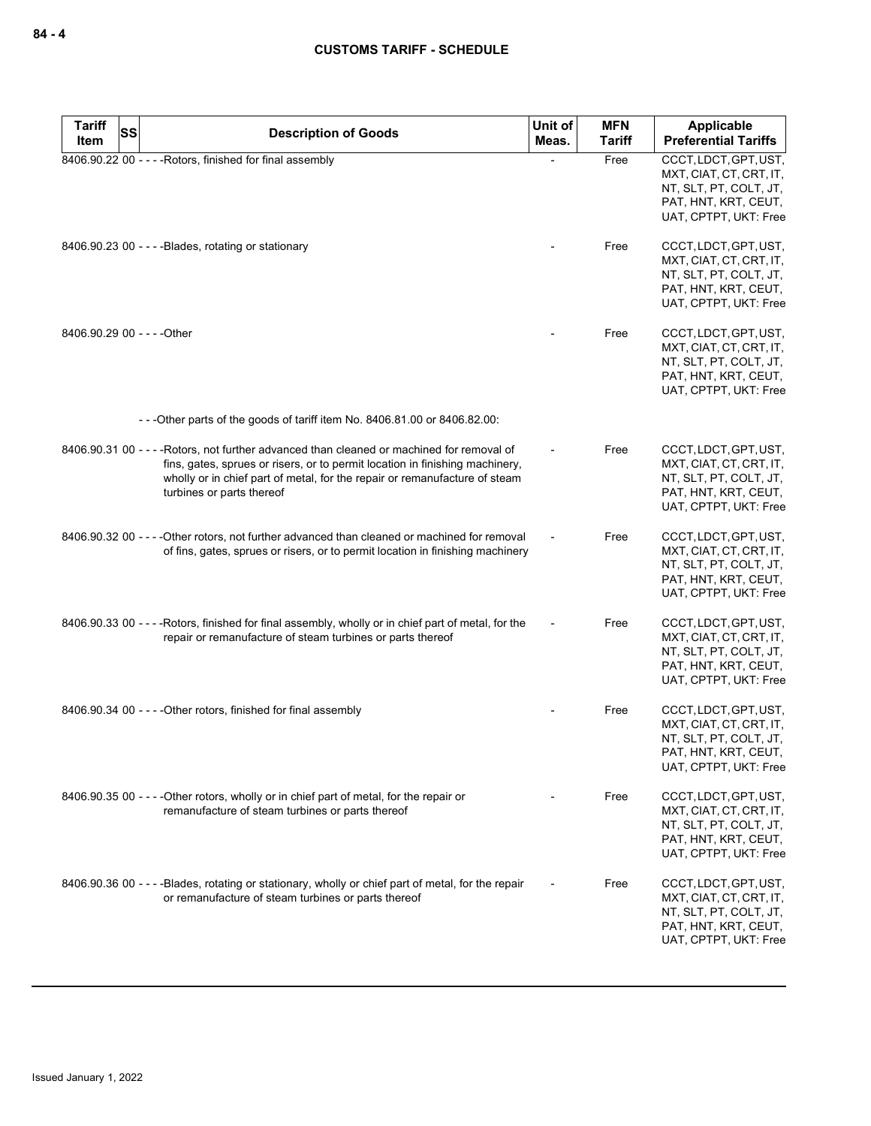| <b>Tariff</b><br>Item       | SS | <b>Description of Goods</b>                                                                                                                                                                                                                                                           | Unit of<br>Meas. | <b>MFN</b><br><b>Tariff</b> | <b>Applicable</b><br><b>Preferential Tariffs</b>                                                                            |
|-----------------------------|----|---------------------------------------------------------------------------------------------------------------------------------------------------------------------------------------------------------------------------------------------------------------------------------------|------------------|-----------------------------|-----------------------------------------------------------------------------------------------------------------------------|
|                             |    | 8406.90.22 00 - - - - Rotors, finished for final assembly                                                                                                                                                                                                                             |                  | Free                        | CCCT, LDCT, GPT, UST,<br>MXT, CIAT, CT, CRT, IT,<br>NT, SLT, PT, COLT, JT,<br>PAT, HNT, KRT, CEUT,<br>UAT, CPTPT, UKT: Free |
|                             |    | 8406.90.23 00 - - - - Blades, rotating or stationary                                                                                                                                                                                                                                  |                  | Free                        | CCCT, LDCT, GPT, UST,<br>MXT, CIAT, CT, CRT, IT,<br>NT, SLT, PT, COLT, JT,<br>PAT, HNT, KRT, CEUT,<br>UAT, CPTPT, UKT: Free |
| 8406.90.29 00 - - - - Other |    |                                                                                                                                                                                                                                                                                       |                  | Free                        | CCCT, LDCT, GPT, UST,<br>MXT, CIAT, CT, CRT, IT,<br>NT, SLT, PT, COLT, JT,<br>PAT, HNT, KRT, CEUT,<br>UAT, CPTPT, UKT: Free |
|                             |    | -- - Other parts of the goods of tariff item No. 8406.81.00 or 8406.82.00:                                                                                                                                                                                                            |                  |                             |                                                                                                                             |
|                             |    | 8406.90.31 00 - - - - Rotors, not further advanced than cleaned or machined for removal of<br>fins, gates, sprues or risers, or to permit location in finishing machinery,<br>wholly or in chief part of metal, for the repair or remanufacture of steam<br>turbines or parts thereof |                  | Free                        | CCCT, LDCT, GPT, UST,<br>MXT, CIAT, CT, CRT, IT,<br>NT, SLT, PT, COLT, JT,<br>PAT, HNT, KRT, CEUT,<br>UAT, CPTPT, UKT: Free |
|                             |    | 8406.90.32 00 - - - - Other rotors, not further advanced than cleaned or machined for removal<br>of fins, gates, sprues or risers, or to permit location in finishing machinery                                                                                                       |                  | Free                        | CCCT, LDCT, GPT, UST,<br>MXT, CIAT, CT, CRT, IT,<br>NT, SLT, PT, COLT, JT,<br>PAT, HNT, KRT, CEUT,<br>UAT, CPTPT, UKT: Free |
|                             |    | 8406.90.33 00 - - - - Rotors, finished for final assembly, wholly or in chief part of metal, for the<br>repair or remanufacture of steam turbines or parts thereof                                                                                                                    |                  | Free                        | CCCT, LDCT, GPT, UST,<br>MXT, CIAT, CT, CRT, IT,<br>NT, SLT, PT, COLT, JT,<br>PAT, HNT, KRT, CEUT,<br>UAT, CPTPT, UKT: Free |
|                             |    | 8406.90.34 00 - - - - Other rotors, finished for final assembly                                                                                                                                                                                                                       |                  | Free                        | CCCT, LDCT, GPT, UST,<br>MXT, CIAT, CT, CRT, IT,<br>NT, SLT, PT, COLT, JT,<br>PAT, HNT, KRT, CEUT,<br>UAT, CPTPT, UKT: Free |
|                             |    | 8406.90.35 00 - - - - Other rotors, wholly or in chief part of metal, for the repair or<br>remanufacture of steam turbines or parts thereof                                                                                                                                           |                  | Free                        | CCCT, LDCT, GPT, UST,<br>MXT, CIAT, CT, CRT, IT,<br>NT, SLT, PT, COLT, JT,<br>PAT, HNT, KRT, CEUT,<br>UAT, CPTPT, UKT: Free |
|                             |    | 8406.90.36 00 - - - - Blades, rotating or stationary, wholly or chief part of metal, for the repair<br>or remanufacture of steam turbines or parts thereof                                                                                                                            |                  | Free                        | CCCT, LDCT, GPT, UST,<br>MXT, CIAT, CT, CRT, IT,<br>NT, SLT, PT, COLT, JT,<br>PAT, HNT, KRT, CEUT,<br>UAT, CPTPT, UKT: Free |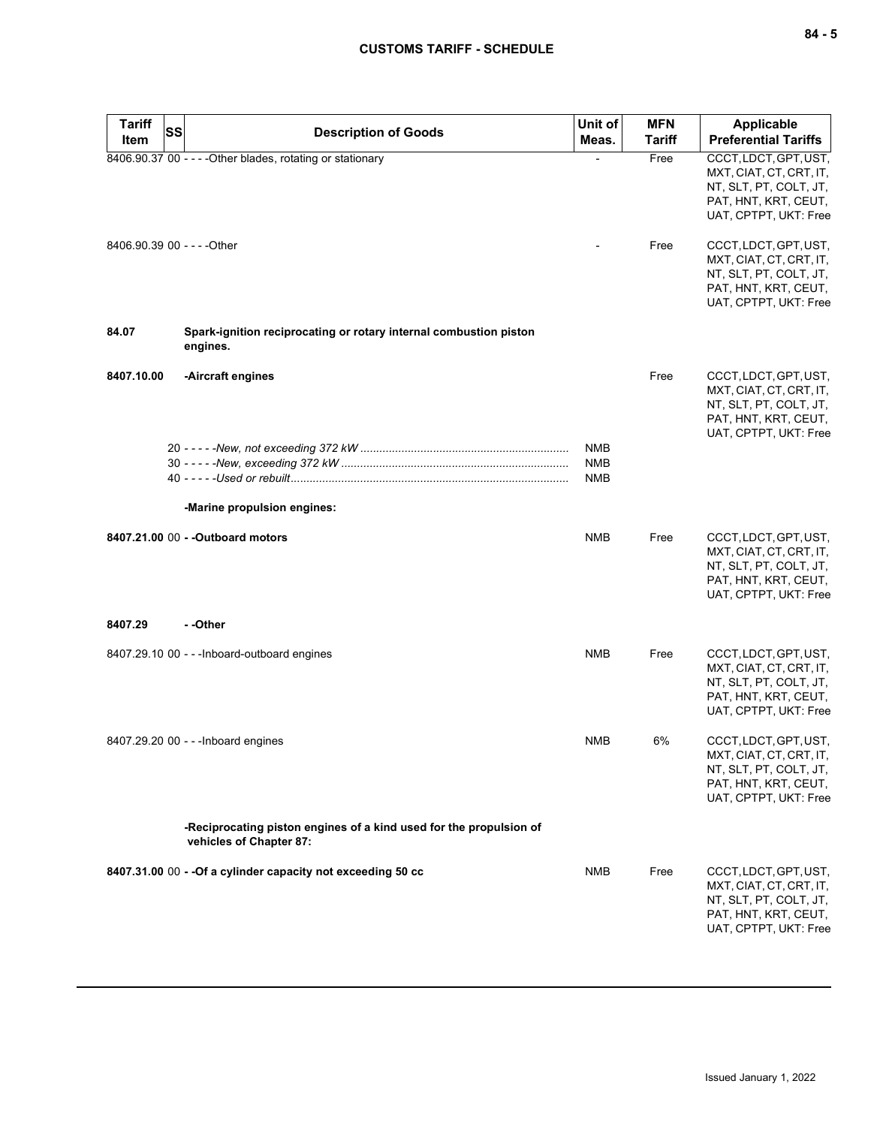| <b>Tariff</b><br><b>SS</b>  | <b>Description of Goods</b>                                                                   | Unit of    | <b>MFN</b>    | Applicable                                                                                                                  |
|-----------------------------|-----------------------------------------------------------------------------------------------|------------|---------------|-----------------------------------------------------------------------------------------------------------------------------|
| Item                        |                                                                                               | Meas.      | <b>Tariff</b> | <b>Preferential Tariffs</b>                                                                                                 |
|                             | 8406.90.37 00 - - - - Other blades, rotating or stationary                                    |            | Free          | CCCT, LDCT, GPT, UST,<br>MXT, CIAT, CT, CRT, IT,<br>NT, SLT, PT, COLT, JT,<br>PAT, HNT, KRT, CEUT,<br>UAT, CPTPT, UKT: Free |
| 8406.90.39 00 - - - - Other |                                                                                               |            | Free          | CCCT, LDCT, GPT, UST,<br>MXT, CIAT, CT, CRT, IT,<br>NT, SLT, PT, COLT, JT,<br>PAT, HNT, KRT, CEUT,<br>UAT, CPTPT, UKT: Free |
| 84.07                       | Spark-ignition reciprocating or rotary internal combustion piston<br>engines.                 |            |               |                                                                                                                             |
| 8407.10.00                  | -Aircraft engines                                                                             |            | Free          | CCCT, LDCT, GPT, UST,<br>MXT, CIAT, CT, CRT, IT,<br>NT, SLT, PT, COLT, JT,<br>PAT, HNT, KRT, CEUT,<br>UAT, CPTPT, UKT: Free |
|                             |                                                                                               | <b>NMB</b> |               |                                                                                                                             |
|                             |                                                                                               | <b>NMB</b> |               |                                                                                                                             |
|                             |                                                                                               | <b>NMB</b> |               |                                                                                                                             |
|                             | -Marine propulsion engines:                                                                   |            |               |                                                                                                                             |
|                             | 8407.21.00 00 - - Outboard motors                                                             | <b>NMB</b> | Free          | CCCT, LDCT, GPT, UST,<br>MXT, CIAT, CT, CRT, IT,<br>NT, SLT, PT, COLT, JT,<br>PAT, HNT, KRT, CEUT,<br>UAT, CPTPT, UKT: Free |
| 8407.29                     | - -Other                                                                                      |            |               |                                                                                                                             |
|                             | 8407.29.10 00 - - - Inboard-outboard engines                                                  | <b>NMB</b> | Free          | CCCT, LDCT, GPT, UST,<br>MXT, CIAT, CT, CRT, IT,<br>NT, SLT, PT, COLT, JT,<br>PAT, HNT, KRT, CEUT,<br>UAT, CPTPT, UKT: Free |
|                             | 8407.29.20 00 - - - Inboard engines                                                           | <b>NMB</b> | 6%            | CCCT, LDCT, GPT, UST,<br>MXT, CIAT, CT, CRT, IT,<br>NT, SLT, PT, COLT, JT,<br>PAT, HNT, KRT, CEUT,<br>UAT, CPTPT, UKT: Free |
|                             | -Reciprocating piston engines of a kind used for the propulsion of<br>vehicles of Chapter 87: |            |               |                                                                                                                             |
|                             | 8407.31.00 00 - - Of a cylinder capacity not exceeding 50 cc                                  | <b>NMB</b> | Free          | CCCT, LDCT, GPT, UST,<br>MXT, CIAT, CT, CRT, IT,<br>NT, SLT, PT, COLT, JT,<br>PAT, HNT, KRT, CEUT,<br>UAT, CPTPT, UKT: Free |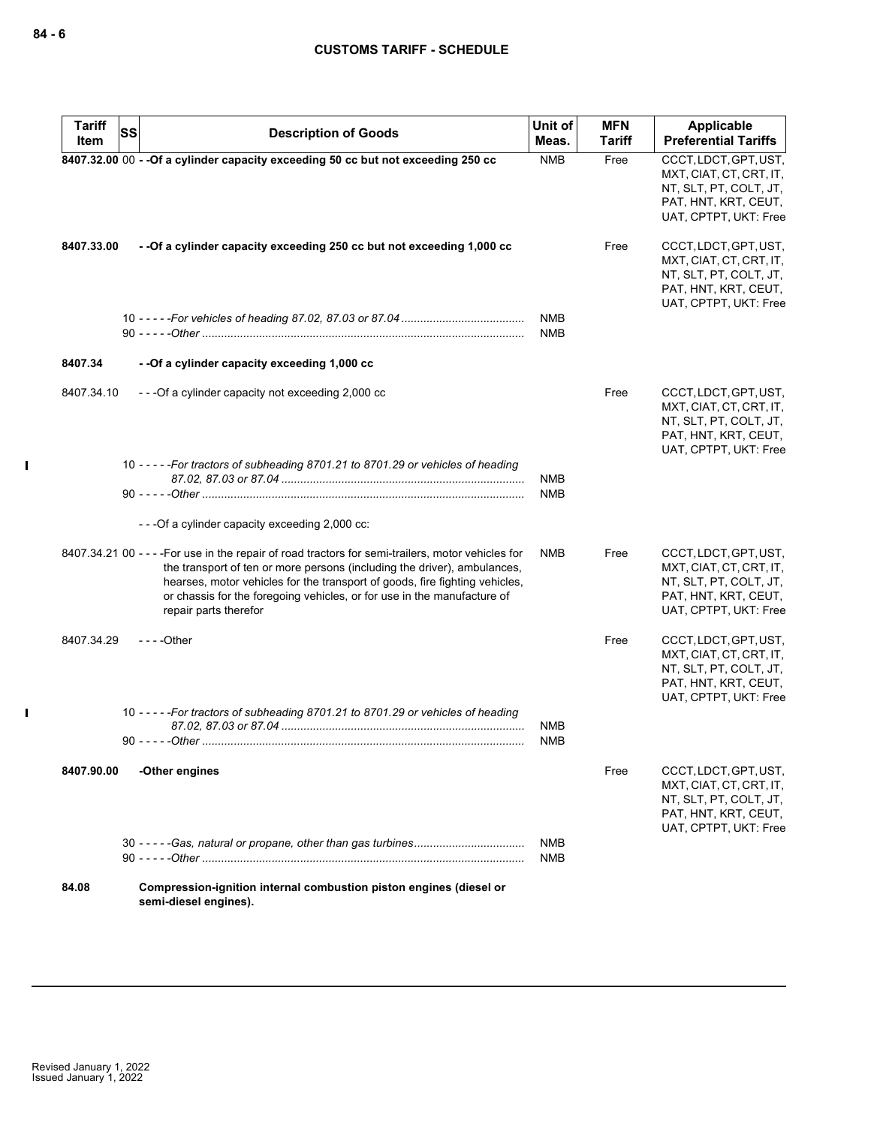| <b>Tariff</b><br>Item | <b>SS</b><br><b>Description of Goods</b>                                                                                                                                                                                                                                                                                                                          | Unit of<br>Meas.         | <b>MFN</b><br><b>Tariff</b> | Applicable<br><b>Preferential Tariffs</b>                                                                                   |
|-----------------------|-------------------------------------------------------------------------------------------------------------------------------------------------------------------------------------------------------------------------------------------------------------------------------------------------------------------------------------------------------------------|--------------------------|-----------------------------|-----------------------------------------------------------------------------------------------------------------------------|
|                       | 8407.32.00 00 - - Of a cylinder capacity exceeding 50 cc but not exceeding 250 cc                                                                                                                                                                                                                                                                                 | <b>NMB</b>               | Free                        | CCCT, LDCT, GPT, UST,<br>MXT, CIAT, CT, CRT, IT,<br>NT, SLT, PT, COLT, JT,<br>PAT, HNT, KRT, CEUT,<br>UAT, CPTPT, UKT: Free |
| 8407.33.00            | -- Of a cylinder capacity exceeding 250 cc but not exceeding 1,000 cc                                                                                                                                                                                                                                                                                             |                          | Free                        | CCCT, LDCT, GPT, UST,<br>MXT, CIAT, CT, CRT, IT,<br>NT, SLT, PT, COLT, JT,<br>PAT, HNT, KRT, CEUT,<br>UAT, CPTPT, UKT: Free |
|                       |                                                                                                                                                                                                                                                                                                                                                                   | <b>NMB</b><br><b>NMB</b> |                             |                                                                                                                             |
| 8407.34               | - - Of a cylinder capacity exceeding 1,000 cc                                                                                                                                                                                                                                                                                                                     |                          |                             |                                                                                                                             |
| 8407.34.10            | ---Of a cylinder capacity not exceeding 2,000 cc                                                                                                                                                                                                                                                                                                                  |                          | Free                        | CCCT, LDCT, GPT, UST,<br>MXT, CIAT, CT, CRT, IT,<br>NT, SLT, PT, COLT, JT,<br>PAT, HNT, KRT, CEUT,<br>UAT, CPTPT, UKT: Free |
|                       | 10 - - - - - For tractors of subheading 8701.21 to 8701.29 or vehicles of heading                                                                                                                                                                                                                                                                                 | <b>NMB</b>               |                             |                                                                                                                             |
|                       |                                                                                                                                                                                                                                                                                                                                                                   | <b>NMB</b>               |                             |                                                                                                                             |
|                       | --- Of a cylinder capacity exceeding 2,000 cc:                                                                                                                                                                                                                                                                                                                    |                          |                             |                                                                                                                             |
|                       | 8407.34.21 00 - - - - For use in the repair of road tractors for semi-trailers, motor vehicles for<br>the transport of ten or more persons (including the driver), ambulances,<br>hearses, motor vehicles for the transport of goods, fire fighting vehicles,<br>or chassis for the foregoing vehicles, or for use in the manufacture of<br>repair parts therefor | NMB                      | Free                        | CCCT, LDCT, GPT, UST,<br>MXT, CIAT, CT, CRT, IT,<br>NT, SLT, PT, COLT, JT,<br>PAT, HNT, KRT, CEUT,<br>UAT, CPTPT, UKT: Free |
| 8407.34.29            | $--$ Other                                                                                                                                                                                                                                                                                                                                                        |                          | Free                        | CCCT, LDCT, GPT, UST,<br>MXT, CIAT, CT, CRT, IT,<br>NT, SLT, PT, COLT, JT,<br>PAT, HNT, KRT, CEUT,<br>UAT, CPTPT, UKT: Free |
|                       | 10 - - - - - For tractors of subheading 8701.21 to 8701.29 or vehicles of heading                                                                                                                                                                                                                                                                                 | <b>NMB</b><br><b>NMB</b> |                             |                                                                                                                             |
| 8407.90.00            | -Other engines                                                                                                                                                                                                                                                                                                                                                    |                          | Free                        | CCCT, LDCT, GPT, UST,<br>MXT, CIAT, CT, CRT, IT,<br>NT, SLT, PT, COLT, JT,<br>PAT, HNT, KRT, CEUT,<br>UAT, CPTPT, UKT: Free |
|                       |                                                                                                                                                                                                                                                                                                                                                                   | <b>NMB</b><br><b>NMB</b> |                             |                                                                                                                             |
| 84.08                 | Compression-ignition internal combustion piston engines (diesel or<br>semi-diesel engines).                                                                                                                                                                                                                                                                       |                          |                             |                                                                                                                             |

 $\mathbf{I}$ 

 $\mathbf{I}$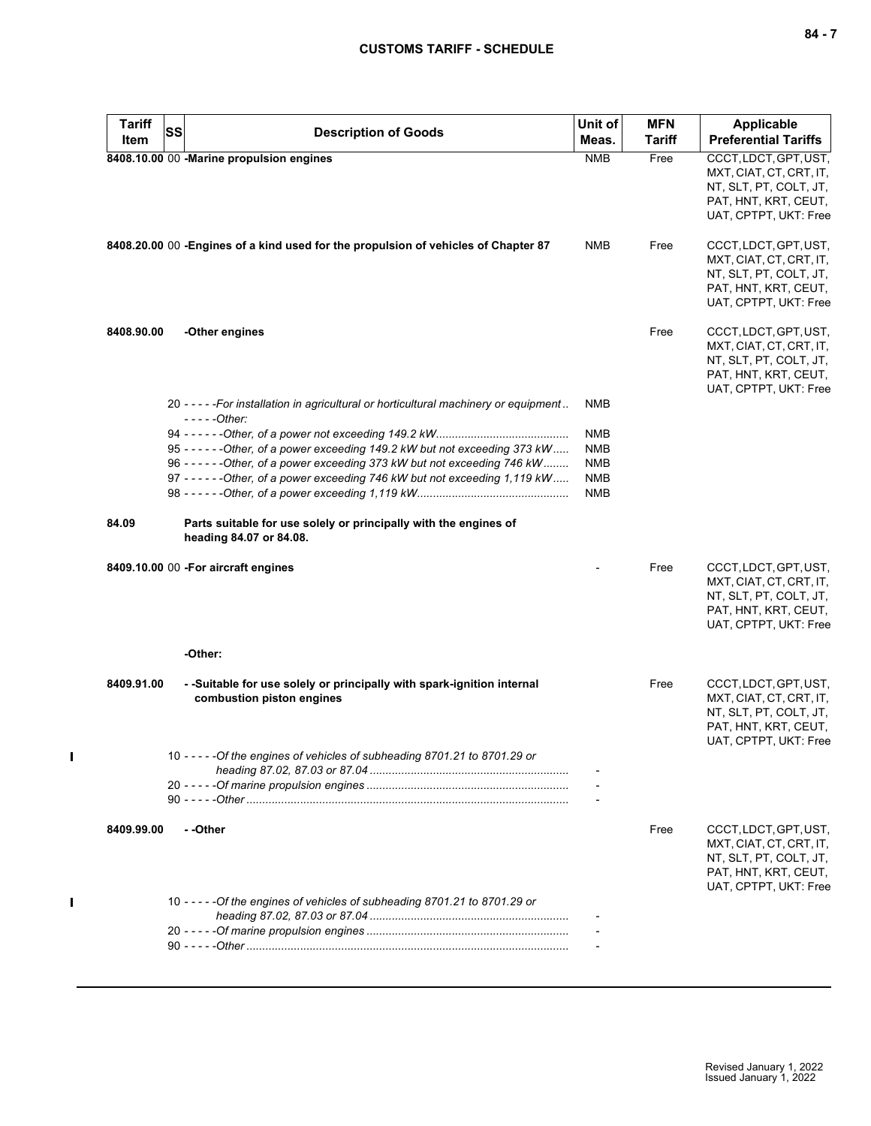| ×<br>۰. |  |  |
|---------|--|--|
|---------|--|--|

| <b>Tariff</b> | <b>SS</b> | <b>Description of Goods</b>                                                                         | Unit of                  | <b>MFN</b> | Applicable                                                                                                                  |
|---------------|-----------|-----------------------------------------------------------------------------------------------------|--------------------------|------------|-----------------------------------------------------------------------------------------------------------------------------|
| Item          |           |                                                                                                     | Meas.                    | Tariff     | <b>Preferential Tariffs</b>                                                                                                 |
|               |           | 8408.10.00 00 -Marine propulsion engines                                                            | <b>NMB</b>               | Free       | CCCT, LDCT, GPT, UST,<br>MXT, CIAT, CT, CRT, IT,<br>NT, SLT, PT, COLT, JT,<br>PAT, HNT, KRT, CEUT,<br>UAT, CPTPT, UKT: Free |
|               |           | 8408.20.00 00 -Engines of a kind used for the propulsion of vehicles of Chapter 87                  | NMB                      | Free       | CCCT, LDCT, GPT, UST,<br>MXT, CIAT, CT, CRT, IT,<br>NT, SLT, PT, COLT, JT,<br>PAT, HNT, KRT, CEUT,<br>UAT, CPTPT, UKT: Free |
| 8408.90.00    |           | -Other engines                                                                                      |                          | Free       | CCCT, LDCT, GPT, UST,<br>MXT, CIAT, CT, CRT, IT,<br>NT, SLT, PT, COLT, JT,<br>PAT, HNT, KRT, CEUT,<br>UAT, CPTPT, UKT: Free |
|               |           | 20 - - - - - For installation in agricultural or horticultural machinery or equipment               | NMB                      |            |                                                                                                                             |
|               |           | $---Other:$                                                                                         | <b>NMB</b>               |            |                                                                                                                             |
|               |           | 95 - - - - - - Other, of a power exceeding 149.2 kW but not exceeding 373 kW                        | <b>NMB</b>               |            |                                                                                                                             |
|               |           | 96 - - - - - - - Other, of a power exceeding 373 kW but not exceeding 746 kW                        | <b>NMB</b>               |            |                                                                                                                             |
|               |           | 97 - - - - - - - Other, of a power exceeding 746 kW but not exceeding 1,119 kW                      | <b>NMB</b><br><b>NMB</b> |            |                                                                                                                             |
| 84.09         |           | Parts suitable for use solely or principally with the engines of<br>heading 84.07 or 84.08.         |                          |            |                                                                                                                             |
|               |           | 8409.10.00 00 - For aircraft engines                                                                |                          | Free       | CCCT, LDCT, GPT, UST,<br>MXT, CIAT, CT, CRT, IT,<br>NT, SLT, PT, COLT, JT,<br>PAT, HNT, KRT, CEUT,<br>UAT, CPTPT, UKT: Free |
|               |           | -Other:                                                                                             |                          |            |                                                                                                                             |
| 8409.91.00    |           | - -Suitable for use solely or principally with spark-ignition internal<br>combustion piston engines |                          | Free       | CCCT, LDCT, GPT, UST,<br>MXT, CIAT, CT, CRT, IT,<br>NT, SLT, PT, COLT, JT,<br>PAT, HNT, KRT, CEUT,<br>UAT, CPTPT, UKT: Free |
|               |           | 10 - - - - - Of the engines of vehicles of subheading 8701.21 to 8701.29 or                         |                          |            |                                                                                                                             |
|               |           |                                                                                                     |                          |            |                                                                                                                             |
|               |           |                                                                                                     |                          |            |                                                                                                                             |
| 8409.99.00    |           | --Other                                                                                             |                          | Free       | CCCT, LDCT, GPT, UST,<br>MXT, CIAT, CT, CRT, IT,<br>NT, SLT, PT, COLT, JT,<br>PAT, HNT, KRT, CEUT,<br>UAT, CPTPT, UKT: Free |
|               |           | 10 - - - - - Of the engines of vehicles of subheading 8701.21 to 8701.29 or                         |                          |            |                                                                                                                             |
|               |           |                                                                                                     |                          |            |                                                                                                                             |
|               |           |                                                                                                     |                          |            |                                                                                                                             |
|               |           |                                                                                                     |                          |            |                                                                                                                             |

 $\mathbf I$ 

 $\mathbf{I}$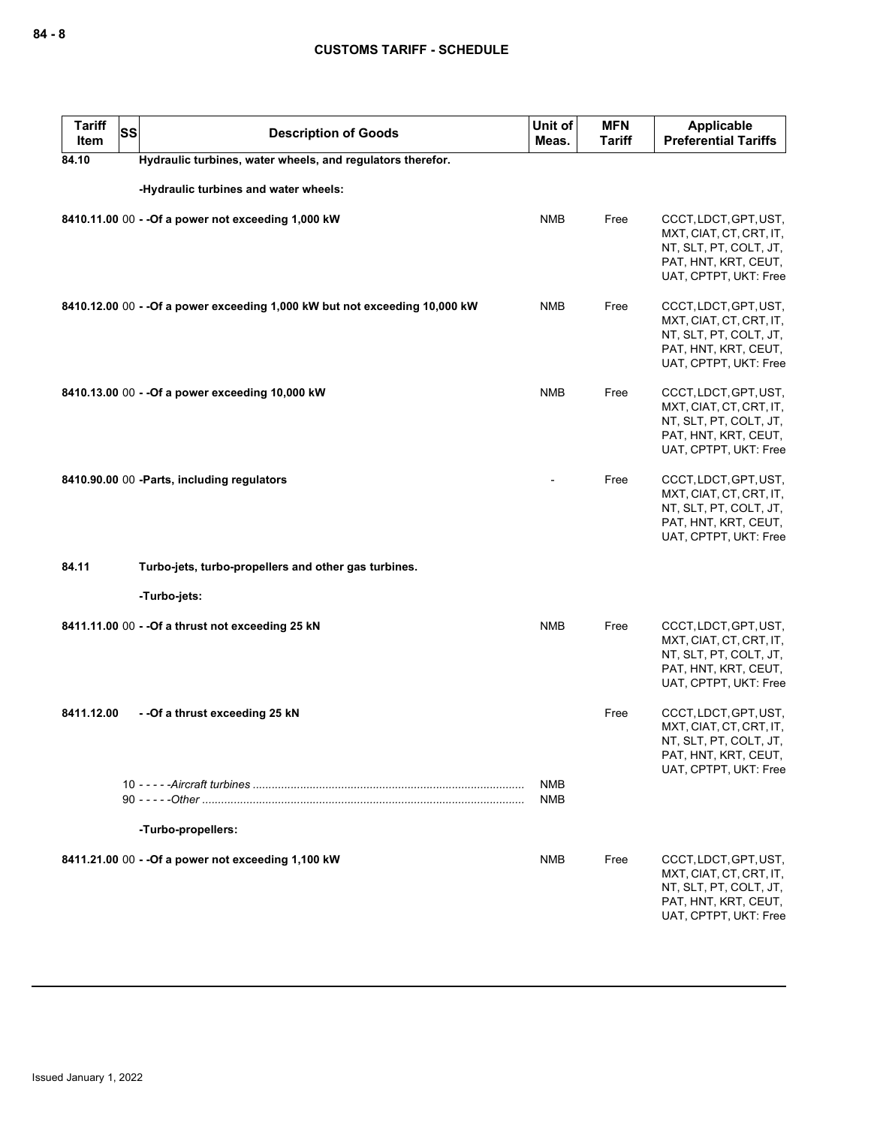| <b>Tariff</b><br>Item | <b>SS</b> | <b>Description of Goods</b>                                                 | Unit of<br>Meas.         | <b>MFN</b><br><b>Tariff</b> | Applicable<br><b>Preferential Tariffs</b>                                                                                   |
|-----------------------|-----------|-----------------------------------------------------------------------------|--------------------------|-----------------------------|-----------------------------------------------------------------------------------------------------------------------------|
| 84.10                 |           | Hydraulic turbines, water wheels, and regulators therefor.                  |                          |                             |                                                                                                                             |
|                       |           | -Hydraulic turbines and water wheels:                                       |                          |                             |                                                                                                                             |
|                       |           | 8410.11.00 00 - - Of a power not exceeding 1,000 kW                         | <b>NMB</b>               | Free                        | CCCT, LDCT, GPT, UST,<br>MXT, CIAT, CT, CRT, IT,<br>NT, SLT, PT, COLT, JT,<br>PAT, HNT, KRT, CEUT,<br>UAT, CPTPT, UKT: Free |
|                       |           | 8410.12.00 00 - - Of a power exceeding 1,000 kW but not exceeding 10,000 kW | <b>NMB</b>               | Free                        | CCCT, LDCT, GPT, UST,<br>MXT, CIAT, CT, CRT, IT,<br>NT, SLT, PT, COLT, JT,<br>PAT, HNT, KRT, CEUT,<br>UAT, CPTPT, UKT: Free |
|                       |           | 8410.13.00 00 - - Of a power exceeding 10,000 kW                            | <b>NMB</b>               | Free                        | CCCT, LDCT, GPT, UST,<br>MXT, CIAT, CT, CRT, IT,<br>NT, SLT, PT, COLT, JT,<br>PAT, HNT, KRT, CEUT,<br>UAT, CPTPT, UKT: Free |
|                       |           | 8410.90.00 00 -Parts, including regulators                                  |                          | Free                        | CCCT, LDCT, GPT, UST,<br>MXT, CIAT, CT, CRT, IT,<br>NT, SLT, PT, COLT, JT,<br>PAT, HNT, KRT, CEUT,<br>UAT, CPTPT, UKT: Free |
| 84.11                 |           | Turbo-jets, turbo-propellers and other gas turbines.                        |                          |                             |                                                                                                                             |
|                       |           | -Turbo-jets:                                                                |                          |                             |                                                                                                                             |
|                       |           | 8411.11.00 00 - - Of a thrust not exceeding 25 kN                           | <b>NMB</b>               | Free                        | CCCT, LDCT, GPT, UST,<br>MXT, CIAT, CT, CRT, IT,<br>NT, SLT, PT, COLT, JT,<br>PAT, HNT, KRT, CEUT,<br>UAT, CPTPT, UKT: Free |
| 8411.12.00            |           | --Of a thrust exceeding 25 kN                                               |                          | Free                        | CCCT, LDCT, GPT, UST,<br>MXT, CIAT, CT, CRT, IT,<br>NT, SLT, PT, COLT, JT,<br>PAT, HNT, KRT, CEUT,<br>UAT, CPTPT, UKT: Free |
|                       |           | -Turbo-propellers:                                                          | <b>NMB</b><br><b>NMB</b> |                             |                                                                                                                             |
|                       |           | 8411.21.00 00 - - Of a power not exceeding 1,100 kW                         | <b>NMB</b>               | Free                        | CCCT, LDCT, GPT, UST,<br>MXT, CIAT, CT, CRT, IT,<br>NT, SLT, PT, COLT, JT,<br>PAT, HNT, KRT, CEUT,<br>UAT, CPTPT, UKT: Free |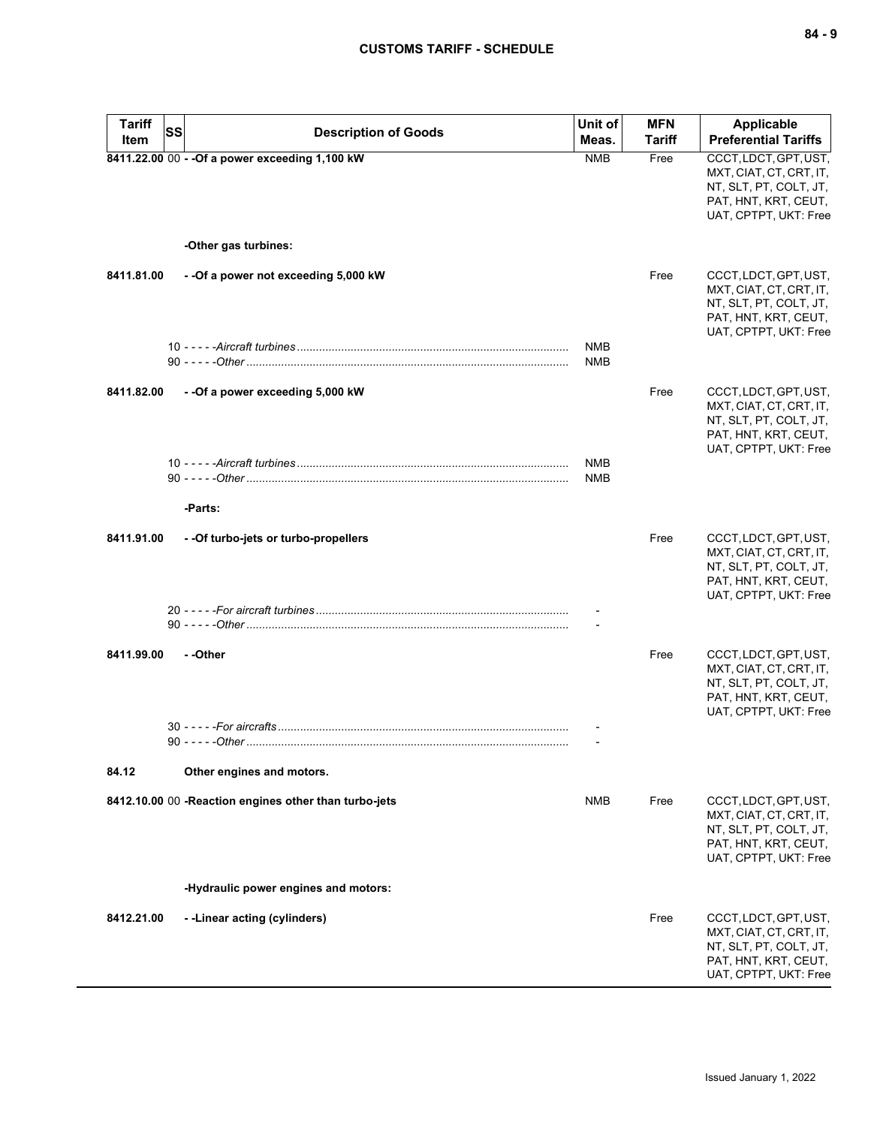| <b>Tariff</b> | SS<br><b>Description of Goods</b>                      | Unit of                  | <b>MFN</b>    | <b>Applicable</b>                                                                                                           |
|---------------|--------------------------------------------------------|--------------------------|---------------|-----------------------------------------------------------------------------------------------------------------------------|
| Item          |                                                        | Meas.                    | <b>Tariff</b> | <b>Preferential Tariffs</b>                                                                                                 |
|               | 8411.22.00 00 - - Of a power exceeding 1,100 kW        | <b>NMB</b>               | Free          | CCCT, LDCT, GPT, UST,<br>MXT, CIAT, CT, CRT, IT,<br>NT, SLT, PT, COLT, JT,<br>PAT, HNT, KRT, CEUT,<br>UAT, CPTPT, UKT: Free |
|               | -Other gas turbines:                                   |                          |               |                                                                                                                             |
| 8411.81.00    | --Of a power not exceeding 5,000 kW                    |                          | Free          | CCCT, LDCT, GPT, UST,<br>MXT, CIAT, CT, CRT, IT,<br>NT, SLT, PT, COLT, JT,<br>PAT, HNT, KRT, CEUT,<br>UAT, CPTPT, UKT: Free |
|               |                                                        | <b>NMB</b><br><b>NMB</b> |               |                                                                                                                             |
| 8411.82.00    | --Of a power exceeding 5,000 kW                        |                          | Free          | CCCT, LDCT, GPT, UST,<br>MXT, CIAT, CT, CRT, IT,<br>NT, SLT, PT, COLT, JT,<br>PAT, HNT, KRT, CEUT,<br>UAT, CPTPT, UKT: Free |
|               |                                                        | <b>NMB</b><br><b>NMB</b> |               |                                                                                                                             |
|               | -Parts:                                                |                          |               |                                                                                                                             |
| 8411.91.00    | - - Of turbo-jets or turbo-propellers                  |                          | Free          | CCCT, LDCT, GPT, UST,<br>MXT, CIAT, CT, CRT, IT,<br>NT, SLT, PT, COLT, JT,<br>PAT, HNT, KRT, CEUT,<br>UAT, CPTPT, UKT: Free |
|               |                                                        |                          |               |                                                                                                                             |
| 8411.99.00    | --Other                                                |                          | Free          | CCCT, LDCT, GPT, UST,<br>MXT, CIAT, CT, CRT, IT,<br>NT, SLT, PT, COLT, JT,<br>PAT, HNT, KRT, CEUT,<br>UAT, CPTPT, UKT: Free |
|               |                                                        |                          |               |                                                                                                                             |
|               |                                                        |                          |               |                                                                                                                             |
| 84.12         | Other engines and motors.                              |                          |               |                                                                                                                             |
|               | 8412.10.00 00 - Reaction engines other than turbo-jets | NMB                      | Free          | CCCT, LDCT, GPT, UST,<br>MXT, CIAT, CT, CRT, IT,<br>NT, SLT, PT, COLT, JT,<br>PAT, HNT, KRT, CEUT,<br>UAT, CPTPT, UKT: Free |
|               | -Hydraulic power engines and motors:                   |                          |               |                                                                                                                             |
| 8412.21.00    | --Linear acting (cylinders)                            |                          | Free          | CCCT, LDCT, GPT, UST,<br>MXT, CIAT, CT, CRT, IT,<br>NT, SLT, PT, COLT, JT,<br>PAT, HNT, KRT, CEUT,<br>UAT, CPTPT, UKT: Free |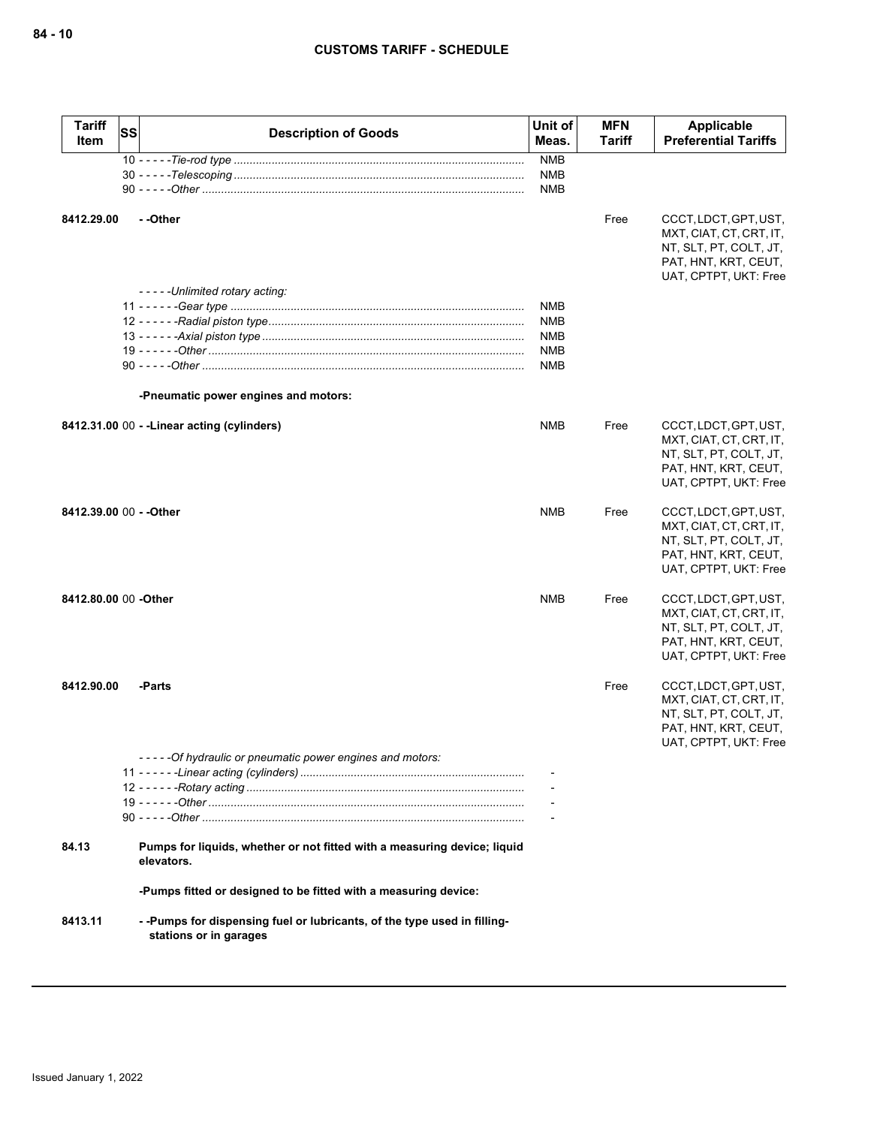| <b>Tariff</b><br>Item   | SS | <b>Description of Goods</b>                                                                       | Unit of<br>Meas.  | <b>MFN</b><br>Tariff | <b>Applicable</b><br><b>Preferential Tariffs</b>                                                                            |
|-------------------------|----|---------------------------------------------------------------------------------------------------|-------------------|----------------------|-----------------------------------------------------------------------------------------------------------------------------|
|                         |    |                                                                                                   | <b>NMB</b>        |                      |                                                                                                                             |
|                         |    |                                                                                                   | <b>NMB</b><br>NMB |                      |                                                                                                                             |
| 8412.29.00              |    | - -Other<br>-----Unlimited rotary acting:                                                         |                   | Free                 | CCCT, LDCT, GPT, UST,<br>MXT, CIAT, CT, CRT, IT,<br>NT, SLT, PT, COLT, JT,<br>PAT, HNT, KRT, CEUT,<br>UAT, CPTPT, UKT: Free |
|                         |    |                                                                                                   | <b>NMB</b>        |                      |                                                                                                                             |
|                         |    |                                                                                                   | <b>NMB</b>        |                      |                                                                                                                             |
|                         |    |                                                                                                   | <b>NMB</b><br>NMB |                      |                                                                                                                             |
|                         |    |                                                                                                   | NMB               |                      |                                                                                                                             |
|                         |    | -Pneumatic power engines and motors:                                                              |                   |                      |                                                                                                                             |
|                         |    | 8412.31.00 00 - - Linear acting (cylinders)                                                       | <b>NMB</b>        | Free                 | CCCT, LDCT, GPT, UST,<br>MXT, CIAT, CT, CRT, IT,<br>NT, SLT, PT, COLT, JT,<br>PAT, HNT, KRT, CEUT,<br>UAT, CPTPT, UKT: Free |
| 8412.39.00 00 - - Other |    |                                                                                                   | <b>NMB</b>        | Free                 | CCCT, LDCT, GPT, UST,<br>MXT, CIAT, CT, CRT, IT,<br>NT, SLT, PT, COLT, JT,<br>PAT, HNT, KRT, CEUT,<br>UAT, CPTPT, UKT: Free |
| 8412.80.00 00 - Other   |    |                                                                                                   | <b>NMB</b>        | Free                 | CCCT, LDCT, GPT, UST,<br>MXT, CIAT, CT, CRT, IT,<br>NT, SLT, PT, COLT, JT,<br>PAT, HNT, KRT, CEUT,<br>UAT, CPTPT, UKT: Free |
| 8412.90.00              |    | -Parts                                                                                            |                   | Free                 | CCCT, LDCT, GPT, UST,<br>MXT, CIAT, CT, CRT, IT,<br>NT, SLT, PT, COLT, JT,<br>PAT, HNT, KRT, CEUT,<br>UAT, CPTPT, UKT: Free |
|                         |    | -----Of hydraulic or pneumatic power engines and motors:                                          |                   |                      |                                                                                                                             |
|                         |    |                                                                                                   |                   |                      |                                                                                                                             |
|                         |    |                                                                                                   |                   |                      |                                                                                                                             |
|                         |    |                                                                                                   |                   |                      |                                                                                                                             |
| 84.13                   |    | Pumps for liquids, whether or not fitted with a measuring device; liquid<br>elevators.            |                   |                      |                                                                                                                             |
|                         |    | -Pumps fitted or designed to be fitted with a measuring device:                                   |                   |                      |                                                                                                                             |
| 8413.11                 |    | --Pumps for dispensing fuel or lubricants, of the type used in filling-<br>stations or in garages |                   |                      |                                                                                                                             |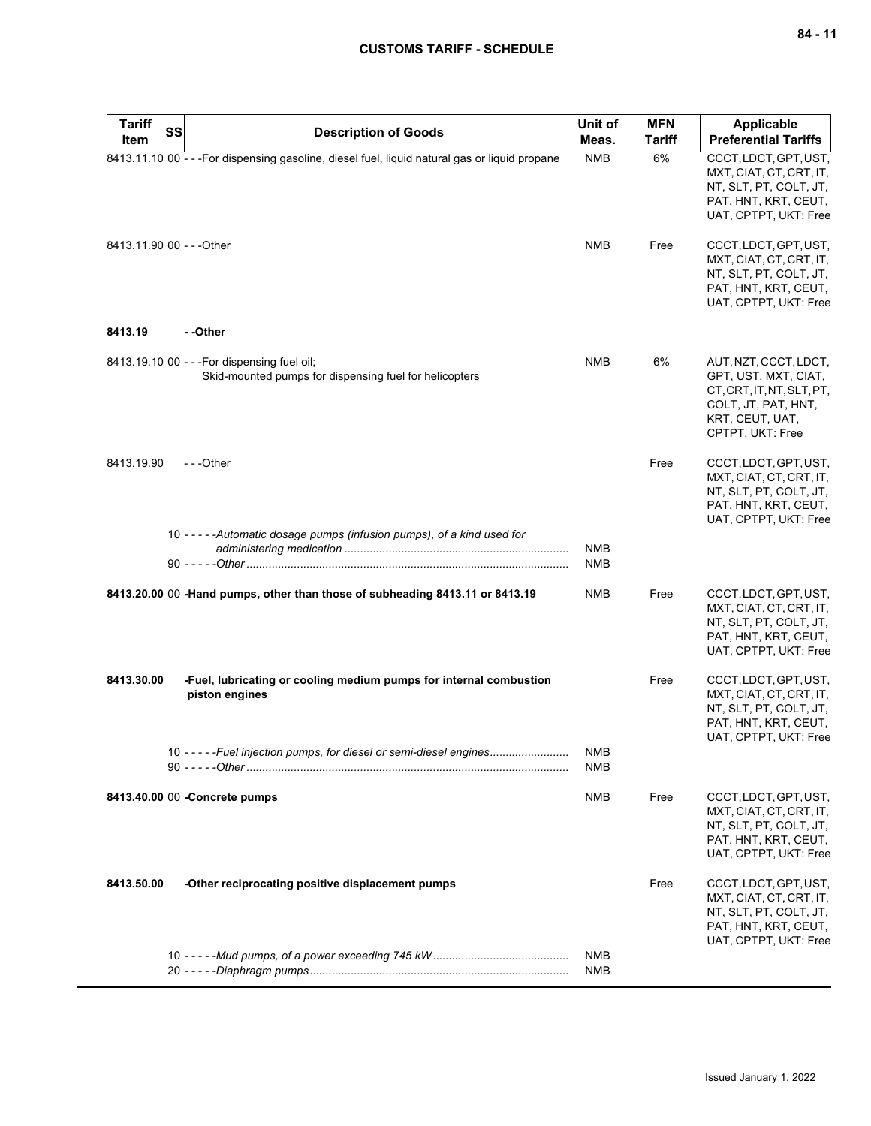| <b>Tariff</b><br>Item     | SS<br><b>Description of Goods</b>                                                                      | Unit of<br>Meas.  | <b>MFN</b><br><b>Tariff</b> | <b>Applicable</b><br><b>Preferential Tariffs</b>                                                                                    |
|---------------------------|--------------------------------------------------------------------------------------------------------|-------------------|-----------------------------|-------------------------------------------------------------------------------------------------------------------------------------|
|                           | 8413.11.10 00 - - - For dispensing gasoline, diesel fuel, liquid natural gas or liquid propane         | <b>NMB</b>        | 6%                          | CCCT, LDCT, GPT, UST,<br>MXT, CIAT, CT, CRT, IT,<br>NT, SLT, PT, COLT, JT,<br>PAT, HNT, KRT, CEUT,<br>UAT, CPTPT, UKT: Free         |
| 8413.11.90 00 - - - Other |                                                                                                        | <b>NMB</b>        | Free                        | CCCT, LDCT, GPT, UST,<br>MXT, CIAT, CT, CRT, IT,<br>NT, SLT, PT, COLT, JT,<br>PAT, HNT, KRT, CEUT,<br>UAT, CPTPT, UKT: Free         |
| 8413.19                   | - -Other                                                                                               |                   |                             |                                                                                                                                     |
|                           | 8413.19.10 00 - - - For dispensing fuel oil;<br>Skid-mounted pumps for dispensing fuel for helicopters | <b>NMB</b>        | 6%                          | AUT, NZT, CCCT, LDCT,<br>GPT, UST, MXT, CIAT,<br>CT.CRT.IT.NT.SLT.PT.<br>COLT, JT, PAT, HNT,<br>KRT, CEUT, UAT,<br>CPTPT, UKT: Free |
| 8413.19.90                | ---Other                                                                                               |                   | Free                        | CCCT, LDCT, GPT, UST,<br>MXT, CIAT, CT, CRT, IT,<br>NT, SLT, PT, COLT, JT,<br>PAT, HNT, KRT, CEUT,<br>UAT, CPTPT, UKT: Free         |
|                           | 10 - - - - - Automatic dosage pumps (infusion pumps), of a kind used for                               | <b>NMB</b>        |                             |                                                                                                                                     |
|                           |                                                                                                        | <b>NMB</b>        |                             |                                                                                                                                     |
|                           | 8413.20.00 00 -Hand pumps, other than those of subheading 8413.11 or 8413.19                           | <b>NMB</b>        | Free                        | CCCT, LDCT, GPT, UST,<br>MXT, CIAT, CT, CRT, IT,<br>NT, SLT, PT, COLT, JT,<br>PAT, HNT, KRT, CEUT,<br>UAT, CPTPT, UKT: Free         |
| 8413.30.00                | -Fuel, lubricating or cooling medium pumps for internal combustion<br>piston engines                   |                   | Free                        | CCCT, LDCT, GPT, UST,<br>MXT, CIAT, CT, CRT, IT,<br>NT, SLT, PT, COLT, JT,<br>PAT, HNT, KRT, CEUT,<br>UAT, CPTPT, UKT: Free         |
|                           | 10 - - - - - Fuel injection pumps, for diesel or semi-diesel engines                                   | <b>NMB</b><br>NMB |                             |                                                                                                                                     |
|                           | 8413.40.00 00 - Concrete pumps                                                                         | NMB               | Free                        | CCCT, LDCT, GPT, UST,<br>MXT, CIAT, CT, CRT, IT,<br>NT, SLT, PT, COLT, JT,<br>PAT, HNT, KRT, CEUT,<br>UAT, CPTPT, UKT: Free         |
| 8413.50.00                | -Other reciprocating positive displacement pumps                                                       |                   | Free                        | CCCT, LDCT, GPT, UST,<br>MXT, CIAT, CT, CRT, IT,<br>NT, SLT, PT, COLT, JT,<br>PAT, HNT, KRT, CEUT,<br>UAT, CPTPT, UKT: Free         |
|                           |                                                                                                        | <b>NMB</b><br>NMB |                             |                                                                                                                                     |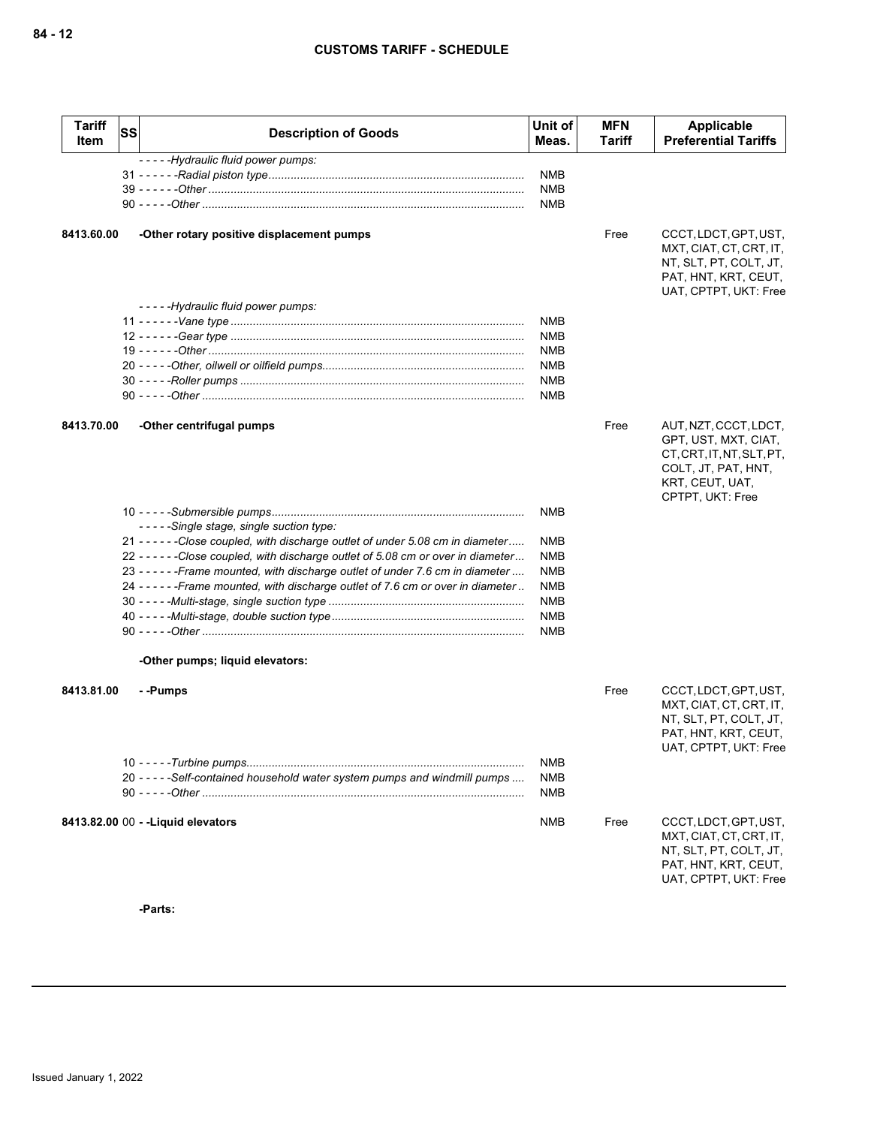| <b>Tariff</b><br>Item | <b>SS</b> | <b>Description of Goods</b>                                                        | Unit of<br>Meas. | <b>MFN</b><br><b>Tariff</b> | Applicable<br><b>Preferential Tariffs</b>                                                                                                |
|-----------------------|-----------|------------------------------------------------------------------------------------|------------------|-----------------------------|------------------------------------------------------------------------------------------------------------------------------------------|
|                       |           | -----Hydraulic fluid power pumps:                                                  |                  |                             |                                                                                                                                          |
|                       |           |                                                                                    | <b>NMB</b>       |                             |                                                                                                                                          |
|                       |           |                                                                                    | <b>NMB</b>       |                             |                                                                                                                                          |
|                       |           |                                                                                    | <b>NMB</b>       |                             |                                                                                                                                          |
| 8413.60.00            |           | -Other rotary positive displacement pumps                                          |                  | Free                        | CCCT, LDCT, GPT, UST,<br>MXT, CIAT, CT, CRT, IT,<br>NT, SLT, PT, COLT, JT,<br>PAT, HNT, KRT, CEUT,<br>UAT, CPTPT, UKT: Free              |
|                       |           | -----Hydraulic fluid power pumps:                                                  |                  |                             |                                                                                                                                          |
|                       |           |                                                                                    | <b>NMB</b>       |                             |                                                                                                                                          |
|                       |           |                                                                                    | NMB              |                             |                                                                                                                                          |
|                       |           |                                                                                    | NMB              |                             |                                                                                                                                          |
|                       |           |                                                                                    | <b>NMB</b>       |                             |                                                                                                                                          |
|                       |           |                                                                                    | <b>NMB</b>       |                             |                                                                                                                                          |
|                       |           |                                                                                    | <b>NMB</b>       |                             |                                                                                                                                          |
| 8413.70.00            |           | -Other centrifugal pumps                                                           |                  | Free                        | AUT, NZT, CCCT, LDCT,<br>GPT, UST, MXT, CIAT,<br>CT, CRT, IT, NT, SLT, PT,<br>COLT, JT, PAT, HNT,<br>KRT, CEUT, UAT,<br>CPTPT, UKT: Free |
|                       |           |                                                                                    | <b>NMB</b>       |                             |                                                                                                                                          |
|                       |           | -----Single stage, single suction type:                                            |                  |                             |                                                                                                                                          |
|                       |           | 21 - - - - - - Close coupled, with discharge outlet of under 5.08 cm in diameter   | NMB              |                             |                                                                                                                                          |
|                       |           | 22 - - - - - - Close coupled, with discharge outlet of 5.08 cm or over in diameter | <b>NMB</b>       |                             |                                                                                                                                          |
|                       |           | 23 - - - - - - Frame mounted, with discharge outlet of under 7.6 cm in diameter    | <b>NMB</b>       |                             |                                                                                                                                          |
|                       |           | 24 ----- - Frame mounted, with discharge outlet of 7.6 cm or over in diameter      | <b>NMB</b>       |                             |                                                                                                                                          |
|                       |           |                                                                                    | <b>NMB</b>       |                             |                                                                                                                                          |
|                       |           |                                                                                    | <b>NMB</b>       |                             |                                                                                                                                          |
|                       |           |                                                                                    | <b>NMB</b>       |                             |                                                                                                                                          |
|                       |           | -Other pumps; liquid elevators:                                                    |                  |                             |                                                                                                                                          |
| 8413.81.00            |           | - -Pumps                                                                           |                  | Free                        | CCCT, LDCT, GPT, UST,<br>MXT, CIAT, CT, CRT, IT,<br>NT, SLT, PT, COLT, JT,<br>PAT, HNT, KRT, CEUT,<br>UAT, CPTPT, UKT: Free              |
|                       |           |                                                                                    | <b>NMB</b>       |                             |                                                                                                                                          |
|                       |           | 20 - - - - - Self-contained household water system pumps and windmill pumps        | <b>NMB</b>       |                             |                                                                                                                                          |
|                       |           |                                                                                    | <b>NMB</b>       |                             |                                                                                                                                          |
|                       |           |                                                                                    |                  |                             |                                                                                                                                          |
|                       |           | 8413.82.00 00 - - Liquid elevators                                                 | <b>NMB</b>       | Free                        | CCCT, LDCT, GPT, UST,<br>MXT, CIAT, CT, CRT, IT,<br>NT, SLT, PT, COLT, JT,<br>PAT, HNT, KRT, CEUT,<br>UAT, CPTPT, UKT: Free              |

**-Parts:**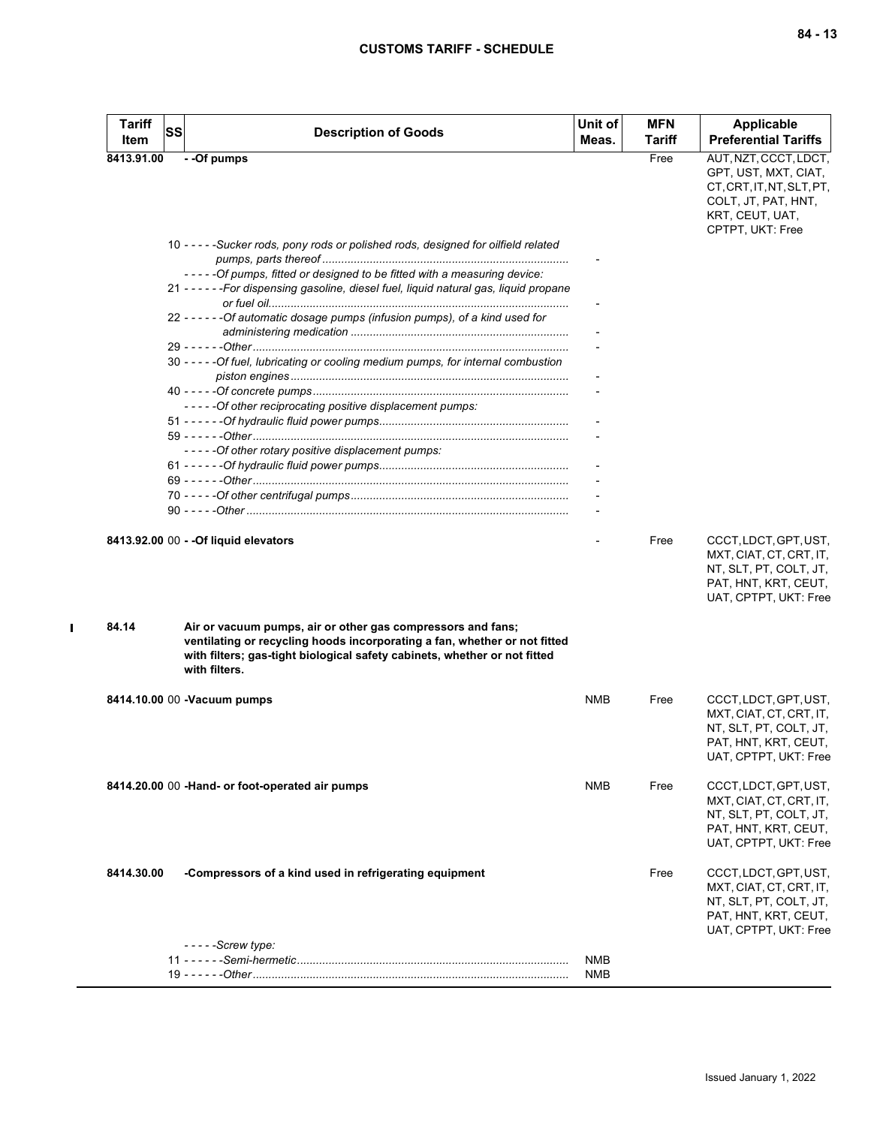| <b>Tariff</b><br>Item | <b>SS</b> | <b>Description of Goods</b>                                                                                                                                                                                                            | Unit of<br>Meas.             | <b>MFN</b><br>Tariff | <b>Applicable</b><br><b>Preferential Tariffs</b>                                                                            |
|-----------------------|-----------|----------------------------------------------------------------------------------------------------------------------------------------------------------------------------------------------------------------------------------------|------------------------------|----------------------|-----------------------------------------------------------------------------------------------------------------------------|
| 8413.91.00            |           | - -Of pumps                                                                                                                                                                                                                            |                              | Free                 | AUT, NZT, CCCT, LDCT,                                                                                                       |
|                       |           |                                                                                                                                                                                                                                        |                              |                      | GPT, UST, MXT, CIAT,<br>CT, CRT, IT, NT, SLT, PT,<br>COLT, JT, PAT, HNT,<br>KRT, CEUT, UAT,<br>CPTPT, UKT: Free             |
|                       |           | 10 - - - - - Sucker rods, pony rods or polished rods, designed for oilfield related                                                                                                                                                    |                              |                      |                                                                                                                             |
|                       |           | -----Of pumps, fitted or designed to be fitted with a measuring device:                                                                                                                                                                |                              |                      |                                                                                                                             |
|                       |           | 21 - - - - - - For dispensing gasoline, diesel fuel, liquid natural gas, liquid propane                                                                                                                                                | $\qquad \qquad \blacksquare$ |                      |                                                                                                                             |
|                       |           | 22 - - - - - - Of automatic dosage pumps (infusion pumps), of a kind used for                                                                                                                                                          |                              |                      |                                                                                                                             |
|                       |           |                                                                                                                                                                                                                                        |                              |                      |                                                                                                                             |
|                       |           | 30 - - - - - Of fuel, lubricating or cooling medium pumps, for internal combustion                                                                                                                                                     |                              |                      |                                                                                                                             |
|                       |           |                                                                                                                                                                                                                                        |                              |                      |                                                                                                                             |
|                       |           | ----- Of other reciprocating positive displacement pumps:                                                                                                                                                                              |                              |                      |                                                                                                                             |
|                       |           |                                                                                                                                                                                                                                        |                              |                      |                                                                                                                             |
|                       |           |                                                                                                                                                                                                                                        |                              |                      |                                                                                                                             |
|                       |           | -----Of other rotary positive displacement pumps:                                                                                                                                                                                      |                              |                      |                                                                                                                             |
|                       |           |                                                                                                                                                                                                                                        |                              |                      |                                                                                                                             |
|                       |           |                                                                                                                                                                                                                                        |                              |                      |                                                                                                                             |
|                       |           |                                                                                                                                                                                                                                        |                              |                      |                                                                                                                             |
|                       |           |                                                                                                                                                                                                                                        |                              |                      |                                                                                                                             |
|                       |           | 8413.92.00 00 - - Of liquid elevators                                                                                                                                                                                                  |                              | Free                 | CCCT, LDCT, GPT, UST,<br>MXT, CIAT, CT, CRT, IT,<br>NT, SLT, PT, COLT, JT,<br>PAT, HNT, KRT, CEUT,<br>UAT, CPTPT, UKT: Free |
| 84.14                 |           | Air or vacuum pumps, air or other gas compressors and fans;<br>ventilating or recycling hoods incorporating a fan, whether or not fitted<br>with filters; gas-tight biological safety cabinets, whether or not fitted<br>with filters. |                              |                      |                                                                                                                             |
|                       |           | 8414.10.00 00 -Vacuum pumps                                                                                                                                                                                                            | <b>NMB</b>                   | Free                 | CCCT, LDCT, GPT, UST,                                                                                                       |
|                       |           |                                                                                                                                                                                                                                        |                              |                      | MXT, CIAT, CT, CRT, IT,<br>NT, SLT, PT, COLT, JT,<br>PAT, HNT, KRT, CEUT,<br>UAT, CPTPT, UKT: Free                          |
|                       |           | 8414.20.00 00 - Hand- or foot-operated air pumps                                                                                                                                                                                       | <b>NMB</b>                   | Free                 | CCCT, LDCT, GPT, UST,<br>MXT, CIAT, CT, CRT, IT,<br>NT, SLT, PT, COLT, JT,<br>PAT, HNT, KRT, CEUT,<br>UAT, CPTPT, UKT: Free |
| 8414.30.00            |           | -Compressors of a kind used in refrigerating equipment                                                                                                                                                                                 |                              | Free                 | CCCT, LDCT, GPT, UST,<br>MXT, CIAT, CT, CRT, IT,<br>NT, SLT, PT, COLT, JT,<br>PAT, HNT, KRT, CEUT,<br>UAT, CPTPT, UKT: Free |
|                       |           | $---$ Screw type:                                                                                                                                                                                                                      |                              |                      |                                                                                                                             |
|                       |           |                                                                                                                                                                                                                                        | <b>NMB</b><br><b>NMB</b>     |                      |                                                                                                                             |

 $\mathbf I$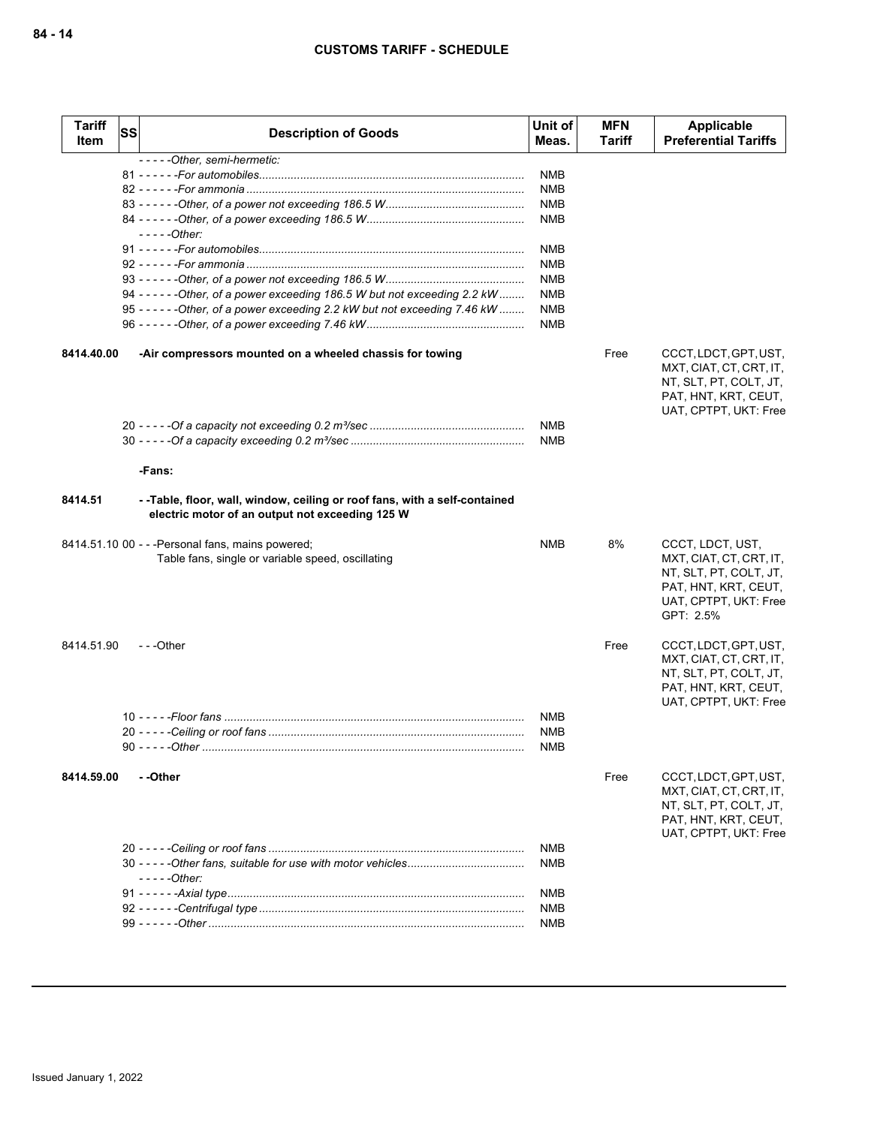| <b>Tariff</b><br>Item | <b>SS</b> | <b>Description of Goods</b>                                                                                                  | Unit of<br>Meas.         | <b>MFN</b><br>Tariff | Applicable<br><b>Preferential Tariffs</b>                                                                                           |
|-----------------------|-----------|------------------------------------------------------------------------------------------------------------------------------|--------------------------|----------------------|-------------------------------------------------------------------------------------------------------------------------------------|
|                       |           | -----Other, semi-hermetic:                                                                                                   |                          |                      |                                                                                                                                     |
|                       |           |                                                                                                                              | NMB                      |                      |                                                                                                                                     |
|                       |           |                                                                                                                              | <b>NMB</b>               |                      |                                                                                                                                     |
|                       |           |                                                                                                                              | <b>NMB</b>               |                      |                                                                                                                                     |
|                       |           |                                                                                                                              | NMB                      |                      |                                                                                                                                     |
|                       |           | - - - - - Other:                                                                                                             |                          |                      |                                                                                                                                     |
|                       |           |                                                                                                                              | NMB                      |                      |                                                                                                                                     |
|                       |           |                                                                                                                              | <b>NMB</b>               |                      |                                                                                                                                     |
|                       |           |                                                                                                                              | <b>NMB</b>               |                      |                                                                                                                                     |
|                       |           | 94 - - - - - - - Other, of a power exceeding 186.5 W but not exceeding 2.2 kW                                                | NMB                      |                      |                                                                                                                                     |
|                       |           | 95 - - - - - - - Other, of a power exceeding 2.2 kW but not exceeding 7.46 kW                                                | <b>NMB</b><br><b>NMB</b> |                      |                                                                                                                                     |
| 8414.40.00            |           | -Air compressors mounted on a wheeled chassis for towing                                                                     |                          | Free                 | CCCT, LDCT, GPT, UST,<br>MXT, CIAT, CT, CRT, IT,<br>NT, SLT, PT, COLT, JT,<br>PAT, HNT, KRT, CEUT,<br>UAT, CPTPT, UKT: Free         |
|                       |           |                                                                                                                              | <b>NMB</b>               |                      |                                                                                                                                     |
|                       |           |                                                                                                                              | <b>NMB</b>               |                      |                                                                                                                                     |
|                       |           | -Fans:                                                                                                                       |                          |                      |                                                                                                                                     |
| 8414.51               |           | --Table, floor, wall, window, ceiling or roof fans, with a self-contained<br>electric motor of an output not exceeding 125 W |                          |                      |                                                                                                                                     |
|                       |           | 8414.51.10 00 - - - Personal fans, mains powered;<br>Table fans, single or variable speed, oscillating                       | NMB                      | 8%                   | CCCT, LDCT, UST,<br>MXT, CIAT, CT, CRT, IT,<br>NT, SLT, PT, COLT, JT,<br>PAT, HNT, KRT, CEUT,<br>UAT, CPTPT, UKT: Free<br>GPT: 2.5% |
| 8414.51.90            |           | $- -$ Other                                                                                                                  |                          | Free                 | CCCT, LDCT, GPT, UST,<br>MXT, CIAT, CT, CRT, IT,<br>NT, SLT, PT, COLT, JT,<br>PAT, HNT, KRT, CEUT,<br>UAT, CPTPT, UKT: Free         |
|                       |           |                                                                                                                              | <b>NMB</b>               |                      |                                                                                                                                     |
|                       |           |                                                                                                                              | NMB                      |                      |                                                                                                                                     |
|                       |           |                                                                                                                              | <b>NMB</b>               |                      |                                                                                                                                     |
|                       |           |                                                                                                                              |                          |                      |                                                                                                                                     |
| 8414.59.00            |           | - -Other                                                                                                                     |                          | Free                 | CCCT, LDCT, GPT, UST,<br>MXT, CIAT, CT, CRT, IT,<br>NT, SLT, PT, COLT, JT,<br>PAT, HNT, KRT, CEUT,<br>UAT, CPTPT, UKT: Free         |
|                       |           |                                                                                                                              | <b>NMB</b>               |                      |                                                                                                                                     |
|                       |           | $---Other:$                                                                                                                  | <b>NMB</b>               |                      |                                                                                                                                     |
|                       |           |                                                                                                                              | <b>NMB</b>               |                      |                                                                                                                                     |
|                       |           |                                                                                                                              | <b>NMB</b>               |                      |                                                                                                                                     |
|                       |           |                                                                                                                              | <b>NMB</b>               |                      |                                                                                                                                     |
|                       |           |                                                                                                                              |                          |                      |                                                                                                                                     |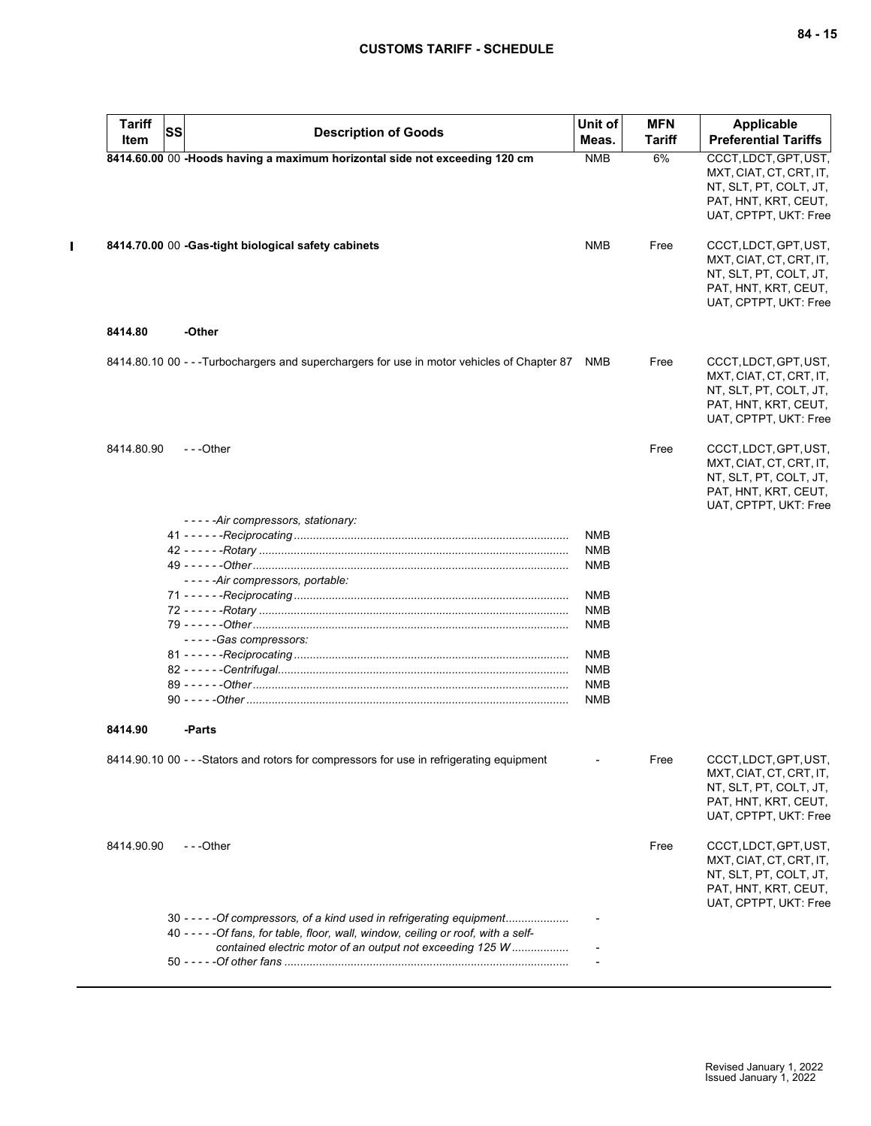$\mathbf{I}$ 

| <b>Tariff</b><br>Item | <b>SS</b> | <b>Description of Goods</b>                                                                                                                                                                                                | Unit of<br>Meas.         | <b>MFN</b><br><b>Tariff</b> | Applicable<br><b>Preferential Tariffs</b>                                                                                   |
|-----------------------|-----------|----------------------------------------------------------------------------------------------------------------------------------------------------------------------------------------------------------------------------|--------------------------|-----------------------------|-----------------------------------------------------------------------------------------------------------------------------|
|                       |           | 8414.60.00 00 -Hoods having a maximum horizontal side not exceeding 120 cm                                                                                                                                                 | <b>NMB</b>               | 6%                          | CCCT, LDCT, GPT, UST,<br>MXT, CIAT, CT, CRT, IT,<br>NT, SLT, PT, COLT, JT,<br>PAT, HNT, KRT, CEUT,<br>UAT, CPTPT, UKT: Free |
|                       |           | 8414.70.00 00 -Gas-tight biological safety cabinets                                                                                                                                                                        | <b>NMB</b>               | Free                        | CCCT, LDCT, GPT, UST,<br>MXT, CIAT, CT, CRT, IT,<br>NT, SLT, PT, COLT, JT,<br>PAT, HNT, KRT, CEUT,<br>UAT, CPTPT, UKT: Free |
| 8414.80               |           | -Other                                                                                                                                                                                                                     |                          |                             |                                                                                                                             |
|                       |           | 8414.80.10 00 - - - Turbochargers and superchargers for use in motor vehicles of Chapter 87                                                                                                                                | NMB                      | Free                        | CCCT, LDCT, GPT, UST,<br>MXT, CIAT, CT, CRT, IT,<br>NT, SLT, PT, COLT, JT,<br>PAT, HNT, KRT, CEUT,<br>UAT, CPTPT, UKT: Free |
| 8414.80.90            |           | $-$ - -Other                                                                                                                                                                                                               |                          | Free                        | CCCT, LDCT, GPT, UST,<br>MXT, CIAT, CT, CRT, IT,<br>NT, SLT, PT, COLT, JT,<br>PAT, HNT, KRT, CEUT,<br>UAT, CPTPT, UKT: Free |
|                       |           | -----Air compressors, stationary:                                                                                                                                                                                          |                          |                             |                                                                                                                             |
|                       |           |                                                                                                                                                                                                                            | <b>NMB</b><br><b>NMB</b> |                             |                                                                                                                             |
|                       |           |                                                                                                                                                                                                                            | <b>NMB</b>               |                             |                                                                                                                             |
|                       |           | -----Air compressors, portable:                                                                                                                                                                                            |                          |                             |                                                                                                                             |
|                       |           |                                                                                                                                                                                                                            | <b>NMB</b>               |                             |                                                                                                                             |
|                       |           |                                                                                                                                                                                                                            | <b>NMB</b>               |                             |                                                                                                                             |
|                       |           |                                                                                                                                                                                                                            | <b>NMB</b>               |                             |                                                                                                                             |
|                       |           | -----Gas compressors:                                                                                                                                                                                                      |                          |                             |                                                                                                                             |
|                       |           |                                                                                                                                                                                                                            | NMB                      |                             |                                                                                                                             |
|                       |           |                                                                                                                                                                                                                            | <b>NMB</b>               |                             |                                                                                                                             |
|                       |           |                                                                                                                                                                                                                            | <b>NMB</b>               |                             |                                                                                                                             |
|                       |           |                                                                                                                                                                                                                            | NMB                      |                             |                                                                                                                             |
| 8414.90               |           | -Parts                                                                                                                                                                                                                     |                          |                             |                                                                                                                             |
|                       |           | 8414.90.10 00 - - -Stators and rotors for compressors for use in refrigerating equipment                                                                                                                                   |                          | Free                        | CCCT, LDCT, GPT, UST,<br>MXT, CIAT, CT, CRT, IT,<br>NT, SLT, PT, COLT, JT,<br>PAT, HNT, KRT, CEUT,<br>UAT, CPTPT, UKT: Free |
| 8414.90.90            |           | ---Other                                                                                                                                                                                                                   |                          | Free                        | CCCT, LDCT, GPT, UST,<br>MXT, CIAT, CT, CRT, IT,<br>NT, SLT, PT, COLT, JT,<br>PAT, HNT, KRT, CEUT,<br>UAT, CPTPT, UKT: Free |
|                       |           | 30 - - - - - Of compressors, of a kind used in refrigerating equipment<br>40 - - - - - Of fans, for table, floor, wall, window, ceiling or roof, with a self-<br>contained electric motor of an output not exceeding 125 W |                          |                             |                                                                                                                             |
|                       |           |                                                                                                                                                                                                                            |                          |                             |                                                                                                                             |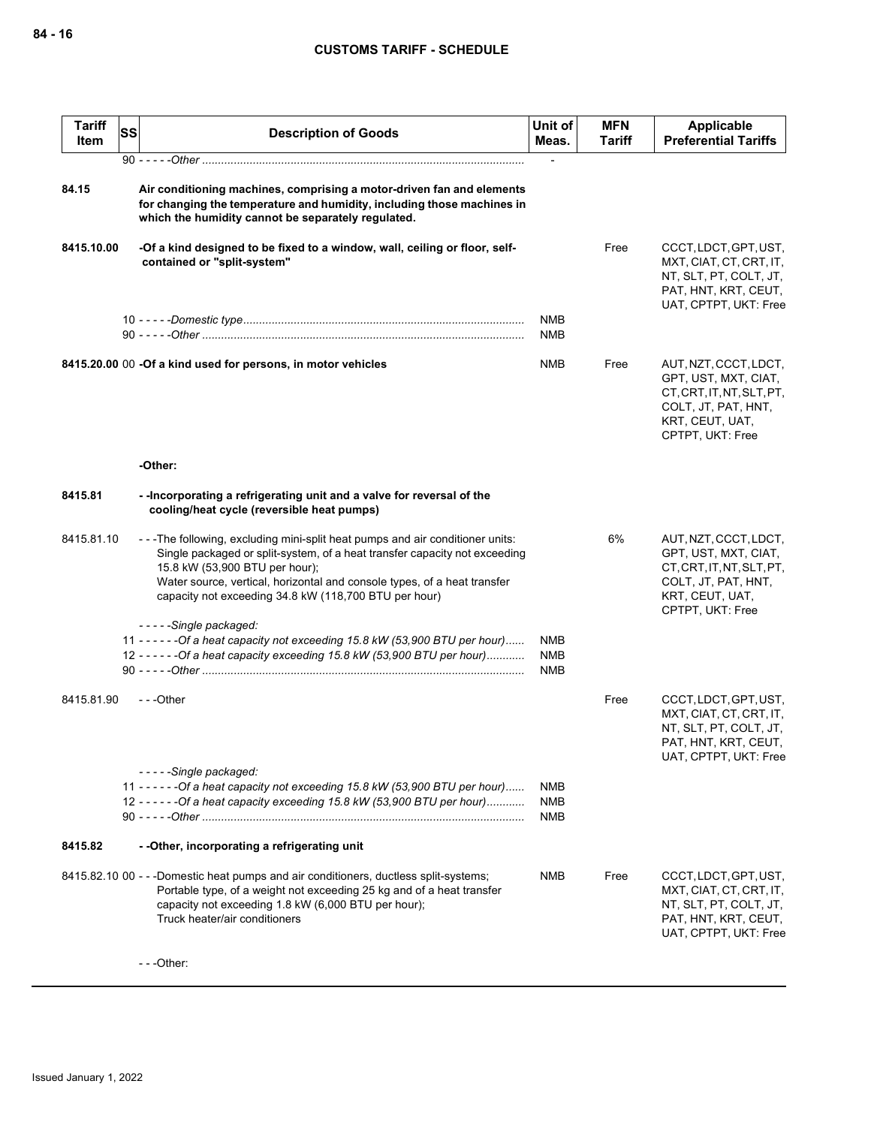| <b>Tariff</b><br>Item | <b>SS</b> | <b>Description of Goods</b>                                                                                                                                                                                                                                                                                                       | Unit of<br>Meas.                       | <b>MFN</b><br><b>Tariff</b> | <b>Applicable</b><br><b>Preferential Tariffs</b>                                                                                         |
|-----------------------|-----------|-----------------------------------------------------------------------------------------------------------------------------------------------------------------------------------------------------------------------------------------------------------------------------------------------------------------------------------|----------------------------------------|-----------------------------|------------------------------------------------------------------------------------------------------------------------------------------|
|                       |           |                                                                                                                                                                                                                                                                                                                                   |                                        |                             |                                                                                                                                          |
| 84.15                 |           | Air conditioning machines, comprising a motor-driven fan and elements<br>for changing the temperature and humidity, including those machines in<br>which the humidity cannot be separately regulated.                                                                                                                             |                                        |                             |                                                                                                                                          |
| 8415.10.00            |           | -Of a kind designed to be fixed to a window, wall, ceiling or floor, self-<br>contained or "split-system"                                                                                                                                                                                                                         |                                        | Free                        | CCCT, LDCT, GPT, UST,<br>MXT, CIAT, CT, CRT, IT,<br>NT, SLT, PT, COLT, JT,<br>PAT, HNT, KRT, CEUT,<br>UAT, CPTPT, UKT: Free              |
|                       |           |                                                                                                                                                                                                                                                                                                                                   | <b>NMB</b><br><b>NMB</b>               |                             |                                                                                                                                          |
|                       |           | 8415.20.00 00 -Of a kind used for persons, in motor vehicles                                                                                                                                                                                                                                                                      | NMB                                    | Free                        | AUT, NZT, CCCT, LDCT,<br>GPT, UST, MXT, CIAT,<br>CT.CRT.IT.NT.SLT.PT.<br>COLT, JT, PAT, HNT,<br>KRT, CEUT, UAT,<br>CPTPT, UKT: Free      |
|                       |           | -Other:                                                                                                                                                                                                                                                                                                                           |                                        |                             |                                                                                                                                          |
| 8415.81               |           | --Incorporating a refrigerating unit and a valve for reversal of the<br>cooling/heat cycle (reversible heat pumps)                                                                                                                                                                                                                |                                        |                             |                                                                                                                                          |
| 8415.81.10            |           | ---The following, excluding mini-split heat pumps and air conditioner units:<br>Single packaged or split-system, of a heat transfer capacity not exceeding<br>15.8 kW (53,900 BTU per hour);<br>Water source, vertical, horizontal and console types, of a heat transfer<br>capacity not exceeding 34.8 kW (118,700 BTU per hour) |                                        | 6%                          | AUT, NZT, CCCT, LDCT,<br>GPT, UST, MXT, CIAT,<br>CT, CRT, IT, NT, SLT, PT,<br>COLT, JT, PAT, HNT,<br>KRT, CEUT, UAT,<br>CPTPT, UKT: Free |
|                       |           | -----Single packaged:                                                                                                                                                                                                                                                                                                             |                                        |                             |                                                                                                                                          |
|                       |           | 11 - - - - - - Of a heat capacity not exceeding 15.8 kW (53,900 BTU per hour)<br>12 - - - - - - Of a heat capacity exceeding 15.8 kW (53,900 BTU per hour)                                                                                                                                                                        | <b>NMB</b><br><b>NMB</b><br><b>NMB</b> |                             |                                                                                                                                          |
| 8415.81.90            |           | $- -$ Other                                                                                                                                                                                                                                                                                                                       |                                        | Free                        | CCCT, LDCT, GPT, UST,<br>MXT, CIAT, CT, CRT, IT,<br>NT, SLT, PT, COLT, JT,<br>PAT, HNT, KRT, CEUT,<br>UAT, CPTPT, UKT: Free              |
|                       |           | -----Single packaged:                                                                                                                                                                                                                                                                                                             |                                        |                             |                                                                                                                                          |
|                       |           | 11 - - - - - - Of a heat capacity not exceeding 15.8 kW (53,900 BTU per hour)<br>12 - - - - - - Of a heat capacity exceeding 15.8 kW (53,900 BTU per hour)                                                                                                                                                                        | NMB<br><b>NMB</b><br><b>NMB</b>        |                             |                                                                                                                                          |
| 8415.82               |           | - - Other, incorporating a refrigerating unit                                                                                                                                                                                                                                                                                     |                                        |                             |                                                                                                                                          |
|                       |           | 8415.82.10 00 - - -Domestic heat pumps and air conditioners, ductless split-systems;<br>Portable type, of a weight not exceeding 25 kg and of a heat transfer<br>capacity not exceeding 1.8 kW (6,000 BTU per hour);<br>Truck heater/air conditioners                                                                             | <b>NMB</b>                             | Free                        | CCCT, LDCT, GPT, UST,<br>MXT, CIAT, CT, CRT, IT,<br>NT, SLT, PT, COLT, JT,<br>PAT, HNT, KRT, CEUT,<br>UAT, CPTPT, UKT: Free              |

- - -Other: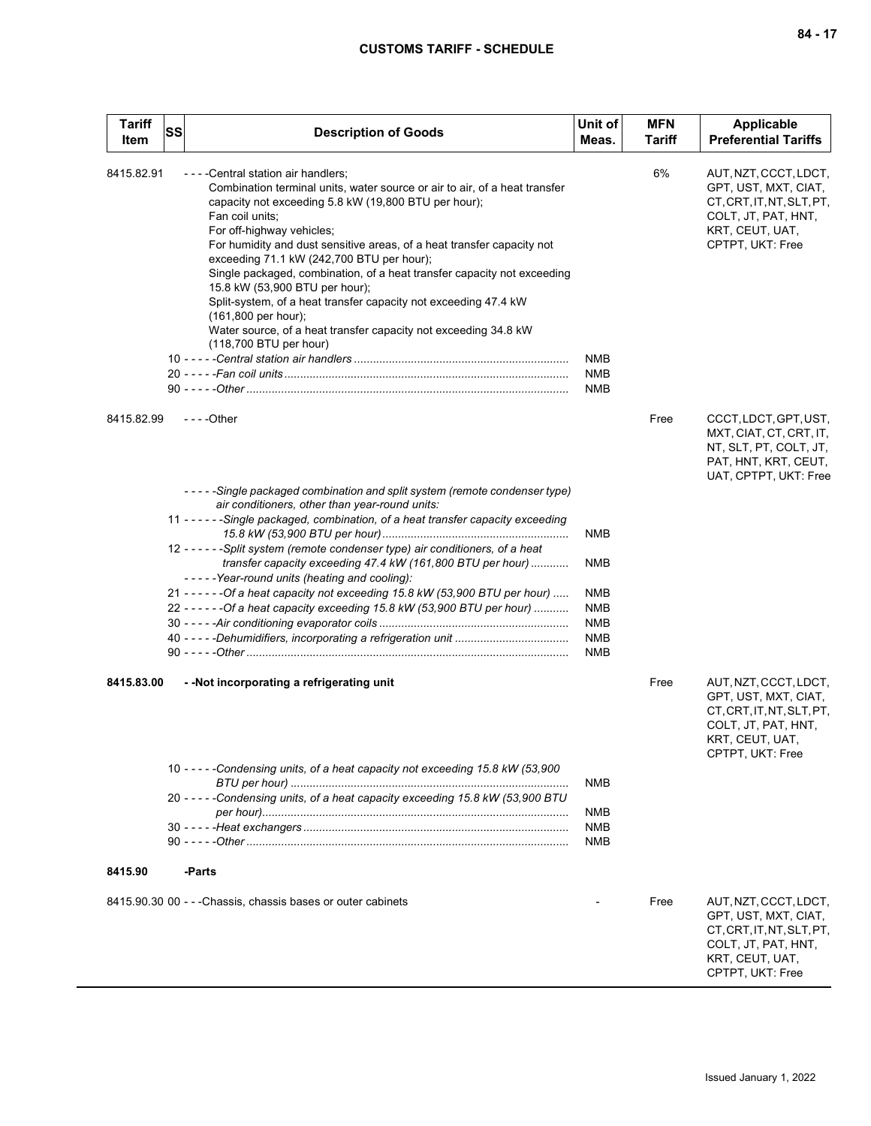| Tariff<br>Item | <b>SS</b> | <b>Description of Goods</b>                                                                                                                                                                                                                                                                                                                                                                                                                                                                                                                                                                                                                              | Unit of<br>Meas.  | <b>MFN</b><br><b>Tariff</b> | Applicable<br><b>Preferential Tariffs</b>                                                                                                |
|----------------|-----------|----------------------------------------------------------------------------------------------------------------------------------------------------------------------------------------------------------------------------------------------------------------------------------------------------------------------------------------------------------------------------------------------------------------------------------------------------------------------------------------------------------------------------------------------------------------------------------------------------------------------------------------------------------|-------------------|-----------------------------|------------------------------------------------------------------------------------------------------------------------------------------|
| 8415.82.91     |           | - - - - Central station air handlers;<br>Combination terminal units, water source or air to air, of a heat transfer<br>capacity not exceeding 5.8 kW (19,800 BTU per hour);<br>Fan coil units;<br>For off-highway vehicles;<br>For humidity and dust sensitive areas, of a heat transfer capacity not<br>exceeding 71.1 kW (242,700 BTU per hour);<br>Single packaged, combination, of a heat transfer capacity not exceeding<br>15.8 kW (53,900 BTU per hour);<br>Split-system, of a heat transfer capacity not exceeding 47.4 kW<br>$(161,800$ per hour);<br>Water source, of a heat transfer capacity not exceeding 34.8 kW<br>(118,700 BTU per hour) | NMB<br>NMB        | 6%                          | AUT, NZT, CCCT, LDCT,<br>GPT, UST, MXT, CIAT,<br>CT, CRT, IT, NT, SLT, PT,<br>COLT, JT, PAT, HNT,<br>KRT, CEUT, UAT,<br>CPTPT, UKT: Free |
| 8415.82.99     |           | $--$ Other                                                                                                                                                                                                                                                                                                                                                                                                                                                                                                                                                                                                                                               | NMB               | Free                        | CCCT, LDCT, GPT, UST,                                                                                                                    |
|                |           |                                                                                                                                                                                                                                                                                                                                                                                                                                                                                                                                                                                                                                                          |                   |                             | MXT, CIAT, CT, CRT, IT,<br>NT, SLT, PT, COLT, JT,<br>PAT, HNT, KRT, CEUT,<br>UAT, CPTPT, UKT: Free                                       |
|                |           | - - - - - Single packaged combination and split system (remote condenser type)                                                                                                                                                                                                                                                                                                                                                                                                                                                                                                                                                                           |                   |                             |                                                                                                                                          |
|                |           | air conditioners, other than year-round units:<br>11 - - - - - - Single packaged, combination, of a heat transfer capacity exceeding                                                                                                                                                                                                                                                                                                                                                                                                                                                                                                                     | <b>NMB</b>        |                             |                                                                                                                                          |
|                |           | 12 - - - - - - Split system (remote condenser type) air conditioners, of a heat<br>transfer capacity exceeding 47.4 kW (161,800 BTU per hour)<br>-----Year-round units (heating and cooling):                                                                                                                                                                                                                                                                                                                                                                                                                                                            | NMB               |                             |                                                                                                                                          |
|                |           | 21 - - - - - - Of a heat capacity not exceeding 15.8 kW (53,900 BTU per hour)                                                                                                                                                                                                                                                                                                                                                                                                                                                                                                                                                                            | NMB               |                             |                                                                                                                                          |
|                |           | 22 - - - - - - Of a heat capacity exceeding 15.8 kW (53,900 BTU per hour)                                                                                                                                                                                                                                                                                                                                                                                                                                                                                                                                                                                | <b>NMB</b>        |                             |                                                                                                                                          |
|                |           |                                                                                                                                                                                                                                                                                                                                                                                                                                                                                                                                                                                                                                                          | NMB<br><b>NMB</b> |                             |                                                                                                                                          |
|                |           |                                                                                                                                                                                                                                                                                                                                                                                                                                                                                                                                                                                                                                                          | <b>NMB</b>        |                             |                                                                                                                                          |
| 8415.83.00     |           | - - Not incorporating a refrigerating unit                                                                                                                                                                                                                                                                                                                                                                                                                                                                                                                                                                                                               |                   | Free                        | AUT, NZT, CCCT, LDCT,<br>GPT, UST, MXT, CIAT,<br>CT, CRT, IT, NT, SLT, PT,<br>COLT, JT, PAT, HNT,<br>KRT, CEUT, UAT,                     |
|                |           | 10 - - - - - Condensing units, of a heat capacity not exceeding 15.8 kW (53,900                                                                                                                                                                                                                                                                                                                                                                                                                                                                                                                                                                          |                   |                             | CPTPT, UKT: Free                                                                                                                         |
|                |           | 20 - - - - - Condensing units, of a heat capacity exceeding 15.8 kW (53,900 BTU                                                                                                                                                                                                                                                                                                                                                                                                                                                                                                                                                                          | NMB               |                             |                                                                                                                                          |
|                |           |                                                                                                                                                                                                                                                                                                                                                                                                                                                                                                                                                                                                                                                          | NMB               |                             |                                                                                                                                          |
|                |           |                                                                                                                                                                                                                                                                                                                                                                                                                                                                                                                                                                                                                                                          | <b>NMB</b><br>NMB |                             |                                                                                                                                          |
|                |           |                                                                                                                                                                                                                                                                                                                                                                                                                                                                                                                                                                                                                                                          |                   |                             |                                                                                                                                          |
| 8415.90        |           | -Parts                                                                                                                                                                                                                                                                                                                                                                                                                                                                                                                                                                                                                                                   |                   |                             |                                                                                                                                          |
|                |           | 8415.90.30 00 - - - Chassis, chassis bases or outer cabinets                                                                                                                                                                                                                                                                                                                                                                                                                                                                                                                                                                                             |                   | Free                        | AUT, NZT, CCCT, LDCT,<br>GPT, UST, MXT, CIAT,<br>CT, CRT, IT, NT, SLT, PT,<br>COLT, JT, PAT, HNT,<br>KRT, CEUT, UAT,<br>CPTPT, UKT: Free |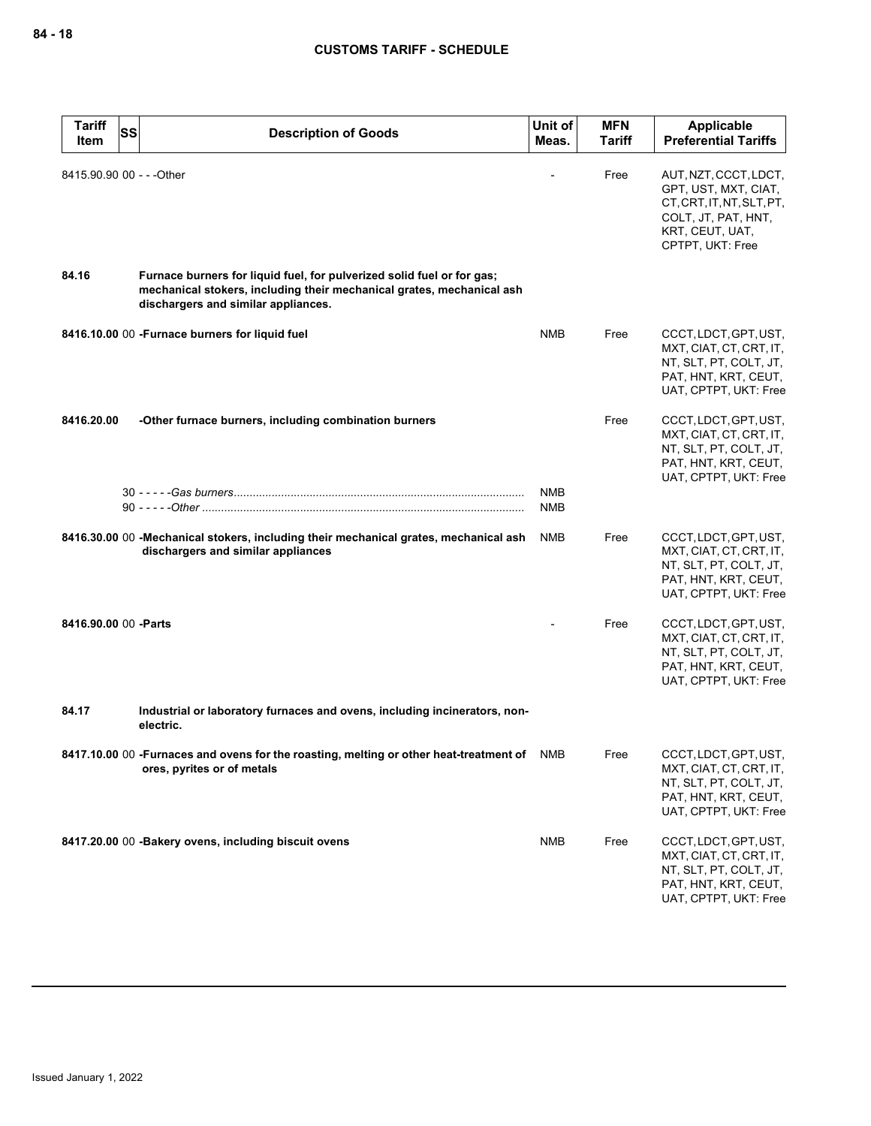| <b>Tariff</b><br>Item     | <b>SS</b> | <b>Description of Goods</b>                                                                                                                                                            | Unit of<br>Meas.         | <b>MFN</b><br>Tariff | Applicable<br><b>Preferential Tariffs</b>                                                                                                |
|---------------------------|-----------|----------------------------------------------------------------------------------------------------------------------------------------------------------------------------------------|--------------------------|----------------------|------------------------------------------------------------------------------------------------------------------------------------------|
| 8415.90.90 00 - - - Other |           |                                                                                                                                                                                        |                          | Free                 | AUT, NZT, CCCT, LDCT,<br>GPT, UST, MXT, CIAT,<br>CT, CRT, IT, NT, SLT, PT,<br>COLT, JT, PAT, HNT,<br>KRT, CEUT, UAT,<br>CPTPT, UKT: Free |
| 84.16                     |           | Furnace burners for liquid fuel, for pulverized solid fuel or for gas;<br>mechanical stokers, including their mechanical grates, mechanical ash<br>dischargers and similar appliances. |                          |                      |                                                                                                                                          |
|                           |           | 8416.10.00 00 - Furnace burners for liquid fuel                                                                                                                                        | <b>NMB</b>               | Free                 | CCCT, LDCT, GPT, UST,<br>MXT, CIAT, CT, CRT, IT,<br>NT, SLT, PT, COLT, JT,<br>PAT, HNT, KRT, CEUT,<br>UAT, CPTPT, UKT: Free              |
| 8416.20.00                |           | -Other furnace burners, including combination burners                                                                                                                                  |                          | Free                 | CCCT, LDCT, GPT, UST,<br>MXT, CIAT, CT, CRT, IT,<br>NT, SLT, PT, COLT, JT,<br>PAT, HNT, KRT, CEUT,<br>UAT, CPTPT, UKT: Free              |
|                           |           |                                                                                                                                                                                        | <b>NMB</b><br><b>NMB</b> |                      |                                                                                                                                          |
|                           |           | 8416.30.00 00 - Mechanical stokers, including their mechanical grates, mechanical ash<br>dischargers and similar appliances                                                            | <b>NMB</b>               | Free                 | CCCT, LDCT, GPT, UST,<br>MXT, CIAT, CT, CRT, IT,<br>NT, SLT, PT, COLT, JT,<br>PAT, HNT, KRT, CEUT,<br>UAT, CPTPT, UKT: Free              |
| 8416.90.00 00 - Parts     |           |                                                                                                                                                                                        |                          | Free                 | CCCT, LDCT, GPT, UST,<br>MXT, CIAT, CT, CRT, IT,<br>NT, SLT, PT, COLT, JT,<br>PAT, HNT, KRT, CEUT,<br>UAT, CPTPT, UKT: Free              |
| 84.17                     |           | Industrial or laboratory furnaces and ovens, including incinerators, non-<br>electric.                                                                                                 |                          |                      |                                                                                                                                          |
|                           |           | 8417.10.00 00 -Furnaces and ovens for the roasting, melting or other heat-treatment of NMB<br>ores, pyrites or of metals                                                               |                          | Free                 | CCCT, LDCT, GPT, UST,<br>MXT, CIAT, CT, CRT, IT,<br>NT, SLT, PT, COLT, JT,<br>PAT, HNT, KRT, CEUT,<br>UAT, CPTPT, UKT: Free              |
|                           |           | 8417.20.00 00 - Bakery ovens, including biscuit ovens                                                                                                                                  | <b>NMB</b>               | Free                 | CCCT, LDCT, GPT, UST,<br>MXT, CIAT, CT, CRT, IT,<br>NT, SLT, PT, COLT, JT,<br>PAT, HNT, KRT, CEUT,<br>UAT, CPTPT, UKT: Free              |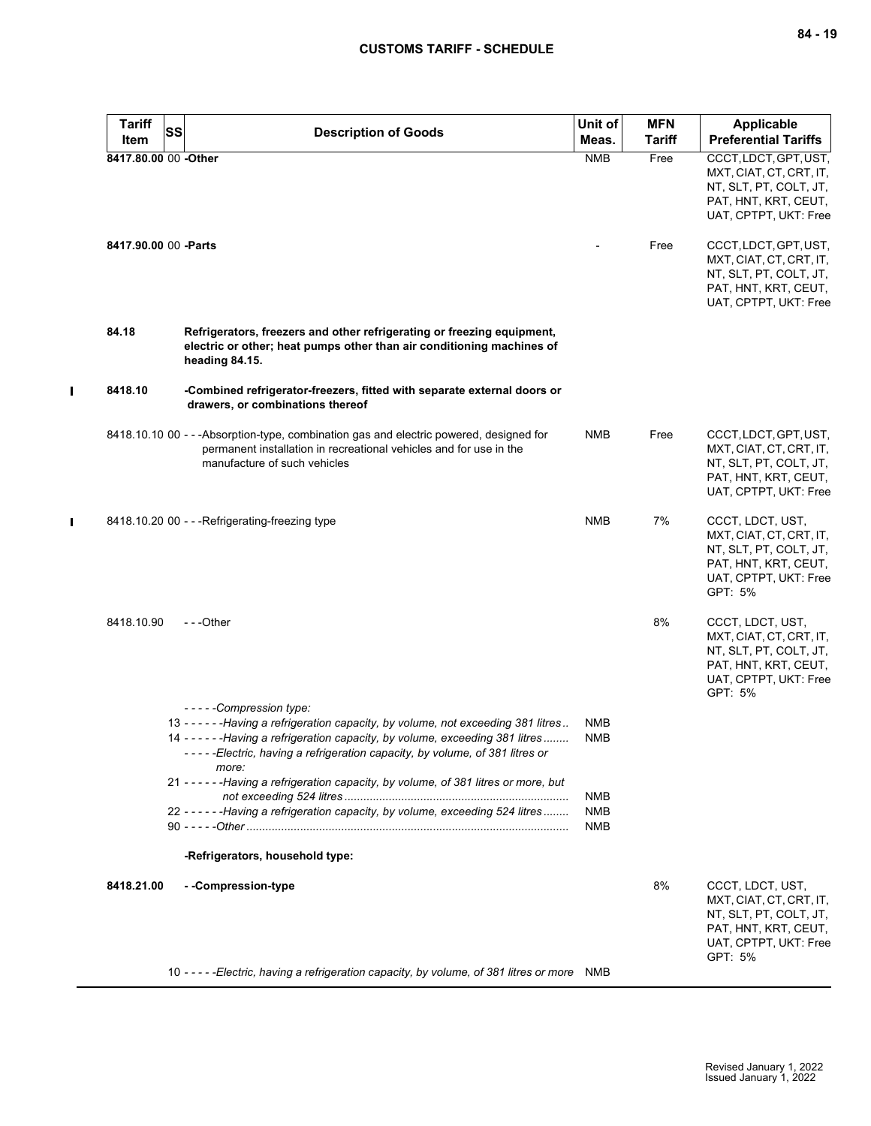| <b>Tariff</b>        | SS<br><b>Description of Goods</b>                                                                                                                                                                                                                              | Unit of                  | <b>MFN</b>    | <b>Applicable</b>                                                                                                                 |
|----------------------|----------------------------------------------------------------------------------------------------------------------------------------------------------------------------------------------------------------------------------------------------------------|--------------------------|---------------|-----------------------------------------------------------------------------------------------------------------------------------|
| Item                 |                                                                                                                                                                                                                                                                | Meas.                    | <b>Tariff</b> | <b>Preferential Tariffs</b>                                                                                                       |
| 8417.80.00 00 -Other |                                                                                                                                                                                                                                                                | <b>NMB</b>               | Free          | CCCT, LDCT, GPT, UST,<br>MXT, CIAT, CT, CRT, IT,<br>NT, SLT, PT, COLT, JT,<br>PAT, HNT, KRT, CEUT,<br>UAT, CPTPT, UKT: Free       |
| 8417.90.00 00 -Parts |                                                                                                                                                                                                                                                                |                          | Free          | CCCT, LDCT, GPT, UST,<br>MXT, CIAT, CT, CRT, IT,<br>NT, SLT, PT, COLT, JT,<br>PAT, HNT, KRT, CEUT,<br>UAT, CPTPT, UKT: Free       |
| 84.18                | Refrigerators, freezers and other refrigerating or freezing equipment,<br>electric or other; heat pumps other than air conditioning machines of<br>heading 84.15.                                                                                              |                          |               |                                                                                                                                   |
| 8418.10              | -Combined refrigerator-freezers, fitted with separate external doors or<br>drawers, or combinations thereof                                                                                                                                                    |                          |               |                                                                                                                                   |
|                      | 8418.10.10 00 - - - Absorption-type, combination gas and electric powered, designed for<br>permanent installation in recreational vehicles and for use in the<br>manufacture of such vehicles                                                                  | <b>NMB</b>               | Free          | CCCT, LDCT, GPT, UST,<br>MXT, CIAT, CT, CRT, IT,<br>NT, SLT, PT, COLT, JT,<br>PAT, HNT, KRT, CEUT,<br>UAT, CPTPT, UKT: Free       |
|                      | 8418.10.20 00 - - - Refrigerating-freezing type                                                                                                                                                                                                                | <b>NMB</b>               | 7%            | CCCT, LDCT, UST,<br>MXT, CIAT, CT, CRT, IT,<br>NT, SLT, PT, COLT, JT,<br>PAT, HNT, KRT, CEUT,<br>UAT, CPTPT, UKT: Free<br>GPT: 5% |
| 8418.10.90           | $- -$ Other                                                                                                                                                                                                                                                    |                          | 8%            | CCCT, LDCT, UST,<br>MXT, CIAT, CT, CRT, IT,<br>NT, SLT, PT, COLT, JT,<br>PAT, HNT, KRT, CEUT,<br>UAT, CPTPT, UKT: Free<br>GPT: 5% |
|                      | -----Compression type:                                                                                                                                                                                                                                         |                          |               |                                                                                                                                   |
|                      | 13 - - - - - - Having a refrigeration capacity, by volume, not exceeding 381 litres<br>14 - - - - - - Having a refrigeration capacity, by volume, exceeding 381 litres<br>-----Electric, having a refrigeration capacity, by volume, of 381 litres or<br>more: | <b>NMB</b><br><b>NMB</b> |               |                                                                                                                                   |
|                      | 21 - - - - - - Having a refrigeration capacity, by volume, of 381 litres or more, but                                                                                                                                                                          | NMB                      |               |                                                                                                                                   |
|                      | 22 - - - - - - Having a refrigeration capacity, by volume, exceeding 524 litres                                                                                                                                                                                | <b>NMB</b><br><b>NMB</b> |               |                                                                                                                                   |
|                      | -Refrigerators, household type:                                                                                                                                                                                                                                |                          |               |                                                                                                                                   |
| 8418.21.00           | - -Compression-type                                                                                                                                                                                                                                            |                          | 8%            | CCCT, LDCT, UST,<br>MXT, CIAT, CT, CRT, IT,<br>NT, SLT, PT, COLT, JT,<br>PAT, HNT, KRT, CEUT,<br>UAT, CPTPT, UKT: Free            |
|                      | 10 - - - - - Electric, having a refrigeration capacity, by volume, of 381 litres or more NMB                                                                                                                                                                   |                          |               | GPT: 5%                                                                                                                           |

 $\mathbf{I}$ 

 $\mathbf I$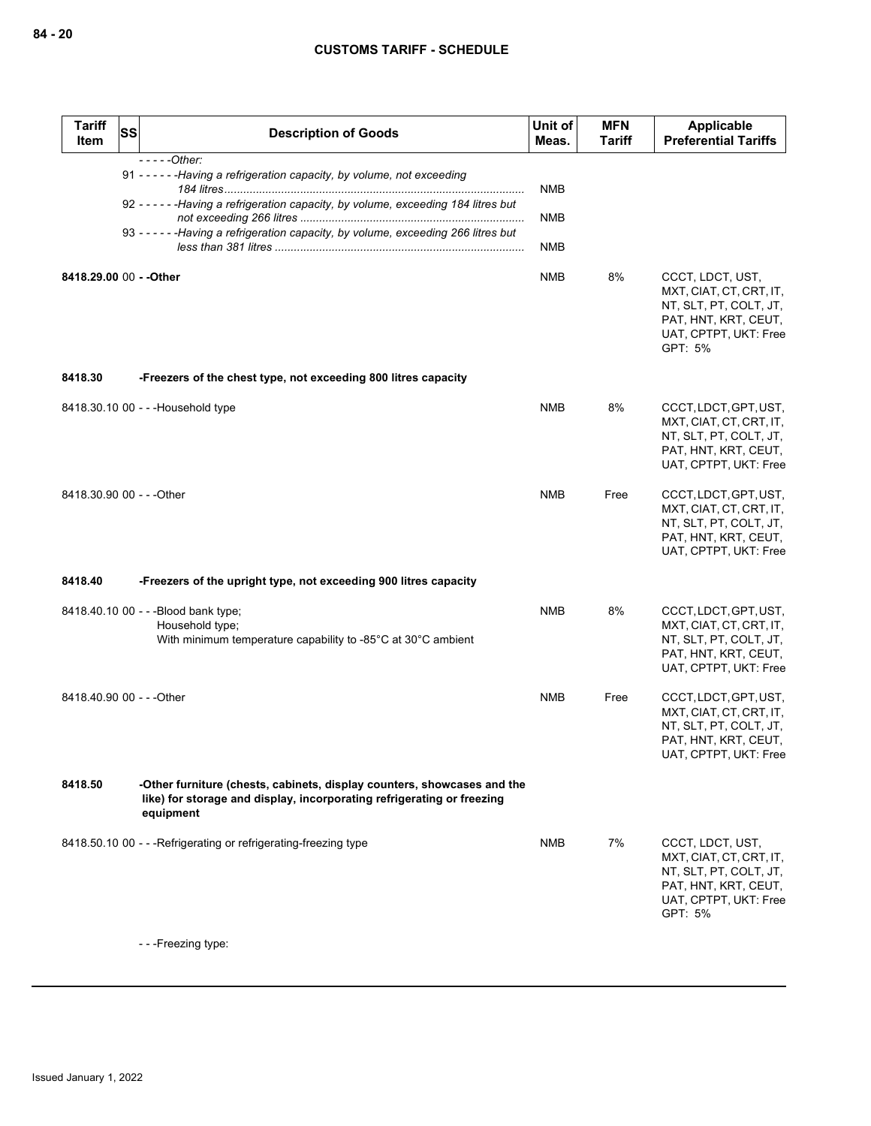| <b>Tariff</b><br><b>Item</b> | SS | <b>Description of Goods</b>                                                                                                                                                    | Unit of<br>Meas.  | <b>MFN</b><br><b>Tariff</b> | Applicable<br><b>Preferential Tariffs</b>                                                                                         |
|------------------------------|----|--------------------------------------------------------------------------------------------------------------------------------------------------------------------------------|-------------------|-----------------------------|-----------------------------------------------------------------------------------------------------------------------------------|
|                              |    | $---Other:$<br>91 - - - - - - Having a refrigeration capacity, by volume, not exceeding<br>92 - - - - - - Having a refrigeration capacity, by volume, exceeding 184 litres but | <b>NMB</b><br>NMB |                             |                                                                                                                                   |
|                              |    | 93 - - - - - - Having a refrigeration capacity, by volume, exceeding 266 litres but                                                                                            | <b>NMB</b>        |                             |                                                                                                                                   |
| 8418.29.00 00 - - Other      |    |                                                                                                                                                                                | <b>NMB</b>        | 8%                          | CCCT, LDCT, UST,<br>MXT, CIAT, CT, CRT, IT,<br>NT, SLT, PT, COLT, JT,<br>PAT, HNT, KRT, CEUT,<br>UAT, CPTPT, UKT: Free<br>GPT: 5% |
| 8418.30                      |    | -Freezers of the chest type, not exceeding 800 litres capacity                                                                                                                 |                   |                             |                                                                                                                                   |
|                              |    | 8418.30.10 00 - - - Household type                                                                                                                                             | <b>NMB</b>        | 8%                          | CCCT, LDCT, GPT, UST,<br>MXT, CIAT, CT, CRT, IT,<br>NT, SLT, PT, COLT, JT,<br>PAT, HNT, KRT, CEUT,<br>UAT, CPTPT, UKT: Free       |
| 8418.30.90 00 - - - Other    |    |                                                                                                                                                                                | <b>NMB</b>        | Free                        | CCCT, LDCT, GPT, UST,<br>MXT, CIAT, CT, CRT, IT,<br>NT, SLT, PT, COLT, JT,<br>PAT, HNT, KRT, CEUT,<br>UAT, CPTPT, UKT: Free       |
| 8418.40                      |    | -Freezers of the upright type, not exceeding 900 litres capacity                                                                                                               |                   |                             |                                                                                                                                   |
|                              |    | 8418.40.10 00 - - - Blood bank type;<br>Household type;<br>With minimum temperature capability to -85°C at 30°C ambient                                                        | <b>NMB</b>        | 8%                          | CCCT, LDCT, GPT, UST,<br>MXT, CIAT, CT, CRT, IT,<br>NT, SLT, PT, COLT, JT,<br>PAT, HNT, KRT, CEUT,<br>UAT, CPTPT, UKT: Free       |
| 8418.40.90 00 - - - Other    |    |                                                                                                                                                                                | <b>NMB</b>        | Free                        | CCCT, LDCT, GPT, UST,<br>MXT, CIAT, CT, CRT, IT,<br>NT, SLT, PT, COLT, JT,<br>PAT, HNT, KRT, CEUT,<br>UAT, CPTPT, UKT: Free       |
| 8418.50                      |    | -Other furniture (chests, cabinets, display counters, showcases and the<br>like) for storage and display, incorporating refrigerating or freezing<br>equipment                 |                   |                             |                                                                                                                                   |
|                              |    | 8418.50.10 00 - - - Refrigerating or refrigerating-freezing type                                                                                                               | <b>NMB</b>        | 7%                          | CCCT, LDCT, UST,<br>MXT, CIAT, CT, CRT, IT,<br>NT, SLT, PT, COLT, JT,<br>PAT, HNT, KRT, CEUT,<br>UAT, CPTPT, UKT: Free<br>GPT: 5% |

- - -Freezing type: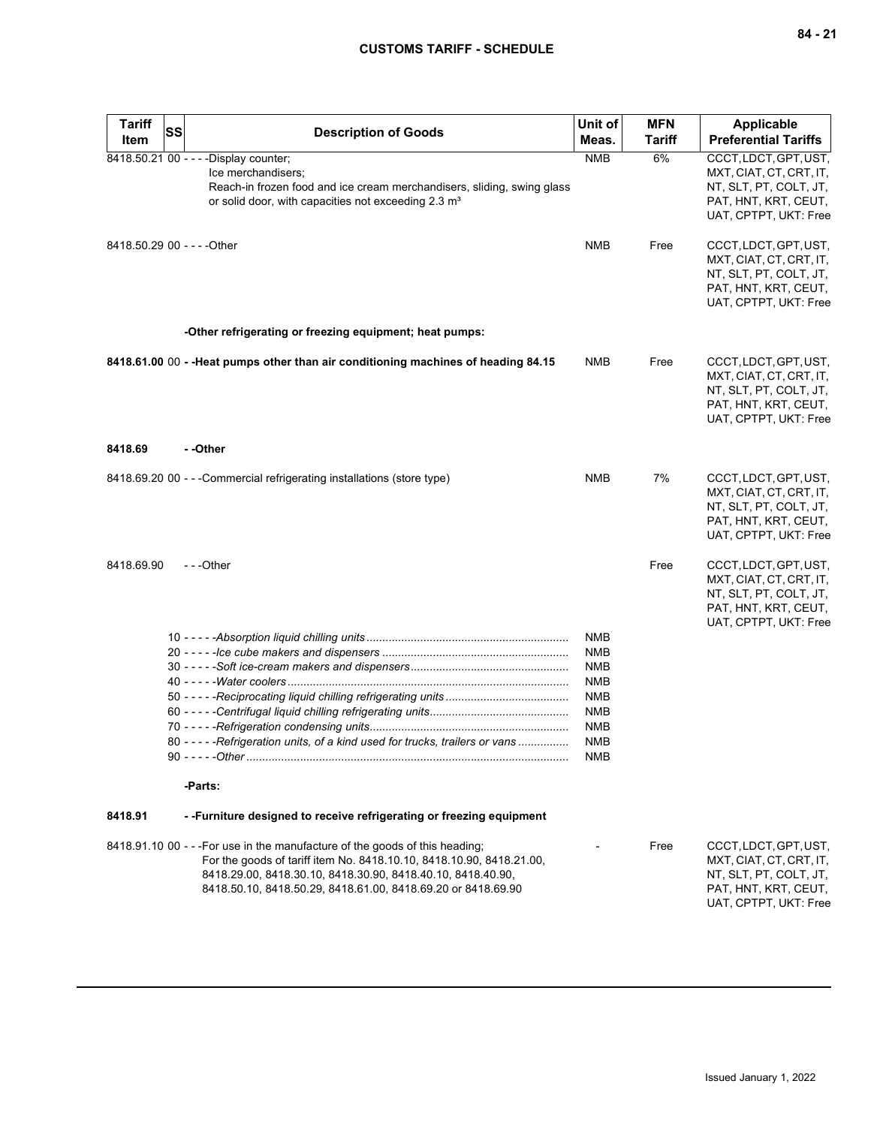| <b>Tariff</b><br>Item | SS | <b>Description of Goods</b>                                                                                                                                                                                                                                                         | Unit of<br>Meas.                                                                                                           | <b>MFN</b><br><b>Tariff</b> | <b>Applicable</b><br><b>Preferential Tariffs</b>                                                                            |
|-----------------------|----|-------------------------------------------------------------------------------------------------------------------------------------------------------------------------------------------------------------------------------------------------------------------------------------|----------------------------------------------------------------------------------------------------------------------------|-----------------------------|-----------------------------------------------------------------------------------------------------------------------------|
| 8418.50.21 00 - - -   |    | -Display counter;<br>Ice merchandisers;<br>Reach-in frozen food and ice cream merchandisers, sliding, swing glass<br>or solid door, with capacities not exceeding 2.3 m <sup>3</sup>                                                                                                | <b>NMB</b>                                                                                                                 | 6%                          | CCCT, LDCT, GPT, UST,<br>MXT, CIAT, CT, CRT, IT,<br>NT, SLT, PT, COLT, JT,<br>PAT, HNT, KRT, CEUT,<br>UAT, CPTPT, UKT: Free |
|                       |    | 8418.50.29 00 - - - - Other                                                                                                                                                                                                                                                         | <b>NMB</b>                                                                                                                 | Free                        | CCCT, LDCT, GPT, UST,<br>MXT, CIAT, CT, CRT, IT,<br>NT, SLT, PT, COLT, JT,<br>PAT, HNT, KRT, CEUT,<br>UAT, CPTPT, UKT: Free |
|                       |    | -Other refrigerating or freezing equipment; heat pumps:                                                                                                                                                                                                                             |                                                                                                                            |                             |                                                                                                                             |
|                       |    | 8418.61.00 00 - - Heat pumps other than air conditioning machines of heading 84.15                                                                                                                                                                                                  | NMB                                                                                                                        | Free                        | CCCT, LDCT, GPT, UST,<br>MXT, CIAT, CT, CRT, IT,<br>NT, SLT, PT, COLT, JT,<br>PAT, HNT, KRT, CEUT,<br>UAT, CPTPT, UKT: Free |
| 8418.69               |    | - -Other                                                                                                                                                                                                                                                                            |                                                                                                                            |                             |                                                                                                                             |
|                       |    | 8418.69.20 00 - - - Commercial refrigerating installations (store type)                                                                                                                                                                                                             | NMB                                                                                                                        | 7%                          | CCCT, LDCT, GPT, UST,<br>MXT, CIAT, CT, CRT, IT,<br>NT, SLT, PT, COLT, JT,<br>PAT, HNT, KRT, CEUT,<br>UAT, CPTPT, UKT: Free |
| 8418.69.90            |    | ---Other                                                                                                                                                                                                                                                                            |                                                                                                                            | Free                        | CCCT, LDCT, GPT, UST,<br>MXT, CIAT, CT, CRT, IT,<br>NT, SLT, PT, COLT, JT,<br>PAT, HNT, KRT, CEUT,<br>UAT, CPTPT, UKT: Free |
|                       |    | 80 - - - - - Refrigeration units, of a kind used for trucks, trailers or vans                                                                                                                                                                                                       | <b>NMB</b><br><b>NMB</b><br><b>NMB</b><br><b>NMB</b><br><b>NMB</b><br><b>NMB</b><br><b>NMB</b><br><b>NMB</b><br><b>NMB</b> |                             |                                                                                                                             |
|                       |    | -Parts:                                                                                                                                                                                                                                                                             |                                                                                                                            |                             |                                                                                                                             |
| 8418.91               |    | --Furniture designed to receive refrigerating or freezing equipment                                                                                                                                                                                                                 |                                                                                                                            |                             |                                                                                                                             |
|                       |    | 8418.91.10 00 - - - For use in the manufacture of the goods of this heading;<br>For the goods of tariff item No. 8418.10.10, 8418.10.90, 8418.21.00,<br>8418.29.00, 8418.30.10, 8418.30.90, 8418.40.10, 8418.40.90,<br>8418.50.10, 8418.50.29, 8418.61.00, 8418.69.20 or 8418.69.90 |                                                                                                                            | Free                        | CCCT, LDCT, GPT, UST,<br>MXT, CIAT, CT, CRT, IT,<br>NT, SLT, PT, COLT, JT,<br>PAT, HNT, KRT, CEUT,<br>UAT, CPTPT, UKT: Free |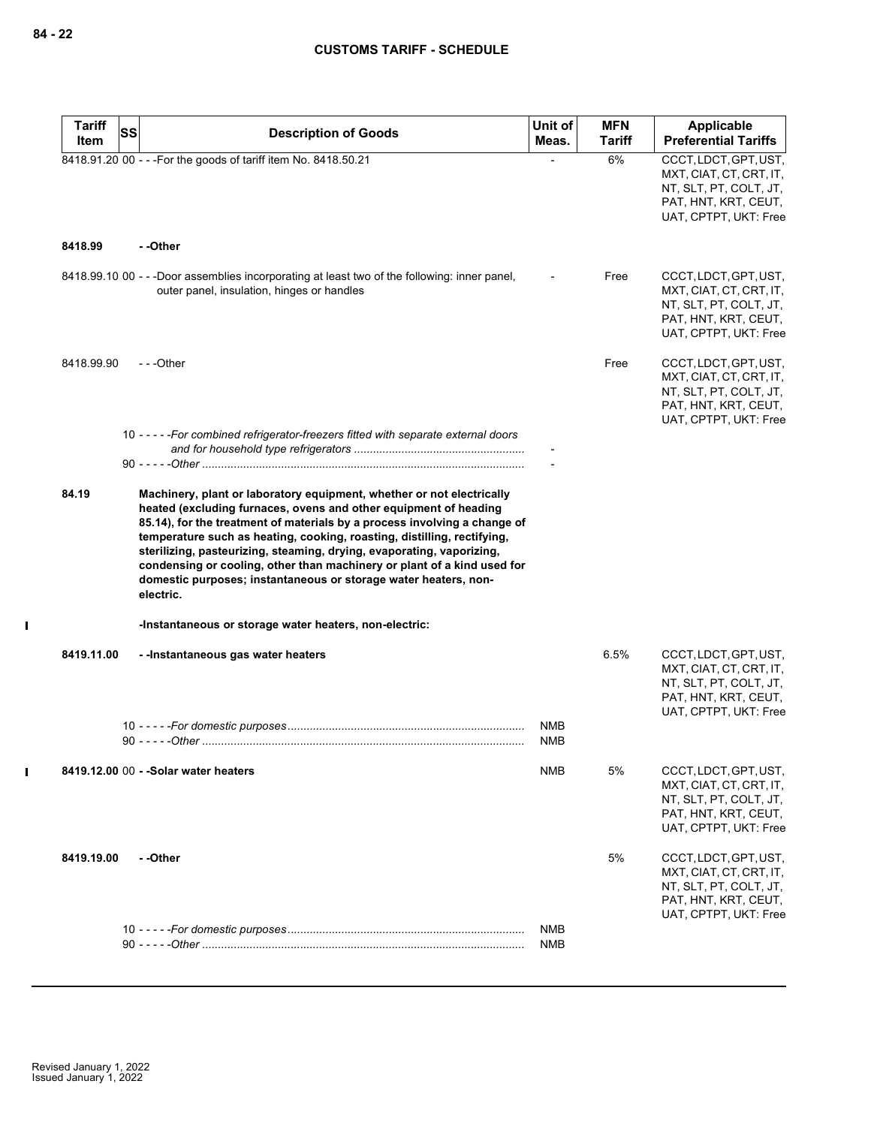$\mathbf{I}$ 

 $\mathbf I$ 

| <b>Tariff</b><br>Item | SS<br><b>Description of Goods</b>                                                                                                                                                                                                                                                                                                                                                                                                                                                                                                     | Unit of<br>Meas.         | <b>MFN</b><br>Tariff | Applicable<br><b>Preferential Tariffs</b>                                                                                   |
|-----------------------|---------------------------------------------------------------------------------------------------------------------------------------------------------------------------------------------------------------------------------------------------------------------------------------------------------------------------------------------------------------------------------------------------------------------------------------------------------------------------------------------------------------------------------------|--------------------------|----------------------|-----------------------------------------------------------------------------------------------------------------------------|
|                       | 8418.91.20 00 - - - For the goods of tariff item No. 8418.50.21                                                                                                                                                                                                                                                                                                                                                                                                                                                                       |                          | 6%                   | CCCT, LDCT, GPT, UST,<br>MXT, CIAT, CT, CRT, IT,<br>NT, SLT, PT, COLT, JT,<br>PAT, HNT, KRT, CEUT,<br>UAT, CPTPT, UKT: Free |
| 8418.99               | - -Other                                                                                                                                                                                                                                                                                                                                                                                                                                                                                                                              |                          |                      |                                                                                                                             |
|                       | 8418.99.10 00 - - -Door assemblies incorporating at least two of the following: inner panel,<br>outer panel, insulation, hinges or handles                                                                                                                                                                                                                                                                                                                                                                                            |                          | Free                 | CCCT, LDCT, GPT, UST,<br>MXT, CIAT, CT, CRT, IT,<br>NT, SLT, PT, COLT, JT,<br>PAT, HNT, KRT, CEUT,<br>UAT, CPTPT, UKT: Free |
| 8418.99.90            | $- -$ Other                                                                                                                                                                                                                                                                                                                                                                                                                                                                                                                           |                          | Free                 | CCCT, LDCT, GPT, UST,<br>MXT, CIAT, CT, CRT, IT,<br>NT, SLT, PT, COLT, JT,<br>PAT, HNT, KRT, CEUT,<br>UAT, CPTPT, UKT: Free |
|                       | 10 - - - - - For combined refrigerator-freezers fitted with separate external doors                                                                                                                                                                                                                                                                                                                                                                                                                                                   |                          |                      |                                                                                                                             |
| 84.19                 | Machinery, plant or laboratory equipment, whether or not electrically<br>heated (excluding furnaces, ovens and other equipment of heading<br>85.14), for the treatment of materials by a process involving a change of<br>temperature such as heating, cooking, roasting, distilling, rectifying,<br>sterilizing, pasteurizing, steaming, drying, evaporating, vaporizing,<br>condensing or cooling, other than machinery or plant of a kind used for<br>domestic purposes; instantaneous or storage water heaters, non-<br>electric. |                          |                      |                                                                                                                             |
|                       | -Instantaneous or storage water heaters, non-electric:                                                                                                                                                                                                                                                                                                                                                                                                                                                                                |                          |                      |                                                                                                                             |
| 8419.11.00            | - -Instantaneous gas water heaters                                                                                                                                                                                                                                                                                                                                                                                                                                                                                                    | <b>NMB</b><br><b>NMB</b> | 6.5%                 | CCCT, LDCT, GPT, UST,<br>MXT, CIAT, CT, CRT, IT,<br>NT, SLT, PT, COLT, JT,<br>PAT, HNT, KRT, CEUT,<br>UAT, CPTPT, UKT: Free |
|                       | 8419.12.00 00 - - Solar water heaters                                                                                                                                                                                                                                                                                                                                                                                                                                                                                                 | <b>NMB</b>               | 5%                   | CCCT, LDCT, GPT, UST,<br>MXT, CIAT, CT, CRT, IT,<br>NT, SLT, PT, COLT, JT,<br>PAT, HNT, KRT, CEUT,<br>UAT, CPTPT, UKT: Free |
| 8419.19.00            | - -Other                                                                                                                                                                                                                                                                                                                                                                                                                                                                                                                              |                          | 5%                   | CCCT, LDCT, GPT, UST,<br>MXT, CIAT, CT, CRT, IT,<br>NT, SLT, PT, COLT, JT,<br>PAT, HNT, KRT, CEUT,<br>UAT, CPTPT, UKT: Free |
|                       |                                                                                                                                                                                                                                                                                                                                                                                                                                                                                                                                       | NMB                      |                      |                                                                                                                             |
|                       |                                                                                                                                                                                                                                                                                                                                                                                                                                                                                                                                       | NMB                      |                      |                                                                                                                             |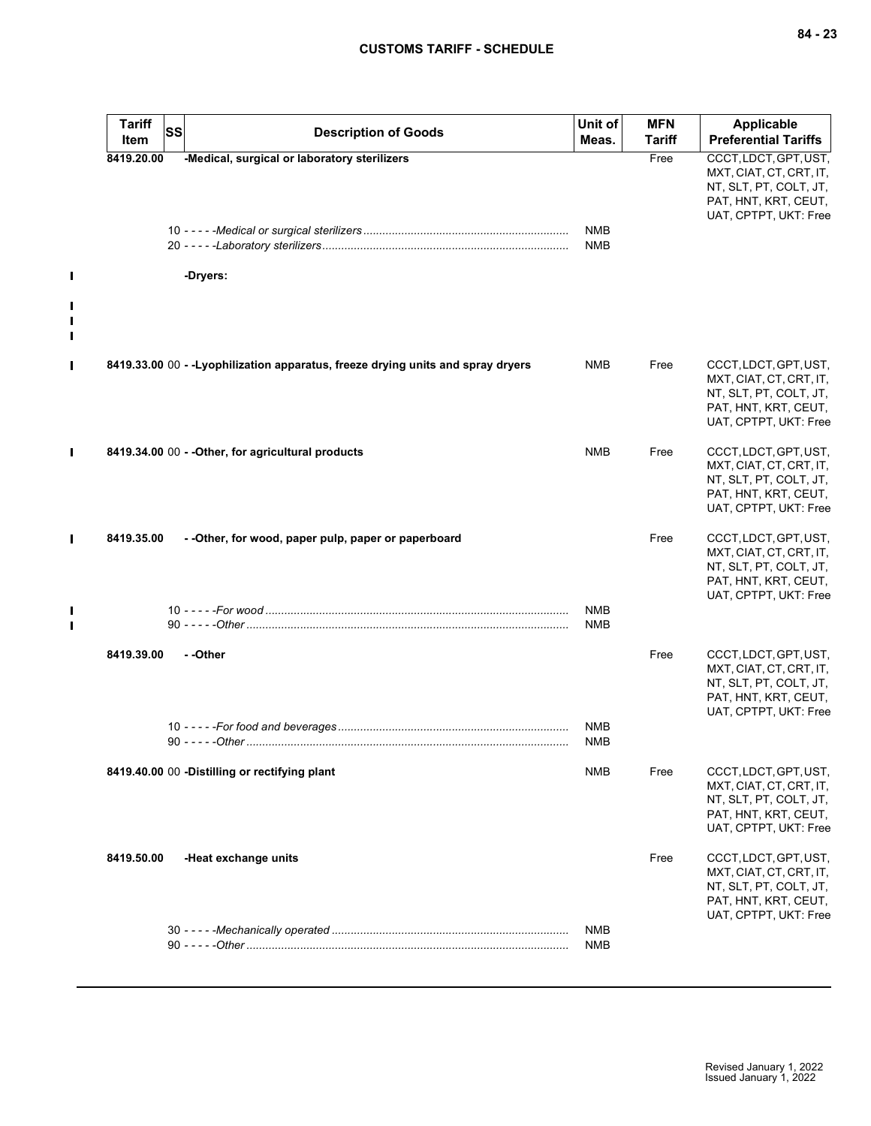| <b>Tariff</b><br>Item | <b>SS</b> | <b>Description of Goods</b>                                                     | Unit of<br>Meas.         | <b>MFN</b><br><b>Tariff</b> | Applicable<br><b>Preferential Tariffs</b>                                                                                   |
|-----------------------|-----------|---------------------------------------------------------------------------------|--------------------------|-----------------------------|-----------------------------------------------------------------------------------------------------------------------------|
| 8419.20.00            |           | -Medical, surgical or laboratory sterilizers                                    | <b>NMB</b><br><b>NMB</b> | Free                        | CCCT, LDCT, GPT, UST,<br>MXT, CIAT, CT, CRT, IT,<br>NT, SLT, PT, COLT, JT,<br>PAT, HNT, KRT, CEUT,<br>UAT, CPTPT, UKT: Free |
|                       |           | -Dryers:                                                                        |                          |                             |                                                                                                                             |
|                       |           | 8419.33.00 00 - -Lyophilization apparatus, freeze drying units and spray dryers | NMB                      | Free                        | CCCT, LDCT, GPT, UST,<br>MXT, CIAT, CT, CRT, IT,<br>NT, SLT, PT, COLT, JT,<br>PAT, HNT, KRT, CEUT,<br>UAT, CPTPT, UKT: Free |
|                       |           | 8419.34.00 00 - - Other, for agricultural products                              | <b>NMB</b>               | Free                        | CCCT, LDCT, GPT, UST,<br>MXT, CIAT, CT, CRT, IT,<br>NT, SLT, PT, COLT, JT,<br>PAT, HNT, KRT, CEUT,<br>UAT, CPTPT, UKT: Free |
| 8419.35.00            |           | - - Other, for wood, paper pulp, paper or paperboard                            |                          | Free                        | CCCT, LDCT, GPT, UST,<br>MXT, CIAT, CT, CRT, IT,<br>NT, SLT, PT, COLT, JT,<br>PAT, HNT, KRT, CEUT,<br>UAT, CPTPT, UKT: Free |
|                       |           |                                                                                 | <b>NMB</b><br><b>NMB</b> |                             |                                                                                                                             |
| 8419.39.00            |           | - -Other                                                                        | <b>NMB</b>               | Free                        | CCCT, LDCT, GPT, UST,<br>MXT, CIAT, CT, CRT, IT,<br>NT, SLT, PT, COLT, JT,<br>PAT, HNT, KRT, CEUT,<br>UAT, CPTPT, UKT: Free |
|                       |           |                                                                                 | <b>NMB</b>               |                             |                                                                                                                             |
|                       |           | 8419.40.00 00 -Distilling or rectifying plant                                   | <b>NMB</b>               | Free                        | CCCT, LDCT, GPT, UST,<br>MXT, CIAT, CT, CRT, IT,<br>NT, SLT, PT, COLT, JT,<br>PAT, HNT, KRT, CEUT,<br>UAT, CPTPT, UKT: Free |
| 8419.50.00            |           | -Heat exchange units                                                            |                          | Free                        | CCCT, LDCT, GPT, UST,<br>MXT, CIAT, CT, CRT, IT,<br>NT, SLT, PT, COLT, JT,<br>PAT, HNT, KRT, CEUT,<br>UAT, CPTPT, UKT: Free |
|                       |           |                                                                                 | <b>NMB</b><br><b>NMB</b> |                             |                                                                                                                             |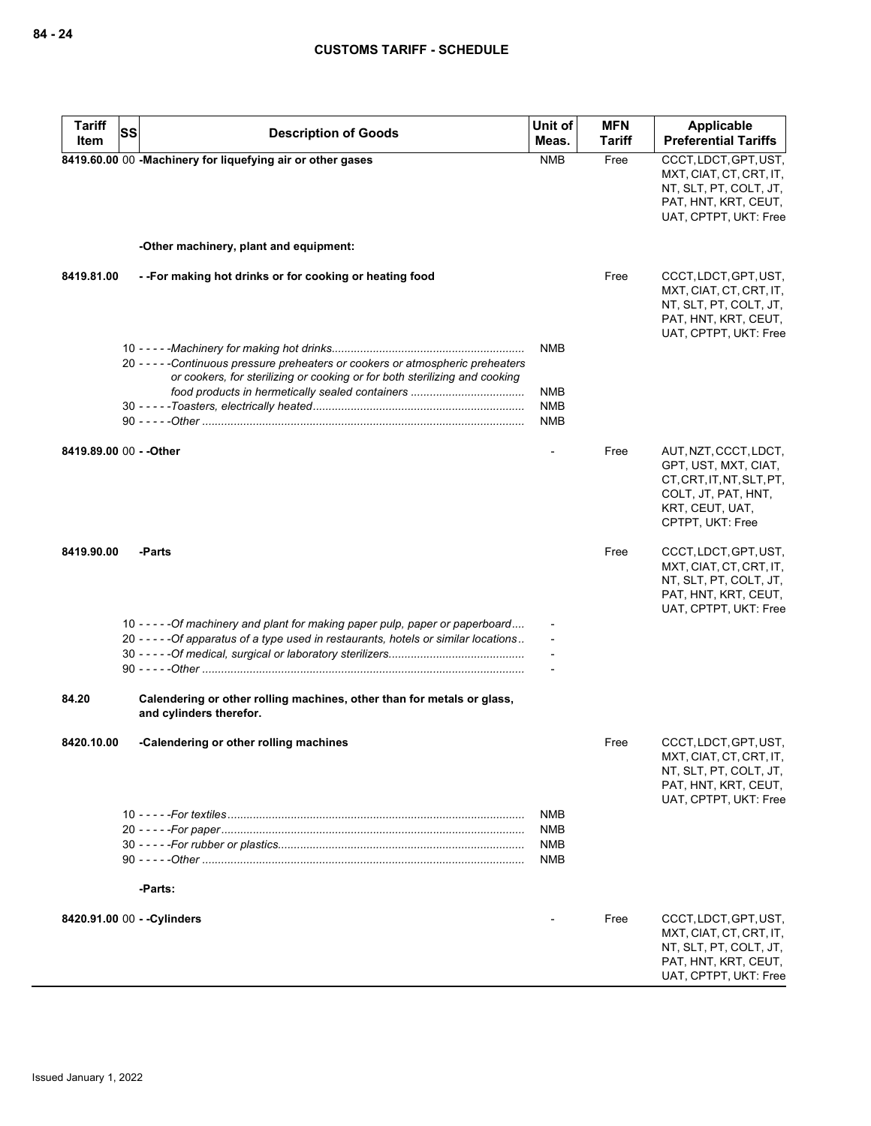| <b>Tariff</b>           | <b>SS</b> | <b>Description of Goods</b>                                                                                                                                            | Unit of                                | <b>MFN</b>    | Applicable                                                                                                                               |
|-------------------------|-----------|------------------------------------------------------------------------------------------------------------------------------------------------------------------------|----------------------------------------|---------------|------------------------------------------------------------------------------------------------------------------------------------------|
| Item                    |           |                                                                                                                                                                        | Meas.                                  | <b>Tariff</b> | <b>Preferential Tariffs</b>                                                                                                              |
|                         |           | 8419.60.00 00 -Machinery for liquefying air or other gases                                                                                                             | <b>NMB</b>                             | Free          | CCCT, LDCT, GPT, UST,<br>MXT, CIAT, CT, CRT, IT,<br>NT, SLT, PT, COLT, JT,<br>PAT, HNT, KRT, CEUT,<br>UAT, CPTPT, UKT: Free              |
|                         |           | -Other machinery, plant and equipment:                                                                                                                                 |                                        |               |                                                                                                                                          |
| 8419.81.00              |           | --For making hot drinks or for cooking or heating food                                                                                                                 |                                        | Free          | CCCT, LDCT, GPT, UST,<br>MXT, CIAT, CT, CRT, IT,<br>NT, SLT, PT, COLT, JT,<br>PAT, HNT, KRT, CEUT,<br>UAT, CPTPT, UKT: Free              |
|                         |           |                                                                                                                                                                        | <b>NMB</b>                             |               |                                                                                                                                          |
|                         |           | 20 - - - - - Continuous pressure preheaters or cookers or atmospheric preheaters                                                                                       |                                        |               |                                                                                                                                          |
|                         |           | or cookers, for sterilizing or cooking or for both sterilizing and cooking                                                                                             | <b>NMB</b><br><b>NMB</b><br><b>NMB</b> |               |                                                                                                                                          |
| 8419.89.00 00 - - Other |           |                                                                                                                                                                        |                                        | Free          | AUT, NZT, CCCT, LDCT,<br>GPT, UST, MXT, CIAT,<br>CT, CRT, IT, NT, SLT, PT,<br>COLT, JT, PAT, HNT,<br>KRT, CEUT, UAT,<br>CPTPT, UKT: Free |
| 8419.90.00              |           | -Parts                                                                                                                                                                 |                                        | Free          | CCCT, LDCT, GPT, UST,<br>MXT, CIAT, CT, CRT, IT,<br>NT, SLT, PT, COLT, JT,<br>PAT, HNT, KRT, CEUT,<br>UAT, CPTPT, UKT: Free              |
|                         |           | 10 - - - - - Of machinery and plant for making paper pulp, paper or paperboard<br>20 - - - - - Of apparatus of a type used in restaurants, hotels or similar locations |                                        |               |                                                                                                                                          |
| 84.20                   |           | Calendering or other rolling machines, other than for metals or glass,<br>and cylinders therefor.                                                                      |                                        |               |                                                                                                                                          |
| 8420.10.00              |           | -Calendering or other rolling machines                                                                                                                                 |                                        | Free          | CCCT, LDCT, GPT, UST,<br>MXT, CIAT, CT, CRT, IT,<br>NT, SLT, PT, COLT, JT,<br>PAT, HNT, KRT, CEUT,<br>UAT, CPTPT, UKT: Free              |
|                         |           | -Parts:                                                                                                                                                                | NMB<br><b>NMB</b><br>NMB<br>NMB        |               |                                                                                                                                          |
|                         |           |                                                                                                                                                                        |                                        |               |                                                                                                                                          |
|                         |           | 8420.91.00 00 - - Cylinders                                                                                                                                            |                                        | Free          | CCCT, LDCT, GPT, UST,<br>MXT, CIAT, CT, CRT, IT,<br>NT, SLT, PT, COLT, JT,<br>PAT, HNT, KRT, CEUT,<br>UAT, CPTPT, UKT: Free              |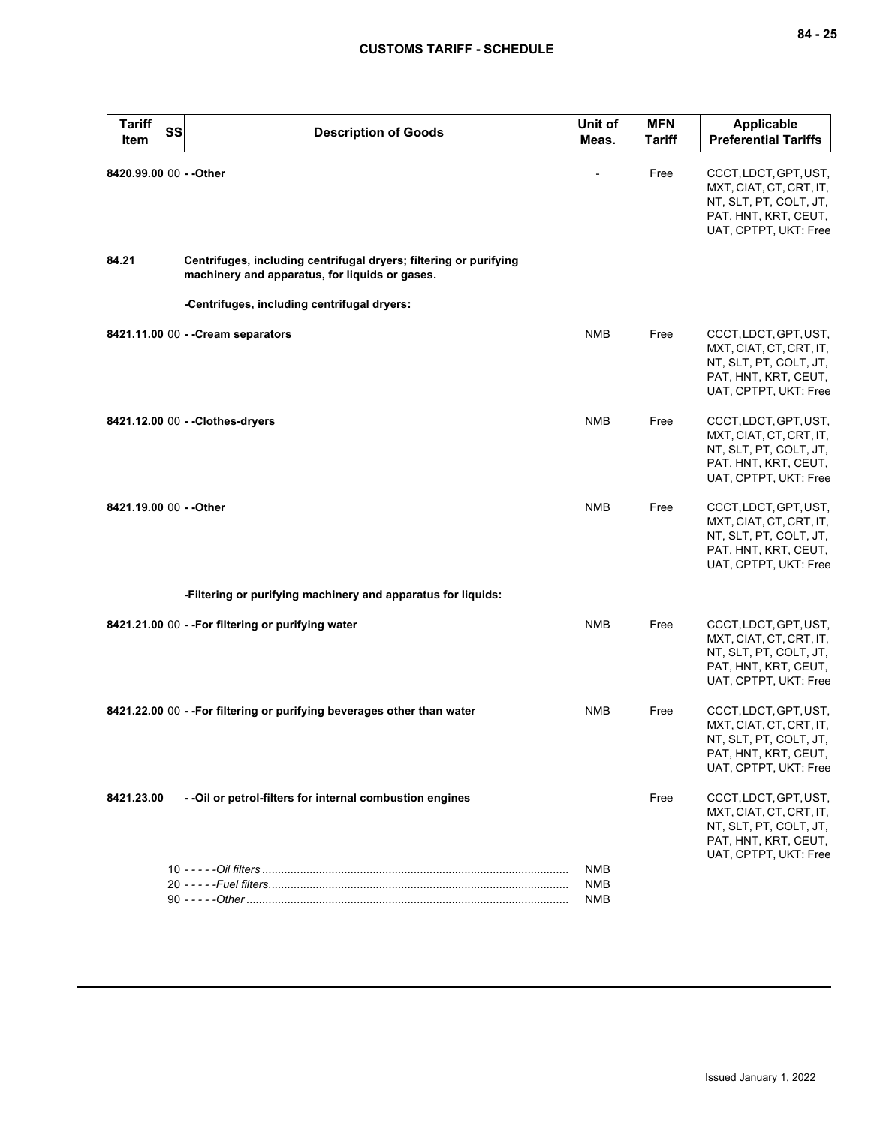| <b>Tariff</b><br><b>SS</b><br>Item | <b>Description of Goods</b>                                                                                         | Unit of<br>Meas.         | <b>MFN</b><br><b>Tariff</b> | <b>Applicable</b><br><b>Preferential Tariffs</b>                                                                            |
|------------------------------------|---------------------------------------------------------------------------------------------------------------------|--------------------------|-----------------------------|-----------------------------------------------------------------------------------------------------------------------------|
| 8420.99.00 00 - - Other            |                                                                                                                     |                          | Free                        | CCCT, LDCT, GPT, UST,<br>MXT, CIAT, CT, CRT, IT,<br>NT, SLT, PT, COLT, JT,<br>PAT, HNT, KRT, CEUT,<br>UAT, CPTPT, UKT: Free |
| 84.21                              | Centrifuges, including centrifugal dryers; filtering or purifying<br>machinery and apparatus, for liquids or gases. |                          |                             |                                                                                                                             |
|                                    | -Centrifuges, including centrifugal dryers:                                                                         |                          |                             |                                                                                                                             |
|                                    | 8421.11.00 00 - - Cream separators                                                                                  | <b>NMB</b>               | Free                        | CCCT, LDCT, GPT, UST,<br>MXT, CIAT, CT, CRT, IT,<br>NT, SLT, PT, COLT, JT,<br>PAT, HNT, KRT, CEUT,<br>UAT, CPTPT, UKT: Free |
|                                    | 8421.12.00 00 - - Clothes-dryers                                                                                    | <b>NMB</b>               | Free                        | CCCT, LDCT, GPT, UST,<br>MXT, CIAT, CT, CRT, IT,<br>NT, SLT, PT, COLT, JT,<br>PAT, HNT, KRT, CEUT,<br>UAT, CPTPT, UKT: Free |
| 8421.19.00 00 - - Other            |                                                                                                                     | <b>NMB</b>               | Free                        | CCCT, LDCT, GPT, UST,<br>MXT, CIAT, CT, CRT, IT,<br>NT, SLT, PT, COLT, JT,<br>PAT, HNT, KRT, CEUT,<br>UAT, CPTPT, UKT: Free |
|                                    | -Filtering or purifying machinery and apparatus for liquids:                                                        |                          |                             |                                                                                                                             |
|                                    | 8421.21.00 00 - - For filtering or purifying water                                                                  | <b>NMB</b>               | Free                        | CCCT, LDCT, GPT, UST,<br>MXT, CIAT, CT, CRT, IT,<br>NT, SLT, PT, COLT, JT,<br>PAT, HNT, KRT, CEUT,<br>UAT, CPTPT, UKT: Free |
|                                    | 8421.22.00 00 - - For filtering or purifying beverages other than water                                             | <b>NMB</b>               | Free                        | CCCT, LDCT, GPT, UST,<br>MXT, CIAT, CT, CRT, IT,<br>NT, SLT, PT, COLT, JT,<br>PAT, HNT, KRT, CEUT,<br>UAT, CPTPT, UKT: Free |
| 8421.23.00                         | - - Oil or petrol-filters for internal combustion engines                                                           |                          | Free                        | CCCT, LDCT, GPT, UST,<br>MXT, CIAT, CT, CRT, IT,<br>NT, SLT, PT, COLT, JT,<br>PAT, HNT, KRT, CEUT,<br>UAT, CPTPT, UKT: Free |
|                                    |                                                                                                                     | <b>NMB</b><br><b>NMB</b> |                             |                                                                                                                             |
|                                    |                                                                                                                     | <b>NMB</b>               |                             |                                                                                                                             |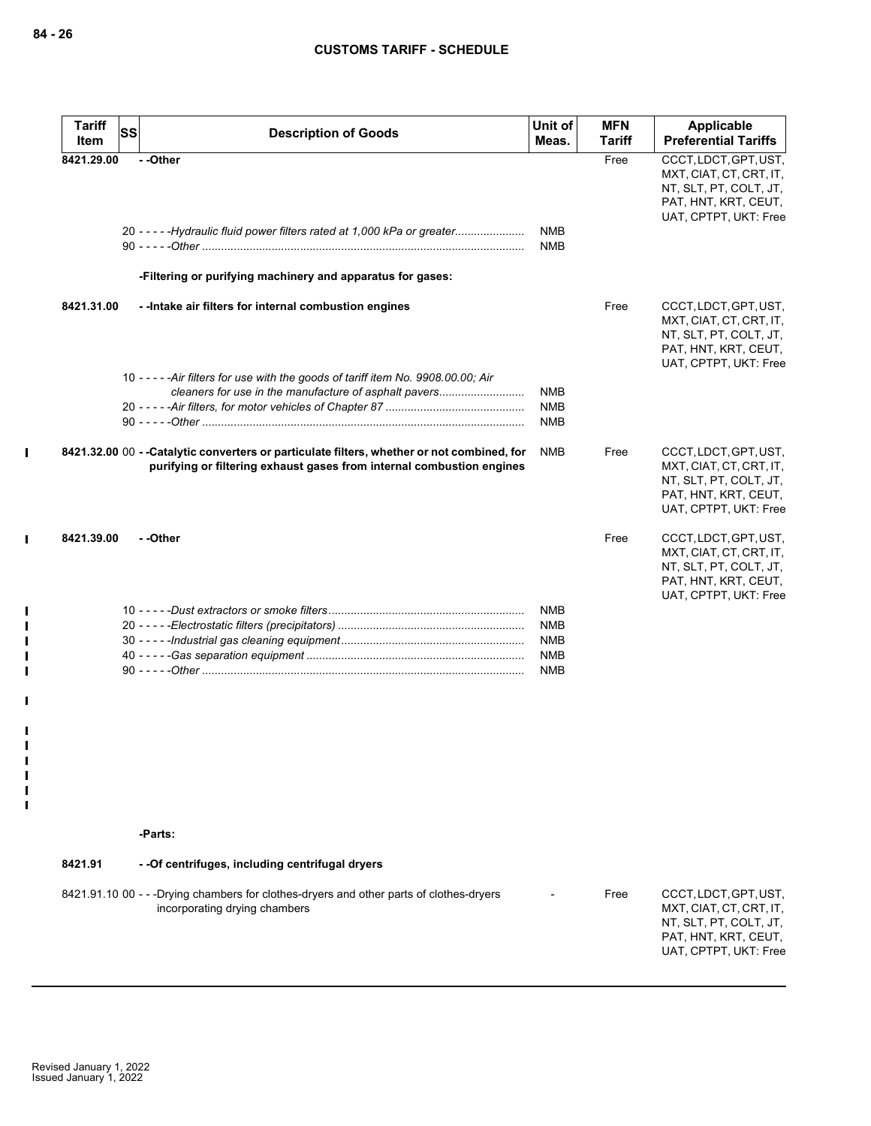$\mathbf{I}$ 

 $\mathbf{I}$ 

 $\blacksquare$  $\blacksquare$  $\blacksquare$  $\blacksquare$  $\blacksquare$ 

 $\blacksquare$ 

 $\blacksquare$ H  $\mathbf{I}$  $\blacksquare$  $\mathbf{I}$  $\mathbf{I}$ 

| <b>Tariff</b><br>Item | <b>SS</b> | <b>Description of Goods</b>                                                                                                                                         | Unit of<br>Meas.         | <b>MFN</b><br><b>Tariff</b> | Applicable<br><b>Preferential Tariffs</b>                                                                                   |
|-----------------------|-----------|---------------------------------------------------------------------------------------------------------------------------------------------------------------------|--------------------------|-----------------------------|-----------------------------------------------------------------------------------------------------------------------------|
| 8421.29.00            |           | --Other                                                                                                                                                             |                          | Free                        | CCCT, LDCT, GPT, UST,<br>MXT, CIAT, CT, CRT, IT,<br>NT, SLT, PT, COLT, JT,<br>PAT, HNT, KRT, CEUT,<br>UAT, CPTPT, UKT: Free |
|                       |           | 20 - - - - - Hydraulic fluid power filters rated at 1,000 kPa or greater                                                                                            | <b>NMB</b><br><b>NMB</b> |                             |                                                                                                                             |
|                       |           | -Filtering or purifying machinery and apparatus for gases:                                                                                                          |                          |                             |                                                                                                                             |
| 8421.31.00            |           | - - Intake air filters for internal combustion engines                                                                                                              |                          | Free                        | CCCT, LDCT, GPT, UST,<br>MXT, CIAT, CT, CRT, IT,<br>NT, SLT, PT, COLT, JT,<br>PAT, HNT, KRT, CEUT,<br>UAT, CPTPT, UKT: Free |
|                       |           | 10 - - - - - Air filters for use with the goods of tariff item No. 9908.00.00; Air                                                                                  |                          |                             |                                                                                                                             |
|                       |           | cleaners for use in the manufacture of asphalt pavers                                                                                                               | <b>NMB</b>               |                             |                                                                                                                             |
|                       |           |                                                                                                                                                                     | <b>NMB</b><br><b>NMB</b> |                             |                                                                                                                             |
|                       |           | 8421.32.00 00 - -Catalytic converters or particulate filters, whether or not combined, for<br>purifying or filtering exhaust gases from internal combustion engines | <b>NMB</b>               | Free                        | CCCT, LDCT, GPT, UST,<br>MXT, CIAT, CT, CRT, IT,<br>NT, SLT, PT, COLT, JT,<br>PAT, HNT, KRT, CEUT,<br>UAT, CPTPT, UKT: Free |
| 8421.39.00            |           | --Other                                                                                                                                                             |                          | Free                        | CCCT, LDCT, GPT, UST,<br>MXT, CIAT, CT, CRT, IT,<br>NT, SLT, PT, COLT, JT,<br>PAT, HNT, KRT, CEUT,<br>UAT, CPTPT, UKT: Free |
|                       |           |                                                                                                                                                                     | <b>NMB</b>               |                             |                                                                                                                             |
|                       |           |                                                                                                                                                                     | <b>NMB</b>               |                             |                                                                                                                             |
|                       |           |                                                                                                                                                                     | <b>NMB</b>               |                             |                                                                                                                             |
|                       |           |                                                                                                                                                                     | <b>NMB</b><br><b>NMB</b> |                             |                                                                                                                             |
|                       |           |                                                                                                                                                                     |                          |                             |                                                                                                                             |

**-Parts:**

# **8421.91 - -Of centrifuges, including centrifugal dryers**

| 8421.91.10 00 - - -Drying chambers for clothes-dryers and other parts of clothes-dryers<br>CCCT.LDCT.GPT.UST.<br>Free<br>$\sim$<br>incorporating drying chambers<br>MXT, CIAT, CT, CRT, IT,<br>NT. SLT. PT. COLT. JT.<br>PAT. HNT. KRT. CEUT.<br>UAT. CPTPT. UKT: Free |
|------------------------------------------------------------------------------------------------------------------------------------------------------------------------------------------------------------------------------------------------------------------------|
|                                                                                                                                                                                                                                                                        |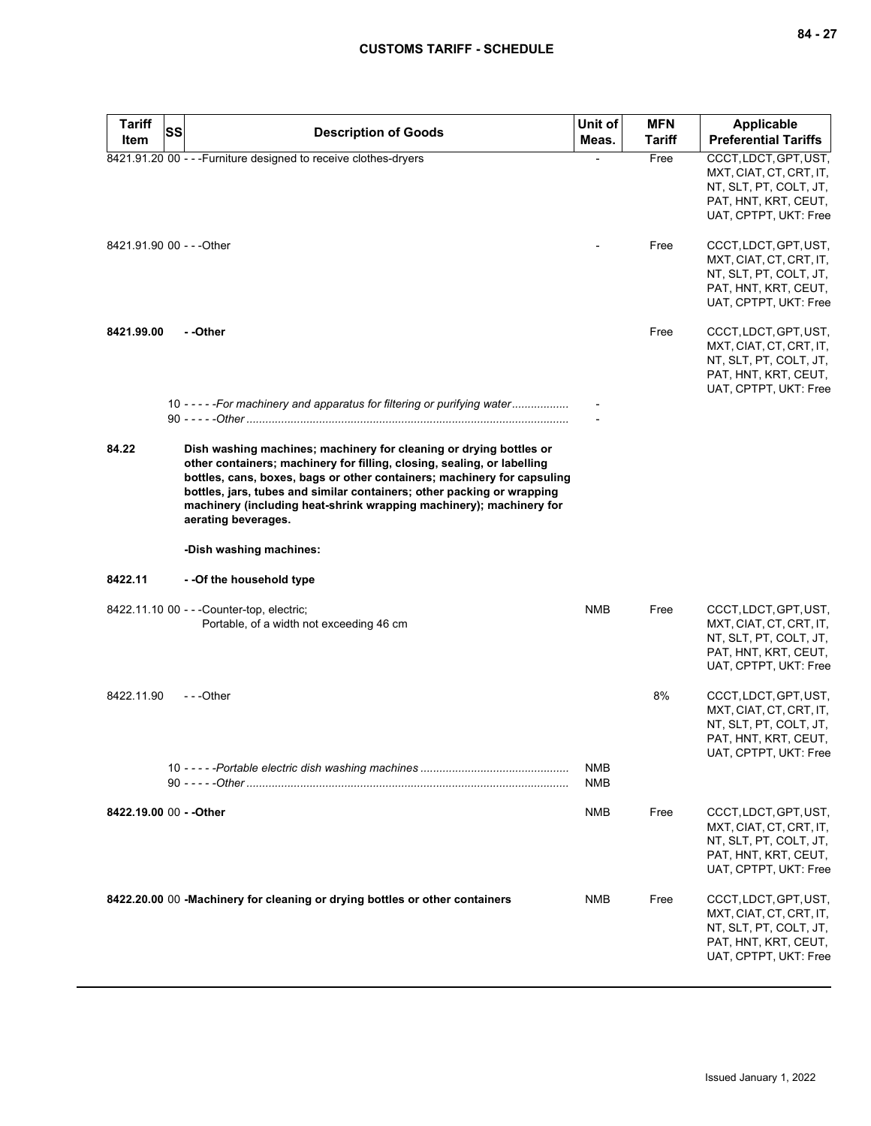| <b>Tariff</b>             | <b>SS</b><br><b>Description of Goods</b>                                                                                                                                                                                                                                                                                                                                                         | Unit of    | <b>MFN</b>    | <b>Applicable</b>                                                                                                           |
|---------------------------|--------------------------------------------------------------------------------------------------------------------------------------------------------------------------------------------------------------------------------------------------------------------------------------------------------------------------------------------------------------------------------------------------|------------|---------------|-----------------------------------------------------------------------------------------------------------------------------|
| Item                      |                                                                                                                                                                                                                                                                                                                                                                                                  | Meas.      | <b>Tariff</b> | <b>Preferential Tariffs</b>                                                                                                 |
|                           | 8421.91.20 00 - - - Furniture designed to receive clothes-dryers                                                                                                                                                                                                                                                                                                                                 |            | Free          | CCCT, LDCT, GPT, UST,<br>MXT, CIAT, CT, CRT, IT,<br>NT, SLT, PT, COLT, JT,<br>PAT, HNT, KRT, CEUT,<br>UAT, CPTPT, UKT: Free |
| 8421.91.90 00 - - - Other |                                                                                                                                                                                                                                                                                                                                                                                                  |            | Free          | CCCT, LDCT, GPT, UST,<br>MXT, CIAT, CT, CRT, IT,<br>NT, SLT, PT, COLT, JT,<br>PAT, HNT, KRT, CEUT,<br>UAT, CPTPT, UKT: Free |
| 8421.99.00                | - -Other                                                                                                                                                                                                                                                                                                                                                                                         |            | Free          | CCCT, LDCT, GPT, UST,<br>MXT, CIAT, CT, CRT, IT,<br>NT, SLT, PT, COLT, JT,<br>PAT, HNT, KRT, CEUT,<br>UAT, CPTPT, UKT: Free |
|                           | 10 - - - - - For machinery and apparatus for filtering or purifying water                                                                                                                                                                                                                                                                                                                        |            |               |                                                                                                                             |
| 84.22                     | Dish washing machines; machinery for cleaning or drying bottles or<br>other containers; machinery for filling, closing, sealing, or labelling<br>bottles, cans, boxes, bags or other containers; machinery for capsuling<br>bottles, jars, tubes and similar containers; other packing or wrapping<br>machinery (including heat-shrink wrapping machinery); machinery for<br>aerating beverages. |            |               |                                                                                                                             |
|                           | -Dish washing machines:                                                                                                                                                                                                                                                                                                                                                                          |            |               |                                                                                                                             |
| 8422.11                   | - -Of the household type                                                                                                                                                                                                                                                                                                                                                                         |            |               |                                                                                                                             |
|                           | 8422.11.10 00 - - - Counter-top, electric;<br>Portable, of a width not exceeding 46 cm                                                                                                                                                                                                                                                                                                           | <b>NMB</b> | Free          | CCCT, LDCT, GPT, UST,<br>MXT, CIAT, CT, CRT, IT,<br>NT, SLT, PT, COLT, JT,<br>PAT, HNT, KRT, CEUT,<br>UAT, CPTPT, UKT: Free |
| 8422.11.90                | ---Other                                                                                                                                                                                                                                                                                                                                                                                         | <b>NMB</b> | 8%            | CCCT, LDCT, GPT, UST,<br>MXT, CIAT, CT, CRT, IT,<br>NT, SLT, PT, COLT, JT,<br>PAT, HNT, KRT, CEUT,<br>UAT, CPTPT, UKT: Free |
|                           |                                                                                                                                                                                                                                                                                                                                                                                                  | <b>NMB</b> |               |                                                                                                                             |
| 8422.19.00 00 - - Other   |                                                                                                                                                                                                                                                                                                                                                                                                  | NMB        | Free          | CCCT, LDCT, GPT, UST,<br>MXT, CIAT, CT, CRT, IT,<br>NT, SLT, PT, COLT, JT,<br>PAT, HNT, KRT, CEUT,<br>UAT, CPTPT, UKT: Free |
|                           | 8422.20.00 00 - Machinery for cleaning or drying bottles or other containers                                                                                                                                                                                                                                                                                                                     | NMB        | Free          | CCCT, LDCT, GPT, UST,<br>MXT, CIAT, CT, CRT, IT,<br>NT, SLT, PT, COLT, JT,<br>PAT, HNT, KRT, CEUT,<br>UAT, CPTPT, UKT: Free |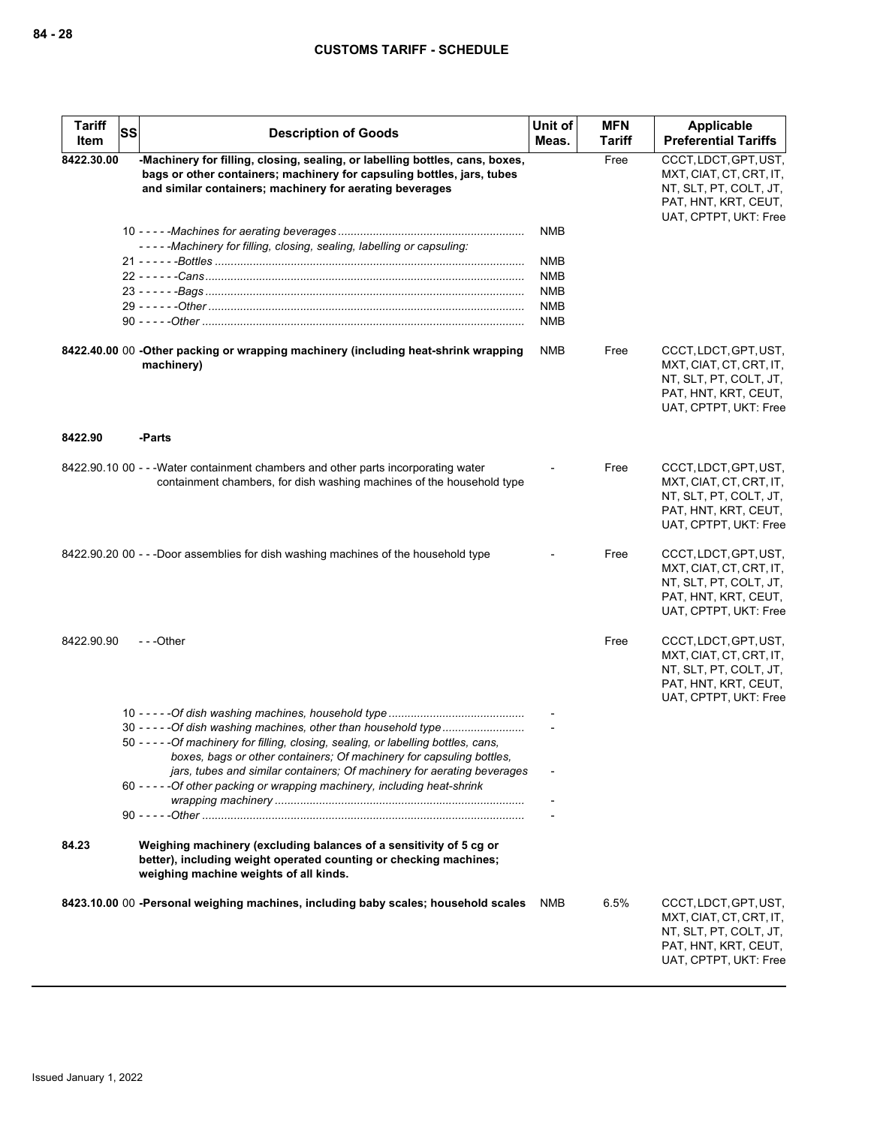| <b>Tariff</b><br>Item | SS<br><b>Description of Goods</b>                                                                                                                                                                                                                                                                                                                                                         | Unit of<br>Meas.                                                                 | <b>MFN</b><br><b>Tariff</b> | Applicable<br><b>Preferential Tariffs</b>                                                                                   |
|-----------------------|-------------------------------------------------------------------------------------------------------------------------------------------------------------------------------------------------------------------------------------------------------------------------------------------------------------------------------------------------------------------------------------------|----------------------------------------------------------------------------------|-----------------------------|-----------------------------------------------------------------------------------------------------------------------------|
| 8422.30.00            | -Machinery for filling, closing, sealing, or labelling bottles, cans, boxes,<br>bags or other containers; machinery for capsuling bottles, jars, tubes<br>and similar containers; machinery for aerating beverages                                                                                                                                                                        |                                                                                  | Free                        | CCCT, LDCT, GPT, UST,<br>MXT, CIAT, CT, CRT, IT,<br>NT, SLT, PT, COLT, JT,<br>PAT, HNT, KRT, CEUT,<br>UAT, CPTPT, UKT: Free |
|                       | -----Machinery for filling, closing, sealing, labelling or capsuling:                                                                                                                                                                                                                                                                                                                     | <b>NMB</b><br><b>NMB</b><br><b>NMB</b><br><b>NMB</b><br><b>NMB</b><br><b>NMB</b> |                             |                                                                                                                             |
|                       | 8422.40.00 00 -Other packing or wrapping machinery (including heat-shrink wrapping<br>machinery)                                                                                                                                                                                                                                                                                          | <b>NMB</b>                                                                       | Free                        | CCCT, LDCT, GPT, UST,<br>MXT, CIAT, CT, CRT, IT,<br>NT, SLT, PT, COLT, JT,<br>PAT, HNT, KRT, CEUT,<br>UAT, CPTPT, UKT: Free |
| 8422.90               | -Parts                                                                                                                                                                                                                                                                                                                                                                                    |                                                                                  |                             |                                                                                                                             |
|                       | 8422.90.10 00 - - - Water containment chambers and other parts incorporating water<br>containment chambers, for dish washing machines of the household type                                                                                                                                                                                                                               |                                                                                  | Free                        | CCCT, LDCT, GPT, UST,<br>MXT, CIAT, CT, CRT, IT,<br>NT, SLT, PT, COLT, JT,<br>PAT, HNT, KRT, CEUT,<br>UAT, CPTPT, UKT: Free |
|                       | 8422.90.20 00 - - -Door assemblies for dish washing machines of the household type                                                                                                                                                                                                                                                                                                        |                                                                                  | Free                        | CCCT, LDCT, GPT, UST,<br>MXT, CIAT, CT, CRT, IT,<br>NT, SLT, PT, COLT, JT,<br>PAT, HNT, KRT, CEUT,<br>UAT, CPTPT, UKT: Free |
| 8422.90.90            | ---Other                                                                                                                                                                                                                                                                                                                                                                                  |                                                                                  | Free                        | CCCT, LDCT, GPT, UST,<br>MXT, CIAT, CT, CRT, IT,<br>NT, SLT, PT, COLT, JT,<br>PAT, HNT, KRT, CEUT,<br>UAT, CPTPT, UKT: Free |
|                       | 30 - - - - - Of dish washing machines, other than household type<br>50 - - - - - Of machinery for filling, closing, sealing, or labelling bottles, cans,<br>boxes, bags or other containers; Of machinery for capsuling bottles,<br>jars, tubes and similar containers; Of machinery for aerating beverages<br>60 - - - - - Of other packing or wrapping machinery, including heat-shrink |                                                                                  |                             |                                                                                                                             |
|                       |                                                                                                                                                                                                                                                                                                                                                                                           |                                                                                  |                             |                                                                                                                             |
| 84.23                 | Weighing machinery (excluding balances of a sensitivity of 5 cg or<br>better), including weight operated counting or checking machines;<br>weighing machine weights of all kinds.                                                                                                                                                                                                         |                                                                                  |                             |                                                                                                                             |
|                       | 8423.10.00 00 -Personal weighing machines, including baby scales; household scales                                                                                                                                                                                                                                                                                                        | NMB                                                                              | 6.5%                        | CCCT, LDCT, GPT, UST,<br>MXT, CIAT, CT, CRT, IT,<br>NT, SLT, PT, COLT, JT,<br>PAT, HNT, KRT, CEUT,<br>UAT, CPTPT, UKT: Free |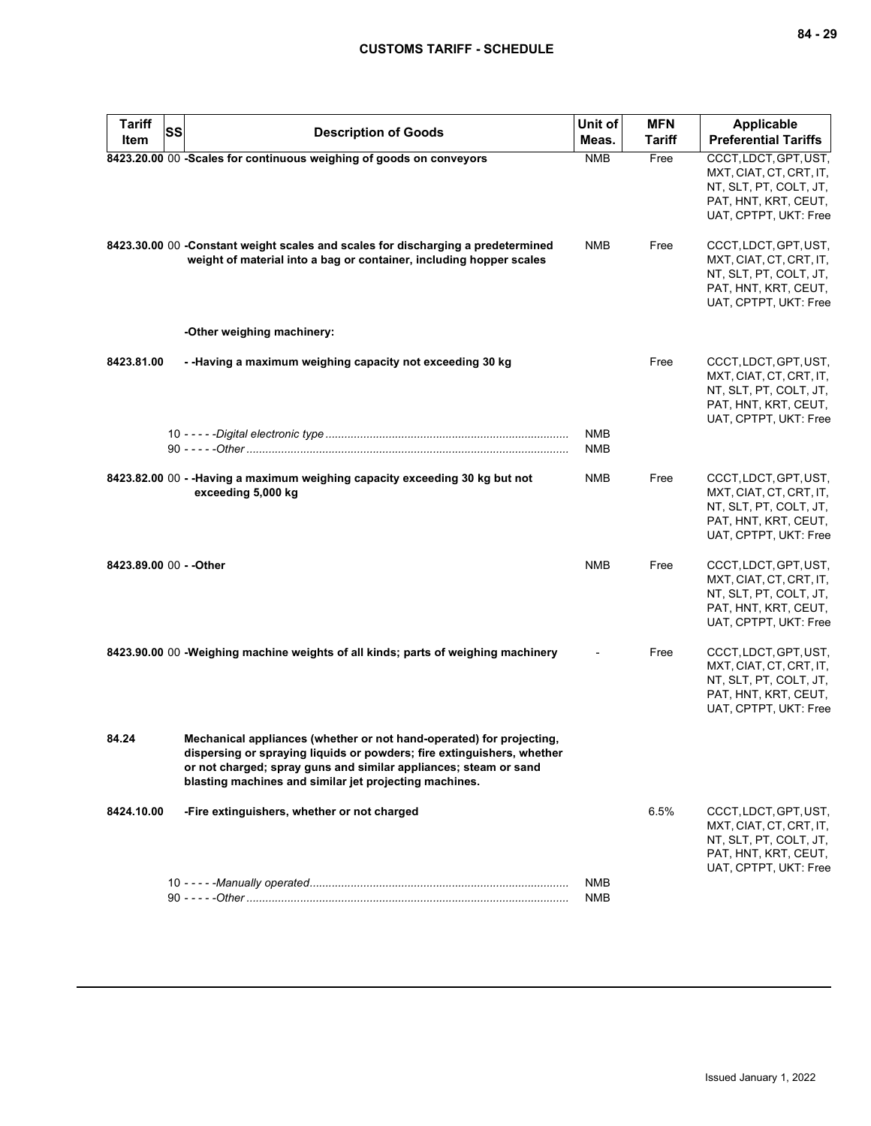| <b>Tariff</b><br>Item   | SS | <b>Description of Goods</b>                                                                                                                                                                                                                                                  | Unit of<br>Meas.         | <b>MFN</b><br><b>Tariff</b> | <b>Applicable</b><br><b>Preferential Tariffs</b>                                                                            |
|-------------------------|----|------------------------------------------------------------------------------------------------------------------------------------------------------------------------------------------------------------------------------------------------------------------------------|--------------------------|-----------------------------|-----------------------------------------------------------------------------------------------------------------------------|
|                         |    | 8423.20.00 00 -Scales for continuous weighing of goods on conveyors                                                                                                                                                                                                          | <b>NMB</b>               | Free                        | CCCT, LDCT, GPT, UST,<br>MXT, CIAT, CT, CRT, IT,<br>NT, SLT, PT, COLT, JT,<br>PAT, HNT, KRT, CEUT,<br>UAT, CPTPT, UKT: Free |
|                         |    | 8423.30.00 00 -Constant weight scales and scales for discharging a predetermined<br>weight of material into a bag or container, including hopper scales                                                                                                                      | <b>NMB</b>               | Free                        | CCCT, LDCT, GPT, UST,<br>MXT, CIAT, CT, CRT, IT,<br>NT, SLT, PT, COLT, JT,<br>PAT, HNT, KRT, CEUT,<br>UAT, CPTPT, UKT: Free |
|                         |    | -Other weighing machinery:                                                                                                                                                                                                                                                   |                          |                             |                                                                                                                             |
| 8423.81.00              |    | - -Having a maximum weighing capacity not exceeding 30 kg                                                                                                                                                                                                                    |                          | Free                        | CCCT, LDCT, GPT, UST,<br>MXT, CIAT, CT, CRT, IT,<br>NT, SLT, PT, COLT, JT,<br>PAT, HNT, KRT, CEUT,<br>UAT, CPTPT, UKT: Free |
|                         |    |                                                                                                                                                                                                                                                                              | <b>NMB</b><br><b>NMB</b> |                             |                                                                                                                             |
|                         |    | 8423.82.00 00 - - Having a maximum weighing capacity exceeding 30 kg but not<br>exceeding 5,000 kg                                                                                                                                                                           | <b>NMB</b>               | Free                        | CCCT, LDCT, GPT, UST,<br>MXT, CIAT, CT, CRT, IT,<br>NT, SLT, PT, COLT, JT,<br>PAT, HNT, KRT, CEUT,<br>UAT, CPTPT, UKT: Free |
| 8423.89.00 00 - - Other |    |                                                                                                                                                                                                                                                                              | <b>NMB</b>               | Free                        | CCCT, LDCT, GPT, UST,<br>MXT, CIAT, CT, CRT, IT,<br>NT, SLT, PT, COLT, JT,<br>PAT, HNT, KRT, CEUT,<br>UAT, CPTPT, UKT: Free |
|                         |    | 8423.90.00 00 - Weighing machine weights of all kinds; parts of weighing machinery                                                                                                                                                                                           |                          | Free                        | CCCT, LDCT, GPT, UST,<br>MXT, CIAT, CT, CRT, IT,<br>NT, SLT, PT, COLT, JT,<br>PAT, HNT, KRT, CEUT,<br>UAT, CPTPT, UKT: Free |
| 84.24                   |    | Mechanical appliances (whether or not hand-operated) for projecting,<br>dispersing or spraying liquids or powders; fire extinguishers, whether<br>or not charged; spray guns and similar appliances; steam or sand<br>blasting machines and similar jet projecting machines. |                          |                             |                                                                                                                             |
| 8424.10.00              |    | -Fire extinguishers, whether or not charged                                                                                                                                                                                                                                  |                          | 6.5%                        | CCCT, LDCT, GPT, UST,<br>MXT, CIAT, CT, CRT, IT,<br>NT, SLT, PT, COLT, JT,<br>PAT, HNT, KRT, CEUT,<br>UAT, CPTPT, UKT: Free |
|                         |    |                                                                                                                                                                                                                                                                              | NMB<br><b>NMB</b>        |                             |                                                                                                                             |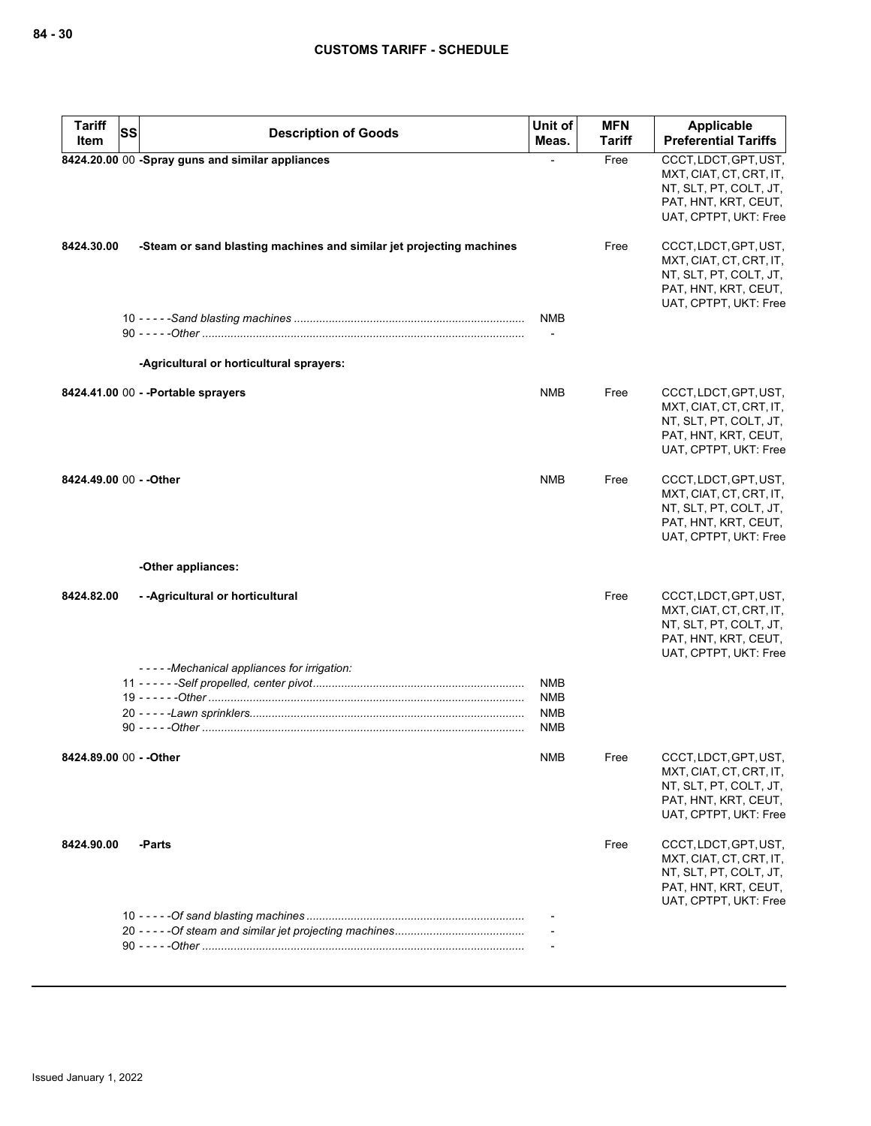| <b>Tariff</b><br>SS     |                                                                      | Unit of                                              | <b>MFN</b>    | Applicable                                                                                                                  |
|-------------------------|----------------------------------------------------------------------|------------------------------------------------------|---------------|-----------------------------------------------------------------------------------------------------------------------------|
| Item                    | <b>Description of Goods</b>                                          | Meas.                                                | <b>Tariff</b> | <b>Preferential Tariffs</b>                                                                                                 |
|                         | 8424.20.00 00 -Spray guns and similar appliances                     |                                                      | Free          | CCCT, LDCT, GPT, UST,<br>MXT, CIAT, CT, CRT, IT,<br>NT, SLT, PT, COLT, JT,<br>PAT, HNT, KRT, CEUT,<br>UAT, CPTPT, UKT: Free |
| 8424.30.00              | -Steam or sand blasting machines and similar jet projecting machines |                                                      | Free          | CCCT, LDCT, GPT, UST,<br>MXT, CIAT, CT, CRT, IT,<br>NT, SLT, PT, COLT, JT,<br>PAT, HNT, KRT, CEUT,<br>UAT, CPTPT, UKT: Free |
|                         |                                                                      | <b>NMB</b>                                           |               |                                                                                                                             |
|                         |                                                                      | $\overline{\phantom{a}}$                             |               |                                                                                                                             |
|                         | -Agricultural or horticultural sprayers:                             |                                                      |               |                                                                                                                             |
|                         | 8424.41.00 00 - - Portable sprayers                                  | <b>NMB</b>                                           | Free          | CCCT, LDCT, GPT, UST,<br>MXT, CIAT, CT, CRT, IT,<br>NT, SLT, PT, COLT, JT,<br>PAT, HNT, KRT, CEUT,<br>UAT, CPTPT, UKT: Free |
| 8424.49.00 00 - - Other |                                                                      | <b>NMB</b>                                           | Free          | CCCT, LDCT, GPT, UST,<br>MXT, CIAT, CT, CRT, IT,<br>NT, SLT, PT, COLT, JT,<br>PAT, HNT, KRT, CEUT,<br>UAT, CPTPT, UKT: Free |
|                         | -Other appliances:                                                   |                                                      |               |                                                                                                                             |
| 8424.82.00              | - - Agricultural or horticultural                                    |                                                      | Free          | CCCT, LDCT, GPT, UST,<br>MXT, CIAT, CT, CRT, IT,<br>NT, SLT, PT, COLT, JT,<br>PAT, HNT, KRT, CEUT,<br>UAT, CPTPT, UKT: Free |
|                         | -----Mechanical appliances for irrigation:                           |                                                      |               |                                                                                                                             |
|                         |                                                                      | <b>NMB</b><br><b>NMB</b><br><b>NMB</b><br><b>NMB</b> |               |                                                                                                                             |
| 8424.89.00 00 - - Other |                                                                      | <b>NMB</b>                                           | Free          | CCCT, LDCT, GPT, UST,<br>MXT, CIAT, CT, CRT, IT,<br>NT, SLT, PT, COLT, JT,<br>PAT, HNT, KRT, CEUT,<br>UAT, CPTPT, UKT: Free |
| 8424.90.00              | -Parts                                                               |                                                      | Free          | CCCT, LDCT, GPT, UST,<br>MXT, CIAT, CT, CRT, IT,<br>NT, SLT, PT, COLT, JT,<br>PAT, HNT, KRT, CEUT,<br>UAT, CPTPT, UKT: Free |
|                         |                                                                      |                                                      |               |                                                                                                                             |
|                         |                                                                      |                                                      |               |                                                                                                                             |
|                         |                                                                      |                                                      |               |                                                                                                                             |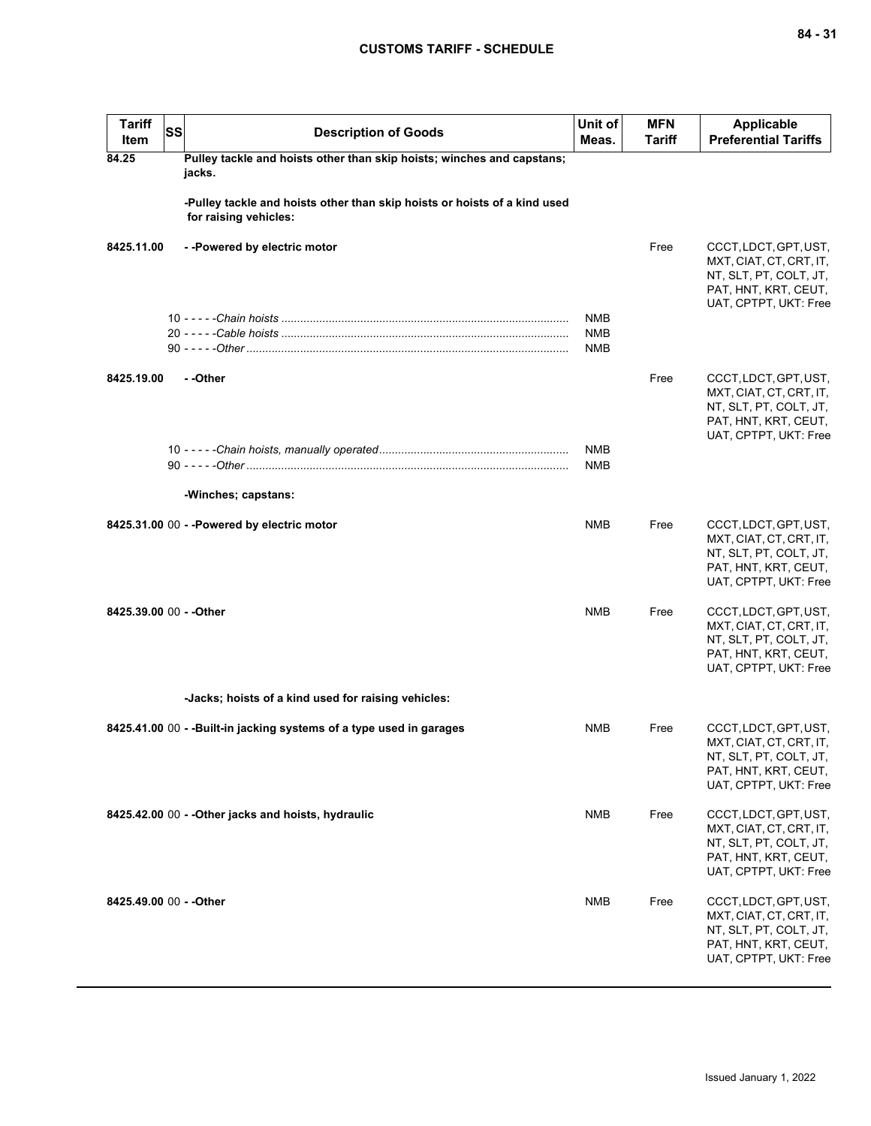| <b>Tariff</b><br>Item   | <b>SS</b> | <b>Description of Goods</b>                                                                        | Unit of<br>Meas.         | <b>MFN</b><br><b>Tariff</b> | <b>Applicable</b><br><b>Preferential Tariffs</b>                                                                            |
|-------------------------|-----------|----------------------------------------------------------------------------------------------------|--------------------------|-----------------------------|-----------------------------------------------------------------------------------------------------------------------------|
| 84.25                   |           | Pulley tackle and hoists other than skip hoists; winches and capstans;<br>jacks.                   |                          |                             |                                                                                                                             |
|                         |           | -Pulley tackle and hoists other than skip hoists or hoists of a kind used<br>for raising vehicles: |                          |                             |                                                                                                                             |
| 8425.11.00              |           | --Powered by electric motor                                                                        |                          | Free                        | CCCT, LDCT, GPT, UST,<br>MXT, CIAT, CT, CRT, IT,<br>NT, SLT, PT, COLT, JT,<br>PAT, HNT, KRT, CEUT,<br>UAT, CPTPT, UKT: Free |
|                         |           |                                                                                                    | NMB<br><b>NMB</b><br>NMB |                             |                                                                                                                             |
| 8425.19.00              |           | - -Other                                                                                           |                          | Free                        | CCCT, LDCT, GPT, UST,<br>MXT, CIAT, CT, CRT, IT,<br>NT, SLT, PT, COLT, JT,<br>PAT, HNT, KRT, CEUT,<br>UAT, CPTPT, UKT: Free |
|                         |           |                                                                                                    | NMB<br>NMB               |                             |                                                                                                                             |
|                         |           | -Winches; capstans:                                                                                |                          |                             |                                                                                                                             |
|                         |           | 8425.31.00 00 - - Powered by electric motor                                                        | <b>NMB</b>               | Free                        | CCCT, LDCT, GPT, UST,<br>MXT, CIAT, CT, CRT, IT,<br>NT, SLT, PT, COLT, JT,<br>PAT, HNT, KRT, CEUT,<br>UAT, CPTPT, UKT: Free |
| 8425.39.00 00 - - Other |           |                                                                                                    | <b>NMB</b>               | Free                        | CCCT, LDCT, GPT, UST,<br>MXT, CIAT, CT, CRT, IT,<br>NT, SLT, PT, COLT, JT,<br>PAT, HNT, KRT, CEUT,<br>UAT, CPTPT, UKT: Free |
|                         |           | -Jacks; hoists of a kind used for raising vehicles:                                                |                          |                             |                                                                                                                             |
|                         |           | 8425.41.00 00 - - Built-in jacking systems of a type used in garages                               | <b>NMB</b>               | Free                        | CCCT, LDCT, GPT, UST,<br>MXT, CIAT, CT, CRT, IT,<br>NT, SLT, PT, COLT, JT,<br>PAT, HNT, KRT, CEUT,<br>UAT, CPTPT, UKT: Free |
|                         |           | 8425.42.00 00 - - Other jacks and hoists, hydraulic                                                | NMB                      | Free                        | CCCT, LDCT, GPT, UST,<br>MXT, CIAT, CT, CRT, IT,<br>NT, SLT, PT, COLT, JT,<br>PAT, HNT, KRT, CEUT,<br>UAT, CPTPT, UKT: Free |
| 8425.49.00 00 - - Other |           |                                                                                                    | <b>NMB</b>               | Free                        | CCCT, LDCT, GPT, UST,<br>MXT, CIAT, CT, CRT, IT,<br>NT, SLT, PT, COLT, JT,<br>PAT, HNT, KRT, CEUT,<br>UAT, CPTPT, UKT: Free |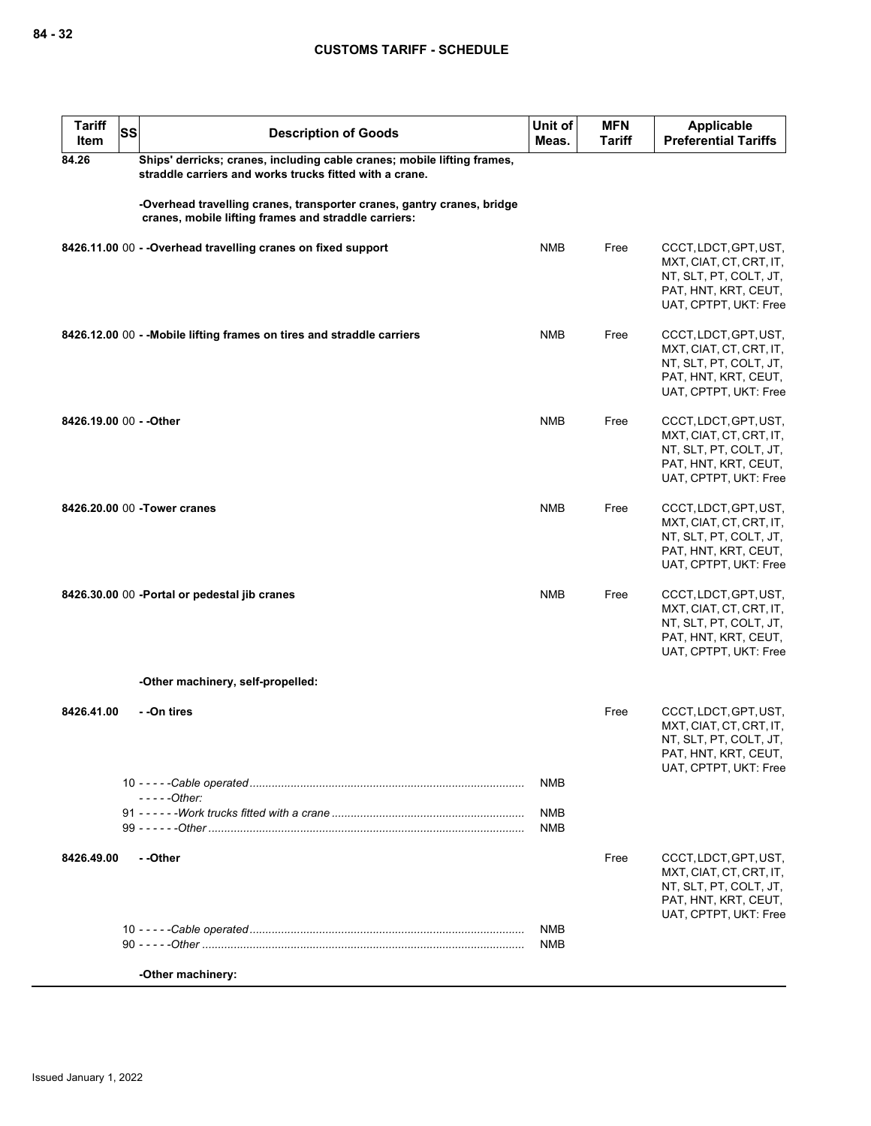| <b>Tariff</b><br>Item   | SS | <b>Description of Goods</b>                                                                                                        | Unit of<br>Meas.         | <b>MFN</b><br><b>Tariff</b> | <b>Applicable</b><br><b>Preferential Tariffs</b>                                                                            |
|-------------------------|----|------------------------------------------------------------------------------------------------------------------------------------|--------------------------|-----------------------------|-----------------------------------------------------------------------------------------------------------------------------|
| 84.26                   |    | Ships' derricks; cranes, including cable cranes; mobile lifting frames,<br>straddle carriers and works trucks fitted with a crane. |                          |                             |                                                                                                                             |
|                         |    | -Overhead travelling cranes, transporter cranes, gantry cranes, bridge<br>cranes, mobile lifting frames and straddle carriers:     |                          |                             |                                                                                                                             |
|                         |    | 8426.11.00 00 - - Overhead travelling cranes on fixed support                                                                      | <b>NMB</b>               | Free                        | CCCT, LDCT, GPT, UST,<br>MXT, CIAT, CT, CRT, IT,<br>NT, SLT, PT, COLT, JT,<br>PAT, HNT, KRT, CEUT,<br>UAT, CPTPT, UKT: Free |
|                         |    | 8426.12.00 00 - - Mobile lifting frames on tires and straddle carriers                                                             | <b>NMB</b>               | Free                        | CCCT, LDCT, GPT, UST,<br>MXT, CIAT, CT, CRT, IT,<br>NT, SLT, PT, COLT, JT,<br>PAT, HNT, KRT, CEUT,<br>UAT, CPTPT, UKT: Free |
| 8426.19.00 00 - - Other |    |                                                                                                                                    | <b>NMB</b>               | Free                        | CCCT, LDCT, GPT, UST,<br>MXT, CIAT, CT, CRT, IT,<br>NT, SLT, PT, COLT, JT,<br>PAT, HNT, KRT, CEUT,<br>UAT, CPTPT, UKT: Free |
|                         |    | 8426.20.00 00 - Tower cranes                                                                                                       | <b>NMB</b>               | Free                        | CCCT, LDCT, GPT, UST,<br>MXT, CIAT, CT, CRT, IT,<br>NT, SLT, PT, COLT, JT,<br>PAT, HNT, KRT, CEUT,<br>UAT, CPTPT, UKT: Free |
|                         |    | 8426.30.00 00 -Portal or pedestal jib cranes                                                                                       | <b>NMB</b>               | Free                        | CCCT, LDCT, GPT, UST,<br>MXT, CIAT, CT, CRT, IT,<br>NT, SLT, PT, COLT, JT,<br>PAT, HNT, KRT, CEUT,<br>UAT, CPTPT, UKT: Free |
|                         |    | -Other machinery, self-propelled:                                                                                                  |                          |                             |                                                                                                                             |
| 8426.41.00              |    | - -On tires                                                                                                                        |                          | Free                        | CCCT, LDCT, GPT, UST,<br>MXT, CIAT, CT, CRT, IT,<br>NT, SLT, PT, COLT, JT,<br>PAT, HNT, KRT, CEUT,<br>UAT, CPTPT, UKT: Free |
|                         |    | $---Other:$                                                                                                                        | <b>NMB</b>               |                             |                                                                                                                             |
|                         |    |                                                                                                                                    | <b>NMB</b><br><b>NMB</b> |                             |                                                                                                                             |
| 8426.49.00              |    | - -Other                                                                                                                           |                          | Free                        | CCCT, LDCT, GPT, UST,<br>MXT, CIAT, CT, CRT, IT,<br>NT, SLT, PT, COLT, JT,<br>PAT, HNT, KRT, CEUT,<br>UAT, CPTPT, UKT: Free |
|                         |    |                                                                                                                                    | <b>NMB</b><br><b>NMB</b> |                             |                                                                                                                             |
|                         |    | -Other machinery:                                                                                                                  |                          |                             |                                                                                                                             |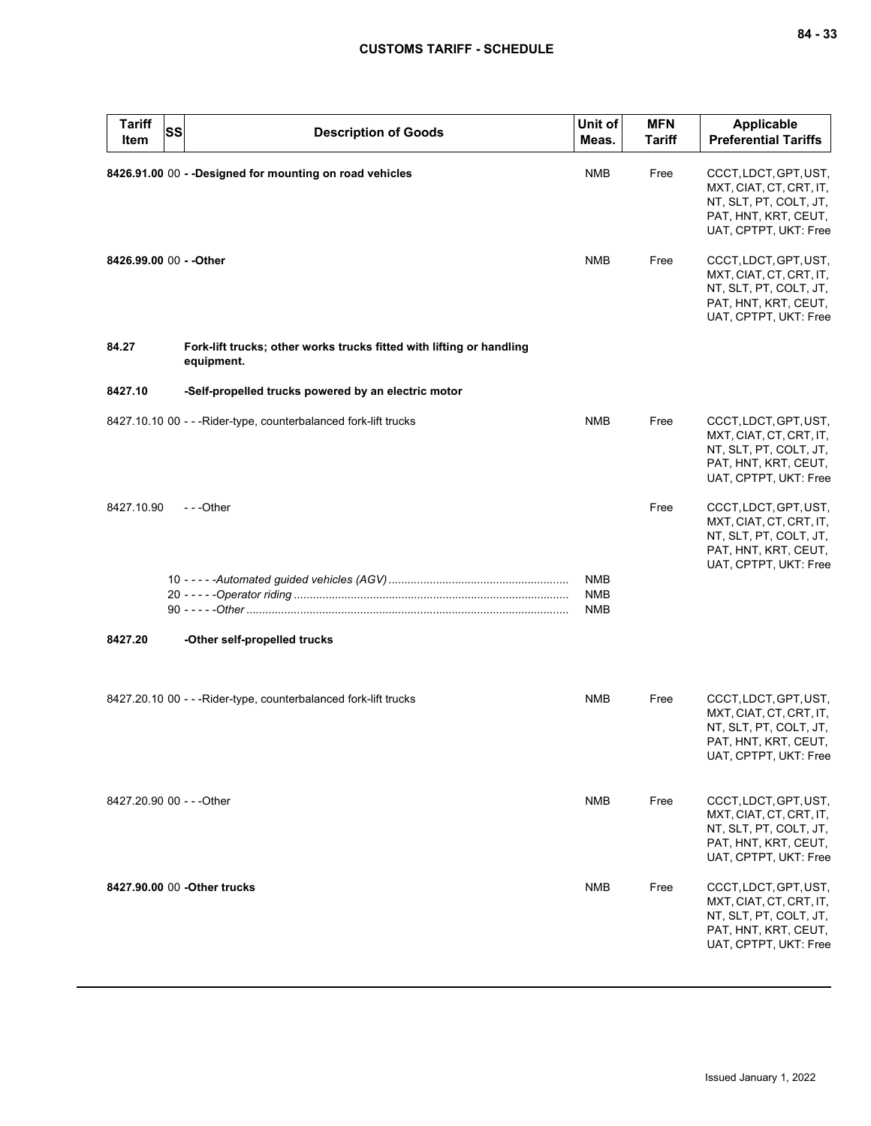| <b>Tariff</b><br>Item     | <b>SS</b> | <b>Description of Goods</b>                                                        | Unit of<br>Meas.                       | <b>MFN</b><br><b>Tariff</b> | <b>Applicable</b><br><b>Preferential Tariffs</b>                                                                            |
|---------------------------|-----------|------------------------------------------------------------------------------------|----------------------------------------|-----------------------------|-----------------------------------------------------------------------------------------------------------------------------|
|                           |           | 8426.91.00 00 - - Designed for mounting on road vehicles                           | <b>NMB</b>                             | Free                        | CCCT, LDCT, GPT, UST,<br>MXT, CIAT, CT, CRT, IT,<br>NT, SLT, PT, COLT, JT,<br>PAT, HNT, KRT, CEUT,<br>UAT, CPTPT, UKT: Free |
| 8426.99.00 00 - - Other   |           |                                                                                    | <b>NMB</b>                             | Free                        | CCCT, LDCT, GPT, UST,<br>MXT, CIAT, CT, CRT, IT,<br>NT, SLT, PT, COLT, JT,<br>PAT, HNT, KRT, CEUT,<br>UAT, CPTPT, UKT: Free |
| 84.27                     |           | Fork-lift trucks; other works trucks fitted with lifting or handling<br>equipment. |                                        |                             |                                                                                                                             |
| 8427.10                   |           | -Self-propelled trucks powered by an electric motor                                |                                        |                             |                                                                                                                             |
|                           |           | 8427.10.10 00 - - - Rider-type, counterbalanced fork-lift trucks                   | <b>NMB</b>                             | Free                        | CCCT, LDCT, GPT, UST,<br>MXT, CIAT, CT, CRT, IT,<br>NT, SLT, PT, COLT, JT,<br>PAT, HNT, KRT, CEUT,<br>UAT, CPTPT, UKT: Free |
| 8427.10.90                |           | $- -$ Other                                                                        |                                        | Free                        | CCCT, LDCT, GPT, UST,<br>MXT, CIAT, CT, CRT, IT,<br>NT, SLT, PT, COLT, JT,<br>PAT, HNT, KRT, CEUT,<br>UAT, CPTPT, UKT: Free |
|                           |           |                                                                                    | <b>NMB</b><br><b>NMB</b><br><b>NMB</b> |                             |                                                                                                                             |
| 8427.20                   |           | -Other self-propelled trucks                                                       |                                        |                             |                                                                                                                             |
|                           |           | 8427.20.10 00 - - - Rider-type, counterbalanced fork-lift trucks                   | NMB                                    | Free                        | CCCT, LDCT, GPT, UST,<br>MXT, CIAT, CT, CRT, IT,<br>NT, SLT, PT, COLT, JT,<br>PAT, HNT, KRT, CEUT,<br>UAT, CPTPT, UKT: Free |
| 8427.20.90 00 - - - Other |           |                                                                                    | <b>NMB</b>                             | Free                        | CCCT, LDCT, GPT, UST,<br>MXT, CIAT, CT, CRT, IT,<br>NT, SLT, PT, COLT, JT,<br>PAT, HNT, KRT, CEUT,<br>UAT, CPTPT, UKT: Free |
|                           |           | 8427.90.00 00 - Other trucks                                                       | <b>NMB</b>                             | Free                        | CCCT, LDCT, GPT, UST,<br>MXT, CIAT, CT, CRT, IT,<br>NT, SLT, PT, COLT, JT,<br>PAT, HNT, KRT, CEUT,<br>UAT, CPTPT, UKT: Free |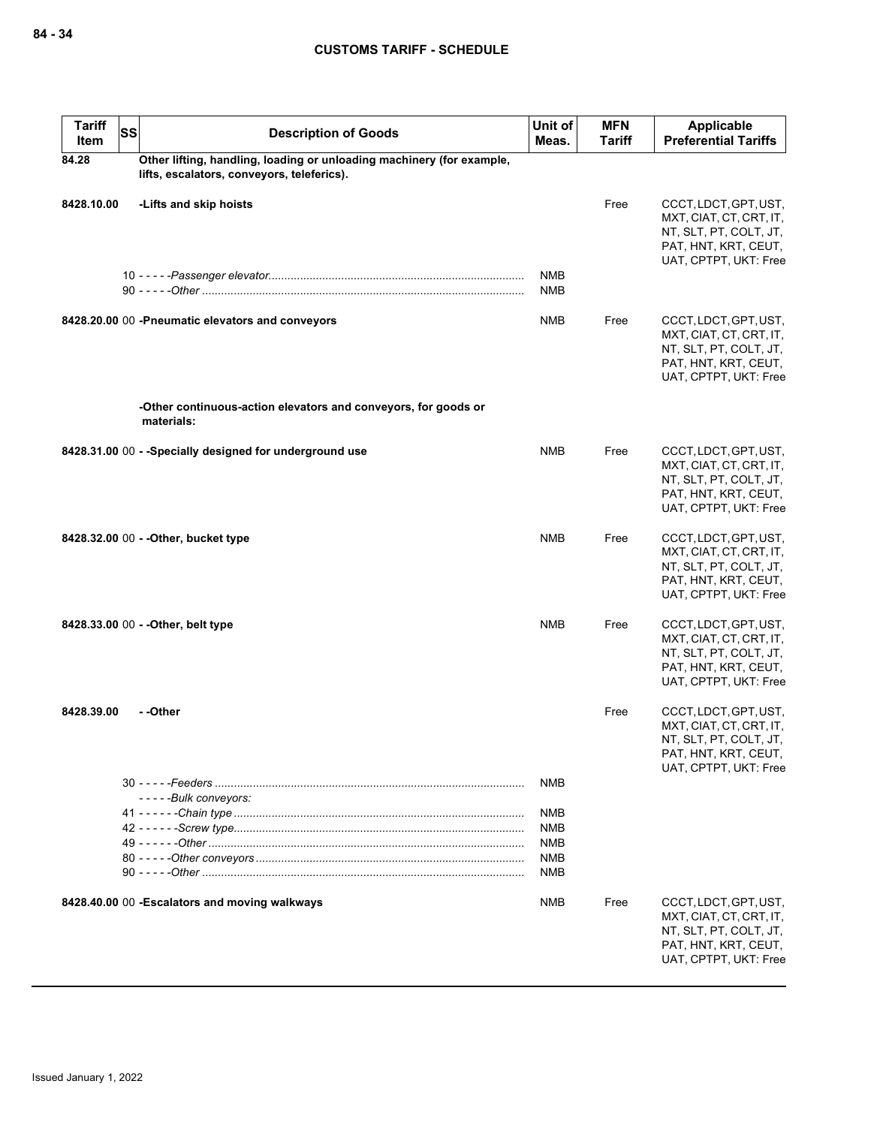| <b>Tariff</b><br><b>SS</b><br>Item | <b>Description of Goods</b>                                                                                         | Unit of<br>Meas.         | <b>MFN</b><br><b>Tariff</b> | <b>Applicable</b><br><b>Preferential Tariffs</b>                                                                            |
|------------------------------------|---------------------------------------------------------------------------------------------------------------------|--------------------------|-----------------------------|-----------------------------------------------------------------------------------------------------------------------------|
| 84.28                              | Other lifting, handling, loading or unloading machinery (for example,<br>lifts, escalators, conveyors, teleferics). |                          |                             |                                                                                                                             |
| 8428.10.00                         | -Lifts and skip hoists                                                                                              |                          | Free                        | CCCT, LDCT, GPT, UST,<br>MXT, CIAT, CT, CRT, IT,<br>NT, SLT, PT, COLT, JT,<br>PAT, HNT, KRT, CEUT,<br>UAT, CPTPT, UKT: Free |
|                                    |                                                                                                                     | <b>NMB</b><br><b>NMB</b> |                             |                                                                                                                             |
|                                    | 8428.20.00 00 -Pneumatic elevators and conveyors                                                                    | <b>NMB</b>               | Free                        | CCCT, LDCT, GPT, UST,<br>MXT, CIAT, CT, CRT, IT,<br>NT, SLT, PT, COLT, JT,<br>PAT, HNT, KRT, CEUT,<br>UAT, CPTPT, UKT: Free |
|                                    | -Other continuous-action elevators and conveyors, for goods or<br>materials:                                        |                          |                             |                                                                                                                             |
|                                    | 8428.31.00 00 - - Specially designed for underground use                                                            | <b>NMB</b>               | Free                        | CCCT, LDCT, GPT, UST,<br>MXT, CIAT, CT, CRT, IT,<br>NT, SLT, PT, COLT, JT,<br>PAT, HNT, KRT, CEUT,<br>UAT, CPTPT, UKT: Free |
|                                    | 8428.32.00 00 - - Other, bucket type                                                                                | <b>NMB</b>               | Free                        | CCCT, LDCT, GPT, UST,<br>MXT, CIAT, CT, CRT, IT,<br>NT, SLT, PT, COLT, JT,<br>PAT, HNT, KRT, CEUT,<br>UAT, CPTPT, UKT: Free |
|                                    | 8428.33.00 00 - - Other, belt type                                                                                  | <b>NMB</b>               | Free                        | CCCT, LDCT, GPT, UST,<br>MXT, CIAT, CT, CRT, IT,<br>NT, SLT, PT, COLT, JT,<br>PAT, HNT, KRT, CEUT,<br>UAT, CPTPT, UKT: Free |
| 8428.39.00                         | - -Other                                                                                                            |                          | Free                        | CCCT, LDCT, GPT, UST,<br>MXT, CIAT, CT, CRT, IT,<br>NT, SLT, PT, COLT, JT,<br>PAT, HNT, KRT, CEUT,<br>UAT, CPTPT, UKT: Free |
|                                    |                                                                                                                     | <b>NMB</b>               |                             |                                                                                                                             |
|                                    | -----Bulk conveyors:                                                                                                | <b>NMB</b>               |                             |                                                                                                                             |
|                                    |                                                                                                                     | <b>NMB</b>               |                             |                                                                                                                             |
|                                    |                                                                                                                     | <b>NMB</b>               |                             |                                                                                                                             |
|                                    |                                                                                                                     | <b>NMB</b><br><b>NMB</b> |                             |                                                                                                                             |
|                                    | 8428.40.00 00 - Escalators and moving walkways                                                                      | <b>NMB</b>               | Free                        | CCCT, LDCT, GPT, UST,<br>MXT, CIAT, CT, CRT, IT,<br>NT, SLT, PT, COLT, JT,<br>PAT, HNT, KRT, CEUT,<br>UAT, CPTPT, UKT: Free |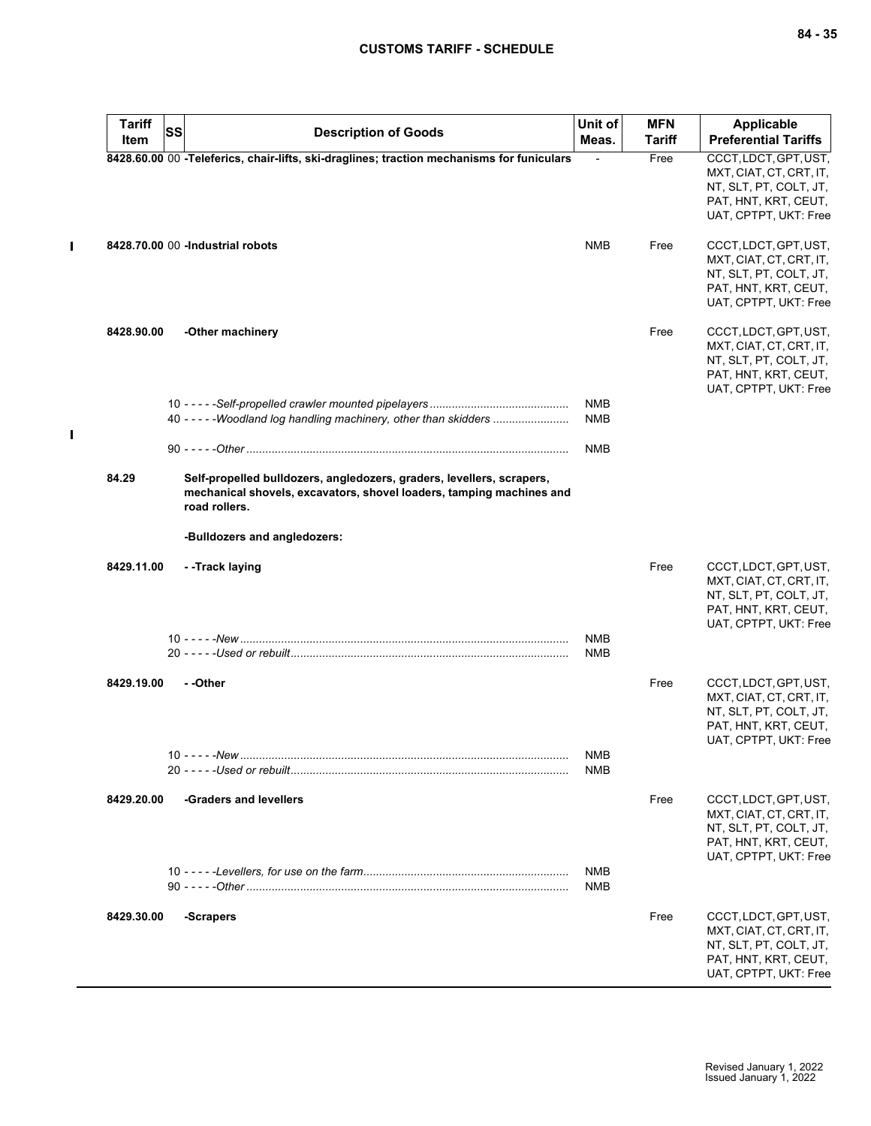$\mathbf{I}$ 

 $\mathbf{I}$ 

| <b>Tariff</b> | SS | <b>Description of Goods</b>                                                                                                                                    | Unit of<br>Meas.         | <b>MFN</b><br><b>Tariff</b> | <b>Applicable</b><br><b>Preferential Tariffs</b>                                                                            |
|---------------|----|----------------------------------------------------------------------------------------------------------------------------------------------------------------|--------------------------|-----------------------------|-----------------------------------------------------------------------------------------------------------------------------|
| Item          |    |                                                                                                                                                                |                          |                             |                                                                                                                             |
|               |    | 8428.60.00 00 -Teleferics, chair-lifts, ski-draglines; traction mechanisms for funiculars                                                                      |                          | Free                        | CCCT, LDCT, GPT, UST,<br>MXT, CIAT, CT, CRT, IT,<br>NT, SLT, PT, COLT, JT,                                                  |
|               |    |                                                                                                                                                                |                          |                             | PAT, HNT, KRT, CEUT,<br>UAT, CPTPT, UKT: Free                                                                               |
|               |    | 8428.70.00 00 -Industrial robots                                                                                                                               | <b>NMB</b>               | Free                        | CCCT, LDCT, GPT, UST,<br>MXT, CIAT, CT, CRT, IT,<br>NT, SLT, PT, COLT, JT,<br>PAT, HNT, KRT, CEUT,<br>UAT, CPTPT, UKT: Free |
| 8428.90.00    |    | -Other machinery                                                                                                                                               |                          | Free                        | CCCT, LDCT, GPT, UST,<br>MXT, CIAT, CT, CRT, IT,<br>NT, SLT, PT, COLT, JT,<br>PAT, HNT, KRT, CEUT,<br>UAT, CPTPT, UKT: Free |
|               |    |                                                                                                                                                                | NMB                      |                             |                                                                                                                             |
|               |    | 40 - - - - - Woodland log handling machinery, other than skidders                                                                                              | <b>NMB</b>               |                             |                                                                                                                             |
|               |    |                                                                                                                                                                | NMB                      |                             |                                                                                                                             |
| 84.29         |    | Self-propelled bulldozers, angledozers, graders, levellers, scrapers,<br>mechanical shovels, excavators, shovel loaders, tamping machines and<br>road rollers. |                          |                             |                                                                                                                             |
|               |    | -Bulldozers and angledozers:                                                                                                                                   |                          |                             |                                                                                                                             |
| 8429.11.00    |    | - -Track laying                                                                                                                                                |                          | Free                        | CCCT, LDCT, GPT, UST,<br>MXT, CIAT, CT, CRT, IT,<br>NT, SLT, PT, COLT, JT,<br>PAT, HNT, KRT, CEUT,<br>UAT, CPTPT, UKT: Free |
|               |    |                                                                                                                                                                | <b>NMB</b>               |                             |                                                                                                                             |
|               |    |                                                                                                                                                                | NMB                      |                             |                                                                                                                             |
| 8429.19.00    |    | - -Other                                                                                                                                                       |                          | Free                        | CCCT, LDCT, GPT, UST,<br>MXT, CIAT, CT, CRT, IT,                                                                            |
|               |    |                                                                                                                                                                |                          |                             | NT, SLT, PT, COLT, JT,<br>PAT, HNT, KRT, CEUT,                                                                              |
|               |    |                                                                                                                                                                |                          |                             | UAT, CPTPT, UKT: Free                                                                                                       |
|               |    |                                                                                                                                                                | <b>NMB</b><br>NMB        |                             |                                                                                                                             |
| 8429.20.00    |    | -Graders and levellers                                                                                                                                         |                          | Free                        | CCCT, LDCT, GPT, UST,<br>MXT, CIAT, CT, CRT, IT,<br>NT, SLT, PT, COLT, JT,<br>PAT, HNT, KRT, CEUT,<br>UAT, CPTPT, UKT: Free |
|               |    |                                                                                                                                                                | <b>NMB</b><br><b>NMB</b> |                             |                                                                                                                             |
| 8429.30.00    |    | -Scrapers                                                                                                                                                      |                          | Free                        | CCCT, LDCT, GPT, UST,<br>MXT, CIAT, CT, CRT, IT,<br>NT, SLT, PT, COLT, JT,<br>PAT, HNT, KRT, CEUT,<br>UAT, CPTPT, UKT: Free |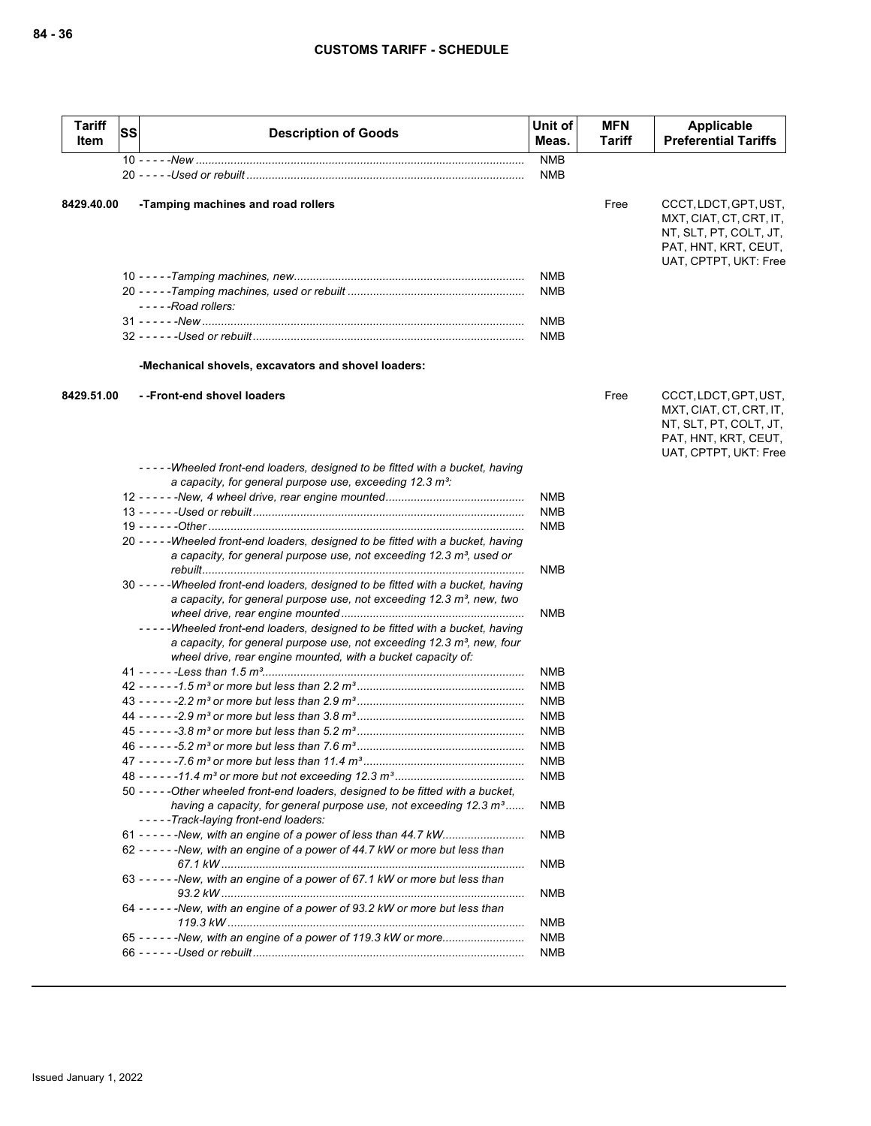| <b>Tariff</b><br>Item | <b>SS</b> | <b>Description of Goods</b>                                                                                                                                                                                                       | Unit of<br>Meas.         | <b>MFN</b><br>Tariff | Applicable<br><b>Preferential Tariffs</b>                                                                                   |
|-----------------------|-----------|-----------------------------------------------------------------------------------------------------------------------------------------------------------------------------------------------------------------------------------|--------------------------|----------------------|-----------------------------------------------------------------------------------------------------------------------------|
|                       |           |                                                                                                                                                                                                                                   | <b>NMB</b>               |                      |                                                                                                                             |
|                       |           |                                                                                                                                                                                                                                   | <b>NMB</b>               |                      |                                                                                                                             |
| 8429.40.00            |           | -Tamping machines and road rollers                                                                                                                                                                                                |                          | Free                 | CCCT, LDCT, GPT, UST,<br>MXT, CIAT, CT, CRT, IT,<br>NT, SLT, PT, COLT, JT,<br>PAT, HNT, KRT, CEUT,<br>UAT, CPTPT, UKT: Free |
|                       |           |                                                                                                                                                                                                                                   | NMB                      |                      |                                                                                                                             |
|                       |           |                                                                                                                                                                                                                                   | NMB                      |                      |                                                                                                                             |
|                       |           | $---$ Road rollers:                                                                                                                                                                                                               |                          |                      |                                                                                                                             |
|                       |           |                                                                                                                                                                                                                                   | NMB                      |                      |                                                                                                                             |
|                       |           |                                                                                                                                                                                                                                   | <b>NMB</b>               |                      |                                                                                                                             |
|                       |           | -Mechanical shovels, excavators and shovel loaders:                                                                                                                                                                               |                          |                      |                                                                                                                             |
| 8429.51.00            |           | --Front-end shovel loaders                                                                                                                                                                                                        |                          | Free                 | CCCT, LDCT, GPT, UST,<br>MXT, CIAT, CT, CRT, IT,<br>NT, SLT, PT, COLT, JT,<br>PAT, HNT, KRT, CEUT,<br>UAT, CPTPT, UKT: Free |
|                       |           | -----Wheeled front-end loaders, designed to be fitted with a bucket, having                                                                                                                                                       |                          |                      |                                                                                                                             |
|                       |           | a capacity, for general purpose use, exceeding 12.3 m <sup>3</sup> :                                                                                                                                                              | NMB                      |                      |                                                                                                                             |
|                       |           |                                                                                                                                                                                                                                   | <b>NMB</b>               |                      |                                                                                                                             |
|                       |           |                                                                                                                                                                                                                                   | <b>NMB</b>               |                      |                                                                                                                             |
|                       |           | 20 -----Wheeled front-end loaders, designed to be fitted with a bucket, having<br>a capacity, for general purpose use, not exceeding 12.3 m <sup>3</sup> , used or                                                                | NMB                      |                      |                                                                                                                             |
|                       |           | 30 -----Wheeled front-end loaders, designed to be fitted with a bucket, having<br>a capacity, for general purpose use, not exceeding 12.3 m <sup>3</sup> , new, two                                                               |                          |                      |                                                                                                                             |
|                       |           |                                                                                                                                                                                                                                   | NMB                      |                      |                                                                                                                             |
|                       |           | -----Wheeled front-end loaders, designed to be fitted with a bucket, having<br>a capacity, for general purpose use, not exceeding 12.3 m <sup>3</sup> , new, four<br>wheel drive, rear engine mounted, with a bucket capacity of: |                          |                      |                                                                                                                             |
|                       |           |                                                                                                                                                                                                                                   | NMB                      |                      |                                                                                                                             |
|                       |           |                                                                                                                                                                                                                                   | <b>NMB</b>               |                      |                                                                                                                             |
|                       |           |                                                                                                                                                                                                                                   | <b>NMB</b>               |                      |                                                                                                                             |
|                       |           |                                                                                                                                                                                                                                   | <b>NMB</b>               |                      |                                                                                                                             |
|                       |           |                                                                                                                                                                                                                                   | <b>NMB</b>               |                      |                                                                                                                             |
|                       |           |                                                                                                                                                                                                                                   | <b>NMB</b>               |                      |                                                                                                                             |
|                       |           |                                                                                                                                                                                                                                   | <b>NMB</b>               |                      |                                                                                                                             |
|                       |           |                                                                                                                                                                                                                                   | NMB                      |                      |                                                                                                                             |
|                       |           | 50 - - - - - Other wheeled front-end loaders, designed to be fitted with a bucket,                                                                                                                                                |                          |                      |                                                                                                                             |
|                       |           | having a capacity, for general purpose use, not exceeding 12.3 m <sup>3</sup><br>-----Track-laying front-end loaders:                                                                                                             | NMB                      |                      |                                                                                                                             |
|                       |           |                                                                                                                                                                                                                                   | NMB                      |                      |                                                                                                                             |
|                       |           | 62 - - - - - - New, with an engine of a power of 44.7 kW or more but less than                                                                                                                                                    |                          |                      |                                                                                                                             |
|                       |           | 63 - - - - - - New, with an engine of a power of 67.1 kW or more but less than                                                                                                                                                    | NMB                      |                      |                                                                                                                             |
|                       |           | 64 - - - - - - New, with an engine of a power of 93.2 kW or more but less than                                                                                                                                                    | <b>NMB</b>               |                      |                                                                                                                             |
|                       |           | 65 - - - - - - New, with an engine of a power of 119.3 kW or more                                                                                                                                                                 | <b>NMB</b><br><b>NMB</b> |                      |                                                                                                                             |
|                       |           |                                                                                                                                                                                                                                   | <b>NMB</b>               |                      |                                                                                                                             |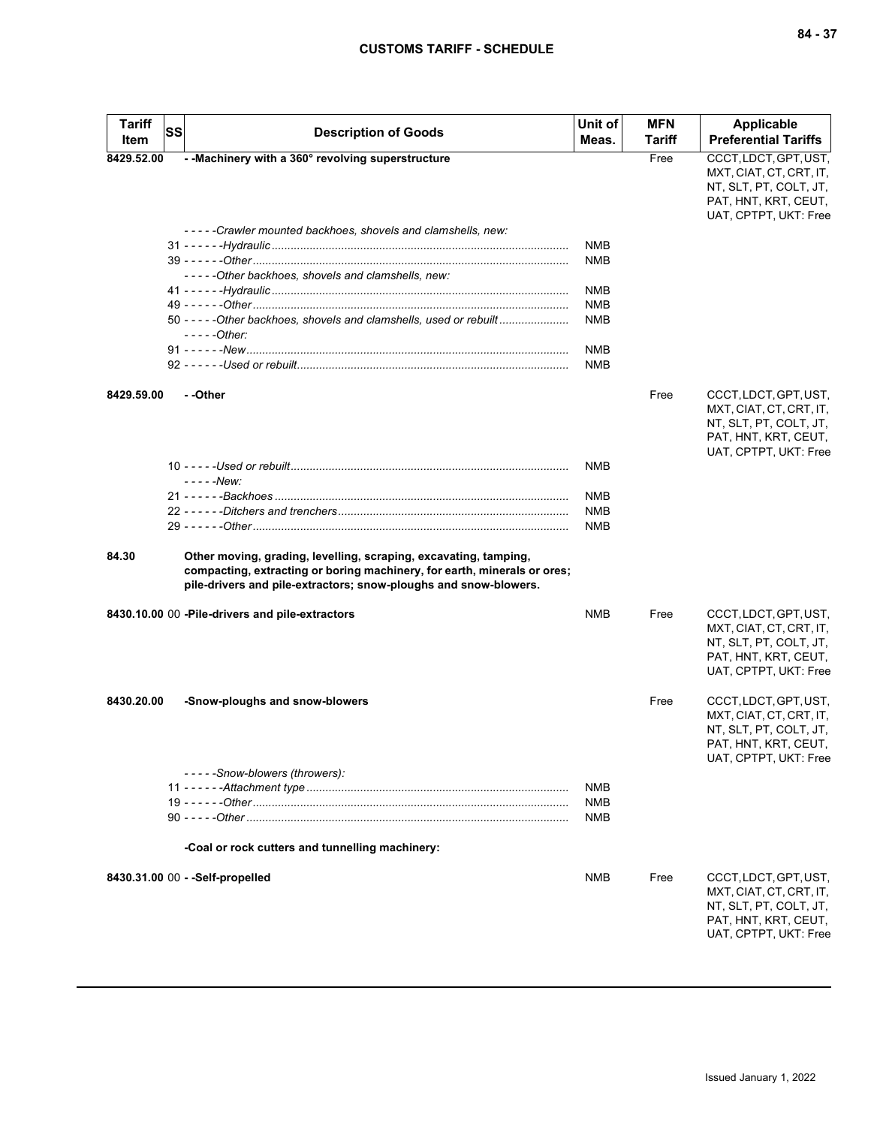| <b>Tariff</b> | <b>SS</b> | <b>Description of Goods</b>                                                                                                                                                                                      | Unit of    | <b>MFN</b>    | <b>Applicable</b>                                                                                                           |
|---------------|-----------|------------------------------------------------------------------------------------------------------------------------------------------------------------------------------------------------------------------|------------|---------------|-----------------------------------------------------------------------------------------------------------------------------|
| Item          |           |                                                                                                                                                                                                                  | Meas.      | <b>Tariff</b> | <b>Preferential Tariffs</b>                                                                                                 |
| 8429.52.00    |           | - - Machinery with a 360° revolving superstructure                                                                                                                                                               |            | Free          | CCCT, LDCT, GPT, UST,<br>MXT, CIAT, CT, CRT, IT,<br>NT, SLT, PT, COLT, JT,<br>PAT, HNT, KRT, CEUT,<br>UAT, CPTPT, UKT: Free |
|               |           | -----Crawler mounted backhoes, shovels and clamshells, new:                                                                                                                                                      |            |               |                                                                                                                             |
|               |           |                                                                                                                                                                                                                  | <b>NMB</b> |               |                                                                                                                             |
|               |           | -----Other backhoes, shovels and clamshells, new:                                                                                                                                                                | <b>NMB</b> |               |                                                                                                                             |
|               |           |                                                                                                                                                                                                                  | <b>NMB</b> |               |                                                                                                                             |
|               |           |                                                                                                                                                                                                                  | <b>NMB</b> |               |                                                                                                                             |
|               |           | 50 - - - - - Other backhoes, shovels and clamshells, used or rebuilt<br>$---Other:$                                                                                                                              | <b>NMB</b> |               |                                                                                                                             |
|               |           |                                                                                                                                                                                                                  | <b>NMB</b> |               |                                                                                                                             |
|               |           |                                                                                                                                                                                                                  | <b>NMB</b> |               |                                                                                                                             |
| 8429.59.00    |           | - -Other                                                                                                                                                                                                         |            | Free          | CCCT, LDCT, GPT, UST,<br>MXT, CIAT, CT, CRT, IT,<br>NT, SLT, PT, COLT, JT,<br>PAT, HNT, KRT, CEUT,<br>UAT, CPTPT, UKT: Free |
|               |           | - - - - - New:                                                                                                                                                                                                   | <b>NMB</b> |               |                                                                                                                             |
|               |           |                                                                                                                                                                                                                  | <b>NMB</b> |               |                                                                                                                             |
|               |           |                                                                                                                                                                                                                  | <b>NMB</b> |               |                                                                                                                             |
|               |           |                                                                                                                                                                                                                  | <b>NMB</b> |               |                                                                                                                             |
| 84.30         |           | Other moving, grading, levelling, scraping, excavating, tamping,<br>compacting, extracting or boring machinery, for earth, minerals or ores;<br>pile-drivers and pile-extractors; snow-ploughs and snow-blowers. |            |               |                                                                                                                             |
|               |           | 8430.10.00 00 - Pile-drivers and pile-extractors                                                                                                                                                                 | <b>NMB</b> | Free          | CCCT, LDCT, GPT, UST,<br>MXT, CIAT, CT, CRT, IT,<br>NT, SLT, PT, COLT, JT,<br>PAT, HNT, KRT, CEUT,<br>UAT, CPTPT, UKT: Free |
| 8430.20.00    |           | -Snow-ploughs and snow-blowers                                                                                                                                                                                   |            | Free          | CCCT, LDCT, GPT, UST,<br>MXT, CIAT, CT, CRT, IT,<br>NT, SLT, PT, COLT, JT,<br>PAT, HNT, KRT, CEUT,<br>UAT, CPTPT, UKT: Free |
|               |           | -----Snow-blowers (throwers):                                                                                                                                                                                    |            |               |                                                                                                                             |
|               |           |                                                                                                                                                                                                                  | <b>NMB</b> |               |                                                                                                                             |
|               |           |                                                                                                                                                                                                                  | <b>NMB</b> |               |                                                                                                                             |
|               |           |                                                                                                                                                                                                                  | <b>NMB</b> |               |                                                                                                                             |
|               |           | -Coal or rock cutters and tunnelling machinery:                                                                                                                                                                  |            |               |                                                                                                                             |
|               |           | 8430.31.00 00 - - Self-propelled                                                                                                                                                                                 | <b>NMB</b> | Free          | CCCT, LDCT, GPT, UST,<br>MXT, CIAT, CT, CRT, IT,<br>NT, SLT, PT, COLT, JT,<br>PAT, HNT, KRT, CEUT,<br>UAT, CPTPT, UKT: Free |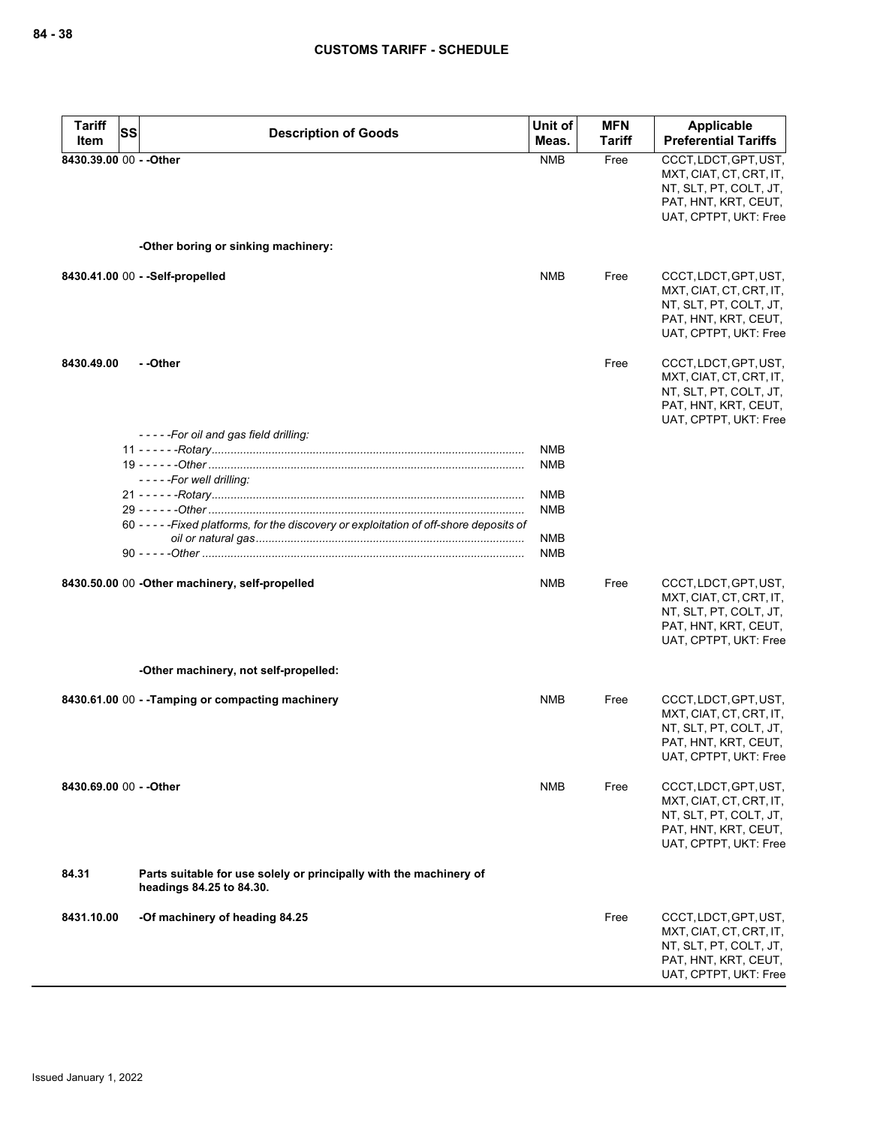| <b>Tariff</b><br>SS     | <b>Description of Goods</b>                                                                    | Unit of                  | <b>MFN</b> | <b>Applicable</b>                                                                                                           |
|-------------------------|------------------------------------------------------------------------------------------------|--------------------------|------------|-----------------------------------------------------------------------------------------------------------------------------|
| Item                    |                                                                                                | Meas.                    | Tariff     | <b>Preferential Tariffs</b>                                                                                                 |
| 8430.39.00 00 - - Other |                                                                                                | <b>NMB</b>               | Free       | CCCT, LDCT, GPT, UST,<br>MXT, CIAT, CT, CRT, IT,<br>NT, SLT, PT, COLT, JT,<br>PAT, HNT, KRT, CEUT,<br>UAT, CPTPT, UKT: Free |
|                         | -Other boring or sinking machinery:                                                            |                          |            |                                                                                                                             |
|                         | 8430.41.00 00 - - Self-propelled                                                               | <b>NMB</b>               | Free       | CCCT, LDCT, GPT, UST,<br>MXT, CIAT, CT, CRT, IT,<br>NT, SLT, PT, COLT, JT,<br>PAT, HNT, KRT, CEUT,<br>UAT, CPTPT, UKT: Free |
| 8430.49.00              | - -Other                                                                                       |                          | Free       | CCCT, LDCT, GPT, UST,<br>MXT, CIAT, CT, CRT, IT,<br>NT, SLT, PT, COLT, JT,<br>PAT, HNT, KRT, CEUT,<br>UAT, CPTPT, UKT: Free |
|                         | -----For oil and gas field drilling:<br>- - - - - For well drilling:                           | <b>NMB</b><br><b>NMB</b> |            |                                                                                                                             |
|                         |                                                                                                | <b>NMB</b><br><b>NMB</b> |            |                                                                                                                             |
|                         | 60 - - - - - Fixed platforms, for the discovery or exploitation of off-shore deposits of       | <b>NMB</b><br><b>NMB</b> |            |                                                                                                                             |
|                         | 8430.50.00 00 - Other machinery, self-propelled                                                | NMB                      | Free       | CCCT, LDCT, GPT, UST,<br>MXT, CIAT, CT, CRT, IT,<br>NT, SLT, PT, COLT, JT,<br>PAT, HNT, KRT, CEUT,<br>UAT, CPTPT, UKT: Free |
|                         | -Other machinery, not self-propelled:                                                          |                          |            |                                                                                                                             |
|                         | 8430.61.00 00 - - Tamping or compacting machinery                                              | NMB                      | Free       | CCCT, LDCT, GPT, UST,<br>MXT, CIAT, CT, CRT, IT,<br>NT, SLT, PT, COLT, JT,<br>PAT, HNT, KRT, CEUT,<br>UAT, CPTPT, UKT: Free |
| 8430.69.00 00 - - Other |                                                                                                | NMB                      | Free       | CCCT, LDCT, GPT, UST,<br>MXT, CIAT, CT, CRT, IT,<br>NT, SLT, PT, COLT, JT,<br>PAT, HNT, KRT, CEUT,<br>UAT, CPTPT, UKT: Free |
| 84.31                   | Parts suitable for use solely or principally with the machinery of<br>headings 84.25 to 84.30. |                          |            |                                                                                                                             |
| 8431.10.00              | -Of machinery of heading 84.25                                                                 |                          | Free       | CCCT, LDCT, GPT, UST,<br>MXT, CIAT, CT, CRT, IT,<br>NT, SLT, PT, COLT, JT,<br>PAT, HNT, KRT, CEUT,<br>UAT, CPTPT, UKT: Free |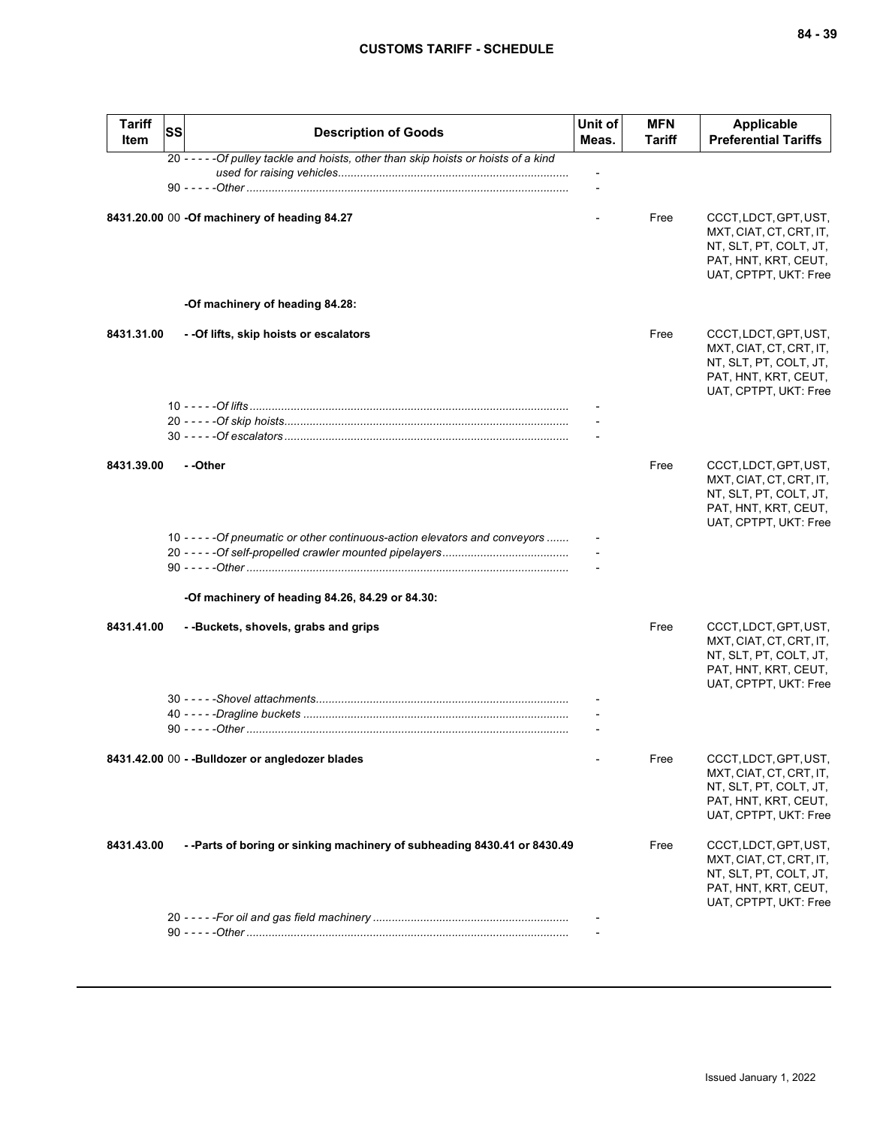| <b>Tariff</b><br><b>Item</b> | <b>SS</b> | <b>Description of Goods</b>                                                          | Unit of<br>Meas. | <b>MFN</b><br><b>Tariff</b> | <b>Applicable</b><br><b>Preferential Tariffs</b>                                                                            |
|------------------------------|-----------|--------------------------------------------------------------------------------------|------------------|-----------------------------|-----------------------------------------------------------------------------------------------------------------------------|
|                              |           | 20 - - - - - Of pulley tackle and hoists, other than skip hoists or hoists of a kind |                  |                             |                                                                                                                             |
|                              |           |                                                                                      |                  |                             |                                                                                                                             |
|                              |           | 8431.20.00 00 -Of machinery of heading 84.27                                         |                  | Free                        | CCCT, LDCT, GPT, UST,<br>MXT, CIAT, CT, CRT, IT,<br>NT, SLT, PT, COLT, JT,<br>PAT, HNT, KRT, CEUT,<br>UAT, CPTPT, UKT: Free |
|                              |           | -Of machinery of heading 84.28:                                                      |                  |                             |                                                                                                                             |
| 8431.31.00                   |           | - - Of lifts, skip hoists or escalators                                              |                  | Free                        | CCCT, LDCT, GPT, UST,<br>MXT, CIAT, CT, CRT, IT,<br>NT, SLT, PT, COLT, JT,<br>PAT, HNT, KRT, CEUT,<br>UAT, CPTPT, UKT: Free |
|                              |           |                                                                                      |                  |                             |                                                                                                                             |
|                              |           |                                                                                      |                  |                             |                                                                                                                             |
|                              |           |                                                                                      |                  |                             |                                                                                                                             |
| 8431.39.00                   |           | - -Other                                                                             |                  | Free                        | CCCT, LDCT, GPT, UST,<br>MXT, CIAT, CT, CRT, IT,<br>NT, SLT, PT, COLT, JT,<br>PAT, HNT, KRT, CEUT,<br>UAT, CPTPT, UKT: Free |
|                              |           | 10 - - - - - Of pneumatic or other continuous-action elevators and conveyors         |                  |                             |                                                                                                                             |
|                              |           |                                                                                      |                  |                             |                                                                                                                             |
|                              |           |                                                                                      |                  |                             |                                                                                                                             |
|                              |           | -Of machinery of heading 84.26, 84.29 or 84.30:                                      |                  |                             |                                                                                                                             |
| 8431.41.00                   |           | --Buckets, shovels, grabs and grips                                                  |                  | Free                        | CCCT, LDCT, GPT, UST,<br>MXT, CIAT, CT, CRT, IT,<br>NT, SLT, PT, COLT, JT,<br>PAT, HNT, KRT, CEUT,<br>UAT, CPTPT, UKT: Free |
|                              |           |                                                                                      |                  |                             |                                                                                                                             |
|                              |           |                                                                                      |                  |                             |                                                                                                                             |
|                              |           |                                                                                      |                  |                             |                                                                                                                             |
|                              |           | 8431.42.00 00 - - Bulldozer or angledozer blades                                     |                  | Free                        | CCCT, LDCT, GPT, UST,<br>MXT, CIAT, CT, CRT, IT,<br>NT, SLT, PT, COLT, JT,<br>PAT, HNT, KRT, CEUT,<br>UAT, CPTPT, UKT: Free |
| 8431.43.00                   |           | --Parts of boring or sinking machinery of subheading 8430.41 or 8430.49              |                  | Free                        | CCCT, LDCT, GPT, UST,<br>MXT, CIAT, CT, CRT, IT,<br>NT, SLT, PT, COLT, JT,<br>PAT, HNT, KRT, CEUT,<br>UAT, CPTPT, UKT: Free |
|                              |           |                                                                                      |                  |                             |                                                                                                                             |
|                              |           |                                                                                      |                  |                             |                                                                                                                             |
|                              |           |                                                                                      |                  |                             |                                                                                                                             |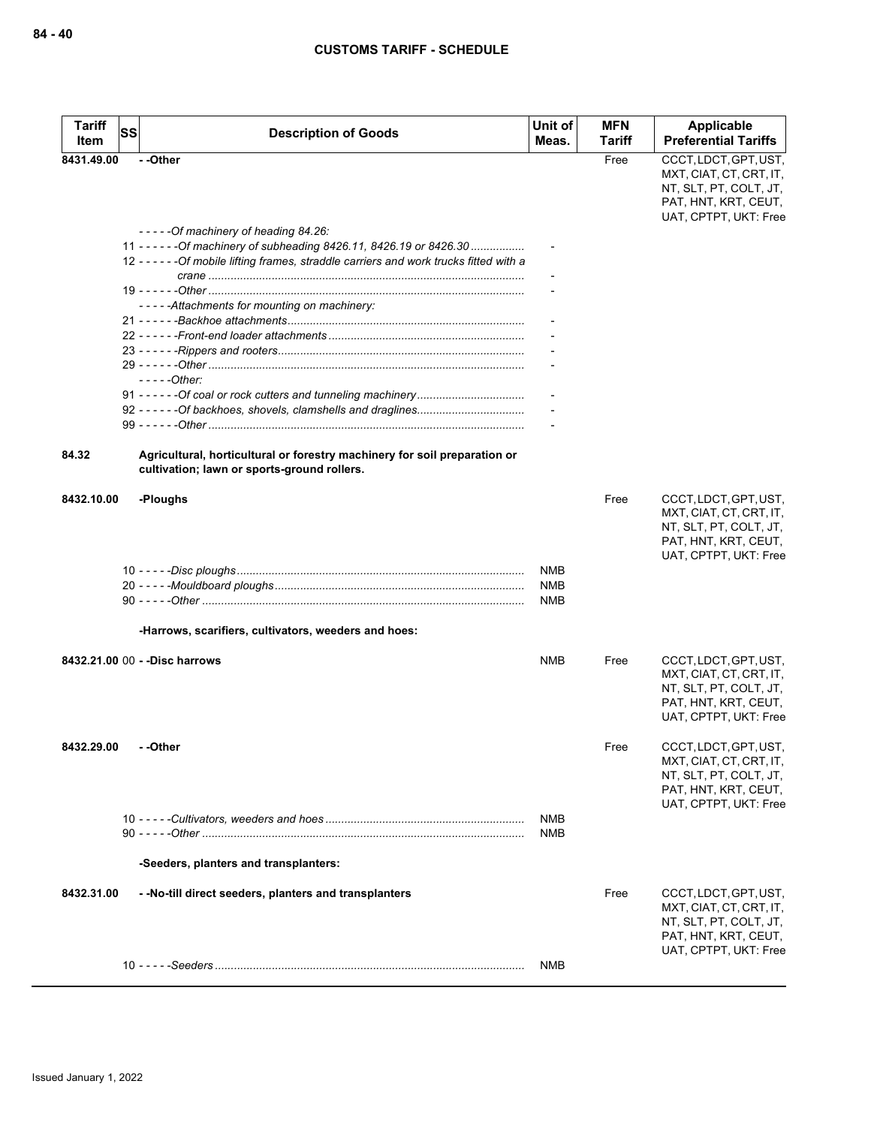| <b>Tariff</b><br>Item | <b>SS</b> | <b>Description of Goods</b>                                                                                                                                                                              | Unit of<br>Meas. | <b>MFN</b><br>Tariff | Applicable<br><b>Preferential Tariffs</b>                                                                                   |
|-----------------------|-----------|----------------------------------------------------------------------------------------------------------------------------------------------------------------------------------------------------------|------------------|----------------------|-----------------------------------------------------------------------------------------------------------------------------|
| 8431.49.00            |           | --Other                                                                                                                                                                                                  |                  | Free                 | CCCT, LDCT, GPT, UST,<br>MXT, CIAT, CT, CRT, IT,<br>NT, SLT, PT, COLT, JT,<br>PAT, HNT, KRT, CEUT,<br>UAT, CPTPT, UKT: Free |
|                       |           | -----Of machinery of heading 84.26:<br>11 - - - - - - Of machinery of subheading 8426.11, 8426.19 or 8426.30<br>12 - - - - - - Of mobile lifting frames, straddle carriers and work trucks fitted with a |                  |                      |                                                                                                                             |
|                       |           |                                                                                                                                                                                                          |                  |                      |                                                                                                                             |
|                       |           |                                                                                                                                                                                                          |                  |                      |                                                                                                                             |
|                       |           | -----Attachments for mounting on machinery:                                                                                                                                                              |                  |                      |                                                                                                                             |
|                       |           |                                                                                                                                                                                                          |                  |                      |                                                                                                                             |
|                       |           |                                                                                                                                                                                                          |                  |                      |                                                                                                                             |
|                       |           |                                                                                                                                                                                                          |                  |                      |                                                                                                                             |
|                       |           | $---Other:$                                                                                                                                                                                              |                  |                      |                                                                                                                             |
|                       |           |                                                                                                                                                                                                          |                  |                      |                                                                                                                             |
|                       |           |                                                                                                                                                                                                          |                  |                      |                                                                                                                             |
|                       |           |                                                                                                                                                                                                          |                  |                      |                                                                                                                             |
| 84.32                 |           | Agricultural, horticultural or forestry machinery for soil preparation or<br>cultivation; lawn or sports-ground rollers.                                                                                 |                  |                      |                                                                                                                             |
| 8432.10.00            |           | -Ploughs                                                                                                                                                                                                 |                  | Free                 | CCCT, LDCT, GPT, UST,<br>MXT, CIAT, CT, CRT, IT,<br>NT, SLT, PT, COLT, JT,<br>PAT, HNT, KRT, CEUT,<br>UAT, CPTPT, UKT: Free |
|                       |           |                                                                                                                                                                                                          | <b>NMB</b>       |                      |                                                                                                                             |
|                       |           |                                                                                                                                                                                                          | <b>NMB</b>       |                      |                                                                                                                             |
|                       |           |                                                                                                                                                                                                          | <b>NMB</b>       |                      |                                                                                                                             |
|                       |           | -Harrows, scarifiers, cultivators, weeders and hoes:                                                                                                                                                     |                  |                      |                                                                                                                             |
|                       |           | 8432.21.00 00 - - Disc harrows                                                                                                                                                                           | <b>NMB</b>       | Free                 | CCCT, LDCT, GPT, UST,<br>MXT, CIAT, CT, CRT, IT,<br>NT, SLT, PT, COLT, JT,<br>PAT, HNT, KRT, CEUT,<br>UAT, CPTPT, UKT: Free |
| 8432.29.00            |           | - -Other                                                                                                                                                                                                 |                  | Free                 | CCCT, LDCT, GPT, UST,<br>MXT, CIAT, CT, CRT, IT,<br>NT, SLT, PT, COLT, JT,<br>PAT, HNT, KRT, CEUT,<br>UAT, CPTPT, UKT: Free |
|                       |           |                                                                                                                                                                                                          | <b>NMB</b>       |                      |                                                                                                                             |
|                       |           |                                                                                                                                                                                                          | <b>NMB</b>       |                      |                                                                                                                             |
|                       |           | -Seeders, planters and transplanters:                                                                                                                                                                    |                  |                      |                                                                                                                             |
| 8432.31.00            |           | - - No-till direct seeders, planters and transplanters                                                                                                                                                   |                  | Free                 | CCCT, LDCT, GPT, UST,<br>MXT, CIAT, CT, CRT, IT,<br>NT, SLT, PT, COLT, JT,<br>PAT, HNT, KRT, CEUT,                          |
|                       |           |                                                                                                                                                                                                          |                  |                      | UAT, CPTPT, UKT: Free                                                                                                       |
|                       |           |                                                                                                                                                                                                          | <b>NMB</b>       |                      |                                                                                                                             |
|                       |           |                                                                                                                                                                                                          |                  |                      |                                                                                                                             |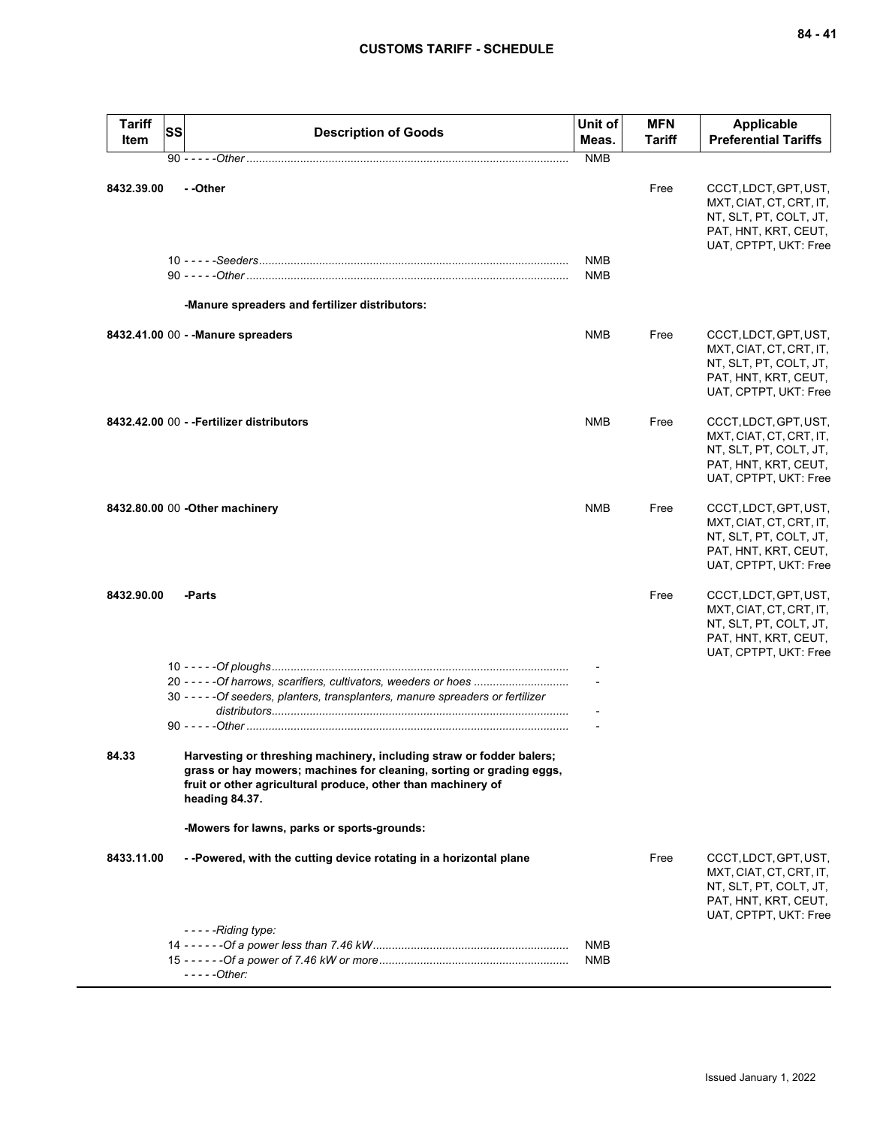| <b>Tariff</b><br>Item | <b>SS</b> | <b>Description of Goods</b>                                                                                                                                                                                                    | Unit of<br>Meas. | MFN<br><b>Tariff</b> | <b>Applicable</b><br><b>Preferential Tariffs</b>                                                                            |
|-----------------------|-----------|--------------------------------------------------------------------------------------------------------------------------------------------------------------------------------------------------------------------------------|------------------|----------------------|-----------------------------------------------------------------------------------------------------------------------------|
|                       |           |                                                                                                                                                                                                                                | <b>NMB</b>       |                      |                                                                                                                             |
| 8432.39.00            |           | - -Other                                                                                                                                                                                                                       | <b>NMB</b>       | Free                 | CCCT, LDCT, GPT, UST,<br>MXT, CIAT, CT, CRT, IT,<br>NT, SLT, PT, COLT, JT,<br>PAT, HNT, KRT, CEUT,<br>UAT, CPTPT, UKT: Free |
|                       |           |                                                                                                                                                                                                                                | <b>NMB</b>       |                      |                                                                                                                             |
|                       |           | -Manure spreaders and fertilizer distributors:                                                                                                                                                                                 |                  |                      |                                                                                                                             |
|                       |           | 8432.41.00 00 - - Manure spreaders                                                                                                                                                                                             | <b>NMB</b>       | Free                 | CCCT, LDCT, GPT, UST,<br>MXT, CIAT, CT, CRT, IT,<br>NT, SLT, PT, COLT, JT,<br>PAT, HNT, KRT, CEUT,<br>UAT, CPTPT, UKT: Free |
|                       |           | 8432.42.00 00 - - Fertilizer distributors                                                                                                                                                                                      | <b>NMB</b>       | Free                 | CCCT, LDCT, GPT, UST,<br>MXT, CIAT, CT, CRT, IT,<br>NT, SLT, PT, COLT, JT,<br>PAT, HNT, KRT, CEUT,<br>UAT, CPTPT, UKT: Free |
|                       |           | 8432.80.00 00 - Other machinery                                                                                                                                                                                                | <b>NMB</b>       | Free                 | CCCT, LDCT, GPT, UST,<br>MXT, CIAT, CT, CRT, IT,<br>NT, SLT, PT, COLT, JT,<br>PAT, HNT, KRT, CEUT,<br>UAT, CPTPT, UKT: Free |
| 8432.90.00            |           | -Parts                                                                                                                                                                                                                         |                  | Free                 | CCCT, LDCT, GPT, UST,<br>MXT, CIAT, CT, CRT, IT,<br>NT, SLT, PT, COLT, JT,<br>PAT, HNT, KRT, CEUT,<br>UAT, CPTPT, UKT: Free |
|                       |           | 20 - - - - - Of harrows, scarifiers, cultivators, weeders or hoes                                                                                                                                                              |                  |                      |                                                                                                                             |
|                       |           | 30 - - - - - Of seeders, planters, transplanters, manure spreaders or fertilizer                                                                                                                                               |                  |                      |                                                                                                                             |
|                       |           |                                                                                                                                                                                                                                |                  |                      |                                                                                                                             |
|                       |           |                                                                                                                                                                                                                                |                  |                      |                                                                                                                             |
| 84.33                 |           | Harvesting or threshing machinery, including straw or fodder balers;<br>grass or hay mowers; machines for cleaning, sorting or grading eggs,<br>fruit or other agricultural produce, other than machinery of<br>heading 84.37. |                  |                      |                                                                                                                             |
|                       |           | -Mowers for lawns, parks or sports-grounds:                                                                                                                                                                                    |                  |                      |                                                                                                                             |
| 8433.11.00            |           | --Powered, with the cutting device rotating in a horizontal plane                                                                                                                                                              |                  | Free                 | CCCT, LDCT, GPT, UST,<br>MXT, CIAT, CT, CRT, IT,<br>NT, SLT, PT, COLT, JT,<br>PAT, HNT, KRT, CEUT,<br>UAT, CPTPT, UKT: Free |
|                       |           | $--$ - - - Riding type:                                                                                                                                                                                                        | NMB              |                      |                                                                                                                             |
|                       |           | $---Other:$                                                                                                                                                                                                                    | <b>NMB</b>       |                      |                                                                                                                             |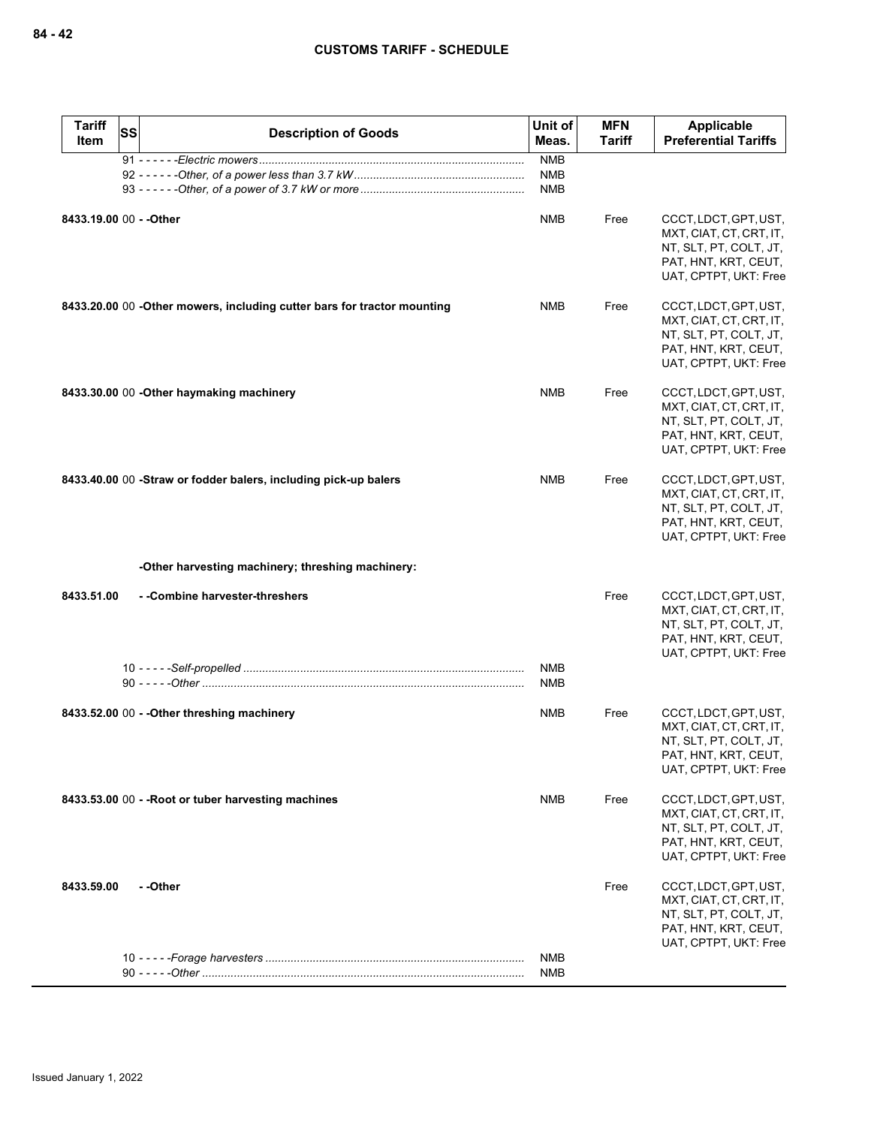| <b>Tariff</b><br>Item   | SS | <b>Description of Goods</b>                                             | Unit of<br>Meas.                       | <b>MFN</b><br><b>Tariff</b> | Applicable<br><b>Preferential Tariffs</b>                                                                                   |
|-------------------------|----|-------------------------------------------------------------------------|----------------------------------------|-----------------------------|-----------------------------------------------------------------------------------------------------------------------------|
|                         |    |                                                                         | <b>NMB</b><br><b>NMB</b><br><b>NMB</b> |                             |                                                                                                                             |
| 8433.19.00 00 - - Other |    |                                                                         | <b>NMB</b>                             | Free                        | CCCT, LDCT, GPT, UST,<br>MXT, CIAT, CT, CRT, IT,<br>NT, SLT, PT, COLT, JT,<br>PAT, HNT, KRT, CEUT,<br>UAT, CPTPT, UKT: Free |
|                         |    | 8433.20.00 00 -Other mowers, including cutter bars for tractor mounting | NMB                                    | Free                        | CCCT, LDCT, GPT, UST,<br>MXT, CIAT, CT, CRT, IT,<br>NT, SLT, PT, COLT, JT,<br>PAT, HNT, KRT, CEUT,<br>UAT, CPTPT, UKT: Free |
|                         |    | 8433.30.00 00 - Other haymaking machinery                               | <b>NMB</b>                             | Free                        | CCCT, LDCT, GPT, UST,<br>MXT, CIAT, CT, CRT, IT,<br>NT, SLT, PT, COLT, JT,<br>PAT, HNT, KRT, CEUT,<br>UAT, CPTPT, UKT: Free |
|                         |    | 8433.40.00 00 -Straw or fodder balers, including pick-up balers         | <b>NMB</b>                             | Free                        | CCCT, LDCT, GPT, UST,<br>MXT, CIAT, CT, CRT, IT,<br>NT, SLT, PT, COLT, JT,<br>PAT, HNT, KRT, CEUT,<br>UAT, CPTPT, UKT: Free |
|                         |    | -Other harvesting machinery; threshing machinery:                       |                                        |                             |                                                                                                                             |
| 8433.51.00              |    | - -Combine harvester-threshers                                          |                                        | Free                        | CCCT, LDCT, GPT, UST,<br>MXT, CIAT, CT, CRT, IT,<br>NT, SLT, PT, COLT, JT,<br>PAT, HNT, KRT, CEUT,<br>UAT, CPTPT, UKT: Free |
|                         |    |                                                                         | <b>NMB</b><br><b>NMB</b>               |                             |                                                                                                                             |
|                         |    | 8433.52.00 00 - - Other threshing machinery                             | NMB                                    | Free                        | CCCT, LDCT, GPT, UST,<br>MXT, CIAT, CT, CRT, IT,<br>NT, SLT, PT, COLT, JT,<br>PAT, HNT, KRT, CEUT,<br>UAT, CPTPT, UKT: Free |
|                         |    | 8433.53.00 00 - - Root or tuber harvesting machines                     | <b>NMB</b>                             | Free                        | CCCT, LDCT, GPT, UST,<br>MXT, CIAT, CT, CRT, IT,<br>NT, SLT, PT, COLT, JT,<br>PAT, HNT, KRT, CEUT,<br>UAT, CPTPT, UKT: Free |
| 8433.59.00              |    | - -Other                                                                |                                        | Free                        | CCCT, LDCT, GPT, UST,<br>MXT, CIAT, CT, CRT, IT,<br>NT, SLT, PT, COLT, JT,<br>PAT, HNT, KRT, CEUT,<br>UAT, CPTPT, UKT: Free |
|                         |    |                                                                         | NMB<br><b>NMB</b>                      |                             |                                                                                                                             |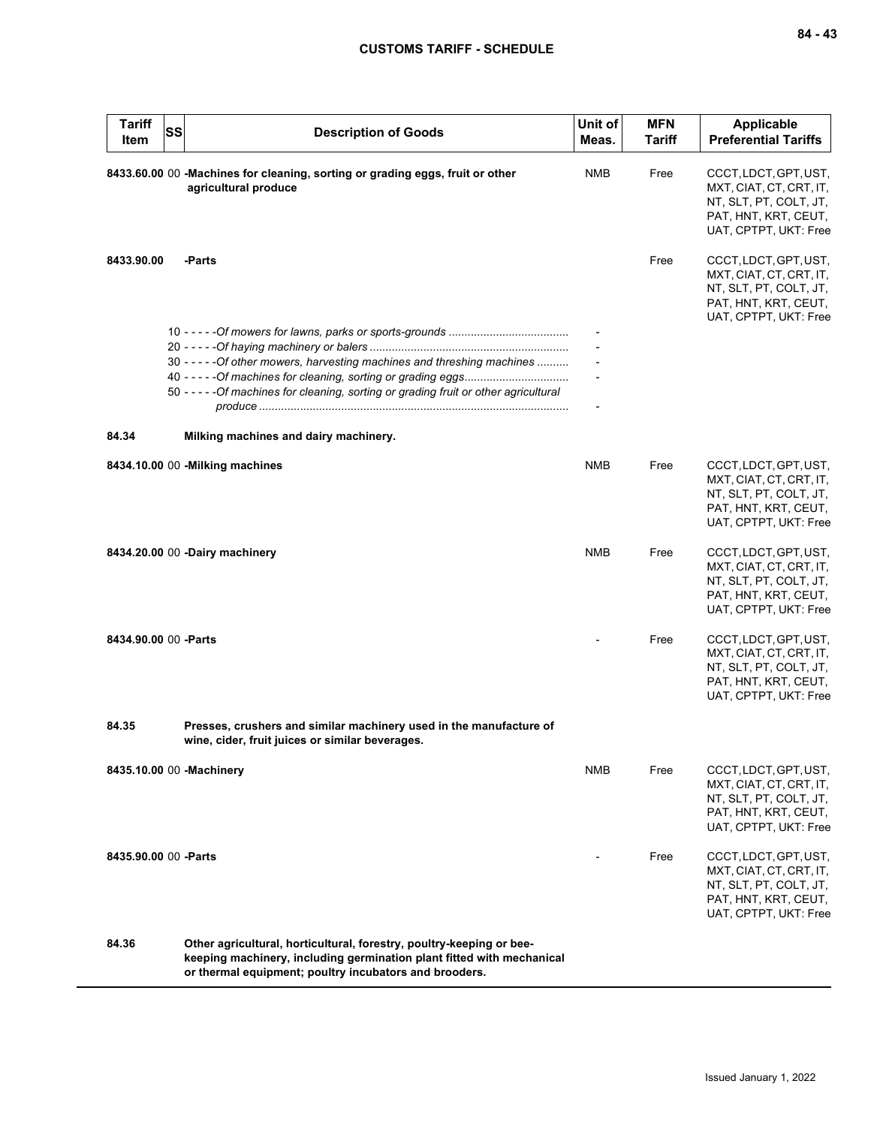| <b>Tariff</b><br>Item | SS | <b>Description of Goods</b>                                                                                                                                                                             | Unit of<br>Meas. | <b>MFN</b><br><b>Tariff</b> | <b>Applicable</b><br><b>Preferential Tariffs</b>                                                                            |
|-----------------------|----|---------------------------------------------------------------------------------------------------------------------------------------------------------------------------------------------------------|------------------|-----------------------------|-----------------------------------------------------------------------------------------------------------------------------|
|                       |    | 8433.60.00 00 -Machines for cleaning, sorting or grading eggs, fruit or other<br>agricultural produce                                                                                                   | <b>NMB</b>       | Free                        | CCCT, LDCT, GPT, UST,<br>MXT, CIAT, CT, CRT, IT,<br>NT, SLT, PT, COLT, JT,<br>PAT, HNT, KRT, CEUT,<br>UAT, CPTPT, UKT: Free |
| 8433.90.00            |    | -Parts                                                                                                                                                                                                  |                  | Free                        | CCCT, LDCT, GPT, UST,<br>MXT, CIAT, CT, CRT, IT,<br>NT, SLT, PT, COLT, JT,<br>PAT, HNT, KRT, CEUT,<br>UAT, CPTPT, UKT: Free |
|                       |    |                                                                                                                                                                                                         |                  |                             |                                                                                                                             |
|                       |    |                                                                                                                                                                                                         |                  |                             |                                                                                                                             |
|                       |    | 30 - - - - - Of other mowers, harvesting machines and threshing machines                                                                                                                                |                  |                             |                                                                                                                             |
|                       |    | 50 - - - - - Of machines for cleaning, sorting or grading fruit or other agricultural                                                                                                                   |                  |                             |                                                                                                                             |
| 84.34                 |    | Milking machines and dairy machinery.                                                                                                                                                                   |                  |                             |                                                                                                                             |
|                       |    | 8434.10.00 00 - Milking machines                                                                                                                                                                        | <b>NMB</b>       | Free                        | CCCT, LDCT, GPT, UST,<br>MXT, CIAT, CT, CRT, IT,<br>NT, SLT, PT, COLT, JT,<br>PAT, HNT, KRT, CEUT,<br>UAT, CPTPT, UKT: Free |
|                       |    | 8434.20.00 00 -Dairy machinery                                                                                                                                                                          | <b>NMB</b>       | Free                        | CCCT, LDCT, GPT, UST,<br>MXT, CIAT, CT, CRT, IT,<br>NT, SLT, PT, COLT, JT,<br>PAT, HNT, KRT, CEUT,<br>UAT, CPTPT, UKT: Free |
| 8434.90.00 00 - Parts |    |                                                                                                                                                                                                         |                  | Free                        | CCCT, LDCT, GPT, UST,<br>MXT, CIAT, CT, CRT, IT,<br>NT, SLT, PT, COLT, JT,<br>PAT, HNT, KRT, CEUT,<br>UAT, CPTPT, UKT: Free |
| 84.35                 |    | Presses, crushers and similar machinery used in the manufacture of<br>wine, cider, fruit juices or similar beverages.                                                                                   |                  |                             |                                                                                                                             |
|                       |    | 8435.10.00 00 -Machinery                                                                                                                                                                                | NMB              | Free                        | CCCT, LDCT, GPT, UST,<br>MXT, CIAT, CT, CRT, IT,<br>NT, SLT, PT, COLT, JT,<br>PAT, HNT, KRT, CEUT,<br>UAT, CPTPT, UKT: Free |
| 8435.90.00 00 - Parts |    |                                                                                                                                                                                                         |                  | Free                        | CCCT, LDCT, GPT, UST,<br>MXT, CIAT, CT, CRT, IT,<br>NT, SLT, PT, COLT, JT,<br>PAT, HNT, KRT, CEUT,<br>UAT, CPTPT, UKT: Free |
| 84.36                 |    | Other agricultural, horticultural, forestry, poultry-keeping or bee-<br>keeping machinery, including germination plant fitted with mechanical<br>or thermal equipment; poultry incubators and brooders. |                  |                             |                                                                                                                             |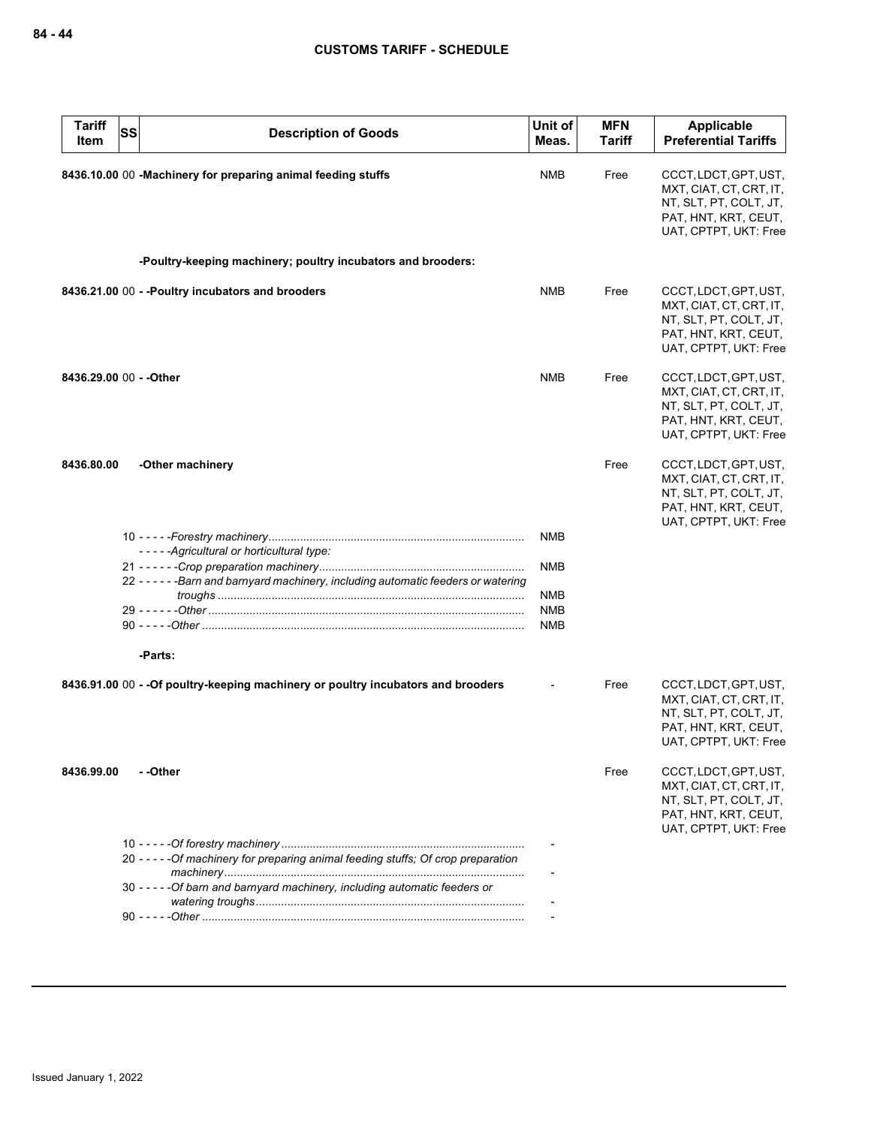| <b>Tariff</b><br>Item   | <b>SS</b> | <b>Description of Goods</b>                                                         | Unit of<br>Meas. | <b>MFN</b><br><b>Tariff</b> | Applicable<br><b>Preferential Tariffs</b>                                                                                   |
|-------------------------|-----------|-------------------------------------------------------------------------------------|------------------|-----------------------------|-----------------------------------------------------------------------------------------------------------------------------|
|                         |           | 8436.10.00 00 -Machinery for preparing animal feeding stuffs                        | <b>NMB</b>       | Free                        | CCCT, LDCT, GPT, UST,<br>MXT, CIAT, CT, CRT, IT,<br>NT, SLT, PT, COLT, JT,<br>PAT, HNT, KRT, CEUT,<br>UAT, CPTPT, UKT: Free |
|                         |           | -Poultry-keeping machinery; poultry incubators and brooders:                        |                  |                             |                                                                                                                             |
|                         |           | 8436.21.00 00 - - Poultry incubators and brooders                                   | <b>NMB</b>       | Free                        | CCCT, LDCT, GPT, UST,<br>MXT, CIAT, CT, CRT, IT,<br>NT, SLT, PT, COLT, JT,<br>PAT, HNT, KRT, CEUT,<br>UAT, CPTPT, UKT: Free |
| 8436.29.00 00 - - Other |           |                                                                                     | <b>NMB</b>       | Free                        | CCCT, LDCT, GPT, UST,<br>MXT, CIAT, CT, CRT, IT,<br>NT, SLT, PT, COLT, JT,<br>PAT, HNT, KRT, CEUT,<br>UAT, CPTPT, UKT: Free |
| 8436.80.00              |           | -Other machinery                                                                    |                  | Free                        | CCCT, LDCT, GPT, UST,<br>MXT, CIAT, CT, CRT, IT,<br>NT, SLT, PT, COLT, JT,<br>PAT, HNT, KRT, CEUT,<br>UAT, CPTPT, UKT: Free |
|                         |           | -----Agricultural or horticultural type:                                            | <b>NMB</b>       |                             |                                                                                                                             |
|                         |           |                                                                                     | <b>NMB</b>       |                             |                                                                                                                             |
|                         |           | 22 - - - - - - Barn and barnyard machinery, including automatic feeders or watering |                  |                             |                                                                                                                             |
|                         |           |                                                                                     | <b>NMB</b>       |                             |                                                                                                                             |
|                         |           |                                                                                     | <b>NMB</b>       |                             |                                                                                                                             |
|                         |           |                                                                                     | <b>NMB</b>       |                             |                                                                                                                             |
|                         |           | -Parts:                                                                             |                  |                             |                                                                                                                             |
|                         |           | 8436.91.00 00 - - Of poultry-keeping machinery or poultry incubators and brooders   |                  | Free                        | CCCT, LDCT, GPT, UST,<br>MXT, CIAT, CT, CRT, IT,<br>NT, SLT, PT, COLT, JT,<br>PAT, HNT, KRT, CEUT,<br>UAT, CPTPT, UKT: Free |
| 8436.99.00              |           | - -Other                                                                            |                  | Free                        | CCCT, LDCT, GPT, UST,<br>MXT, CIAT, CT, CRT, IT,<br>NT, SLT, PT, COLT, JT,<br>PAT, HNT, KRT, CEUT,<br>UAT, CPTPT, UKT: Free |
|                         |           |                                                                                     |                  |                             |                                                                                                                             |
|                         |           | 20 - - - - - Of machinery for preparing animal feeding stuffs; Of crop preparation  |                  |                             |                                                                                                                             |
|                         |           | 30 - - - - - Of barn and barnyard machinery, including automatic feeders or         |                  |                             |                                                                                                                             |
|                         |           |                                                                                     |                  |                             |                                                                                                                             |
|                         |           |                                                                                     |                  |                             |                                                                                                                             |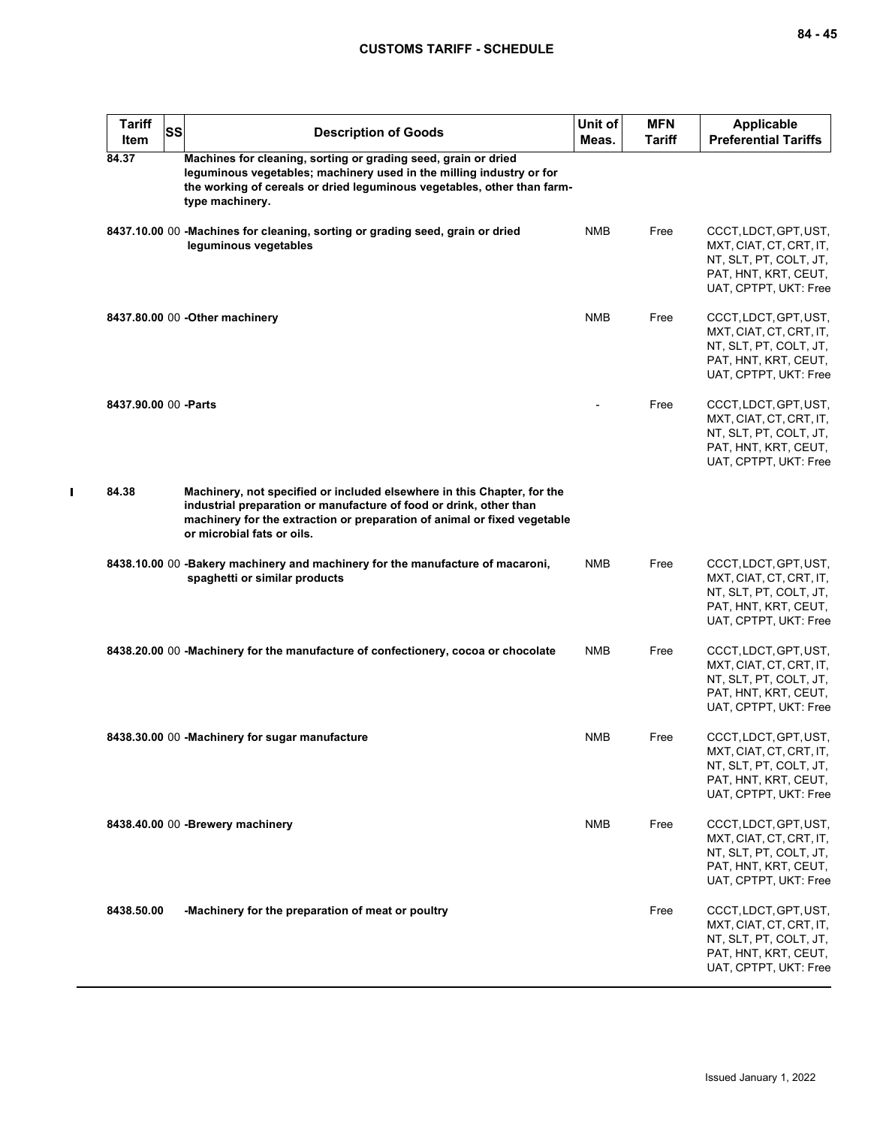| <b>Tariff</b><br>Item | SS | <b>Description of Goods</b>                                                                                                                                                                                                                             | Unit of<br>Meas. | <b>MFN</b><br>Tariff | <b>Applicable</b><br><b>Preferential Tariffs</b>                                                                            |
|-----------------------|----|---------------------------------------------------------------------------------------------------------------------------------------------------------------------------------------------------------------------------------------------------------|------------------|----------------------|-----------------------------------------------------------------------------------------------------------------------------|
| 84.37                 |    | Machines for cleaning, sorting or grading seed, grain or dried<br>leguminous vegetables; machinery used in the milling industry or for<br>the working of cereals or dried leguminous vegetables, other than farm-<br>type machinery.                    |                  |                      |                                                                                                                             |
|                       |    | 8437.10.00 00 -Machines for cleaning, sorting or grading seed, grain or dried<br>leguminous vegetables                                                                                                                                                  | <b>NMB</b>       | Free                 | CCCT, LDCT, GPT, UST,<br>MXT, CIAT, CT, CRT, IT,<br>NT, SLT, PT, COLT, JT,<br>PAT, HNT, KRT, CEUT,<br>UAT, CPTPT, UKT: Free |
|                       |    | 8437.80.00 00 - Other machinery                                                                                                                                                                                                                         | <b>NMB</b>       | Free                 | CCCT, LDCT, GPT, UST,<br>MXT, CIAT, CT, CRT, IT,<br>NT, SLT, PT, COLT, JT,<br>PAT, HNT, KRT, CEUT,<br>UAT, CPTPT, UKT: Free |
| 8437.90.00 00 - Parts |    |                                                                                                                                                                                                                                                         |                  | Free                 | CCCT, LDCT, GPT, UST,<br>MXT, CIAT, CT, CRT, IT,<br>NT, SLT, PT, COLT, JT,<br>PAT, HNT, KRT, CEUT,<br>UAT, CPTPT, UKT: Free |
| 84.38                 |    | Machinery, not specified or included elsewhere in this Chapter, for the<br>industrial preparation or manufacture of food or drink, other than<br>machinery for the extraction or preparation of animal or fixed vegetable<br>or microbial fats or oils. |                  |                      |                                                                                                                             |
|                       |    | 8438.10.00 00 - Bakery machinery and machinery for the manufacture of macaroni,<br>spaghetti or similar products                                                                                                                                        | NMB              | Free                 | CCCT, LDCT, GPT, UST,<br>MXT, CIAT, CT, CRT, IT,<br>NT, SLT, PT, COLT, JT,<br>PAT, HNT, KRT, CEUT,<br>UAT, CPTPT, UKT: Free |
|                       |    | 8438.20.00 00 -Machinery for the manufacture of confectionery, cocoa or chocolate                                                                                                                                                                       | <b>NMB</b>       | Free                 | CCCT, LDCT, GPT, UST,<br>MXT, CIAT, CT, CRT, IT,<br>NT, SLT, PT, COLT, JT,<br>PAT, HNT, KRT, CEUT,<br>UAT, CPTPT, UKT: Free |
|                       |    | 8438.30.00 00 -Machinery for sugar manufacture                                                                                                                                                                                                          | NMB              | Free                 | CCCT, LDCT, GPT, UST,<br>MXT, CIAT, CT, CRT, IT,<br>NT, SLT, PT, COLT, JT,<br>PAT, HNT, KRT, CEUT,<br>UAT, CPTPT, UKT: Free |
|                       |    | 8438.40.00 00 - Brewery machinery                                                                                                                                                                                                                       | <b>NMB</b>       | Free                 | CCCT, LDCT, GPT, UST,<br>MXT, CIAT, CT, CRT, IT,<br>NT, SLT, PT, COLT, JT,<br>PAT, HNT, KRT, CEUT,<br>UAT, CPTPT, UKT: Free |
| 8438.50.00            |    | -Machinery for the preparation of meat or poultry                                                                                                                                                                                                       |                  | Free                 | CCCT, LDCT, GPT, UST,<br>MXT, CIAT, CT, CRT, IT,<br>NT, SLT, PT, COLT, JT,<br>PAT, HNT, KRT, CEUT,<br>UAT, CPTPT, UKT: Free |

 $\blacksquare$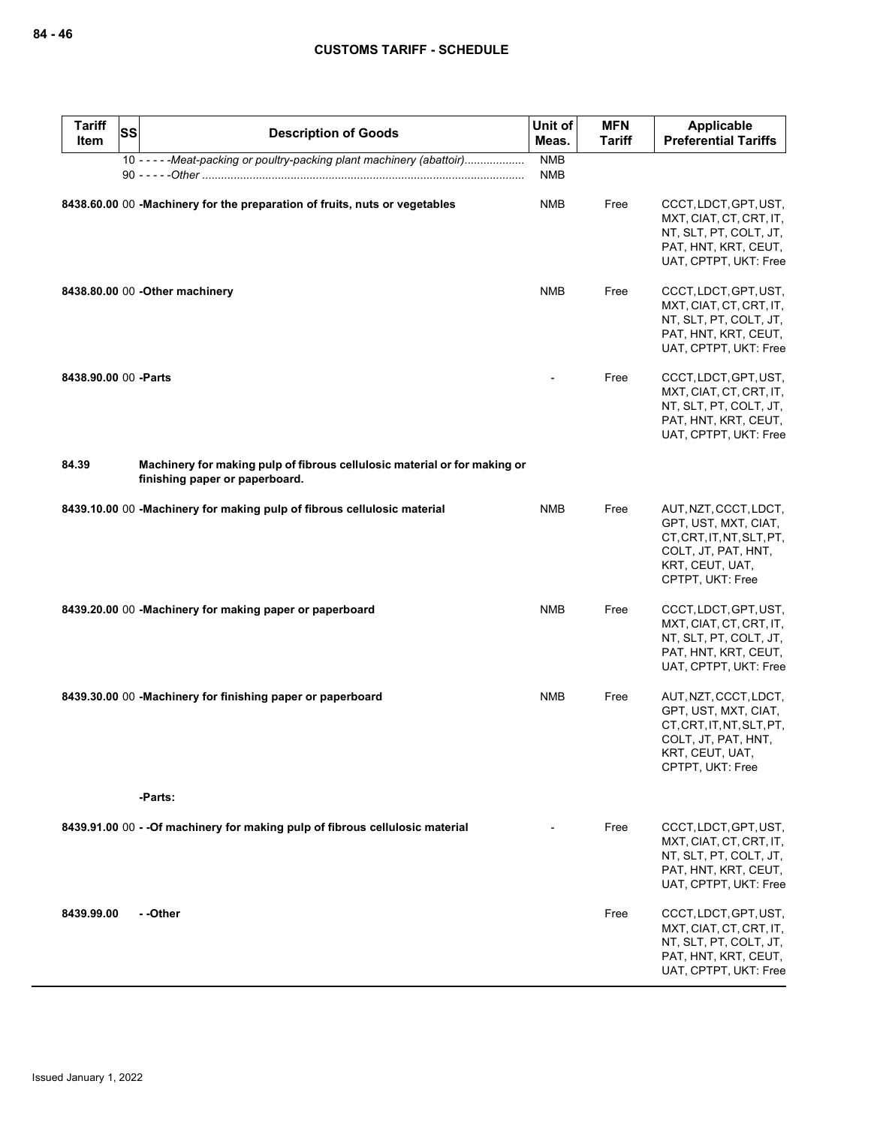| <b>Tariff</b><br><b>Item</b> | <b>SS</b> | <b>Description of Goods</b>                                                                                 | Unit of<br>Meas.         | <b>MFN</b><br><b>Tariff</b> | <b>Applicable</b><br><b>Preferential Tariffs</b>                                                                                         |
|------------------------------|-----------|-------------------------------------------------------------------------------------------------------------|--------------------------|-----------------------------|------------------------------------------------------------------------------------------------------------------------------------------|
|                              |           | 10 - - - - - Meat-packing or poultry-packing plant machinery (abattoir)                                     | <b>NMB</b><br><b>NMB</b> |                             |                                                                                                                                          |
|                              |           | 8438.60.00 00 -Machinery for the preparation of fruits, nuts or vegetables                                  | <b>NMB</b>               | Free                        | CCCT, LDCT, GPT, UST,<br>MXT, CIAT, CT, CRT, IT,<br>NT, SLT, PT, COLT, JT,<br>PAT, HNT, KRT, CEUT,<br>UAT, CPTPT, UKT: Free              |
|                              |           | 8438.80.00 00 - Other machinery                                                                             | <b>NMB</b>               | Free                        | CCCT, LDCT, GPT, UST,<br>MXT, CIAT, CT, CRT, IT,<br>NT, SLT, PT, COLT, JT,<br>PAT, HNT, KRT, CEUT,<br>UAT, CPTPT, UKT: Free              |
| 8438.90.00 00 - Parts        |           |                                                                                                             |                          | Free                        | CCCT, LDCT, GPT, UST,<br>MXT, CIAT, CT, CRT, IT,<br>NT, SLT, PT, COLT, JT,<br>PAT, HNT, KRT, CEUT,<br>UAT, CPTPT, UKT: Free              |
| 84.39                        |           | Machinery for making pulp of fibrous cellulosic material or for making or<br>finishing paper or paperboard. |                          |                             |                                                                                                                                          |
|                              |           | 8439.10.00 00 - Machinery for making pulp of fibrous cellulosic material                                    | <b>NMB</b>               | Free                        | AUT, NZT, CCCT, LDCT,<br>GPT, UST, MXT, CIAT,<br>CT, CRT, IT, NT, SLT, PT,<br>COLT, JT, PAT, HNT,<br>KRT, CEUT, UAT,<br>CPTPT, UKT: Free |
|                              |           | 8439.20.00 00 -Machinery for making paper or paperboard                                                     | <b>NMB</b>               | Free                        | CCCT, LDCT, GPT, UST,<br>MXT, CIAT, CT, CRT, IT,<br>NT, SLT, PT, COLT, JT,<br>PAT, HNT, KRT, CEUT,<br>UAT, CPTPT, UKT: Free              |
|                              |           | 8439.30.00 00 -Machinery for finishing paper or paperboard                                                  | <b>NMB</b>               | Free                        | AUT, NZT, CCCT, LDCT,<br>GPT, UST, MXT, CIAT,<br>CT, CRT, IT, NT, SLT, PT,<br>COLT, JT, PAT, HNT,<br>KRT, CEUT, UAT,<br>CPTPT, UKT: Free |
|                              |           | -Parts:                                                                                                     |                          |                             |                                                                                                                                          |
|                              |           | 8439.91.00 00 - - Of machinery for making pulp of fibrous cellulosic material                               |                          | Free                        | CCCT, LDCT, GPT, UST,<br>MXT, CIAT, CT, CRT, IT,<br>NT, SLT, PT, COLT, JT,<br>PAT, HNT, KRT, CEUT,<br>UAT, CPTPT, UKT: Free              |
| 8439.99.00                   |           | - -Other                                                                                                    |                          | Free                        | CCCT, LDCT, GPT, UST,<br>MXT, CIAT, CT, CRT, IT,<br>NT, SLT, PT, COLT, JT,<br>PAT, HNT, KRT, CEUT,<br>UAT, CPTPT, UKT: Free              |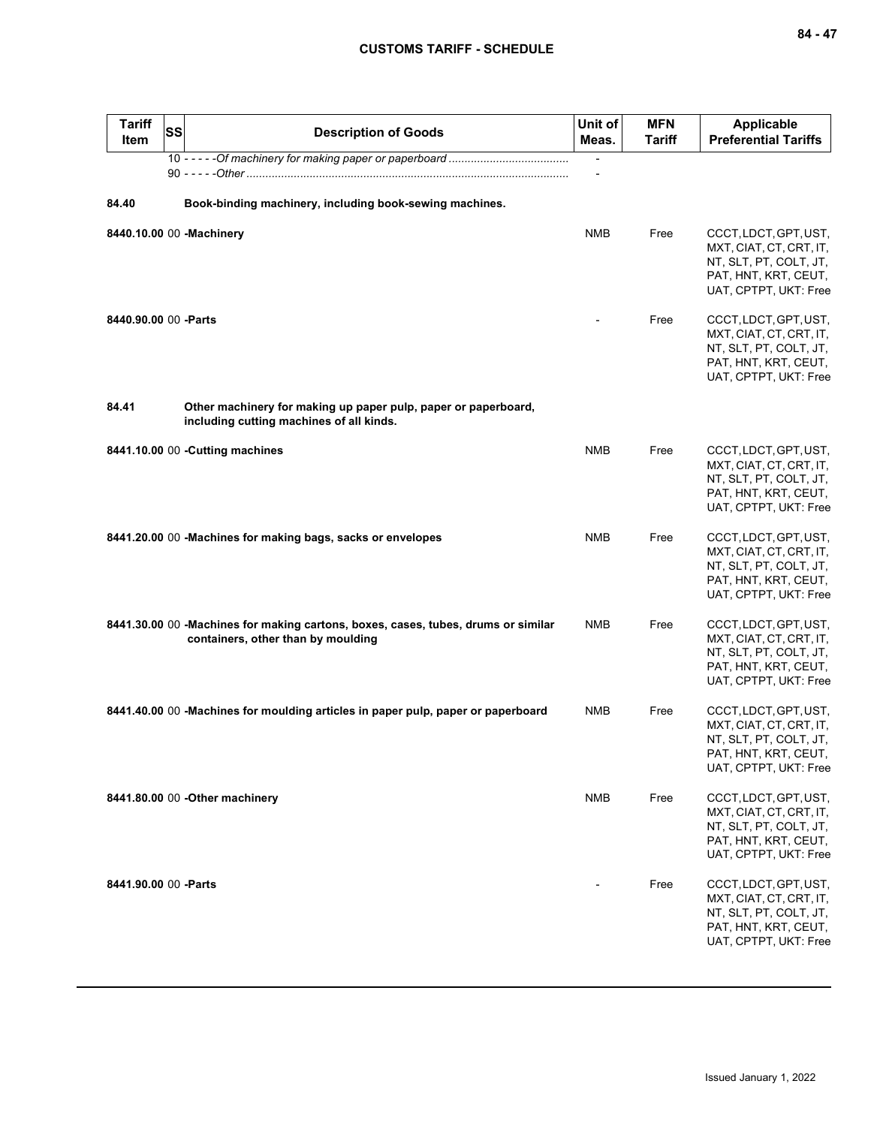| <b>Tariff</b><br><b>Item</b> | <b>SS</b> | <b>Description of Goods</b>                                                                                             | Unit of<br>Meas.         | <b>MFN</b><br><b>Tariff</b> | <b>Applicable</b><br><b>Preferential Tariffs</b>                                                                            |
|------------------------------|-----------|-------------------------------------------------------------------------------------------------------------------------|--------------------------|-----------------------------|-----------------------------------------------------------------------------------------------------------------------------|
|                              |           |                                                                                                                         | $\overline{\phantom{a}}$ |                             |                                                                                                                             |
| 84.40                        |           | Book-binding machinery, including book-sewing machines.                                                                 |                          |                             |                                                                                                                             |
|                              |           | 8440.10.00 00 -Machinery                                                                                                | <b>NMB</b>               | Free                        | CCCT, LDCT, GPT, UST,<br>MXT, CIAT, CT, CRT, IT,<br>NT, SLT, PT, COLT, JT,<br>PAT, HNT, KRT, CEUT,<br>UAT, CPTPT, UKT: Free |
| 8440.90.00 00 - Parts        |           |                                                                                                                         |                          | Free                        | CCCT, LDCT, GPT, UST,<br>MXT, CIAT, CT, CRT, IT,<br>NT, SLT, PT, COLT, JT,<br>PAT, HNT, KRT, CEUT,<br>UAT, CPTPT, UKT: Free |
| 84.41                        |           | Other machinery for making up paper pulp, paper or paperboard,<br>including cutting machines of all kinds.              |                          |                             |                                                                                                                             |
|                              |           | 8441.10.00 00 - Cutting machines                                                                                        | <b>NMB</b>               | Free                        | CCCT, LDCT, GPT, UST,<br>MXT, CIAT, CT, CRT, IT,<br>NT, SLT, PT, COLT, JT,<br>PAT, HNT, KRT, CEUT,<br>UAT, CPTPT, UKT: Free |
|                              |           | 8441.20.00 00 -Machines for making bags, sacks or envelopes                                                             | <b>NMB</b>               | Free                        | CCCT, LDCT, GPT, UST,<br>MXT, CIAT, CT, CRT, IT,<br>NT, SLT, PT, COLT, JT,<br>PAT, HNT, KRT, CEUT,<br>UAT, CPTPT, UKT: Free |
|                              |           | 8441.30.00 00 -Machines for making cartons, boxes, cases, tubes, drums or similar<br>containers, other than by moulding | <b>NMB</b>               | Free                        | CCCT, LDCT, GPT, UST,<br>MXT, CIAT, CT, CRT, IT,<br>NT, SLT, PT, COLT, JT,<br>PAT, HNT, KRT, CEUT,<br>UAT, CPTPT, UKT: Free |
|                              |           | 8441.40.00 00 -Machines for moulding articles in paper pulp, paper or paperboard                                        | <b>NMB</b>               | Free                        | CCCT, LDCT, GPT, UST,<br>MXT, CIAT, CT, CRT, IT,<br>NT, SLT, PT, COLT, JT,<br>PAT, HNT, KRT, CEUT,<br>UAT, CPTPT, UKT: Free |
|                              |           | 8441.80.00 00 - Other machinery                                                                                         | <b>NMB</b>               | Free                        | CCCT, LDCT, GPT, UST,<br>MXT, CIAT, CT, CRT, IT,<br>NT, SLT, PT, COLT, JT,<br>PAT, HNT, KRT, CEUT,<br>UAT, CPTPT, UKT: Free |
| 8441.90.00 00 - Parts        |           |                                                                                                                         |                          | Free                        | CCCT, LDCT, GPT, UST,<br>MXT, CIAT, CT, CRT, IT,<br>NT, SLT, PT, COLT, JT,<br>PAT, HNT, KRT, CEUT,<br>UAT, CPTPT, UKT: Free |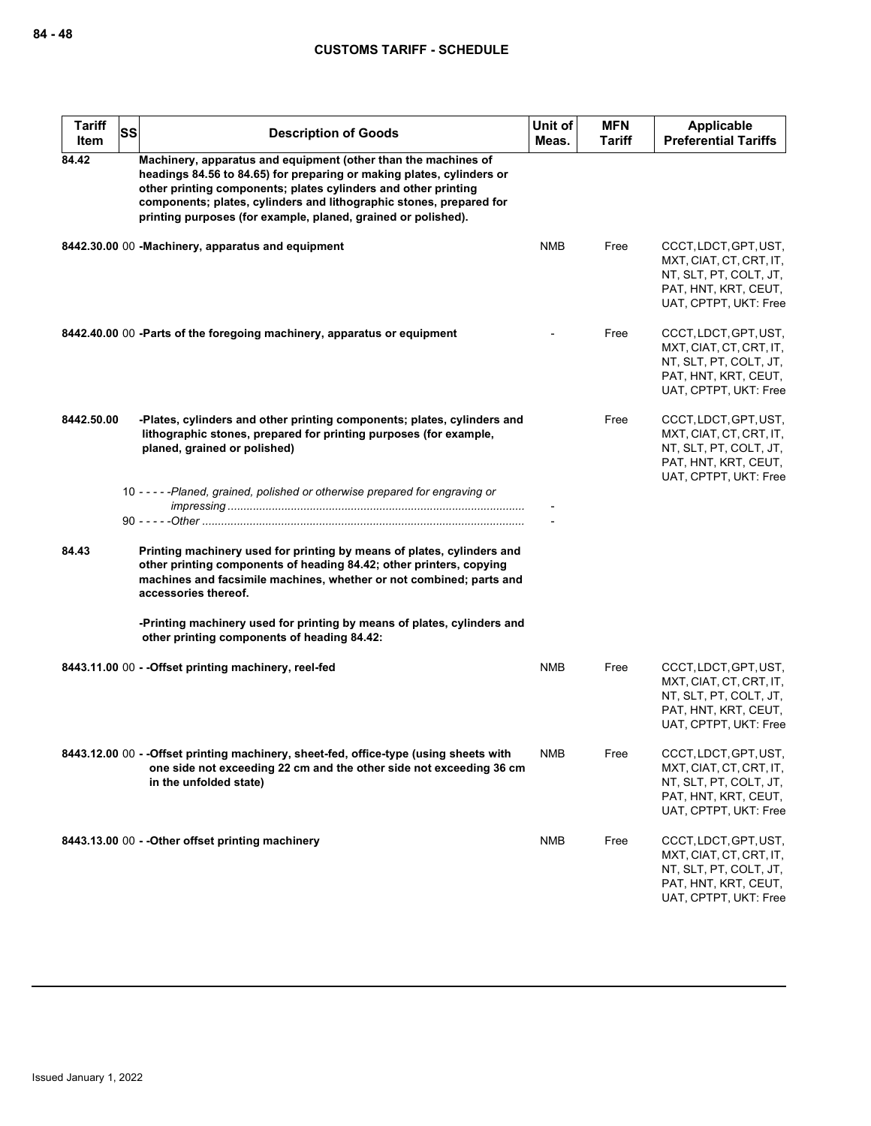| <b>Tariff</b><br>Item | <b>SS</b> | <b>Description of Goods</b>                                                                                                                                                                                                                                                                                                                       | Unit of<br>Meas. | <b>MFN</b><br><b>Tariff</b> | Applicable<br><b>Preferential Tariffs</b>                                                                                   |
|-----------------------|-----------|---------------------------------------------------------------------------------------------------------------------------------------------------------------------------------------------------------------------------------------------------------------------------------------------------------------------------------------------------|------------------|-----------------------------|-----------------------------------------------------------------------------------------------------------------------------|
| 84.42                 |           | Machinery, apparatus and equipment (other than the machines of<br>headings 84.56 to 84.65) for preparing or making plates, cylinders or<br>other printing components; plates cylinders and other printing<br>components; plates, cylinders and lithographic stones, prepared for<br>printing purposes (for example, planed, grained or polished). |                  |                             |                                                                                                                             |
|                       |           | 8442.30.00 00 -Machinery, apparatus and equipment                                                                                                                                                                                                                                                                                                 | <b>NMB</b>       | Free                        | CCCT, LDCT, GPT, UST,<br>MXT, CIAT, CT, CRT, IT,<br>NT, SLT, PT, COLT, JT,<br>PAT, HNT, KRT, CEUT,<br>UAT, CPTPT, UKT: Free |
|                       |           | 8442.40.00 00 -Parts of the foregoing machinery, apparatus or equipment                                                                                                                                                                                                                                                                           |                  | Free                        | CCCT, LDCT, GPT, UST,<br>MXT, CIAT, CT, CRT, IT,<br>NT, SLT, PT, COLT, JT,<br>PAT, HNT, KRT, CEUT,<br>UAT, CPTPT, UKT: Free |
| 8442.50.00            |           | -Plates, cylinders and other printing components; plates, cylinders and<br>lithographic stones, prepared for printing purposes (for example,<br>planed, grained or polished)                                                                                                                                                                      |                  | Free                        | CCCT, LDCT, GPT, UST,<br>MXT, CIAT, CT, CRT, IT,<br>NT, SLT, PT, COLT, JT,<br>PAT, HNT, KRT, CEUT,<br>UAT, CPTPT, UKT: Free |
|                       |           | 10 - - - - - Planed, grained, polished or otherwise prepared for engraving or                                                                                                                                                                                                                                                                     |                  |                             |                                                                                                                             |
| 84.43                 |           | Printing machinery used for printing by means of plates, cylinders and<br>other printing components of heading 84.42; other printers, copying<br>machines and facsimile machines, whether or not combined; parts and<br>accessories thereof.                                                                                                      |                  |                             |                                                                                                                             |
|                       |           | -Printing machinery used for printing by means of plates, cylinders and<br>other printing components of heading 84.42:                                                                                                                                                                                                                            |                  |                             |                                                                                                                             |
|                       |           | 8443.11.00 00 - - Offset printing machinery, reel-fed                                                                                                                                                                                                                                                                                             | <b>NMB</b>       | Free                        | CCCT, LDCT, GPT, UST,<br>MXT, CIAT, CT, CRT, IT,<br>NT, SLT, PT, COLT, JT,<br>PAT, HNT, KRT, CEUT,<br>UAT, CPTPT, UKT: Free |
|                       |           | 8443.12.00 00 - - Offset printing machinery, sheet-fed, office-type (using sheets with<br>one side not exceeding 22 cm and the other side not exceeding 36 cm<br>in the unfolded state)                                                                                                                                                           | <b>NMB</b>       | Free                        | CCCT, LDCT, GPT, UST,<br>MXT, CIAT, CT, CRT, IT,<br>NT, SLT, PT, COLT, JT,<br>PAT, HNT, KRT, CEUT,<br>UAT, CPTPT, UKT: Free |
|                       |           | 8443.13.00 00 - - Other offset printing machinery                                                                                                                                                                                                                                                                                                 | <b>NMB</b>       | Free                        | CCCT, LDCT, GPT, UST,<br>MXT, CIAT, CT, CRT, IT,<br>NT, SLT, PT, COLT, JT,<br>PAT, HNT, KRT, CEUT,<br>UAT, CPTPT, UKT: Free |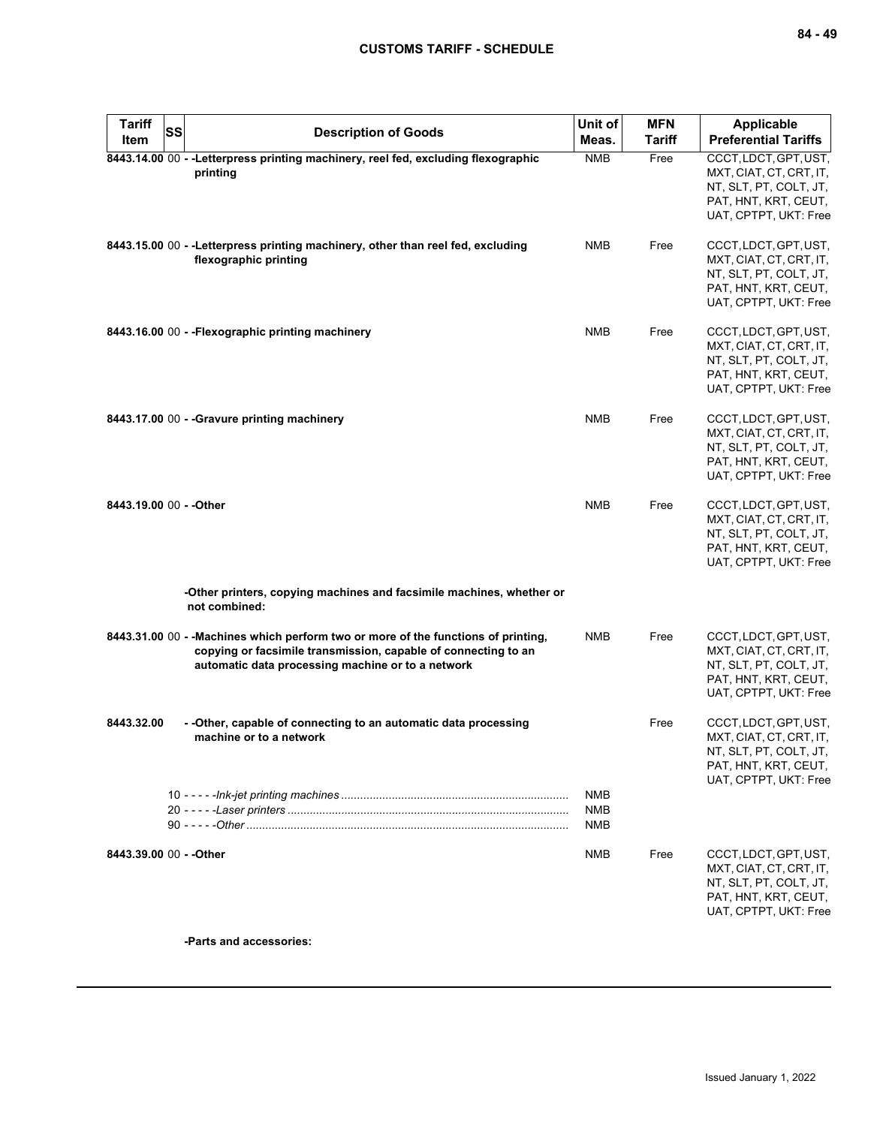| <b>Tariff</b><br><b>Item</b> | <b>SS</b> | <b>Description of Goods</b>                                                                                                                                                                               | Unit of<br>Meas.                       | <b>MFN</b><br><b>Tariff</b> | <b>Applicable</b><br><b>Preferential Tariffs</b>                                                                            |
|------------------------------|-----------|-----------------------------------------------------------------------------------------------------------------------------------------------------------------------------------------------------------|----------------------------------------|-----------------------------|-----------------------------------------------------------------------------------------------------------------------------|
|                              |           | 8443.14.00 00 -- Letterpress printing machinery, reel fed, excluding flexographic<br>printing                                                                                                             | <b>NMB</b>                             | Free                        | CCCT, LDCT, GPT, UST,<br>MXT, CIAT, CT, CRT, IT,<br>NT, SLT, PT, COLT, JT,<br>PAT, HNT, KRT, CEUT,<br>UAT, CPTPT, UKT: Free |
|                              |           | 8443.15.00 00 - - Letterpress printing machinery, other than reel fed, excluding<br>flexographic printing                                                                                                 | <b>NMB</b>                             | Free                        | CCCT, LDCT, GPT, UST,<br>MXT, CIAT, CT, CRT, IT,<br>NT, SLT, PT, COLT, JT,<br>PAT, HNT, KRT, CEUT,<br>UAT, CPTPT, UKT: Free |
|                              |           | 8443.16.00 00 - - Flexographic printing machinery                                                                                                                                                         | <b>NMB</b>                             | Free                        | CCCT, LDCT, GPT, UST,<br>MXT, CIAT, CT, CRT, IT,<br>NT, SLT, PT, COLT, JT,<br>PAT, HNT, KRT, CEUT,<br>UAT, CPTPT, UKT: Free |
|                              |           | 8443.17.00 00 - - Gravure printing machinery                                                                                                                                                              | <b>NMB</b>                             | Free                        | CCCT, LDCT, GPT, UST,<br>MXT, CIAT, CT, CRT, IT,<br>NT, SLT, PT, COLT, JT,<br>PAT, HNT, KRT, CEUT,<br>UAT, CPTPT, UKT: Free |
| 8443.19.00 00 - - Other      |           |                                                                                                                                                                                                           | <b>NMB</b>                             | Free                        | CCCT, LDCT, GPT, UST,<br>MXT, CIAT, CT, CRT, IT,<br>NT, SLT, PT, COLT, JT,<br>PAT, HNT, KRT, CEUT,<br>UAT, CPTPT, UKT: Free |
|                              |           | -Other printers, copying machines and facsimile machines, whether or<br>not combined:                                                                                                                     |                                        |                             |                                                                                                                             |
|                              |           | 8443.31.00 00 - - Machines which perform two or more of the functions of printing,<br>copying or facsimile transmission, capable of connecting to an<br>automatic data processing machine or to a network | <b>NMB</b>                             | Free                        | CCCT, LDCT, GPT, UST,<br>MXT, CIAT, CT, CRT, IT,<br>NT, SLT, PT, COLT, JT,<br>PAT, HNT, KRT, CEUT,<br>UAT, CPTPT, UKT: Free |
| 8443.32.00                   |           | - - Other, capable of connecting to an automatic data processing<br>machine or to a network                                                                                                               |                                        | Free                        | CCCT, LDCT, GPT, UST,<br>MXT, CIAT, CT, CRT, IT,<br>NT, SLT, PT, COLT, JT,<br>PAT, HNT, KRT, CEUT,<br>UAT, CPTPT, UKT: Free |
|                              |           |                                                                                                                                                                                                           | <b>NMB</b><br><b>NMB</b><br><b>NMB</b> |                             |                                                                                                                             |
| 8443.39.00 00 - - Other      |           |                                                                                                                                                                                                           | <b>NMB</b>                             | Free                        | CCCT, LDCT, GPT, UST,<br>MXT, CIAT, CT, CRT, IT,<br>NT, SLT, PT, COLT, JT,<br>PAT, HNT, KRT, CEUT,<br>UAT, CPTPT, UKT: Free |

**-Parts and accessories:**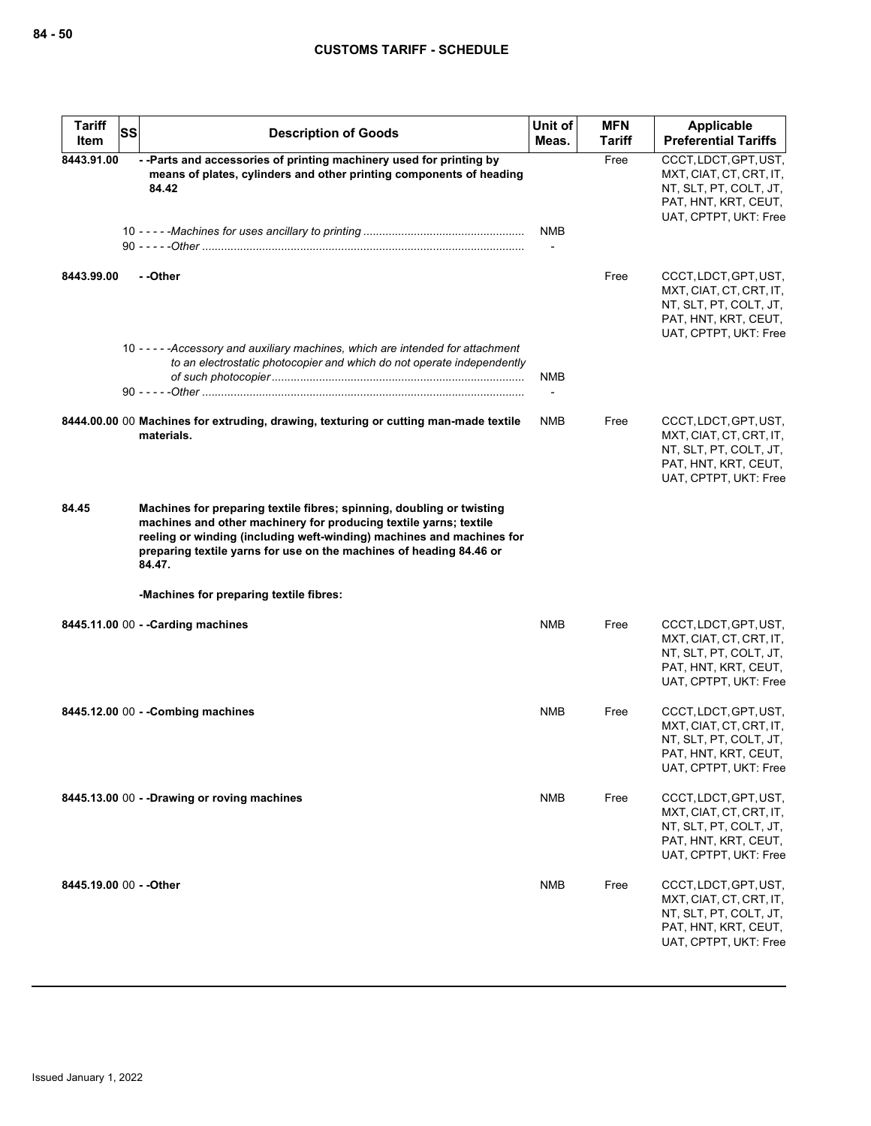| <b>Tariff</b><br>Item   | SS | <b>Description of Goods</b>                                                                                                                                                                                                                                                                          | Unit of<br>Meas. | <b>MFN</b><br><b>Tariff</b> | <b>Applicable</b><br><b>Preferential Tariffs</b>                                                                            |
|-------------------------|----|------------------------------------------------------------------------------------------------------------------------------------------------------------------------------------------------------------------------------------------------------------------------------------------------------|------------------|-----------------------------|-----------------------------------------------------------------------------------------------------------------------------|
| 8443.91.00              |    | -- Parts and accessories of printing machinery used for printing by<br>means of plates, cylinders and other printing components of heading<br>84.42                                                                                                                                                  |                  | Free                        | CCCT, LDCT, GPT, UST,<br>MXT, CIAT, CT, CRT, IT,<br>NT, SLT, PT, COLT, JT,<br>PAT, HNT, KRT, CEUT,<br>UAT, CPTPT, UKT: Free |
|                         |    |                                                                                                                                                                                                                                                                                                      | <b>NMB</b>       |                             |                                                                                                                             |
| 8443.99.00              |    | - -Other                                                                                                                                                                                                                                                                                             |                  | Free                        | CCCT, LDCT, GPT, UST,<br>MXT, CIAT, CT, CRT, IT,<br>NT, SLT, PT, COLT, JT,<br>PAT, HNT, KRT, CEUT,<br>UAT, CPTPT, UKT: Free |
|                         |    | 10 - - - - - Accessory and auxiliary machines, which are intended for attachment<br>to an electrostatic photocopier and which do not operate independently                                                                                                                                           | <b>NMB</b>       |                             |                                                                                                                             |
|                         |    | 8444.00.00 00 Machines for extruding, drawing, texturing or cutting man-made textile<br>materials.                                                                                                                                                                                                   | <b>NMB</b>       | Free                        | CCCT, LDCT, GPT, UST,<br>MXT, CIAT, CT, CRT, IT,<br>NT, SLT, PT, COLT, JT,<br>PAT, HNT, KRT, CEUT,<br>UAT, CPTPT, UKT: Free |
| 84.45                   |    | Machines for preparing textile fibres; spinning, doubling or twisting<br>machines and other machinery for producing textile yarns; textile<br>reeling or winding (including weft-winding) machines and machines for<br>preparing textile yarns for use on the machines of heading 84.46 or<br>84.47. |                  |                             |                                                                                                                             |
|                         |    | -Machines for preparing textile fibres:                                                                                                                                                                                                                                                              |                  |                             |                                                                                                                             |
|                         |    | 8445.11.00 00 - - Carding machines                                                                                                                                                                                                                                                                   | <b>NMB</b>       | Free                        | CCCT, LDCT, GPT, UST,<br>MXT, CIAT, CT, CRT, IT,<br>NT, SLT, PT, COLT, JT,<br>PAT, HNT, KRT, CEUT,<br>UAT, CPTPT, UKT: Free |
|                         |    | 8445.12.00 00 - - Combing machines                                                                                                                                                                                                                                                                   | <b>NMB</b>       | Free                        | CCCT, LDCT, GPT, UST,<br>MXT, CIAT, CT, CRT, IT,<br>NT, SLT, PT, COLT, JT,<br>PAT, HNT, KRT, CEUT,<br>UAT, CPTPT, UKT: Free |
|                         |    | 8445.13.00 00 - -Drawing or roving machines                                                                                                                                                                                                                                                          | NMB              | Free                        | CCCT, LDCT, GPT, UST,<br>MXT, CIAT, CT, CRT, IT,<br>NT, SLT, PT, COLT, JT,<br>PAT, HNT, KRT, CEUT,<br>UAT, CPTPT, UKT: Free |
| 8445.19.00 00 - - Other |    |                                                                                                                                                                                                                                                                                                      | NMB              | Free                        | CCCT, LDCT, GPT, UST,<br>MXT, CIAT, CT, CRT, IT,<br>NT, SLT, PT, COLT, JT,<br>PAT, HNT, KRT, CEUT,<br>UAT, CPTPT, UKT: Free |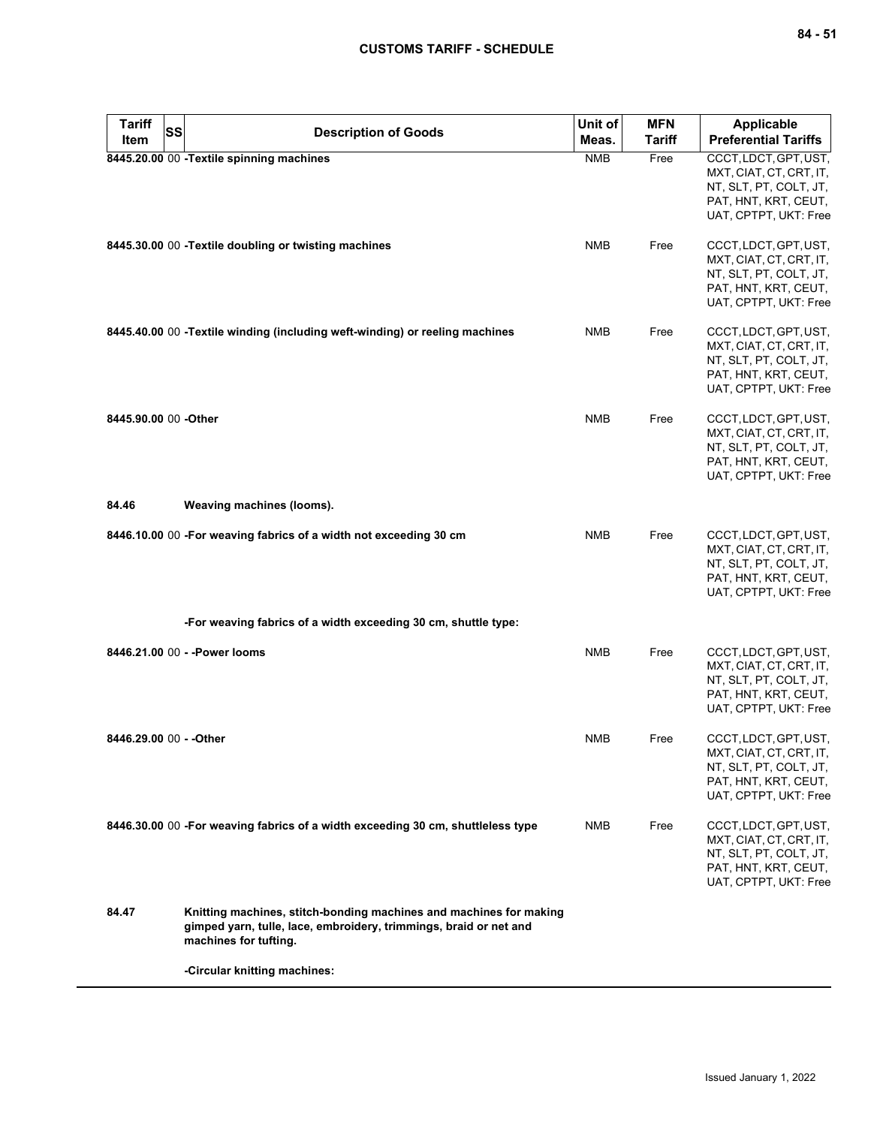| <b>Tariff</b><br><b>SS</b><br>Item | <b>Description of Goods</b>                                                                                                                                      | Unit of<br>Meas. | <b>MFN</b><br><b>Tariff</b> | <b>Applicable</b><br><b>Preferential Tariffs</b>                                                                            |
|------------------------------------|------------------------------------------------------------------------------------------------------------------------------------------------------------------|------------------|-----------------------------|-----------------------------------------------------------------------------------------------------------------------------|
|                                    | 8445.20.00 00 - Textile spinning machines                                                                                                                        | <b>NMB</b>       | Free                        | CCCT, LDCT, GPT, UST,<br>MXT, CIAT, CT, CRT, IT,<br>NT, SLT, PT, COLT, JT,<br>PAT, HNT, KRT, CEUT,<br>UAT, CPTPT, UKT: Free |
|                                    | 8445.30.00 00 - Textile doubling or twisting machines                                                                                                            | <b>NMB</b>       | Free                        | CCCT, LDCT, GPT, UST,<br>MXT, CIAT, CT, CRT, IT,<br>NT, SLT, PT, COLT, JT,<br>PAT, HNT, KRT, CEUT,<br>UAT, CPTPT, UKT: Free |
|                                    | 8445.40.00 00 -Textile winding (including weft-winding) or reeling machines                                                                                      | <b>NMB</b>       | Free                        | CCCT, LDCT, GPT, UST,<br>MXT, CIAT, CT, CRT, IT,<br>NT, SLT, PT, COLT, JT,<br>PAT, HNT, KRT, CEUT,<br>UAT, CPTPT, UKT: Free |
| 8445.90.00 00 - Other              |                                                                                                                                                                  | <b>NMB</b>       | Free                        | CCCT, LDCT, GPT, UST,<br>MXT, CIAT, CT, CRT, IT,<br>NT, SLT, PT, COLT, JT,<br>PAT, HNT, KRT, CEUT,<br>UAT, CPTPT, UKT: Free |
| 84.46                              | Weaving machines (looms).                                                                                                                                        |                  |                             |                                                                                                                             |
|                                    | 8446.10.00 00 - For weaving fabrics of a width not exceeding 30 cm                                                                                               | <b>NMB</b>       | Free                        | CCCT, LDCT, GPT, UST,<br>MXT, CIAT, CT, CRT, IT,<br>NT, SLT, PT, COLT, JT,<br>PAT, HNT, KRT, CEUT,<br>UAT, CPTPT, UKT: Free |
|                                    | -For weaving fabrics of a width exceeding 30 cm, shuttle type:                                                                                                   |                  |                             |                                                                                                                             |
|                                    | 8446.21.00 00 - - Power looms                                                                                                                                    | <b>NMB</b>       | Free                        | CCCT, LDCT, GPT, UST,<br>MXT, CIAT, CT, CRT, IT,<br>NT, SLT, PT, COLT, JT,<br>PAT, HNT, KRT, CEUT,<br>UAT, CPTPT, UKT: Free |
| 8446.29.00 00 - - Other            |                                                                                                                                                                  | <b>NMB</b>       | Free                        | CCCT, LDCT, GPT, UST,<br>MXT, CIAT, CT, CRT, IT,<br>NT, SLT, PT, COLT, JT,<br>PAT, HNT, KRT, CEUT,<br>UAT, CPTPT, UKT: Free |
|                                    | 8446.30.00 00 -For weaving fabrics of a width exceeding 30 cm, shuttleless type                                                                                  | <b>NMB</b>       | Free                        | CCCT, LDCT, GPT, UST,<br>MXT, CIAT, CT, CRT, IT,<br>NT, SLT, PT, COLT, JT,<br>PAT, HNT, KRT, CEUT,<br>UAT, CPTPT, UKT: Free |
| 84.47                              | Knitting machines, stitch-bonding machines and machines for making<br>gimped yarn, tulle, lace, embroidery, trimmings, braid or net and<br>machines for tufting. |                  |                             |                                                                                                                             |
|                                    | -Circular knitting machines:                                                                                                                                     |                  |                             |                                                                                                                             |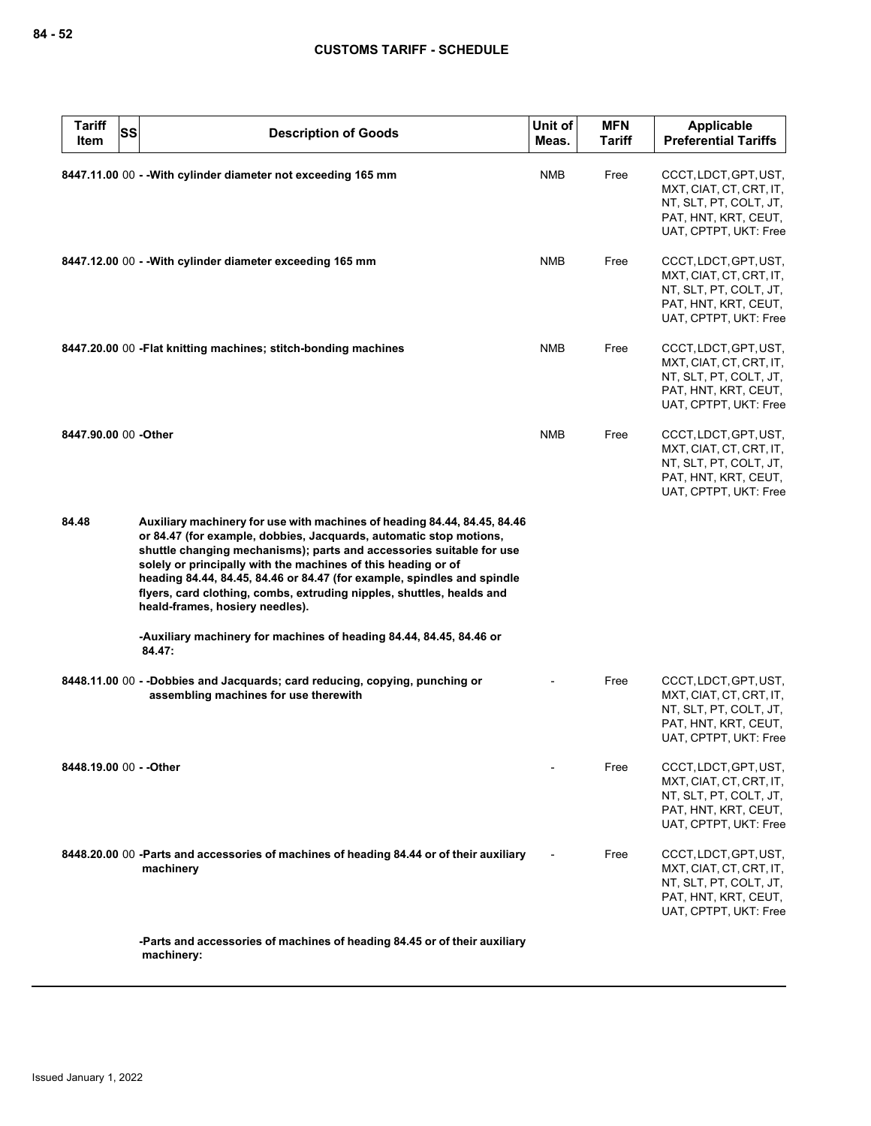| <b>Tariff</b><br><b>SS</b><br>Item | <b>Description of Goods</b>                                                                                                                                                                                                                                                                                                                                                                                                                                                    | Unit of<br>Meas. | <b>MFN</b><br><b>Tariff</b> | Applicable<br><b>Preferential Tariffs</b>                                                                                   |
|------------------------------------|--------------------------------------------------------------------------------------------------------------------------------------------------------------------------------------------------------------------------------------------------------------------------------------------------------------------------------------------------------------------------------------------------------------------------------------------------------------------------------|------------------|-----------------------------|-----------------------------------------------------------------------------------------------------------------------------|
|                                    | 8447.11.00 00 - - With cylinder diameter not exceeding 165 mm                                                                                                                                                                                                                                                                                                                                                                                                                  | <b>NMB</b>       | Free                        | CCCT, LDCT, GPT, UST,<br>MXT, CIAT, CT, CRT, IT,<br>NT, SLT, PT, COLT, JT,<br>PAT, HNT, KRT, CEUT,<br>UAT, CPTPT, UKT: Free |
|                                    | 8447.12.00 00 - - With cylinder diameter exceeding 165 mm                                                                                                                                                                                                                                                                                                                                                                                                                      | <b>NMB</b>       | Free                        | CCCT, LDCT, GPT, UST,<br>MXT, CIAT, CT, CRT, IT,<br>NT, SLT, PT, COLT, JT,<br>PAT, HNT, KRT, CEUT,<br>UAT, CPTPT, UKT: Free |
|                                    | 8447.20.00 00 - Flat knitting machines; stitch-bonding machines                                                                                                                                                                                                                                                                                                                                                                                                                | NMB              | Free                        | CCCT, LDCT, GPT, UST,<br>MXT, CIAT, CT, CRT, IT,<br>NT, SLT, PT, COLT, JT,<br>PAT, HNT, KRT, CEUT,<br>UAT, CPTPT, UKT: Free |
| 8447.90.00 00 -Other               |                                                                                                                                                                                                                                                                                                                                                                                                                                                                                | <b>NMB</b>       | Free                        | CCCT, LDCT, GPT, UST,<br>MXT, CIAT, CT, CRT, IT,<br>NT, SLT, PT, COLT, JT,<br>PAT, HNT, KRT, CEUT,<br>UAT, CPTPT, UKT: Free |
| 84.48                              | Auxiliary machinery for use with machines of heading 84.44, 84.45, 84.46<br>or 84.47 (for example, dobbies, Jacquards, automatic stop motions,<br>shuttle changing mechanisms); parts and accessories suitable for use<br>solely or principally with the machines of this heading or of<br>heading 84.44, 84.45, 84.46 or 84.47 (for example, spindles and spindle<br>flyers, card clothing, combs, extruding nipples, shuttles, healds and<br>heald-frames, hosiery needles). |                  |                             |                                                                                                                             |
|                                    | -Auxiliary machinery for machines of heading 84.44, 84.45, 84.46 or<br>84.47:                                                                                                                                                                                                                                                                                                                                                                                                  |                  |                             |                                                                                                                             |
|                                    | 8448.11.00 00 - -Dobbies and Jacquards; card reducing, copying, punching or<br>assembling machines for use therewith                                                                                                                                                                                                                                                                                                                                                           |                  | Free                        | CCCT, LDCT, GPT, UST,<br>MXT, CIAT, CT, CRT, IT,<br>NT, SLT, PT, COLT, JT,<br>PAT, HNT, KRT, CEUT,<br>UAT, CPTPT, UKT: Free |
| 8448.19.00 00 - - Other            |                                                                                                                                                                                                                                                                                                                                                                                                                                                                                |                  | Free                        | CCCT, LDCT, GPT, UST,<br>MXT, CIAT, CT, CRT, IT,<br>NT, SLT, PT, COLT, JT,<br>PAT, HNT, KRT, CEUT,<br>UAT, CPTPT, UKT: Free |
|                                    | 8448.20.00 00 -Parts and accessories of machines of heading 84.44 or of their auxiliary<br>machinery                                                                                                                                                                                                                                                                                                                                                                           |                  | Free                        | CCCT, LDCT, GPT, UST,<br>MXT, CIAT, CT, CRT, IT,<br>NT, SLT, PT, COLT, JT,<br>PAT, HNT, KRT, CEUT,<br>UAT, CPTPT, UKT: Free |
|                                    | -Parts and accessories of machines of heading 84.45 or of their auxiliary<br>machinery:                                                                                                                                                                                                                                                                                                                                                                                        |                  |                             |                                                                                                                             |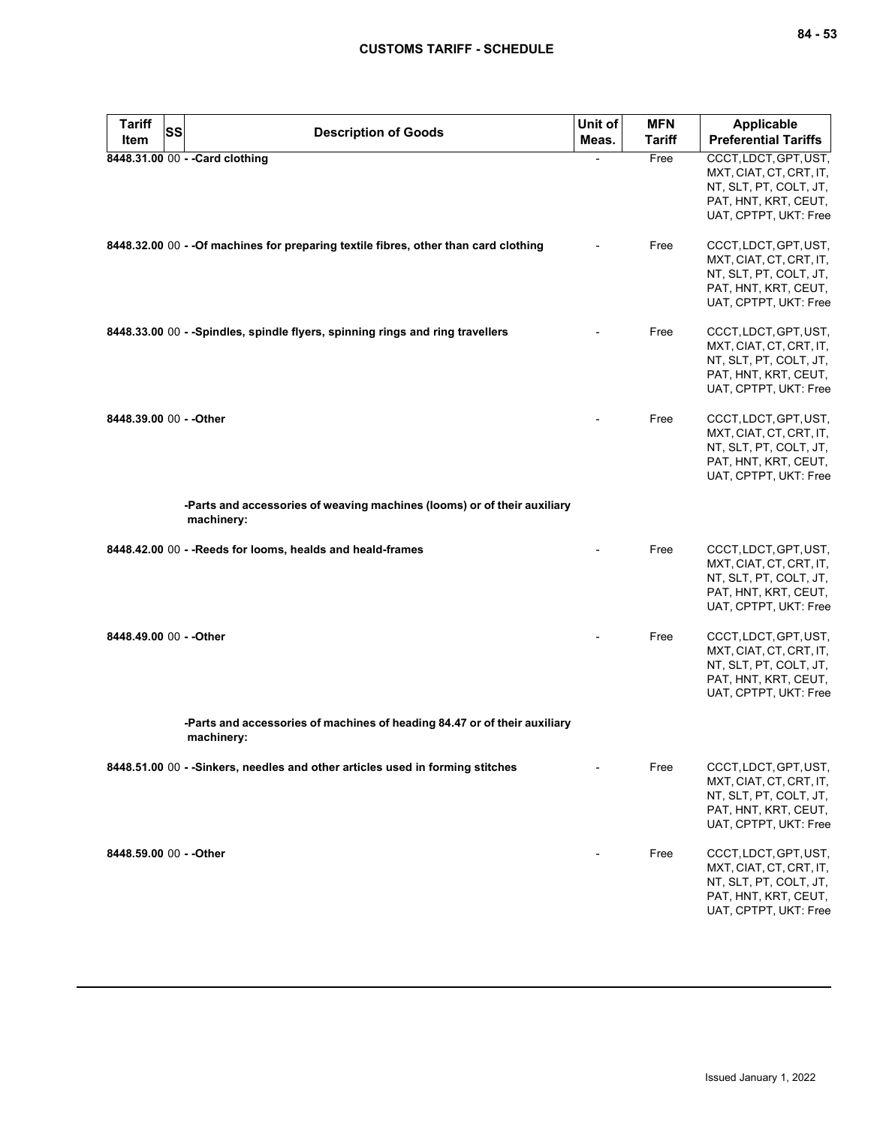| <b>Tariff</b><br>ltem   | SS | <b>Description of Goods</b>                                                             | Unit of<br>Meas. | <b>MFN</b><br>Tariff | <b>Applicable</b><br><b>Preferential Tariffs</b>                                                                            |
|-------------------------|----|-----------------------------------------------------------------------------------------|------------------|----------------------|-----------------------------------------------------------------------------------------------------------------------------|
|                         |    | 8448.31.00 00 - - Card clothing                                                         |                  | Free                 | CCCT, LDCT, GPT, UST,<br>MXT, CIAT, CT, CRT, IT,<br>NT, SLT, PT, COLT, JT,<br>PAT, HNT, KRT, CEUT,<br>UAT, CPTPT, UKT: Free |
|                         |    | 8448.32.00 00 - - Of machines for preparing textile fibres, other than card clothing    |                  | Free                 | CCCT, LDCT, GPT, UST,<br>MXT, CIAT, CT, CRT, IT,<br>NT, SLT, PT, COLT, JT,<br>PAT, HNT, KRT, CEUT,<br>UAT, CPTPT, UKT: Free |
|                         |    | 8448.33.00 00 - - Spindles, spindle flyers, spinning rings and ring travellers          |                  | Free                 | CCCT, LDCT, GPT, UST,<br>MXT, CIAT, CT, CRT, IT,<br>NT, SLT, PT, COLT, JT,<br>PAT, HNT, KRT, CEUT,<br>UAT, CPTPT, UKT: Free |
| 8448.39.00 00 - - Other |    |                                                                                         |                  | Free                 | CCCT, LDCT, GPT, UST,<br>MXT, CIAT, CT, CRT, IT,<br>NT, SLT, PT, COLT, JT,<br>PAT, HNT, KRT, CEUT,<br>UAT, CPTPT, UKT: Free |
|                         |    | -Parts and accessories of weaving machines (looms) or of their auxiliary<br>machinery:  |                  |                      |                                                                                                                             |
|                         |    | 8448.42.00 00 - - Reeds for looms, healds and heald-frames                              |                  | Free                 | CCCT, LDCT, GPT, UST,<br>MXT, CIAT, CT, CRT, IT,<br>NT, SLT, PT, COLT, JT,<br>PAT, HNT, KRT, CEUT,<br>UAT, CPTPT, UKT: Free |
| 8448.49.00 00 - - Other |    |                                                                                         |                  | Free                 | CCCT, LDCT, GPT, UST,<br>MXT, CIAT, CT, CRT, IT,<br>NT, SLT, PT, COLT, JT,<br>PAT, HNT, KRT, CEUT,<br>UAT, CPTPT, UKT: Free |
|                         |    | -Parts and accessories of machines of heading 84.47 or of their auxiliary<br>machinery: |                  |                      |                                                                                                                             |
|                         |    | 8448.51.00 00 - -Sinkers, needles and other articles used in forming stitches           |                  | Free                 | CCCT, LDCT, GPT, UST,<br>MXT, CIAT, CT, CRT, IT,<br>NT, SLT, PT, COLT, JT,<br>PAT, HNT, KRT, CEUT,<br>UAT, CPTPT, UKT: Free |
| 8448.59.00 00 - - Other |    |                                                                                         |                  | Free                 | CCCT, LDCT, GPT, UST,<br>MXT, CIAT, CT, CRT, IT,<br>NT, SLT, PT, COLT, JT,<br>PAT, HNT, KRT, CEUT,<br>UAT, CPTPT, UKT: Free |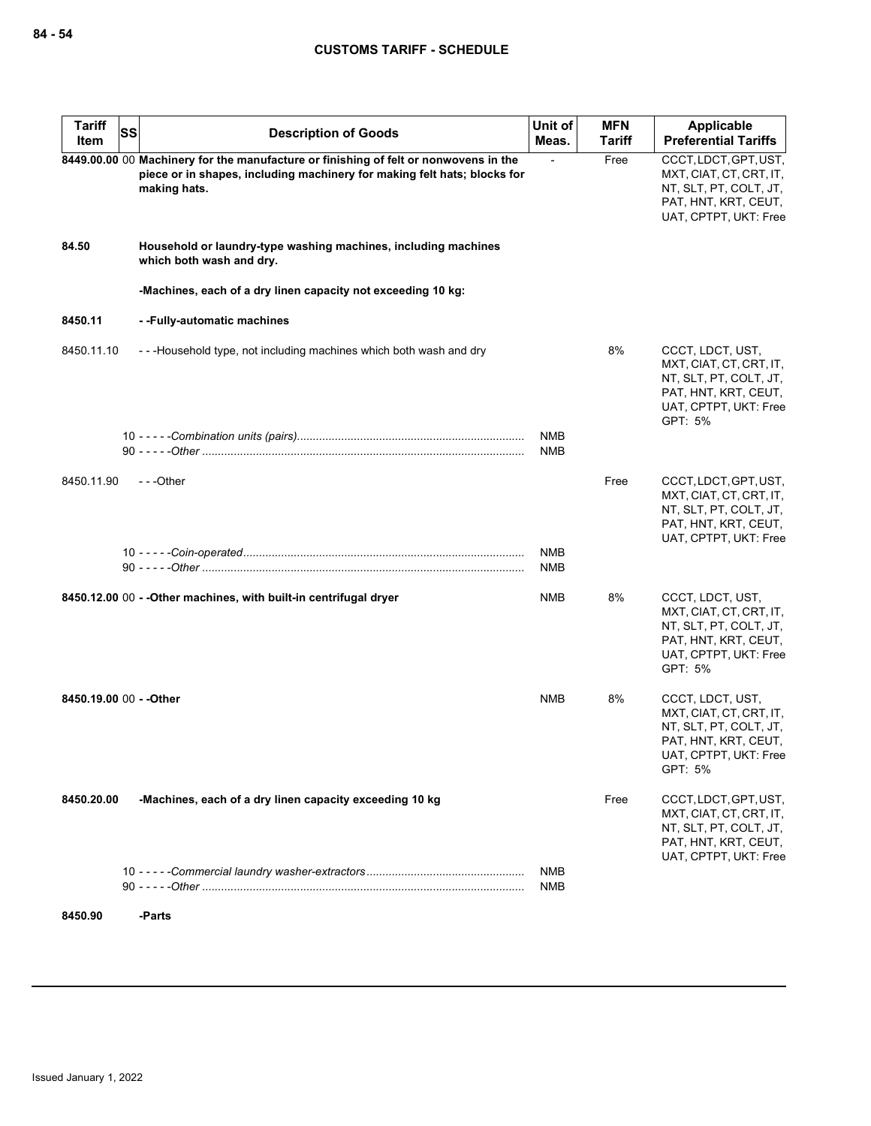| <b>Tariff</b><br><b>SS</b><br>Item | <b>Description of Goods</b>                                                                                                                                                      | Unit of<br>Meas.         | <b>MFN</b><br><b>Tariff</b> | Applicable<br><b>Preferential Tariffs</b>                                                                                         |
|------------------------------------|----------------------------------------------------------------------------------------------------------------------------------------------------------------------------------|--------------------------|-----------------------------|-----------------------------------------------------------------------------------------------------------------------------------|
|                                    | 8449.00.00 00 Machinery for the manufacture or finishing of felt or nonwovens in the<br>piece or in shapes, including machinery for making felt hats; blocks for<br>making hats. |                          | Free                        | CCCT, LDCT, GPT, UST,<br>MXT, CIAT, CT, CRT, IT,<br>NT, SLT, PT, COLT, JT,<br>PAT, HNT, KRT, CEUT,<br>UAT, CPTPT, UKT: Free       |
| 84.50                              | Household or laundry-type washing machines, including machines<br>which both wash and dry.                                                                                       |                          |                             |                                                                                                                                   |
|                                    | -Machines, each of a dry linen capacity not exceeding 10 kg:                                                                                                                     |                          |                             |                                                                                                                                   |
| 8450.11                            | --Fully-automatic machines                                                                                                                                                       |                          |                             |                                                                                                                                   |
| 8450.11.10                         | - - - Household type, not including machines which both wash and dry                                                                                                             |                          | 8%                          | CCCT, LDCT, UST,<br>MXT, CIAT, CT, CRT, IT,<br>NT, SLT, PT, COLT, JT,<br>PAT, HNT, KRT, CEUT,<br>UAT, CPTPT, UKT: Free<br>GPT: 5% |
|                                    |                                                                                                                                                                                  | <b>NMB</b><br><b>NMB</b> |                             |                                                                                                                                   |
| 8450.11.90                         | ---Other                                                                                                                                                                         |                          | Free                        | CCCT, LDCT, GPT, UST,<br>MXT, CIAT, CT, CRT, IT,<br>NT, SLT, PT, COLT, JT,<br>PAT, HNT, KRT, CEUT,<br>UAT, CPTPT, UKT: Free       |
|                                    |                                                                                                                                                                                  | <b>NMB</b><br><b>NMB</b> |                             |                                                                                                                                   |
|                                    | 8450.12.00 00 - - Other machines, with built-in centrifugal dryer                                                                                                                | <b>NMB</b>               | 8%                          | CCCT, LDCT, UST,<br>MXT, CIAT, CT, CRT, IT,<br>NT, SLT, PT, COLT, JT,<br>PAT, HNT, KRT, CEUT,<br>UAT, CPTPT, UKT: Free<br>GPT: 5% |
| 8450.19.00 00 - - Other            |                                                                                                                                                                                  | <b>NMB</b>               | 8%                          | CCCT, LDCT, UST,<br>MXT, CIAT, CT, CRT, IT,<br>NT, SLT, PT, COLT, JT,<br>PAT, HNT, KRT, CEUT,<br>UAT, CPTPT, UKT: Free<br>GPT: 5% |
| 8450.20.00                         | -Machines, each of a dry linen capacity exceeding 10 kg                                                                                                                          |                          | Free                        | CCCT, LDCT, GPT, UST,<br>MXT, CIAT, CT, CRT, IT,<br>NT, SLT, PT, COLT, JT,<br>PAT, HNT, KRT, CEUT,<br>UAT, CPTPT, UKT: Free       |
|                                    |                                                                                                                                                                                  | NMB<br>NMB               |                             |                                                                                                                                   |
| 8450.90                            | -Parts                                                                                                                                                                           |                          |                             |                                                                                                                                   |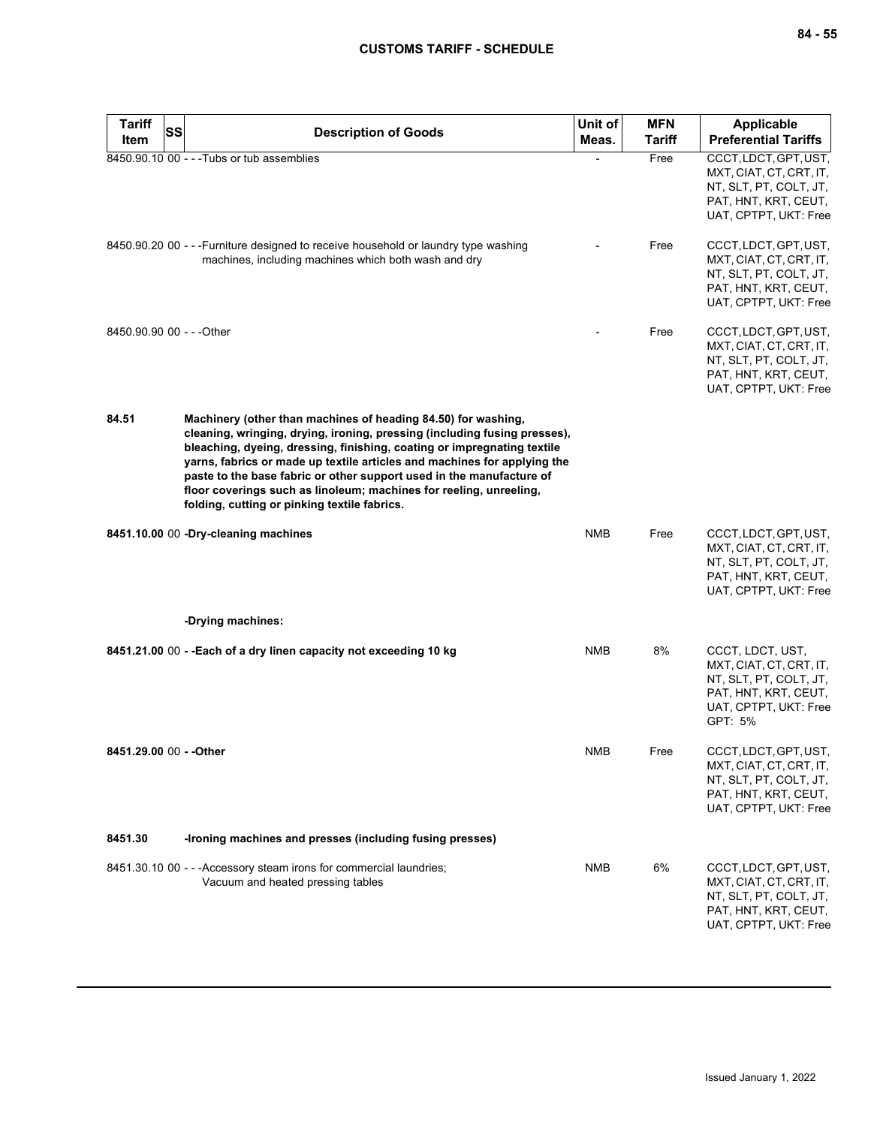| <b>Tariff</b><br>SS<br>Item | <b>Description of Goods</b>                                                                                                                                                                                                                                                                                                                                                                                                                                                                     | Unit of<br>Meas. | <b>MFN</b><br><b>Tariff</b> | <b>Applicable</b><br><b>Preferential Tariffs</b>                                                                                  |
|-----------------------------|-------------------------------------------------------------------------------------------------------------------------------------------------------------------------------------------------------------------------------------------------------------------------------------------------------------------------------------------------------------------------------------------------------------------------------------------------------------------------------------------------|------------------|-----------------------------|-----------------------------------------------------------------------------------------------------------------------------------|
|                             | 8450.90.10 00 - - - Tubs or tub assemblies                                                                                                                                                                                                                                                                                                                                                                                                                                                      |                  | Free                        | CCCT, LDCT, GPT, UST,<br>MXT, CIAT, CT, CRT, IT,<br>NT, SLT, PT, COLT, JT,<br>PAT, HNT, KRT, CEUT,<br>UAT, CPTPT, UKT: Free       |
|                             | 8450.90.20 00 - - - Furniture designed to receive household or laundry type washing<br>machines, including machines which both wash and dry                                                                                                                                                                                                                                                                                                                                                     |                  | Free                        | CCCT, LDCT, GPT, UST,<br>MXT, CIAT, CT, CRT, IT,<br>NT, SLT, PT, COLT, JT,<br>PAT, HNT, KRT, CEUT,<br>UAT, CPTPT, UKT: Free       |
| 8450.90.90 00 - - - Other   |                                                                                                                                                                                                                                                                                                                                                                                                                                                                                                 |                  | Free                        | CCCT, LDCT, GPT, UST,<br>MXT, CIAT, CT, CRT, IT,<br>NT, SLT, PT, COLT, JT,<br>PAT, HNT, KRT, CEUT,<br>UAT, CPTPT, UKT: Free       |
| 84.51                       | Machinery (other than machines of heading 84.50) for washing,<br>cleaning, wringing, drying, ironing, pressing (including fusing presses),<br>bleaching, dyeing, dressing, finishing, coating or impregnating textile<br>yarns, fabrics or made up textile articles and machines for applying the<br>paste to the base fabric or other support used in the manufacture of<br>floor coverings such as linoleum; machines for reeling, unreeling,<br>folding, cutting or pinking textile fabrics. |                  |                             |                                                                                                                                   |
|                             | 8451.10.00 00 -Dry-cleaning machines                                                                                                                                                                                                                                                                                                                                                                                                                                                            | NMB              | Free                        | CCCT, LDCT, GPT, UST,<br>MXT, CIAT, CT, CRT, IT,<br>NT, SLT, PT, COLT, JT,<br>PAT, HNT, KRT, CEUT,<br>UAT, CPTPT, UKT: Free       |
|                             | -Drying machines:                                                                                                                                                                                                                                                                                                                                                                                                                                                                               |                  |                             |                                                                                                                                   |
|                             | 8451.21.00 00 - - Each of a dry linen capacity not exceeding 10 kg                                                                                                                                                                                                                                                                                                                                                                                                                              | NMB              | 8%                          | CCCT, LDCT, UST,<br>MXT, CIAT, CT, CRT, IT,<br>NT, SLT, PT, COLT, JT,<br>PAT, HNT, KRT, CEUT,<br>UAT, CPTPT, UKT: Free<br>GPT: 5% |
| 8451.29.00 00 - - Other     |                                                                                                                                                                                                                                                                                                                                                                                                                                                                                                 | <b>NMB</b>       | Free                        | CCCT, LDCT, GPT, UST,<br>MXT, CIAT, CT, CRT, IT,<br>NT, SLT, PT, COLT, JT,<br>PAT, HNT, KRT, CEUT,<br>UAT, CPTPT, UKT: Free       |
| 8451.30                     | -Ironing machines and presses (including fusing presses)                                                                                                                                                                                                                                                                                                                                                                                                                                        |                  |                             |                                                                                                                                   |
|                             | 8451.30.10 00 - - - Accessory steam irons for commercial laundries;<br>Vacuum and heated pressing tables                                                                                                                                                                                                                                                                                                                                                                                        | <b>NMB</b>       | 6%                          | CCCT, LDCT, GPT, UST,<br>MXT, CIAT, CT, CRT, IT,<br>NT, SLT, PT, COLT, JT,<br>PAT, HNT, KRT, CEUT,<br>UAT, CPTPT, UKT: Free       |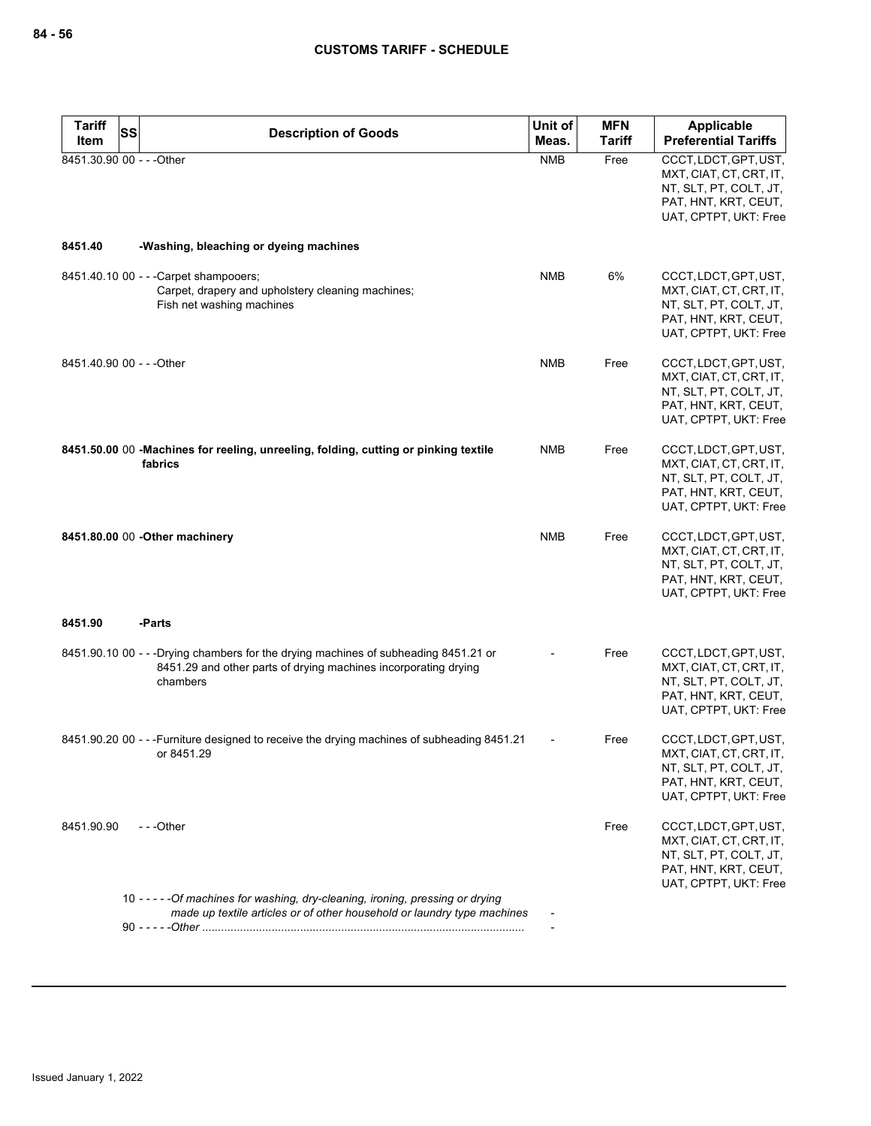| <b>Tariff</b><br>SS       | <b>Description of Goods</b>                                                                                                                                        | Unit of    | <b>MFN</b>    | <b>Applicable</b>                                                                                                           |
|---------------------------|--------------------------------------------------------------------------------------------------------------------------------------------------------------------|------------|---------------|-----------------------------------------------------------------------------------------------------------------------------|
| Item                      |                                                                                                                                                                    | Meas.      | <b>Tariff</b> | <b>Preferential Tariffs</b>                                                                                                 |
| 8451.30.90 00 - - - Other |                                                                                                                                                                    | <b>NMB</b> | Free          | CCCT, LDCT, GPT, UST,<br>MXT, CIAT, CT, CRT, IT,<br>NT, SLT, PT, COLT, JT,<br>PAT, HNT, KRT, CEUT,<br>UAT, CPTPT, UKT: Free |
| 8451.40                   | -Washing, bleaching or dyeing machines                                                                                                                             |            |               |                                                                                                                             |
|                           | 8451.40.10 00 - - - Carpet shampooers;<br>Carpet, drapery and upholstery cleaning machines;<br>Fish net washing machines                                           | <b>NMB</b> | 6%            | CCCT, LDCT, GPT, UST,<br>MXT, CIAT, CT, CRT, IT,<br>NT, SLT, PT, COLT, JT,<br>PAT, HNT, KRT, CEUT,<br>UAT, CPTPT, UKT: Free |
| 8451.40.90 00 - - - Other |                                                                                                                                                                    | <b>NMB</b> | Free          | CCCT, LDCT, GPT, UST,<br>MXT, CIAT, CT, CRT, IT,<br>NT, SLT, PT, COLT, JT,<br>PAT, HNT, KRT, CEUT,<br>UAT, CPTPT, UKT: Free |
|                           | 8451.50.00 00 -Machines for reeling, unreeling, folding, cutting or pinking textile<br>fabrics                                                                     | NMB        | Free          | CCCT, LDCT, GPT, UST,<br>MXT, CIAT, CT, CRT, IT,<br>NT, SLT, PT, COLT, JT,<br>PAT, HNT, KRT, CEUT,<br>UAT, CPTPT, UKT: Free |
|                           | 8451.80.00 00 - Other machinery                                                                                                                                    | <b>NMB</b> | Free          | CCCT, LDCT, GPT, UST,<br>MXT, CIAT, CT, CRT, IT,<br>NT, SLT, PT, COLT, JT,<br>PAT, HNT, KRT, CEUT,<br>UAT, CPTPT, UKT: Free |
| 8451.90                   | -Parts                                                                                                                                                             |            |               |                                                                                                                             |
|                           | 8451.90.10 00 - - -Drying chambers for the drying machines of subheading 8451.21 or<br>8451.29 and other parts of drying machines incorporating drying<br>chambers |            | Free          | CCCT, LDCT, GPT, UST,<br>MXT, CIAT, CT, CRT, IT,<br>NT, SLT, PT, COLT, JT,<br>PAT, HNT, KRT, CEUT,<br>UAT, CPTPT, UKT: Free |
|                           | 8451.90.20 00 - - -Furniture designed to receive the drying machines of subheading 8451.21<br>or 8451.29                                                           |            | Free          | CCCT, LDCT, GPT, UST,<br>MXT, CIAT, CT, CRT, IT,<br>NT, SLT, PT, COLT, JT,<br>PAT, HNT, KRT, CEUT,<br>UAT, CPTPT, UKT: Free |
| 8451.90.90                | ---Other                                                                                                                                                           |            | Free          | CCCT, LDCT, GPT, UST,<br>MXT, CIAT, CT, CRT, IT,<br>NT, SLT, PT, COLT, JT,<br>PAT, HNT, KRT, CEUT,<br>UAT, CPTPT, UKT: Free |
|                           | 10 - - - - - Of machines for washing, dry-cleaning, ironing, pressing or drying<br>made up textile articles or of other household or laundry type machines         |            |               |                                                                                                                             |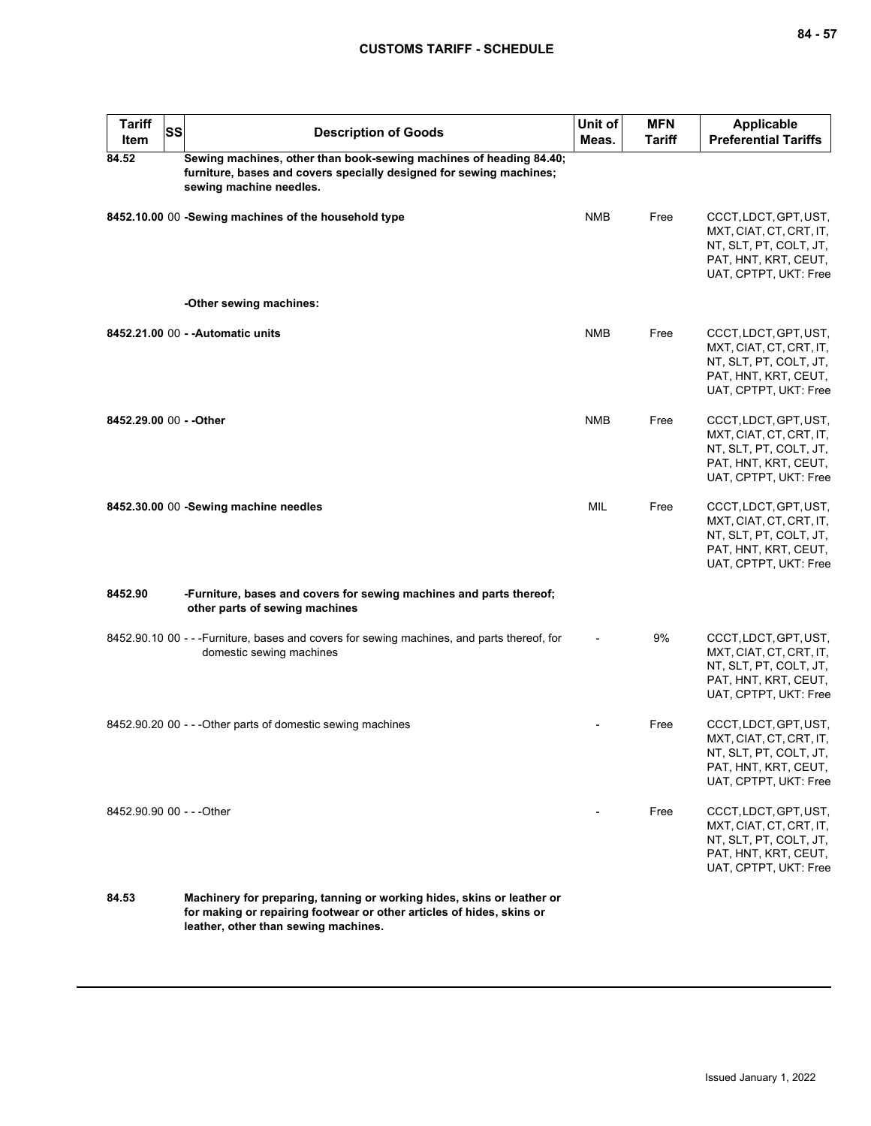| <b>Tariff</b><br>Item     | <b>SS</b> | <b>Description of Goods</b>                                                                                                                                                             | Unit of<br>Meas. | <b>MFN</b><br><b>Tariff</b> | <b>Applicable</b><br><b>Preferential Tariffs</b>                                                                            |
|---------------------------|-----------|-----------------------------------------------------------------------------------------------------------------------------------------------------------------------------------------|------------------|-----------------------------|-----------------------------------------------------------------------------------------------------------------------------|
| 84.52                     |           | Sewing machines, other than book-sewing machines of heading 84.40;<br>furniture, bases and covers specially designed for sewing machines;<br>sewing machine needles.                    |                  |                             |                                                                                                                             |
|                           |           | 8452.10.00 00 -Sewing machines of the household type                                                                                                                                    | <b>NMB</b>       | Free                        | CCCT, LDCT, GPT, UST,<br>MXT, CIAT, CT, CRT, IT,<br>NT, SLT, PT, COLT, JT,<br>PAT, HNT, KRT, CEUT,<br>UAT, CPTPT, UKT: Free |
|                           |           | -Other sewing machines:                                                                                                                                                                 |                  |                             |                                                                                                                             |
|                           |           | 8452.21.00 00 - - Automatic units                                                                                                                                                       | <b>NMB</b>       | Free                        | CCCT, LDCT, GPT, UST,<br>MXT, CIAT, CT, CRT, IT,<br>NT, SLT, PT, COLT, JT,<br>PAT, HNT, KRT, CEUT,<br>UAT, CPTPT, UKT: Free |
| 8452.29.00 00 - - Other   |           |                                                                                                                                                                                         | <b>NMB</b>       | Free                        | CCCT, LDCT, GPT, UST,<br>MXT, CIAT, CT, CRT, IT,<br>NT, SLT, PT, COLT, JT,<br>PAT, HNT, KRT, CEUT,<br>UAT, CPTPT, UKT: Free |
|                           |           | 8452.30.00 00 -Sewing machine needles                                                                                                                                                   | MIL              | Free                        | CCCT, LDCT, GPT, UST,<br>MXT, CIAT, CT, CRT, IT,<br>NT, SLT, PT, COLT, JT,<br>PAT, HNT, KRT, CEUT,<br>UAT, CPTPT, UKT: Free |
| 8452.90                   |           | -Furniture, bases and covers for sewing machines and parts thereof;<br>other parts of sewing machines                                                                                   |                  |                             |                                                                                                                             |
|                           |           | 8452.90.10 00 - - - Furniture, bases and covers for sewing machines, and parts thereof, for<br>domestic sewing machines                                                                 |                  | 9%                          | CCCT, LDCT, GPT, UST,<br>MXT, CIAT, CT, CRT, IT,<br>NT, SLT, PT, COLT, JT,<br>PAT, HNT, KRT, CEUT,<br>UAT, CPTPT, UKT: Free |
|                           |           | 8452.90.20 00 - - - Other parts of domestic sewing machines                                                                                                                             |                  | Free                        | CCCT, LDCT, GPT, UST,<br>MXT, CIAT, CT, CRT, IT,<br>NT, SLT, PT, COLT, JT,<br>PAT, HNT, KRT, CEUT,<br>UAT, CPTPT, UKT: Free |
| 8452.90.90 00 - - - Other |           |                                                                                                                                                                                         |                  | Free                        | CCCT, LDCT, GPT, UST,<br>MXT, CIAT, CT, CRT, IT,<br>NT, SLT, PT, COLT, JT,<br>PAT, HNT, KRT, CEUT,<br>UAT, CPTPT, UKT: Free |
| 84.53                     |           | Machinery for preparing, tanning or working hides, skins or leather or<br>for making or repairing footwear or other articles of hides, skins or<br>leather, other than sewing machines. |                  |                             |                                                                                                                             |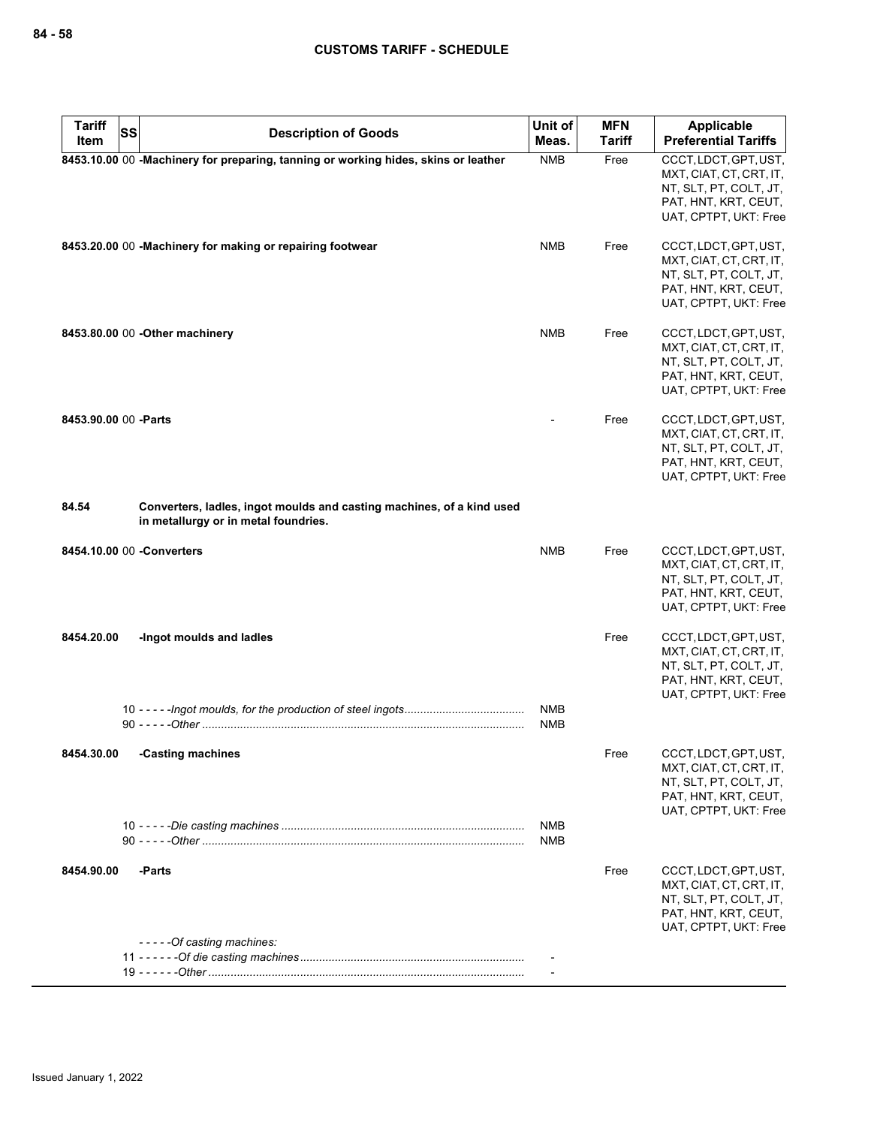| <b>Tariff</b><br>Item | <b>SS</b><br><b>Description of Goods</b>                                                                      | Unit of<br>Meas. | <b>MFN</b><br>Tariff | <b>Applicable</b><br><b>Preferential Tariffs</b>  |
|-----------------------|---------------------------------------------------------------------------------------------------------------|------------------|----------------------|---------------------------------------------------|
|                       | 8453.10.00 00 -Machinery for preparing, tanning or working hides, skins or leather                            | <b>NMB</b>       | Free                 | CCCT, LDCT, GPT, UST,                             |
|                       |                                                                                                               |                  |                      | MXT, CIAT, CT, CRT, IT,<br>NT, SLT, PT, COLT, JT, |
|                       |                                                                                                               |                  |                      | PAT, HNT, KRT, CEUT,                              |
|                       |                                                                                                               |                  |                      | UAT, CPTPT, UKT: Free                             |
|                       | 8453.20.00 00 -Machinery for making or repairing footwear                                                     | <b>NMB</b>       | Free                 | CCCT, LDCT, GPT, UST,                             |
|                       |                                                                                                               |                  |                      | MXT, CIAT, CT, CRT, IT,<br>NT, SLT, PT, COLT, JT, |
|                       |                                                                                                               |                  |                      | PAT, HNT, KRT, CEUT,                              |
|                       |                                                                                                               |                  |                      | UAT, CPTPT, UKT: Free                             |
|                       | 8453.80.00 00 - Other machinery                                                                               | <b>NMB</b>       | Free                 | CCCT, LDCT, GPT, UST,                             |
|                       |                                                                                                               |                  |                      | MXT, CIAT, CT, CRT, IT,<br>NT, SLT, PT, COLT, JT, |
|                       |                                                                                                               |                  |                      | PAT, HNT, KRT, CEUT,                              |
|                       |                                                                                                               |                  |                      | UAT, CPTPT, UKT: Free                             |
| 8453.90.00 00 - Parts |                                                                                                               |                  | Free                 | CCCT, LDCT, GPT, UST,                             |
|                       |                                                                                                               |                  |                      | MXT, CIAT, CT, CRT, IT,<br>NT, SLT, PT, COLT, JT, |
|                       |                                                                                                               |                  |                      | PAT, HNT, KRT, CEUT,                              |
|                       |                                                                                                               |                  |                      | UAT, CPTPT, UKT: Free                             |
| 84.54                 | Converters, ladles, ingot moulds and casting machines, of a kind used<br>in metallurgy or in metal foundries. |                  |                      |                                                   |
|                       | 8454.10.00 00 -Converters                                                                                     | <b>NMB</b>       | Free                 | CCCT, LDCT, GPT, UST,                             |
|                       |                                                                                                               |                  |                      | MXT, CIAT, CT, CRT, IT,<br>NT, SLT, PT, COLT, JT, |
|                       |                                                                                                               |                  |                      | PAT, HNT, KRT, CEUT,                              |
|                       |                                                                                                               |                  |                      | UAT, CPTPT, UKT: Free                             |
| 8454.20.00            | -Ingot moulds and ladies                                                                                      |                  | Free                 | CCCT, LDCT, GPT, UST,                             |
|                       |                                                                                                               |                  |                      | MXT, CIAT, CT, CRT, IT,<br>NT, SLT, PT, COLT, JT, |
|                       |                                                                                                               |                  |                      | PAT, HNT, KRT, CEUT,                              |
|                       |                                                                                                               | <b>NMB</b>       |                      | UAT, CPTPT, UKT: Free                             |
|                       |                                                                                                               | <b>NMB</b>       |                      |                                                   |
| 8454.30.00            | -Casting machines                                                                                             |                  | Free                 | CCCT, LDCT, GPT, UST,                             |
|                       |                                                                                                               |                  |                      | MXT, CIAT, CT, CRT, IT,<br>NT, SLT, PT, COLT, JT, |
|                       |                                                                                                               |                  |                      | PAT, HNT, KRT, CEUT,                              |
|                       |                                                                                                               | NMB              |                      | UAT, CPTPT, UKT: Free                             |
|                       |                                                                                                               | <b>NMB</b>       |                      |                                                   |
| 8454.90.00            | -Parts                                                                                                        |                  | Free                 | CCCT, LDCT, GPT, UST,                             |
|                       |                                                                                                               |                  |                      | MXT, CIAT, CT, CRT, IT,                           |
|                       |                                                                                                               |                  |                      | NT, SLT, PT, COLT, JT,<br>PAT, HNT, KRT, CEUT,    |
|                       | -----Of casting machines:                                                                                     |                  |                      | UAT, CPTPT, UKT: Free                             |
|                       |                                                                                                               |                  |                      |                                                   |
|                       |                                                                                                               |                  |                      |                                                   |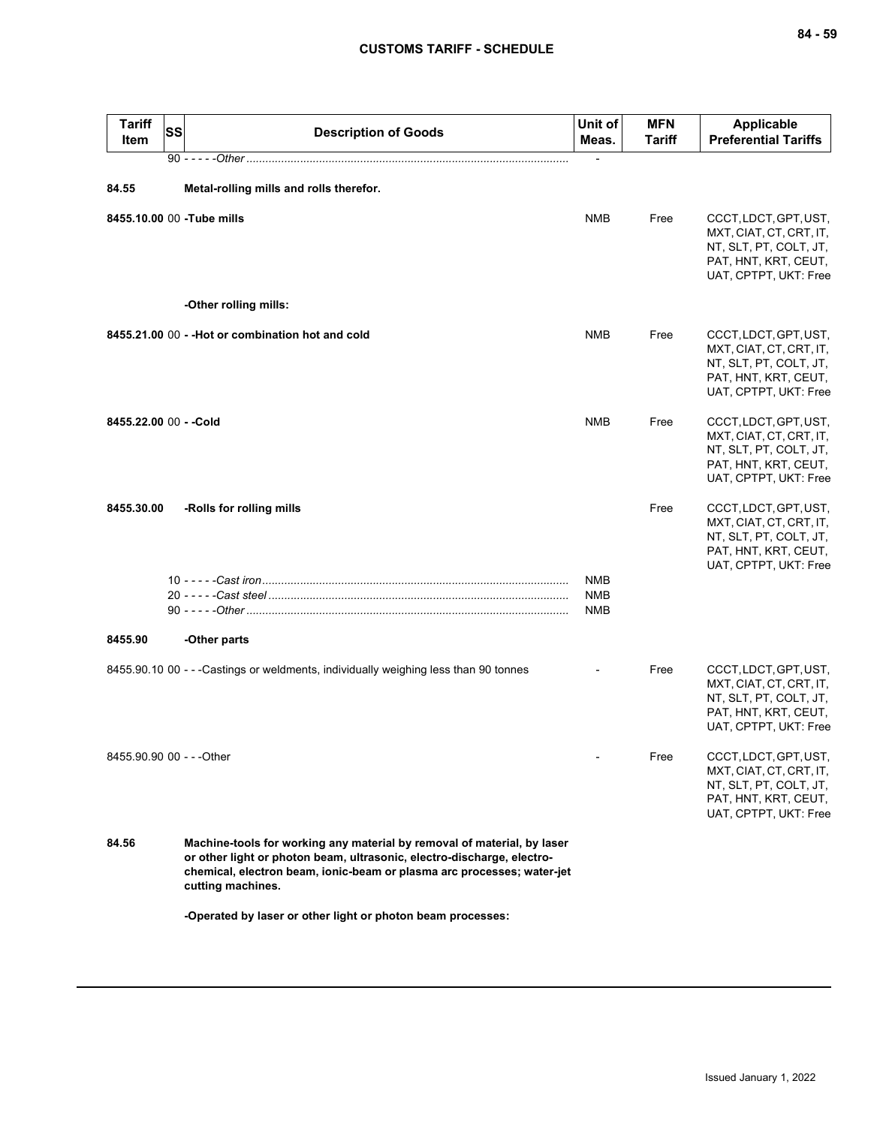| <b>Tariff</b><br>Item     | SS | <b>Description of Goods</b>                                                                                                                                                                                                                      | Unit of<br>Meas.                       | <b>MFN</b><br><b>Tariff</b> | <b>Applicable</b><br><b>Preferential Tariffs</b>                                                                            |
|---------------------------|----|--------------------------------------------------------------------------------------------------------------------------------------------------------------------------------------------------------------------------------------------------|----------------------------------------|-----------------------------|-----------------------------------------------------------------------------------------------------------------------------|
|                           |    |                                                                                                                                                                                                                                                  |                                        |                             |                                                                                                                             |
| 84.55                     |    | Metal-rolling mills and rolls therefor.                                                                                                                                                                                                          |                                        |                             |                                                                                                                             |
|                           |    | 8455.10.00 00 -Tube mills                                                                                                                                                                                                                        | <b>NMB</b>                             | Free                        | CCCT, LDCT, GPT, UST,<br>MXT, CIAT, CT, CRT, IT,<br>NT, SLT, PT, COLT, JT,<br>PAT, HNT, KRT, CEUT,<br>UAT, CPTPT, UKT: Free |
|                           |    | -Other rolling mills:                                                                                                                                                                                                                            |                                        |                             |                                                                                                                             |
|                           |    | 8455.21.00 00 - - Hot or combination hot and cold                                                                                                                                                                                                | <b>NMB</b>                             | Free                        | CCCT, LDCT, GPT, UST,<br>MXT, CIAT, CT, CRT, IT,<br>NT, SLT, PT, COLT, JT,<br>PAT, HNT, KRT, CEUT,<br>UAT, CPTPT, UKT: Free |
| 8455.22.00 00 - - Cold    |    |                                                                                                                                                                                                                                                  | <b>NMB</b>                             | Free                        | CCCT, LDCT, GPT, UST,<br>MXT, CIAT, CT, CRT, IT,<br>NT, SLT, PT, COLT, JT,<br>PAT, HNT, KRT, CEUT,<br>UAT, CPTPT, UKT: Free |
| 8455.30.00                |    | -Rolls for rolling mills                                                                                                                                                                                                                         |                                        | Free                        | CCCT, LDCT, GPT, UST,<br>MXT, CIAT, CT, CRT, IT,<br>NT, SLT, PT, COLT, JT,<br>PAT, HNT, KRT, CEUT,<br>UAT, CPTPT, UKT: Free |
|                           |    |                                                                                                                                                                                                                                                  | <b>NMB</b><br><b>NMB</b><br><b>NMB</b> |                             |                                                                                                                             |
| 8455.90                   |    | -Other parts                                                                                                                                                                                                                                     |                                        |                             |                                                                                                                             |
|                           |    | 8455.90.10 00 - - - Castings or weldments, individually weighing less than 90 tonnes                                                                                                                                                             |                                        | Free                        | CCCT, LDCT, GPT, UST,<br>MXT, CIAT, CT, CRT, IT,<br>NT, SLT, PT, COLT, JT,<br>PAT, HNT, KRT, CEUT,<br>UAT, CPTPT, UKT: Free |
| 8455.90.90 00 - - - Other |    |                                                                                                                                                                                                                                                  |                                        | Free                        | CCCT, LDCT, GPT, UST,<br>MXT, CIAT, CT, CRT, IT,<br>NT, SLT, PT, COLT, JT,<br>PAT, HNT, KRT, CEUT,<br>UAT, CPTPT, UKT: Free |
| 84.56                     |    | Machine-tools for working any material by removal of material, by laser<br>or other light or photon beam, ultrasonic, electro-discharge, electro-<br>chemical, electron beam, ionic-beam or plasma arc processes; water-jet<br>cutting machines. |                                        |                             |                                                                                                                             |
|                           |    | -Operated by laser or other light or photon beam processes:                                                                                                                                                                                      |                                        |                             |                                                                                                                             |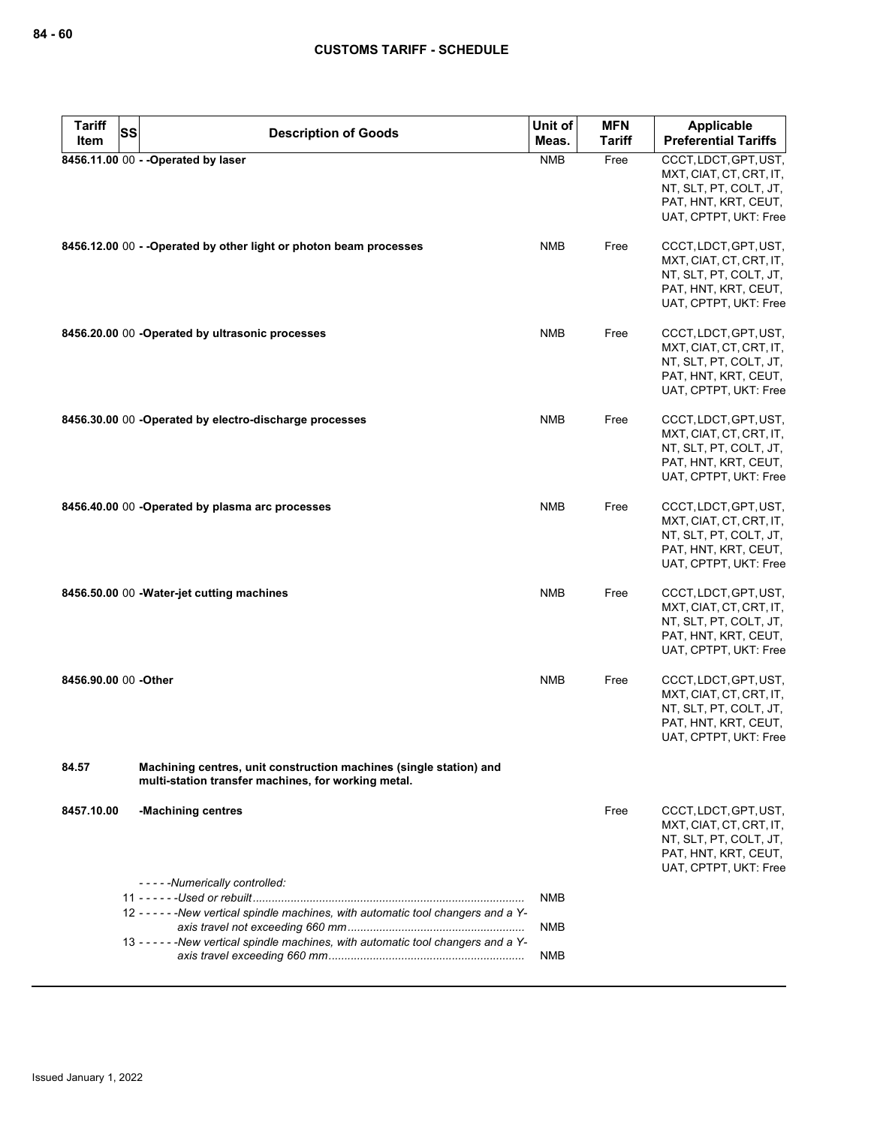| <b>Tariff</b>        | <b>SS</b> | <b>Description of Goods</b>                                                                                               | Unit of    | <b>MFN</b>    | Applicable                                        |
|----------------------|-----------|---------------------------------------------------------------------------------------------------------------------------|------------|---------------|---------------------------------------------------|
| Item                 |           |                                                                                                                           | Meas.      | <b>Tariff</b> | <b>Preferential Tariffs</b>                       |
|                      |           | 8456.11.00 00 - - Operated by laser                                                                                       | <b>NMB</b> | Free          | CCCT, LDCT, GPT, UST,<br>MXT, CIAT, CT, CRT, IT,  |
|                      |           |                                                                                                                           |            |               | NT, SLT, PT, COLT, JT,                            |
|                      |           |                                                                                                                           |            |               | PAT, HNT, KRT, CEUT,                              |
|                      |           |                                                                                                                           |            |               | UAT, CPTPT, UKT: Free                             |
|                      |           | 8456.12.00 00 - - Operated by other light or photon beam processes                                                        | <b>NMB</b> | Free          | CCCT, LDCT, GPT, UST,                             |
|                      |           |                                                                                                                           |            |               | MXT, CIAT, CT, CRT, IT,                           |
|                      |           |                                                                                                                           |            |               | NT, SLT, PT, COLT, JT,<br>PAT, HNT, KRT, CEUT,    |
|                      |           |                                                                                                                           |            |               | UAT, CPTPT, UKT: Free                             |
|                      |           | 8456.20.00 00 -Operated by ultrasonic processes                                                                           | <b>NMB</b> | Free          | CCCT, LDCT, GPT, UST,                             |
|                      |           |                                                                                                                           |            |               | MXT, CIAT, CT, CRT, IT,                           |
|                      |           |                                                                                                                           |            |               | NT, SLT, PT, COLT, JT,<br>PAT, HNT, KRT, CEUT,    |
|                      |           |                                                                                                                           |            |               | UAT, CPTPT, UKT: Free                             |
|                      |           | 8456.30.00 00 -Operated by electro-discharge processes                                                                    | <b>NMB</b> | Free          | CCCT, LDCT, GPT, UST,                             |
|                      |           |                                                                                                                           |            |               | MXT, CIAT, CT, CRT, IT,                           |
|                      |           |                                                                                                                           |            |               | NT, SLT, PT, COLT, JT,<br>PAT, HNT, KRT, CEUT,    |
|                      |           |                                                                                                                           |            |               | UAT, CPTPT, UKT: Free                             |
|                      |           | 8456.40.00 00 -Operated by plasma arc processes                                                                           | <b>NMB</b> | Free          | CCCT, LDCT, GPT, UST,                             |
|                      |           |                                                                                                                           |            |               | MXT, CIAT, CT, CRT, IT,<br>NT, SLT, PT, COLT, JT, |
|                      |           |                                                                                                                           |            |               | PAT, HNT, KRT, CEUT,                              |
|                      |           |                                                                                                                           |            |               | UAT, CPTPT, UKT: Free                             |
|                      |           | 8456.50.00 00 - Water-jet cutting machines                                                                                | <b>NMB</b> | Free          | CCCT, LDCT, GPT, UST,                             |
|                      |           |                                                                                                                           |            |               | MXT, CIAT, CT, CRT, IT,<br>NT, SLT, PT, COLT, JT, |
|                      |           |                                                                                                                           |            |               | PAT, HNT, KRT, CEUT,                              |
|                      |           |                                                                                                                           |            |               | UAT, CPTPT, UKT: Free                             |
| 8456.90.00 00 -Other |           |                                                                                                                           | <b>NMB</b> | Free          | CCCT, LDCT, GPT, UST,                             |
|                      |           |                                                                                                                           |            |               | MXT, CIAT, CT, CRT, IT,<br>NT, SLT, PT, COLT, JT, |
|                      |           |                                                                                                                           |            |               | PAT, HNT, KRT, CEUT,                              |
|                      |           |                                                                                                                           |            |               | UAT, CPTPT, UKT: Free                             |
| 84.57                |           | Machining centres, unit construction machines (single station) and<br>multi-station transfer machines, for working metal. |            |               |                                                   |
| 8457.10.00           |           | -Machining centres                                                                                                        |            | Free          | CCCT, LDCT, GPT, UST,                             |
|                      |           |                                                                                                                           |            |               | MXT, CIAT, CT, CRT, IT,<br>NT, SLT, PT, COLT, JT, |
|                      |           |                                                                                                                           |            |               | PAT, HNT, KRT, CEUT,<br>UAT, CPTPT, UKT: Free     |
|                      |           | - - - - - Numerically controlled:                                                                                         |            |               |                                                   |
|                      |           |                                                                                                                           | <b>NMB</b> |               |                                                   |
|                      |           | 12 - - - - - - New vertical spindle machines, with automatic tool changers and a Y-                                       | <b>NMB</b> |               |                                                   |
|                      |           | 13 - - - - - - New vertical spindle machines, with automatic tool changers and a Y-                                       |            |               |                                                   |
|                      |           |                                                                                                                           | <b>NMB</b> |               |                                                   |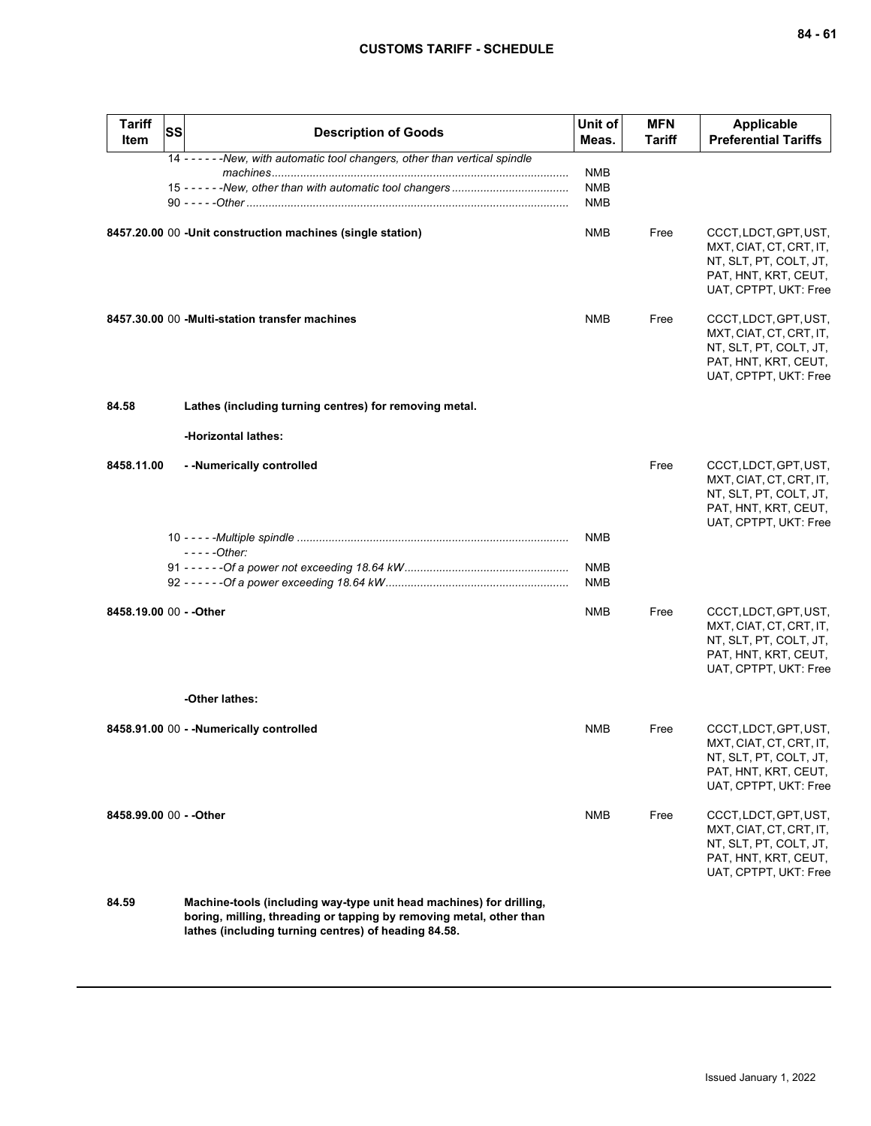| <b>Tariff</b><br>Item   | <b>SS</b> | <b>Description of Goods</b>                                                   | Unit of<br>Meas.         | <b>MFN</b><br>Tariff | <b>Applicable</b><br><b>Preferential Tariffs</b>                                                                            |
|-------------------------|-----------|-------------------------------------------------------------------------------|--------------------------|----------------------|-----------------------------------------------------------------------------------------------------------------------------|
|                         |           | 14 - - - - - - New, with automatic tool changers, other than vertical spindle |                          |                      |                                                                                                                             |
|                         |           |                                                                               | NMB<br><b>NMB</b>        |                      |                                                                                                                             |
|                         |           |                                                                               | <b>NMB</b>               |                      |                                                                                                                             |
|                         |           | 8457.20.00 00 -Unit construction machines (single station)                    | <b>NMB</b>               | Free                 | CCCT, LDCT, GPT, UST,<br>MXT, CIAT, CT, CRT, IT,<br>NT, SLT, PT, COLT, JT,<br>PAT, HNT, KRT, CEUT,<br>UAT, CPTPT, UKT: Free |
|                         |           | 8457.30.00 00 - Multi-station transfer machines                               | <b>NMB</b>               | Free                 | CCCT, LDCT, GPT, UST,<br>MXT, CIAT, CT, CRT, IT,<br>NT, SLT, PT, COLT, JT,<br>PAT, HNT, KRT, CEUT,<br>UAT, CPTPT, UKT: Free |
| 84.58                   |           | Lathes (including turning centres) for removing metal.                        |                          |                      |                                                                                                                             |
|                         |           | -Horizontal lathes:                                                           |                          |                      |                                                                                                                             |
| 8458.11.00              |           | - - Numerically controlled                                                    |                          | Free                 | CCCT, LDCT, GPT, UST,<br>MXT, CIAT, CT, CRT, IT,<br>NT, SLT, PT, COLT, JT,<br>PAT, HNT, KRT, CEUT,<br>UAT, CPTPT, UKT: Free |
|                         |           |                                                                               | NMB                      |                      |                                                                                                                             |
|                         |           | $---Other:$                                                                   |                          |                      |                                                                                                                             |
|                         |           |                                                                               | <b>NMB</b><br><b>NMB</b> |                      |                                                                                                                             |
| 8458.19.00 00 - - Other |           |                                                                               | <b>NMB</b>               | Free                 | CCCT, LDCT, GPT, UST,<br>MXT, CIAT, CT, CRT, IT,<br>NT, SLT, PT, COLT, JT,<br>PAT, HNT, KRT, CEUT,<br>UAT, CPTPT, UKT: Free |
|                         |           | -Other lathes:                                                                |                          |                      |                                                                                                                             |
|                         |           | 8458.91.00 00 - - Numerically controlled                                      | <b>NMB</b>               | Free                 | CCCT, LDCT, GPT, UST,<br>MXT, CIAT, CT, CRT, IT,<br>NT, SLT, PT, COLT, JT,<br>PAT, HNT, KRT, CEUT,<br>UAT, CPTPT, UKT: Free |
| 8458.99.00 00 - - Other |           |                                                                               | <b>NMB</b>               | Free                 | CCCT, LDCT, GPT, UST,<br>MXT, CIAT, CT, CRT, IT,<br>NT, SLT, PT, COLT, JT,<br>PAT, HNT, KRT, CEUT,<br>UAT, CPTPT, UKT: Free |

**84.59 Machine-tools (including way-type unit head machines) for drilling, boring, milling, threading or tapping by removing metal, other than lathes (including turning centres) of heading 84.58.**

Issued January 1, 2022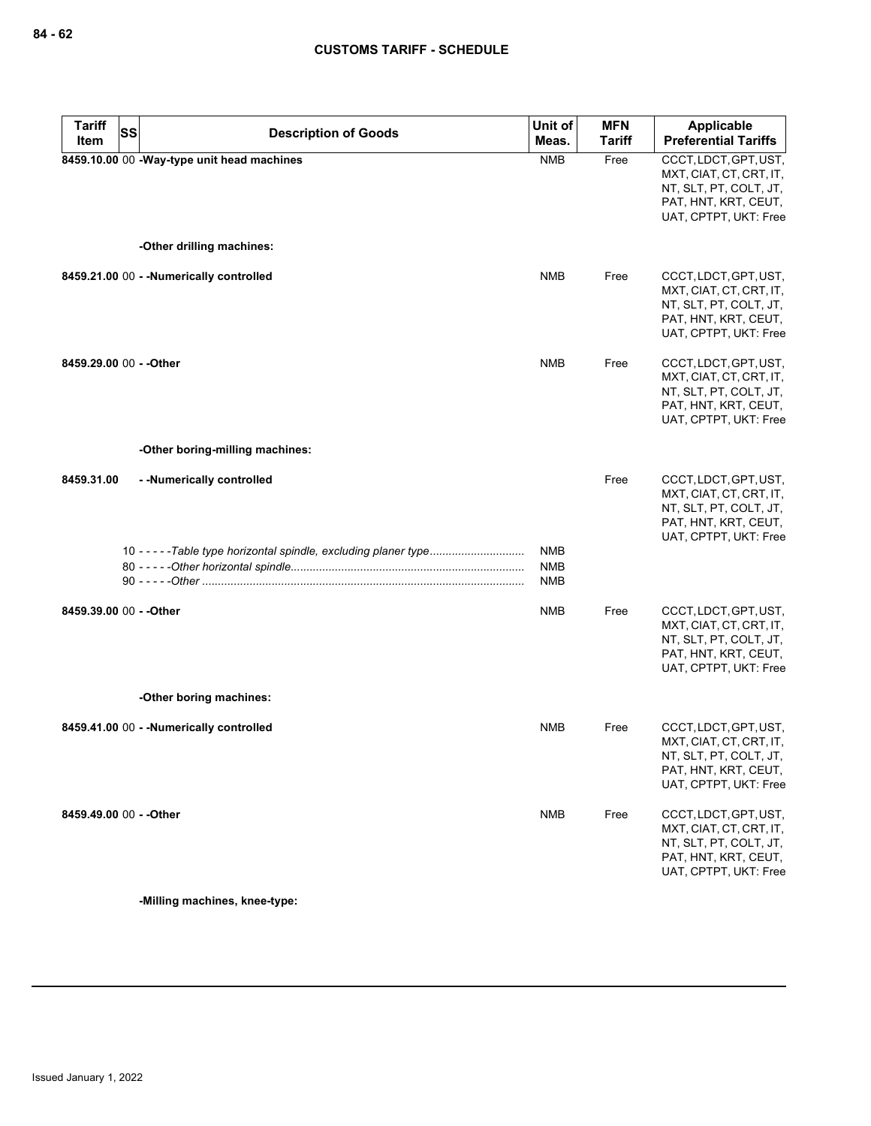| <b>Tariff</b><br>Item   | <b>SS</b><br><b>Description of Goods</b>                          | Unit of<br>Meas.                       | <b>MFN</b><br><b>Tariff</b> | <b>Applicable</b><br><b>Preferential Tariffs</b>                                                                            |
|-------------------------|-------------------------------------------------------------------|----------------------------------------|-----------------------------|-----------------------------------------------------------------------------------------------------------------------------|
|                         | 8459.10.00 00 -Way-type unit head machines                        | <b>NMB</b>                             | Free                        | CCCT, LDCT, GPT, UST,<br>MXT, CIAT, CT, CRT, IT,<br>NT, SLT, PT, COLT, JT,<br>PAT, HNT, KRT, CEUT,<br>UAT, CPTPT, UKT: Free |
|                         | -Other drilling machines:                                         |                                        |                             |                                                                                                                             |
|                         | 8459.21.00 00 - - Numerically controlled                          | <b>NMB</b>                             | Free                        | CCCT, LDCT, GPT, UST,<br>MXT, CIAT, CT, CRT, IT,<br>NT, SLT, PT, COLT, JT,<br>PAT, HNT, KRT, CEUT,<br>UAT, CPTPT, UKT: Free |
| 8459.29.00 00 - - Other |                                                                   | <b>NMB</b>                             | Free                        | CCCT, LDCT, GPT, UST,<br>MXT, CIAT, CT, CRT, IT,<br>NT, SLT, PT, COLT, JT,<br>PAT, HNT, KRT, CEUT,<br>UAT, CPTPT, UKT: Free |
|                         | -Other boring-milling machines:                                   |                                        |                             |                                                                                                                             |
| 8459.31.00              | --Numerically controlled                                          |                                        | Free                        | CCCT, LDCT, GPT, UST,<br>MXT, CIAT, CT, CRT, IT,<br>NT, SLT, PT, COLT, JT,<br>PAT, HNT, KRT, CEUT,<br>UAT, CPTPT, UKT: Free |
|                         | 10 - - - - - Table type horizontal spindle, excluding planer type | <b>NMB</b><br><b>NMB</b><br><b>NMB</b> |                             |                                                                                                                             |
| 8459.39.00 00 - - Other |                                                                   | <b>NMB</b>                             | Free                        | CCCT, LDCT, GPT, UST,<br>MXT, CIAT, CT, CRT, IT,<br>NT, SLT, PT, COLT, JT,<br>PAT, HNT, KRT, CEUT,<br>UAT, CPTPT, UKT: Free |
|                         | -Other boring machines:                                           |                                        |                             |                                                                                                                             |
|                         | 8459.41.00 00 - - Numerically controlled                          | <b>NMB</b>                             | Free                        | CCCT, LDCT, GPT, UST,<br>MXT, CIAT, CT, CRT, IT,<br>NT, SLT, PT, COLT, JT,<br>PAT, HNT, KRT, CEUT,<br>UAT, CPTPT, UKT: Free |
| 8459.49.00 00 - - Other |                                                                   | <b>NMB</b>                             | Free                        | CCCT, LDCT, GPT, UST,<br>MXT, CIAT, CT, CRT, IT,<br>NT, SLT, PT, COLT, JT,<br>PAT, HNT, KRT, CEUT,<br>UAT, CPTPT, UKT: Free |

**-Milling machines, knee-type:**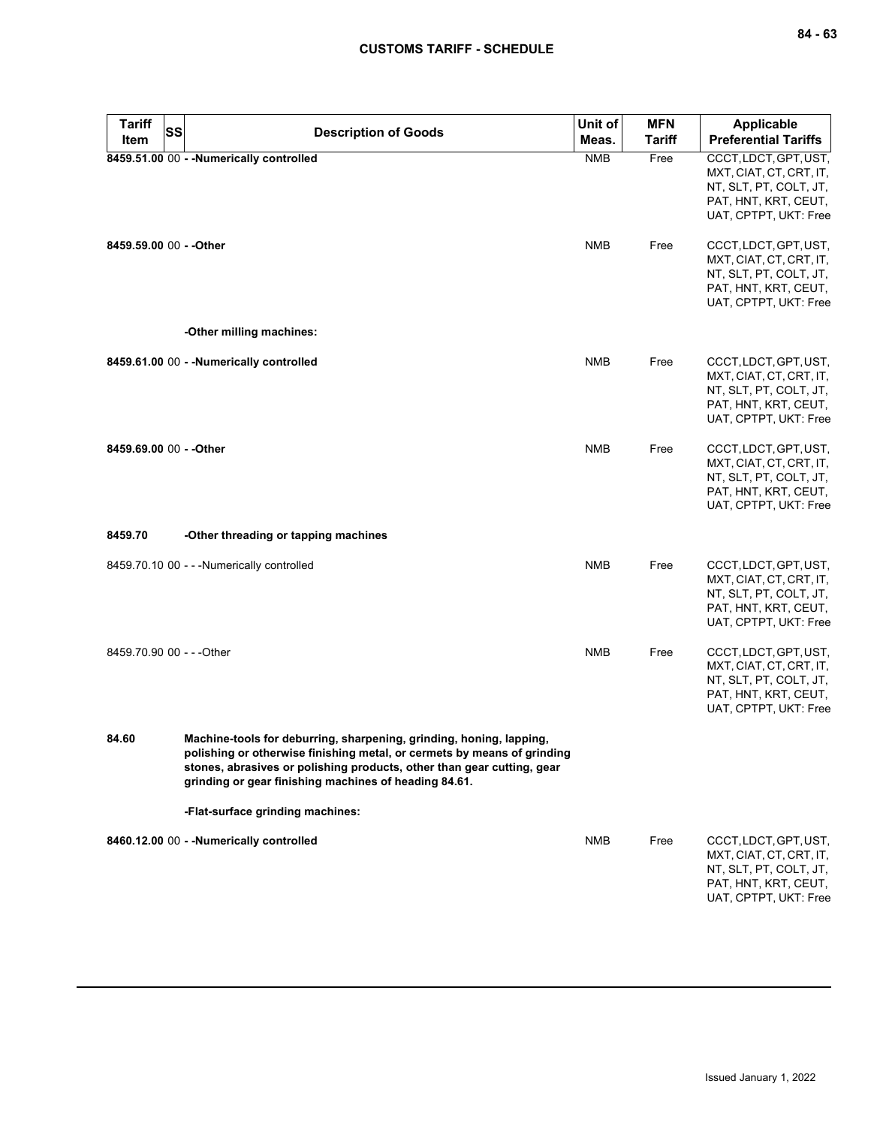| <b>Tariff</b><br>Item     | SS | <b>Description of Goods</b>                                                                                                                                                                                                                                                       | Unit of<br>Meas. | <b>MFN</b><br><b>Tariff</b> | Applicable<br><b>Preferential Tariffs</b>                                                                                   |
|---------------------------|----|-----------------------------------------------------------------------------------------------------------------------------------------------------------------------------------------------------------------------------------------------------------------------------------|------------------|-----------------------------|-----------------------------------------------------------------------------------------------------------------------------|
|                           |    | 8459.51.00 00 - - Numerically controlled                                                                                                                                                                                                                                          | <b>NMB</b>       | Free                        | CCCT, LDCT, GPT, UST,<br>MXT, CIAT, CT, CRT, IT,<br>NT, SLT, PT, COLT, JT,<br>PAT, HNT, KRT, CEUT,<br>UAT, CPTPT, UKT: Free |
| 8459.59.00 00 - - Other   |    |                                                                                                                                                                                                                                                                                   | <b>NMB</b>       | Free                        | CCCT, LDCT, GPT, UST,<br>MXT, CIAT, CT, CRT, IT,<br>NT, SLT, PT, COLT, JT,<br>PAT, HNT, KRT, CEUT,<br>UAT, CPTPT, UKT: Free |
|                           |    | -Other milling machines:                                                                                                                                                                                                                                                          |                  |                             |                                                                                                                             |
|                           |    | 8459.61.00 00 - - Numerically controlled                                                                                                                                                                                                                                          | <b>NMB</b>       | Free                        | CCCT, LDCT, GPT, UST,<br>MXT, CIAT, CT, CRT, IT,<br>NT, SLT, PT, COLT, JT,<br>PAT, HNT, KRT, CEUT,<br>UAT, CPTPT, UKT: Free |
| 8459.69.00 00 - - Other   |    |                                                                                                                                                                                                                                                                                   | <b>NMB</b>       | Free                        | CCCT, LDCT, GPT, UST,<br>MXT, CIAT, CT, CRT, IT,<br>NT, SLT, PT, COLT, JT,<br>PAT, HNT, KRT, CEUT,<br>UAT, CPTPT, UKT: Free |
| 8459.70                   |    | -Other threading or tapping machines                                                                                                                                                                                                                                              |                  |                             |                                                                                                                             |
|                           |    | 8459.70.10 00 - - - Numerically controlled                                                                                                                                                                                                                                        | <b>NMB</b>       | Free                        | CCCT, LDCT, GPT, UST,<br>MXT, CIAT, CT, CRT, IT,<br>NT, SLT, PT, COLT, JT,<br>PAT, HNT, KRT, CEUT,<br>UAT, CPTPT, UKT: Free |
| 8459.70.90 00 - - - Other |    |                                                                                                                                                                                                                                                                                   | <b>NMB</b>       | Free                        | CCCT, LDCT, GPT, UST,<br>MXT, CIAT, CT, CRT, IT,<br>NT, SLT, PT, COLT, JT,<br>PAT, HNT, KRT, CEUT,<br>UAT, CPTPT, UKT: Free |
| 84.60                     |    | Machine-tools for deburring, sharpening, grinding, honing, lapping,<br>polishing or otherwise finishing metal, or cermets by means of grinding<br>stones, abrasives or polishing products, other than gear cutting, gear<br>grinding or gear finishing machines of heading 84.61. |                  |                             |                                                                                                                             |
|                           |    | -Flat-surface grinding machines:                                                                                                                                                                                                                                                  |                  |                             |                                                                                                                             |
|                           |    | 8460.12.00 00 - - Numerically controlled                                                                                                                                                                                                                                          | <b>NMB</b>       | Free                        | CCCT, LDCT, GPT, UST,<br>MXT, CIAT, CT, CRT, IT,<br>NT, SLT, PT, COLT, JT,<br>PAT, HNT, KRT, CEUT,<br>UAT, CPTPT, UKT: Free |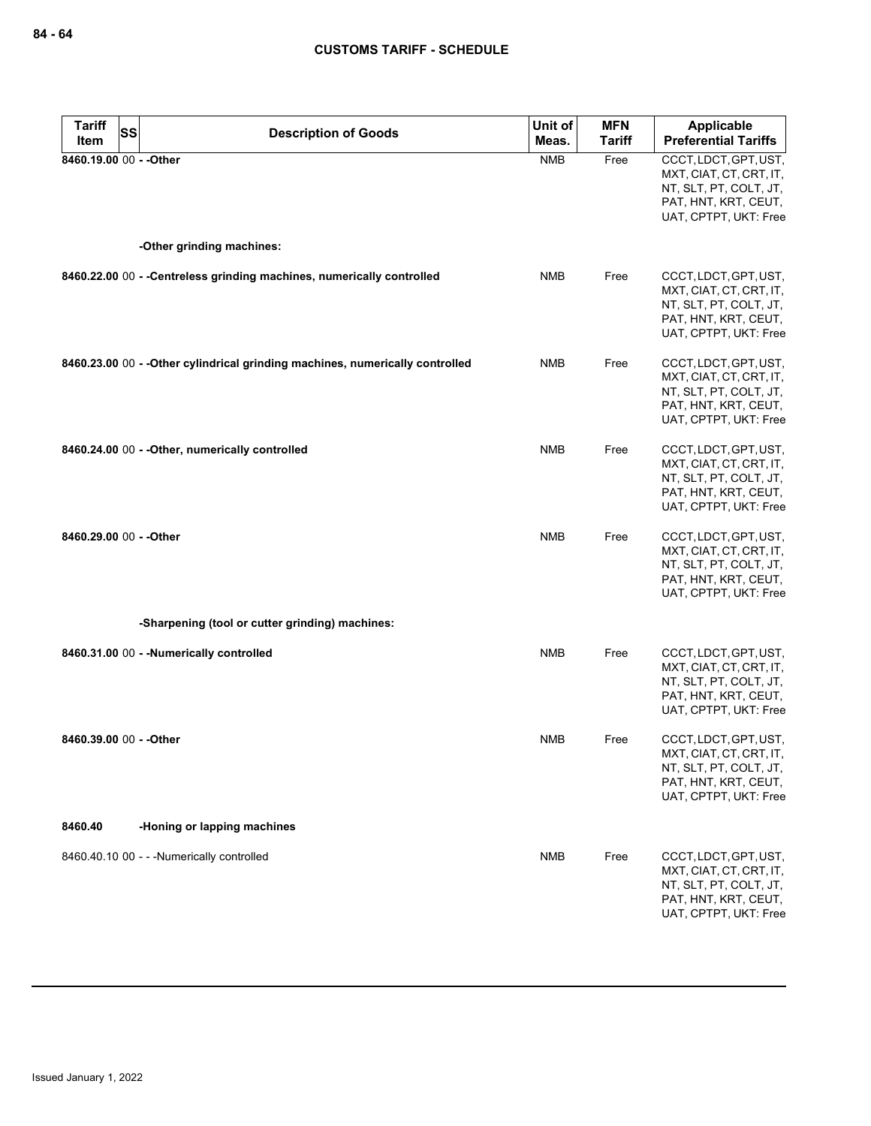| <b>Tariff</b><br><b>SS</b> | <b>Description of Goods</b>                                                   | Unit of    | <b>MFN</b>    | <b>Applicable</b>                                                                                                           |
|----------------------------|-------------------------------------------------------------------------------|------------|---------------|-----------------------------------------------------------------------------------------------------------------------------|
| Item                       |                                                                               | Meas.      | <b>Tariff</b> | <b>Preferential Tariffs</b>                                                                                                 |
| 8460.19.00 00 - - Other    |                                                                               | <b>NMB</b> | Free          | CCCT, LDCT, GPT, UST,<br>MXT, CIAT, CT, CRT, IT,<br>NT, SLT, PT, COLT, JT,<br>PAT, HNT, KRT, CEUT,<br>UAT, CPTPT, UKT: Free |
|                            | -Other grinding machines:                                                     |            |               |                                                                                                                             |
|                            | 8460.22.00 00 - - Centreless grinding machines, numerically controlled        | <b>NMB</b> | Free          | CCCT, LDCT, GPT, UST,<br>MXT, CIAT, CT, CRT, IT,<br>NT, SLT, PT, COLT, JT,<br>PAT, HNT, KRT, CEUT,<br>UAT, CPTPT, UKT: Free |
|                            | 8460.23.00 00 - - Other cylindrical grinding machines, numerically controlled | <b>NMB</b> | Free          | CCCT, LDCT, GPT, UST,<br>MXT, CIAT, CT, CRT, IT,<br>NT, SLT, PT, COLT, JT,<br>PAT, HNT, KRT, CEUT,<br>UAT, CPTPT, UKT: Free |
|                            | 8460.24.00 00 - - Other, numerically controlled                               | <b>NMB</b> | Free          | CCCT, LDCT, GPT, UST,<br>MXT, CIAT, CT, CRT, IT,<br>NT, SLT, PT, COLT, JT,<br>PAT, HNT, KRT, CEUT,<br>UAT, CPTPT, UKT: Free |
| 8460.29.00 00 - - Other    |                                                                               | <b>NMB</b> | Free          | CCCT, LDCT, GPT, UST,<br>MXT, CIAT, CT, CRT, IT,<br>NT, SLT, PT, COLT, JT,<br>PAT, HNT, KRT, CEUT,<br>UAT, CPTPT, UKT: Free |
|                            | -Sharpening (tool or cutter grinding) machines:                               |            |               |                                                                                                                             |
|                            | 8460.31.00 00 - - Numerically controlled                                      | <b>NMB</b> | Free          | CCCT, LDCT, GPT, UST,<br>MXT, CIAT, CT, CRT, IT,<br>NT, SLT, PT, COLT, JT,<br>PAT, HNT, KRT, CEUT,<br>UAT, CPTPT, UKT: Free |
| 8460.39.00 00 - - Other    |                                                                               | <b>NMB</b> | Free          | CCCT, LDCT, GPT, UST,<br>MXT, CIAT, CT, CRT, IT,<br>NT, SLT, PT, COLT, JT,<br>PAT, HNT, KRT, CEUT,<br>UAT, CPTPT, UKT: Free |
| 8460.40                    | -Honing or lapping machines                                                   |            |               |                                                                                                                             |
|                            | 8460.40.10 00 - - - Numerically controlled                                    | <b>NMB</b> | Free          | CCCT, LDCT, GPT, UST,<br>MXT, CIAT, CT, CRT, IT,<br>NT, SLT, PT, COLT, JT,<br>PAT, HNT, KRT, CEUT,<br>UAT, CPTPT, UKT: Free |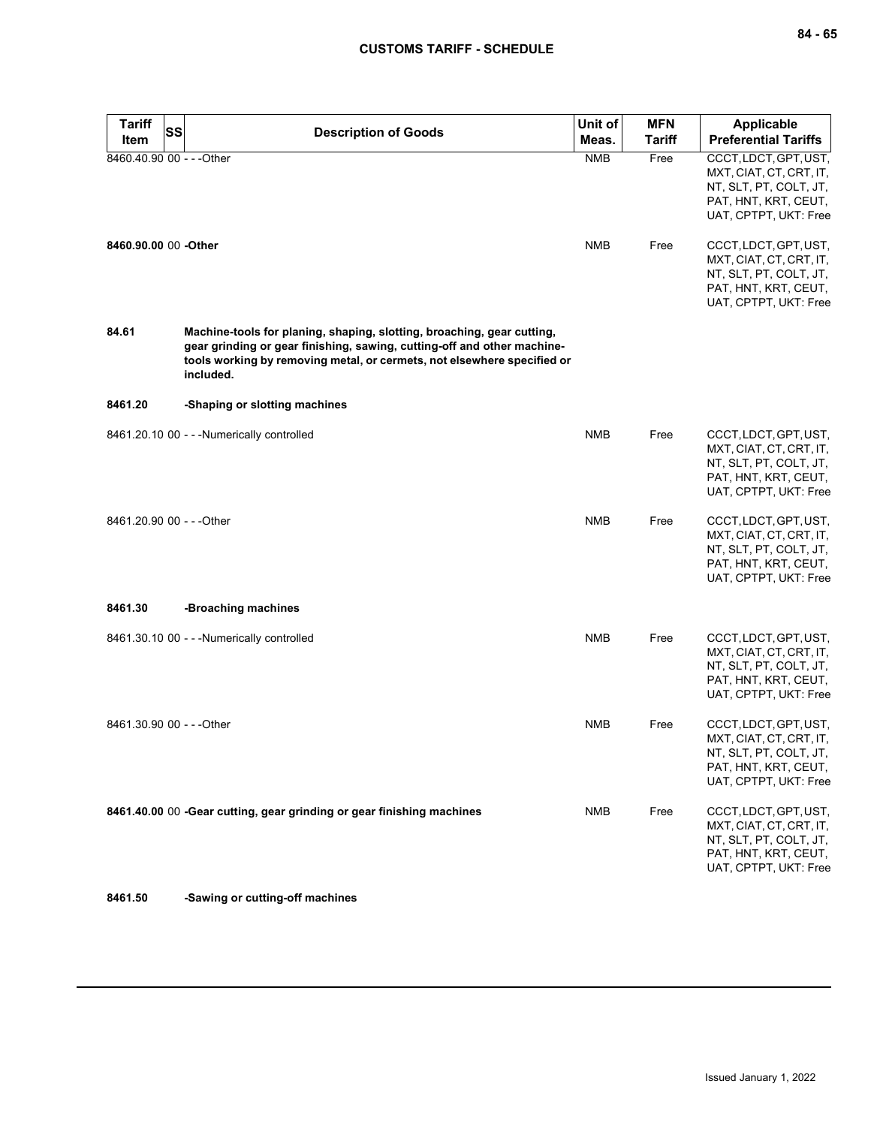| <b>Tariff</b>             | <b>SS</b><br><b>Description of Goods</b>                                                                                                                                                                                                  | Unit of    | <b>MFN</b>    | <b>Applicable</b>                                                                                                           |
|---------------------------|-------------------------------------------------------------------------------------------------------------------------------------------------------------------------------------------------------------------------------------------|------------|---------------|-----------------------------------------------------------------------------------------------------------------------------|
| Item                      |                                                                                                                                                                                                                                           | Meas.      | <b>Tariff</b> | <b>Preferential Tariffs</b>                                                                                                 |
| 8460.40.90 00 - - - Other |                                                                                                                                                                                                                                           | <b>NMB</b> | Free          | CCCT, LDCT, GPT, UST,<br>MXT, CIAT, CT, CRT, IT,<br>NT, SLT, PT, COLT, JT,<br>PAT, HNT, KRT, CEUT,<br>UAT, CPTPT, UKT: Free |
| 8460.90.00 00 -Other      |                                                                                                                                                                                                                                           | <b>NMB</b> | Free          | CCCT, LDCT, GPT, UST,<br>MXT, CIAT, CT, CRT, IT,<br>NT, SLT, PT, COLT, JT,<br>PAT, HNT, KRT, CEUT,<br>UAT, CPTPT, UKT: Free |
| 84.61                     | Machine-tools for planing, shaping, slotting, broaching, gear cutting,<br>gear grinding or gear finishing, sawing, cutting-off and other machine-<br>tools working by removing metal, or cermets, not elsewhere specified or<br>included. |            |               |                                                                                                                             |
| 8461.20                   | -Shaping or slotting machines                                                                                                                                                                                                             |            |               |                                                                                                                             |
|                           | 8461.20.10 00 - - - Numerically controlled                                                                                                                                                                                                | <b>NMB</b> | Free          | CCCT, LDCT, GPT, UST,<br>MXT, CIAT, CT, CRT, IT,<br>NT, SLT, PT, COLT, JT,<br>PAT, HNT, KRT, CEUT,<br>UAT, CPTPT, UKT: Free |
| 8461.20.90 00 - - - Other |                                                                                                                                                                                                                                           | <b>NMB</b> | Free          | CCCT, LDCT, GPT, UST,<br>MXT, CIAT, CT, CRT, IT,<br>NT, SLT, PT, COLT, JT,<br>PAT, HNT, KRT, CEUT,<br>UAT, CPTPT, UKT: Free |
| 8461.30                   | -Broaching machines                                                                                                                                                                                                                       |            |               |                                                                                                                             |
|                           | 8461.30.10 00 - - - Numerically controlled                                                                                                                                                                                                | <b>NMB</b> | Free          | CCCT, LDCT, GPT, UST,<br>MXT, CIAT, CT, CRT, IT,<br>NT, SLT, PT, COLT, JT,<br>PAT, HNT, KRT, CEUT,<br>UAT, CPTPT, UKT: Free |
| 8461.30.90 00 - - - Other |                                                                                                                                                                                                                                           | <b>NMB</b> | Free          | CCCT, LDCT, GPT, UST,<br>MXT, CIAT, CT, CRT, IT,<br>NT, SLT, PT, COLT, JT,<br>PAT, HNT, KRT, CEUT,<br>UAT, CPTPT, UKT: Free |
|                           | 8461.40.00 00 -Gear cutting, gear grinding or gear finishing machines                                                                                                                                                                     | <b>NMB</b> | Free          | CCCT, LDCT, GPT, UST,<br>MXT, CIAT, CT, CRT, IT,<br>NT, SLT, PT, COLT, JT,<br>PAT, HNT, KRT, CEUT,<br>UAT, CPTPT, UKT: Free |

**8461.50 -Sawing or cutting-off machines**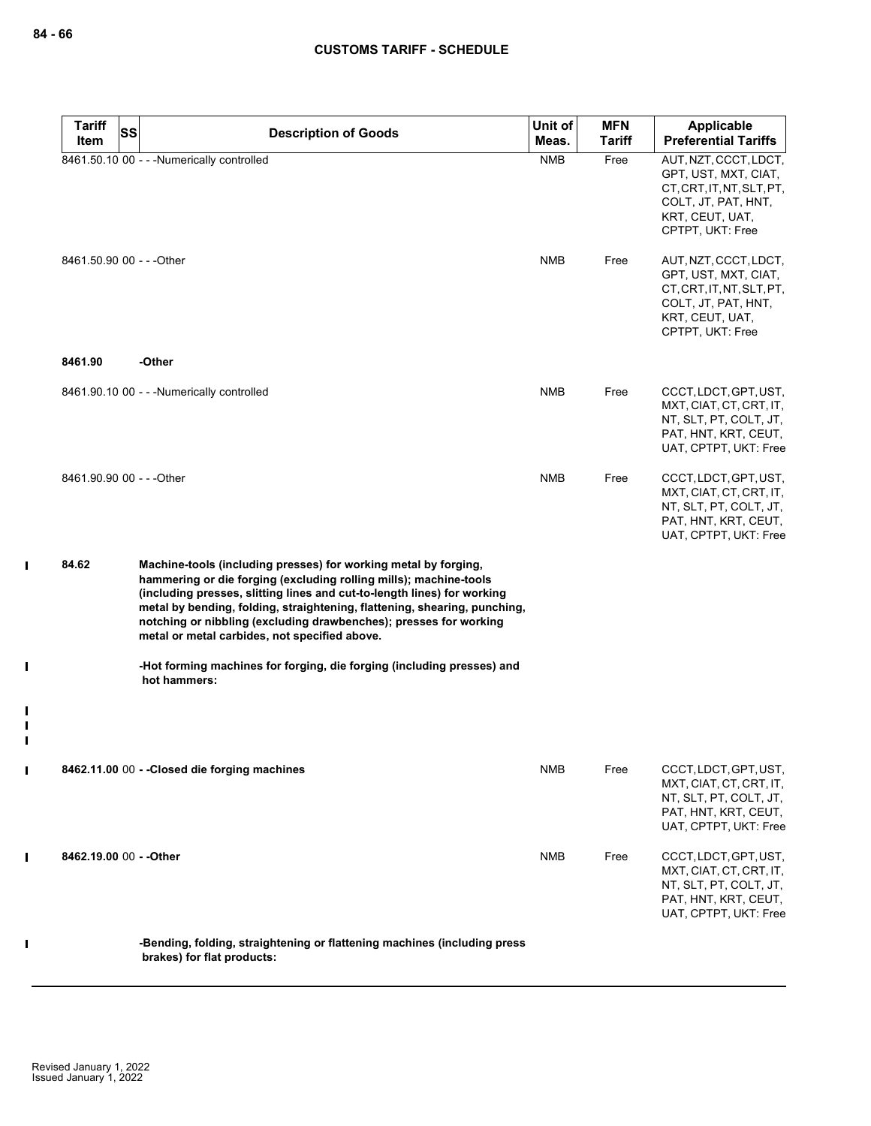$\mathbf I$ 

 $\mathbf{I}$ 

 $\blacksquare$  $\blacksquare$  $\blacksquare$ 

 $\mathbf{I}$ 

 $\mathbf I$ 

 $\mathbf I$ 

| <b>Tariff</b><br>SS       | <b>Description of Goods</b>                                                                                                                                                                                                                                                                                                                                                                                        | Unit of    | <b>MFN</b>    | Applicable                                                                                                                               |
|---------------------------|--------------------------------------------------------------------------------------------------------------------------------------------------------------------------------------------------------------------------------------------------------------------------------------------------------------------------------------------------------------------------------------------------------------------|------------|---------------|------------------------------------------------------------------------------------------------------------------------------------------|
| Item                      |                                                                                                                                                                                                                                                                                                                                                                                                                    | Meas.      | <b>Tariff</b> | <b>Preferential Tariffs</b>                                                                                                              |
|                           | 8461.50.10 00 - - - Numerically controlled                                                                                                                                                                                                                                                                                                                                                                         | <b>NMB</b> | Free          | AUT, NZT, CCCT, LDCT,<br>GPT, UST, MXT, CIAT,<br>CT, CRT, IT, NT, SLT, PT,<br>COLT, JT, PAT, HNT,<br>KRT, CEUT, UAT,<br>CPTPT, UKT: Free |
| 8461.50.90 00 - - - Other |                                                                                                                                                                                                                                                                                                                                                                                                                    | <b>NMB</b> | Free          | AUT, NZT, CCCT, LDCT,<br>GPT, UST, MXT, CIAT,<br>CT, CRT, IT, NT, SLT, PT,<br>COLT, JT, PAT, HNT,<br>KRT, CEUT, UAT,<br>CPTPT, UKT: Free |
| 8461.90                   | -Other                                                                                                                                                                                                                                                                                                                                                                                                             |            |               |                                                                                                                                          |
|                           | 8461.90.10 00 - - - Numerically controlled                                                                                                                                                                                                                                                                                                                                                                         | <b>NMB</b> | Free          | CCCT, LDCT, GPT, UST,<br>MXT, CIAT, CT, CRT, IT,<br>NT, SLT, PT, COLT, JT,<br>PAT, HNT, KRT, CEUT,<br>UAT, CPTPT, UKT: Free              |
| 8461.90.90 00 - - - Other |                                                                                                                                                                                                                                                                                                                                                                                                                    | <b>NMB</b> | Free          | CCCT, LDCT, GPT, UST,<br>MXT, CIAT, CT, CRT, IT,<br>NT, SLT, PT, COLT, JT,<br>PAT, HNT, KRT, CEUT,<br>UAT, CPTPT, UKT: Free              |
| 84.62                     | Machine-tools (including presses) for working metal by forging,<br>hammering or die forging (excluding rolling mills); machine-tools<br>(including presses, slitting lines and cut-to-length lines) for working<br>metal by bending, folding, straightening, flattening, shearing, punching,<br>notching or nibbling (excluding drawbenches); presses for working<br>metal or metal carbides, not specified above. |            |               |                                                                                                                                          |
|                           | -Hot forming machines for forging, die forging (including presses) and<br>hot hammers:                                                                                                                                                                                                                                                                                                                             |            |               |                                                                                                                                          |
|                           | 8462.11.00 00 - - Closed die forging machines                                                                                                                                                                                                                                                                                                                                                                      | NMB        | Free          | CCCT, LDCT, GPT, UST,<br>MXT, CIAT, CT, CRT, IT,                                                                                         |
|                           |                                                                                                                                                                                                                                                                                                                                                                                                                    |            |               | NT, SLT, PT, COLT, JT,<br>PAT, HNT, KRT, CEUT,<br>UAT, CPTPT, UKT: Free                                                                  |
| 8462.19.00 00 - - Other   |                                                                                                                                                                                                                                                                                                                                                                                                                    | <b>NMB</b> | Free          | CCCT, LDCT, GPT, UST,<br>MXT, CIAT, CT, CRT, IT,<br>NT, SLT, PT, COLT, JT,<br>PAT, HNT, KRT, CEUT,<br>UAT, CPTPT, UKT: Free              |
|                           | -Bending, folding, straightening or flattening machines (including press<br>brakes) for flat products:                                                                                                                                                                                                                                                                                                             |            |               |                                                                                                                                          |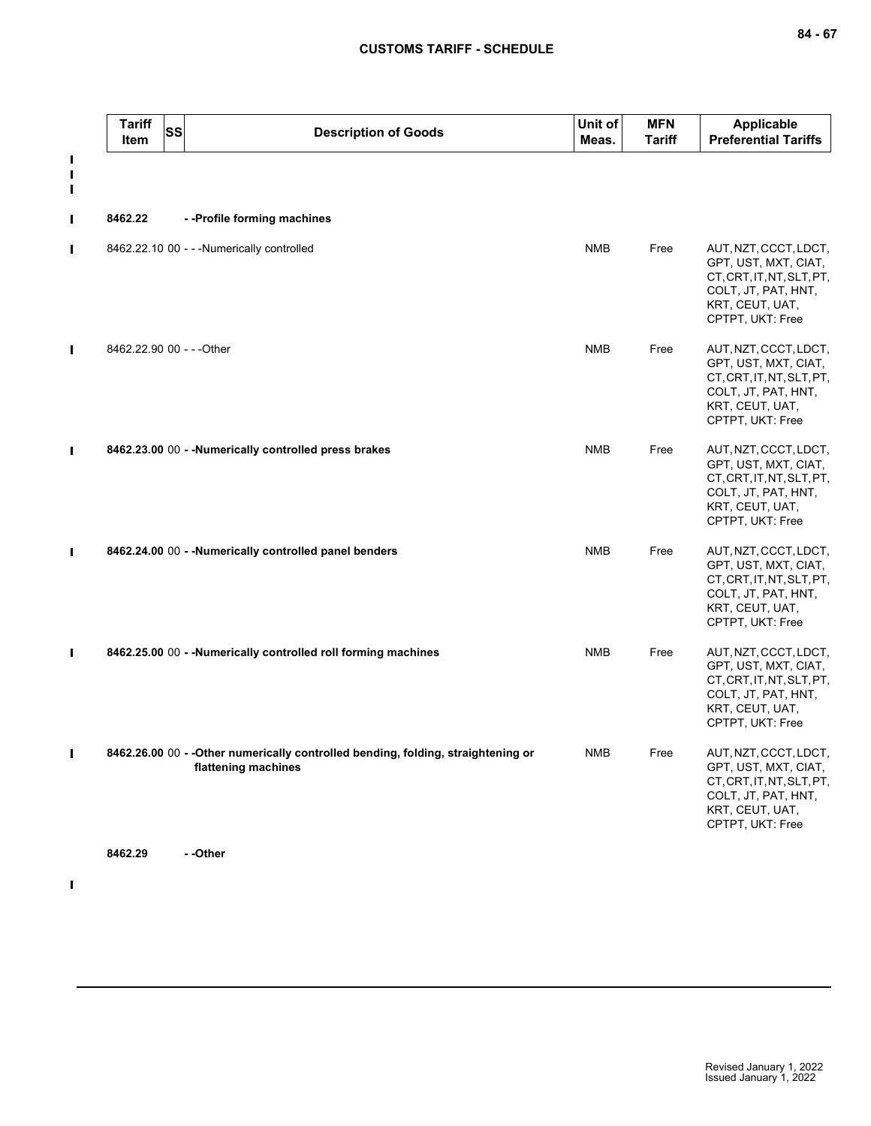|                                       | <b>Tariff</b><br>Item     | <b>SS</b> | <b>Description of Goods</b>                                                                              | Unit of<br>Meas. | <b>MFN</b><br><b>Tariff</b> | <b>Applicable</b><br><b>Preferential Tariffs</b>                                                                                         |
|---------------------------------------|---------------------------|-----------|----------------------------------------------------------------------------------------------------------|------------------|-----------------------------|------------------------------------------------------------------------------------------------------------------------------------------|
| $\blacksquare$<br>Ш<br>$\blacksquare$ |                           |           |                                                                                                          |                  |                             |                                                                                                                                          |
| П                                     | 8462.22                   |           | -- Profile forming machines                                                                              |                  |                             |                                                                                                                                          |
| П                                     |                           |           | 8462.22.10 00 - - - Numerically controlled                                                               | <b>NMB</b>       | Free                        | AUT, NZT, CCCT, LDCT,<br>GPT, UST, MXT, CIAT,<br>CT, CRT, IT, NT, SLT, PT,<br>COLT, JT, PAT, HNT,<br>KRT, CEUT, UAT,<br>CPTPT, UKT: Free |
|                                       | 8462.22.90 00 - - - Other |           |                                                                                                          | <b>NMB</b>       | Free                        | AUT, NZT, CCCT, LDCT,<br>GPT, UST, MXT, CIAT,<br>CT, CRT, IT, NT, SLT, PT,<br>COLT, JT, PAT, HNT,<br>KRT, CEUT, UAT,<br>CPTPT, UKT: Free |
|                                       |                           |           | 8462.23.00 00 - - Numerically controlled press brakes                                                    | <b>NMB</b>       | Free                        | AUT, NZT, CCCT, LDCT,<br>GPT, UST, MXT, CIAT,<br>CT, CRT, IT, NT, SLT, PT,<br>COLT, JT, PAT, HNT,<br>KRT, CEUT, UAT,<br>CPTPT, UKT: Free |
|                                       |                           |           | 8462.24.00 00 - - Numerically controlled panel benders                                                   | <b>NMB</b>       | Free                        | AUT, NZT, CCCT, LDCT,<br>GPT, UST, MXT, CIAT,<br>CT, CRT, IT, NT, SLT, PT,<br>COLT, JT, PAT, HNT,<br>KRT, CEUT, UAT,<br>CPTPT, UKT: Free |
|                                       |                           |           | 8462.25.00 00 - - Numerically controlled roll forming machines                                           | <b>NMB</b>       | Free                        | AUT, NZT, CCCT, LDCT,<br>GPT, UST, MXT, CIAT,<br>CT, CRT, IT, NT, SLT, PT,<br>COLT, JT, PAT, HNT,<br>KRT, CEUT, UAT,<br>CPTPT, UKT: Free |
| $\mathbf{I}$                          |                           |           | 8462.26.00 00 - - Other numerically controlled bending, folding, straightening or<br>flattening machines | <b>NMB</b>       | Free                        | AUT, NZT, CCCT, LDCT,<br>GPT, UST, MXT, CIAT,<br>CT, CRT, IT, NT, SLT, PT,<br>COLT, JT, PAT, HNT,<br>KRT, CEUT, UAT,<br>CPTPT, UKT: Free |
|                                       | 8462.29                   |           | --Other                                                                                                  |                  |                             |                                                                                                                                          |

 $\mathbf{I}$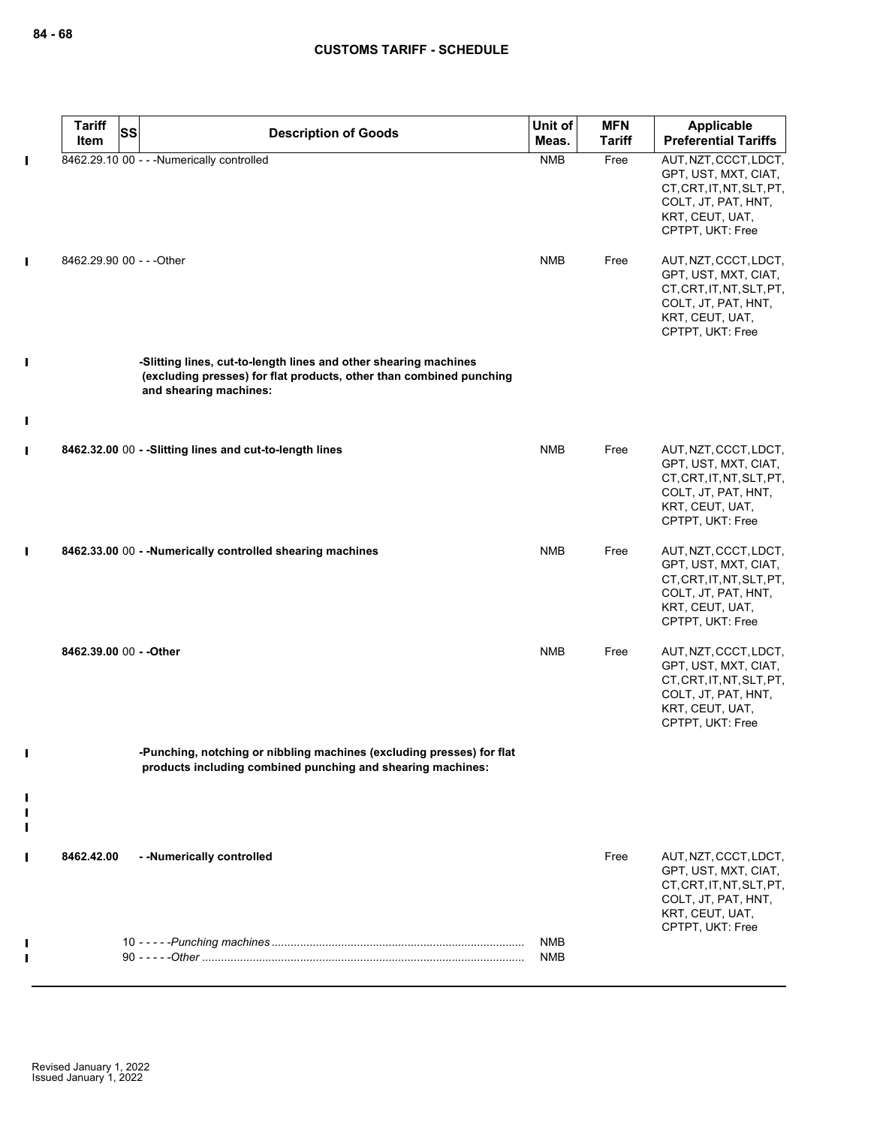|                | <b>Tariff</b><br>SS<br>Item | <b>Description of Goods</b>                                                                                                                                       | Unit of<br>Meas.         | <b>MFN</b><br>Tariff | Applicable<br><b>Preferential Tariffs</b>                                                                                                |
|----------------|-----------------------------|-------------------------------------------------------------------------------------------------------------------------------------------------------------------|--------------------------|----------------------|------------------------------------------------------------------------------------------------------------------------------------------|
| П              |                             | 8462.29.10 00 - - - Numerically controlled                                                                                                                        | <b>NMB</b>               | Free                 | AUT, NZT, CCCT, LDCT,<br>GPT, UST, MXT, CIAT,<br>CT, CRT, IT, NT, SLT, PT,<br>COLT, JT, PAT, HNT,<br>KRT, CEUT, UAT,<br>CPTPT, UKT: Free |
| П              | 8462.29.90 00 - - - Other   |                                                                                                                                                                   | <b>NMB</b>               | Free                 | AUT, NZT, CCCT, LDCT,<br>GPT, UST, MXT, CIAT,<br>CT, CRT, IT, NT, SLT, PT,<br>COLT, JT, PAT, HNT,<br>KRT, CEUT, UAT,<br>CPTPT, UKT: Free |
| $\blacksquare$ |                             | -Slitting lines, cut-to-length lines and other shearing machines<br>(excluding presses) for flat products, other than combined punching<br>and shearing machines: |                          |                      |                                                                                                                                          |
| $\blacksquare$ |                             |                                                                                                                                                                   |                          |                      |                                                                                                                                          |
| П              |                             | 8462.32.00 00 - - Slitting lines and cut-to-length lines                                                                                                          | <b>NMB</b>               | Free                 | AUT, NZT, CCCT, LDCT,<br>GPT, UST, MXT, CIAT,<br>CT, CRT, IT, NT, SLT, PT,<br>COLT, JT, PAT, HNT,<br>KRT, CEUT, UAT,<br>CPTPT, UKT: Free |
| П              |                             | 8462.33.00 00 - - Numerically controlled shearing machines                                                                                                        | <b>NMB</b>               | Free                 | AUT, NZT, CCCT, LDCT,<br>GPT, UST, MXT, CIAT,<br>CT, CRT, IT, NT, SLT, PT,<br>COLT, JT, PAT, HNT,<br>KRT, CEUT, UAT,<br>CPTPT, UKT: Free |
|                | 8462.39.00 00 - - Other     |                                                                                                                                                                   | <b>NMB</b>               | Free                 | AUT, NZT, CCCT, LDCT,<br>GPT, UST, MXT, CIAT,<br>CT, CRT, IT, NT, SLT, PT,<br>COLT, JT, PAT, HNT,<br>KRT, CEUT, UAT,<br>CPTPT, UKT: Free |
|                |                             | -Punching, notching or nibbling machines (excluding presses) for flat<br>products including combined punching and shearing machines:                              |                          |                      |                                                                                                                                          |
| П              |                             |                                                                                                                                                                   |                          |                      |                                                                                                                                          |
| $\blacksquare$ | 8462.42.00                  | - - Numerically controlled                                                                                                                                        |                          | Free                 | AUT, NZT, CCCT, LDCT,<br>GPT, UST, MXT, CIAT,<br>CT, CRT, IT, NT, SLT, PT,<br>COLT, JT, PAT, HNT,<br>KRT, CEUT, UAT,<br>CPTPT, UKT: Free |
|                |                             |                                                                                                                                                                   | <b>NMB</b><br><b>NMB</b> |                      |                                                                                                                                          |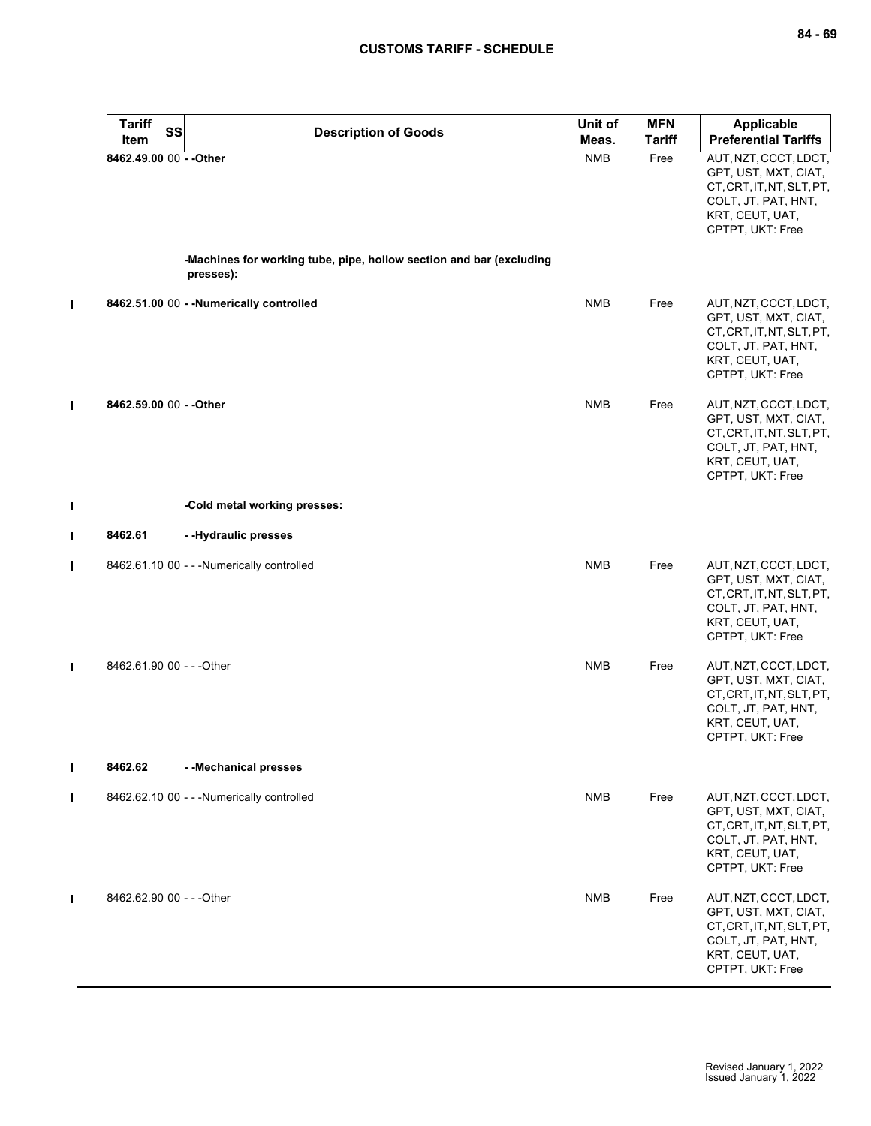|   | <b>Tariff</b><br><b>SS</b> | <b>Description of Goods</b>                                                      | Unit of    | <b>MFN</b>    | Applicable                                                                                                                               |
|---|----------------------------|----------------------------------------------------------------------------------|------------|---------------|------------------------------------------------------------------------------------------------------------------------------------------|
|   | Item                       |                                                                                  | Meas.      | <b>Tariff</b> | <b>Preferential Tariffs</b>                                                                                                              |
|   | 8462.49.00 00 - - Other    |                                                                                  | <b>NMB</b> | Free          | AUT, NZT, CCCT, LDCT,<br>GPT, UST, MXT, CIAT,<br>CT, CRT, IT, NT, SLT, PT,<br>COLT, JT, PAT, HNT,<br>KRT, CEUT, UAT,<br>CPTPT, UKT: Free |
|   |                            | -Machines for working tube, pipe, hollow section and bar (excluding<br>presses): |            |               |                                                                                                                                          |
| П |                            | 8462.51.00 00 - - Numerically controlled                                         | <b>NMB</b> | Free          | AUT, NZT, CCCT, LDCT,<br>GPT, UST, MXT, CIAT,<br>CT, CRT, IT, NT, SLT, PT,<br>COLT, JT, PAT, HNT,<br>KRT, CEUT, UAT,<br>CPTPT, UKT: Free |
| П | 8462.59.00 00 - - Other    |                                                                                  | <b>NMB</b> | Free          | AUT, NZT, CCCT, LDCT,<br>GPT, UST, MXT, CIAT,<br>CT, CRT, IT, NT, SLT, PT,<br>COLT, JT, PAT, HNT,<br>KRT, CEUT, UAT,<br>CPTPT, UKT: Free |
| I |                            | -Cold metal working presses:                                                     |            |               |                                                                                                                                          |
| П | 8462.61                    | - - Hydraulic presses                                                            |            |               |                                                                                                                                          |
| П |                            | 8462.61.10 00 - - - Numerically controlled                                       | <b>NMB</b> | Free          | AUT, NZT, CCCT, LDCT,<br>GPT, UST, MXT, CIAT,<br>CT, CRT, IT, NT, SLT, PT,<br>COLT, JT, PAT, HNT,<br>KRT, CEUT, UAT,<br>CPTPT, UKT: Free |
| П | 8462.61.90 00 - - - Other  |                                                                                  | <b>NMB</b> | Free          | AUT, NZT, CCCT, LDCT,<br>GPT, UST, MXT, CIAT,<br>CT, CRT, IT, NT, SLT, PT,<br>COLT, JT, PAT, HNT,<br>KRT, CEUT, UAT,<br>CPTPT, UKT: Free |
| П | 8462.62                    | --Mechanical presses                                                             |            |               |                                                                                                                                          |
| П |                            | 8462.62.10 00 - - - Numerically controlled                                       | <b>NMB</b> | Free          | AUT, NZT, CCCT, LDCT,<br>GPT, UST, MXT, CIAT,<br>CT, CRT, IT, NT, SLT, PT,<br>COLT, JT, PAT, HNT,<br>KRT, CEUT, UAT,<br>CPTPT, UKT: Free |
| П | 8462.62.90 00 - - - Other  |                                                                                  | <b>NMB</b> | Free          | AUT, NZT, CCCT, LDCT,<br>GPT, UST, MXT, CIAT,<br>CT, CRT, IT, NT, SLT, PT,<br>COLT, JT, PAT, HNT,<br>KRT, CEUT, UAT,<br>CPTPT, UKT: Free |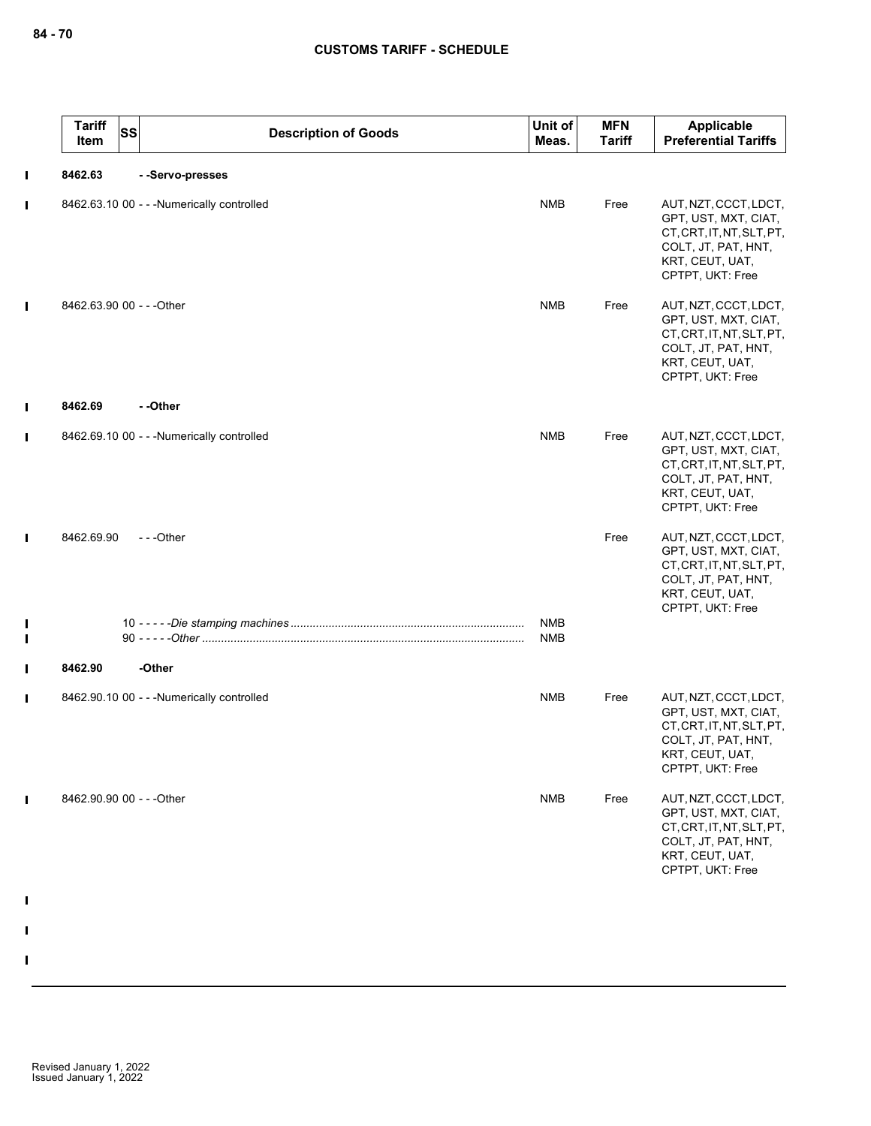|                | <b>Tariff</b><br>Item     | <b>SS</b> | <b>Description of Goods</b>                | Unit of<br>Meas.  | <b>MFN</b><br><b>Tariff</b> | Applicable<br><b>Preferential Tariffs</b>                                                                                                |
|----------------|---------------------------|-----------|--------------------------------------------|-------------------|-----------------------------|------------------------------------------------------------------------------------------------------------------------------------------|
| $\mathbf I$    | 8462.63                   |           | --Servo-presses                            |                   |                             |                                                                                                                                          |
| $\blacksquare$ |                           |           | 8462.63.10 00 - - - Numerically controlled | <b>NMB</b>        | Free                        | AUT, NZT, CCCT, LDCT,<br>GPT, UST, MXT, CIAT,<br>CT, CRT, IT, NT, SLT, PT,<br>COLT, JT, PAT, HNT,<br>KRT, CEUT, UAT,<br>CPTPT, UKT: Free |
| $\mathbf I$    | 8462.63.90 00 - - - Other |           |                                            | <b>NMB</b>        | Free                        | AUT, NZT, CCCT, LDCT,<br>GPT, UST, MXT, CIAT,<br>CT, CRT, IT, NT, SLT, PT,<br>COLT, JT, PAT, HNT,<br>KRT, CEUT, UAT,<br>CPTPT, UKT: Free |
| П              | 8462.69                   |           | - -Other                                   |                   |                             |                                                                                                                                          |
| $\blacksquare$ |                           |           | 8462.69.10 00 - - - Numerically controlled | <b>NMB</b>        | Free                        | AUT, NZT, CCCT, LDCT,<br>GPT, UST, MXT, CIAT,<br>CT, CRT, IT, NT, SLT, PT,<br>COLT, JT, PAT, HNT,<br>KRT, CEUT, UAT,<br>CPTPT, UKT: Free |
| I              | 8462.69.90                |           | ---Other                                   |                   | Free                        | AUT, NZT, CCCT, LDCT,<br>GPT, UST, MXT, CIAT,<br>CT, CRT, IT, NT, SLT, PT,<br>COLT, JT, PAT, HNT,<br>KRT, CEUT, UAT,<br>CPTPT, UKT: Free |
| I<br>Ī         |                           |           |                                            | <b>NMB</b><br>NMB |                             |                                                                                                                                          |
| I              | 8462.90                   |           | -Other                                     |                   |                             |                                                                                                                                          |
| Ш              |                           |           | 8462.90.10 00 - - - Numerically controlled | <b>NMB</b>        | Free                        | AUT, NZT, CCCT, LDCT,<br>GPT, UST, MXT, CIAT,<br>CT, CRT, IT, NT, SLT, PT,<br>COLT, JT, PAT, HNT,<br>KRT, CEUT, UAT,<br>CPTPT, UKT: Free |
| I              | 8462.90.90 00 - - - Other |           |                                            | <b>NMB</b>        | Free                        | AUT, NZT, CCCT, LDCT,<br>GPT, UST, MXT, CIAT,<br>CT, CRT, IT, NT, SLT, PT,<br>COLT, JT, PAT, HNT,<br>KRT, CEUT, UAT,<br>CPTPT, UKT: Free |
|                |                           |           |                                            |                   |                             |                                                                                                                                          |
|                |                           |           |                                            |                   |                             |                                                                                                                                          |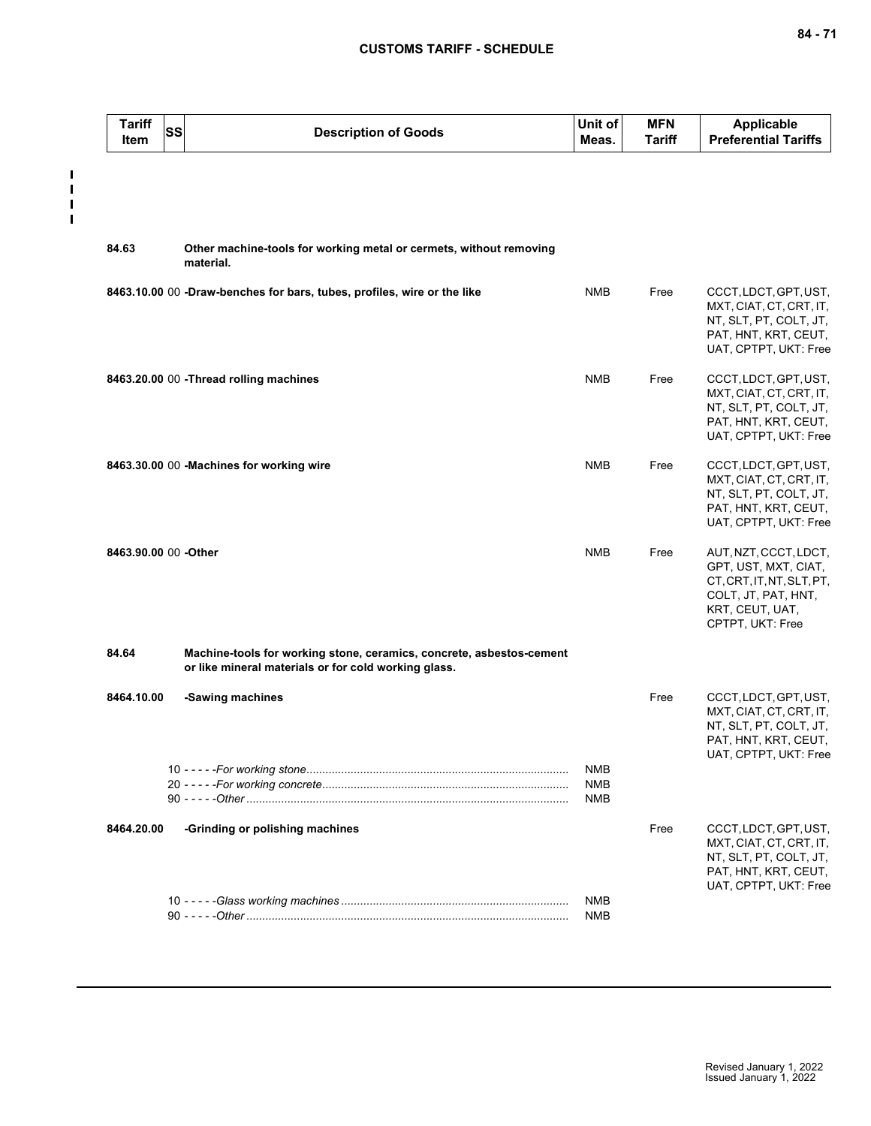$\frac{1}{1}$  $\mathbf{I}$  $\blacksquare$ 

| <b>Tariff</b><br>Item | SS | <b>Description of Goods</b>                                                                                                  | Unit of<br>Meas.         | <b>MFN</b><br><b>Tariff</b> | <b>Applicable</b><br><b>Preferential Tariffs</b>                                                                                         |
|-----------------------|----|------------------------------------------------------------------------------------------------------------------------------|--------------------------|-----------------------------|------------------------------------------------------------------------------------------------------------------------------------------|
|                       |    |                                                                                                                              |                          |                             |                                                                                                                                          |
| 84.63                 |    | Other machine-tools for working metal or cermets, without removing<br>material.                                              |                          |                             |                                                                                                                                          |
|                       |    | 8463.10.00 00 -Draw-benches for bars, tubes, profiles, wire or the like                                                      | <b>NMB</b>               | Free                        | CCCT, LDCT, GPT, UST,<br>MXT, CIAT, CT, CRT, IT,<br>NT, SLT, PT, COLT, JT,<br>PAT, HNT, KRT, CEUT,<br>UAT, CPTPT, UKT: Free              |
|                       |    | 8463.20.00 00 - Thread rolling machines                                                                                      | <b>NMB</b>               | Free                        | CCCT, LDCT, GPT, UST,<br>MXT, CIAT, CT, CRT, IT,<br>NT, SLT, PT, COLT, JT,<br>PAT, HNT, KRT, CEUT,<br>UAT, CPTPT, UKT: Free              |
|                       |    | 8463.30.00 00 -Machines for working wire                                                                                     | <b>NMB</b>               | Free                        | CCCT, LDCT, GPT, UST,<br>MXT, CIAT, CT, CRT, IT,<br>NT, SLT, PT, COLT, JT,<br>PAT, HNT, KRT, CEUT,<br>UAT, CPTPT, UKT: Free              |
| 8463.90.00 00 - Other |    |                                                                                                                              | <b>NMB</b>               | Free                        | AUT, NZT, CCCT, LDCT,<br>GPT, UST, MXT, CIAT,<br>CT, CRT, IT, NT, SLT, PT,<br>COLT, JT, PAT, HNT,<br>KRT, CEUT, UAT,<br>CPTPT, UKT: Free |
| 84.64                 |    | Machine-tools for working stone, ceramics, concrete, asbestos-cement<br>or like mineral materials or for cold working glass. |                          |                             |                                                                                                                                          |
| 8464.10.00            |    | -Sawing machines                                                                                                             |                          | Free                        | CCCT, LDCT, GPT, UST,<br>MXT, CIAT, CT, CRT, IT,<br>NT, SLT, PT, COLT, JT,<br>PAT, HNT, KRT, CEUT,<br>UAT, CPTPT, UKT: Free              |
|                       |    |                                                                                                                              | NMB<br><b>NMB</b><br>NMB |                             |                                                                                                                                          |
| 8464.20.00            |    | -Grinding or polishing machines                                                                                              |                          | Free                        | CCCT, LDCT, GPT, UST,<br>MXT, CIAT, CT, CRT, IT,<br>NT, SLT, PT, COLT, JT,<br>PAT, HNT, KRT, CEUT,<br>UAT, CPTPT, UKT: Free              |
|                       |    |                                                                                                                              | NMB<br>NMB               |                             |                                                                                                                                          |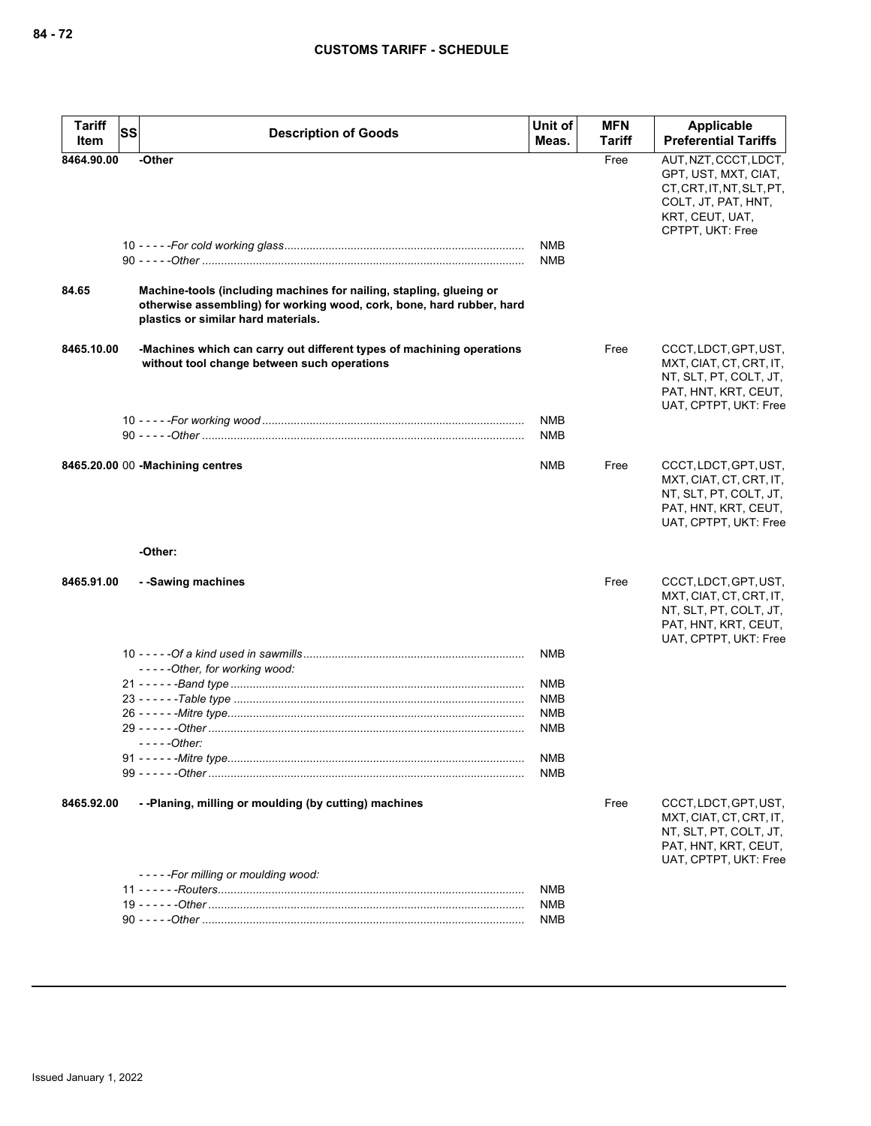| <b>Tariff</b><br><b>SS</b><br>Item | <b>Description of Goods</b>                                                                                                                                                         | Unit of<br>Meas.         | <b>MFN</b><br><b>Tariff</b> | Applicable<br><b>Preferential Tariffs</b>                                                                                                |
|------------------------------------|-------------------------------------------------------------------------------------------------------------------------------------------------------------------------------------|--------------------------|-----------------------------|------------------------------------------------------------------------------------------------------------------------------------------|
| 8464.90.00                         | -Other                                                                                                                                                                              | <b>NMB</b><br><b>NMB</b> | Free                        | AUT, NZT, CCCT, LDCT,<br>GPT, UST, MXT, CIAT,<br>CT, CRT, IT, NT, SLT, PT,<br>COLT, JT, PAT, HNT,<br>KRT, CEUT, UAT,<br>CPTPT, UKT: Free |
| 84.65                              | Machine-tools (including machines for nailing, stapling, glueing or<br>otherwise assembling) for working wood, cork, bone, hard rubber, hard<br>plastics or similar hard materials. |                          |                             |                                                                                                                                          |
| 8465.10.00                         | -Machines which can carry out different types of machining operations<br>without tool change between such operations                                                                |                          | Free                        | CCCT, LDCT, GPT, UST,<br>MXT, CIAT, CT, CRT, IT,<br>NT, SLT, PT, COLT, JT,<br>PAT, HNT, KRT, CEUT,<br>UAT, CPTPT, UKT: Free              |
|                                    |                                                                                                                                                                                     | NMB<br><b>NMB</b>        |                             |                                                                                                                                          |
|                                    | 8465.20.00 00 -Machining centres                                                                                                                                                    | NMB                      | Free                        | CCCT, LDCT, GPT, UST,<br>MXT, CIAT, CT, CRT, IT,<br>NT, SLT, PT, COLT, JT,<br>PAT, HNT, KRT, CEUT,<br>UAT, CPTPT, UKT: Free              |
|                                    | -Other:                                                                                                                                                                             |                          |                             |                                                                                                                                          |
| 8465.91.00                         | - -Sawing machines                                                                                                                                                                  |                          | Free                        | CCCT, LDCT, GPT, UST,<br>MXT, CIAT, CT, CRT, IT,<br>NT, SLT, PT, COLT, JT,<br>PAT, HNT, KRT, CEUT,<br>UAT, CPTPT, UKT: Free              |
|                                    |                                                                                                                                                                                     | NMB                      |                             |                                                                                                                                          |
|                                    | -----Other, for working wood:                                                                                                                                                       | NMB                      |                             |                                                                                                                                          |
|                                    |                                                                                                                                                                                     | <b>NMB</b>               |                             |                                                                                                                                          |
|                                    |                                                                                                                                                                                     | <b>NMB</b>               |                             |                                                                                                                                          |
|                                    |                                                                                                                                                                                     | NMB                      |                             |                                                                                                                                          |
|                                    |                                                                                                                                                                                     | NMB                      |                             |                                                                                                                                          |
|                                    |                                                                                                                                                                                     | NMB                      |                             |                                                                                                                                          |
| 8465.92.00                         | --Planing, milling or moulding (by cutting) machines                                                                                                                                |                          | Free                        | CCCT, LDCT, GPT, UST,<br>MXT, CIAT, CT, CRT, IT,<br>NT, SLT, PT, COLT, JT,<br>PAT, HNT, KRT, CEUT,<br>UAT, CPTPT, UKT: Free              |
|                                    | -----For milling or moulding wood:                                                                                                                                                  | NMB                      |                             |                                                                                                                                          |
|                                    |                                                                                                                                                                                     | NMB                      |                             |                                                                                                                                          |
|                                    |                                                                                                                                                                                     | <b>NMB</b>               |                             |                                                                                                                                          |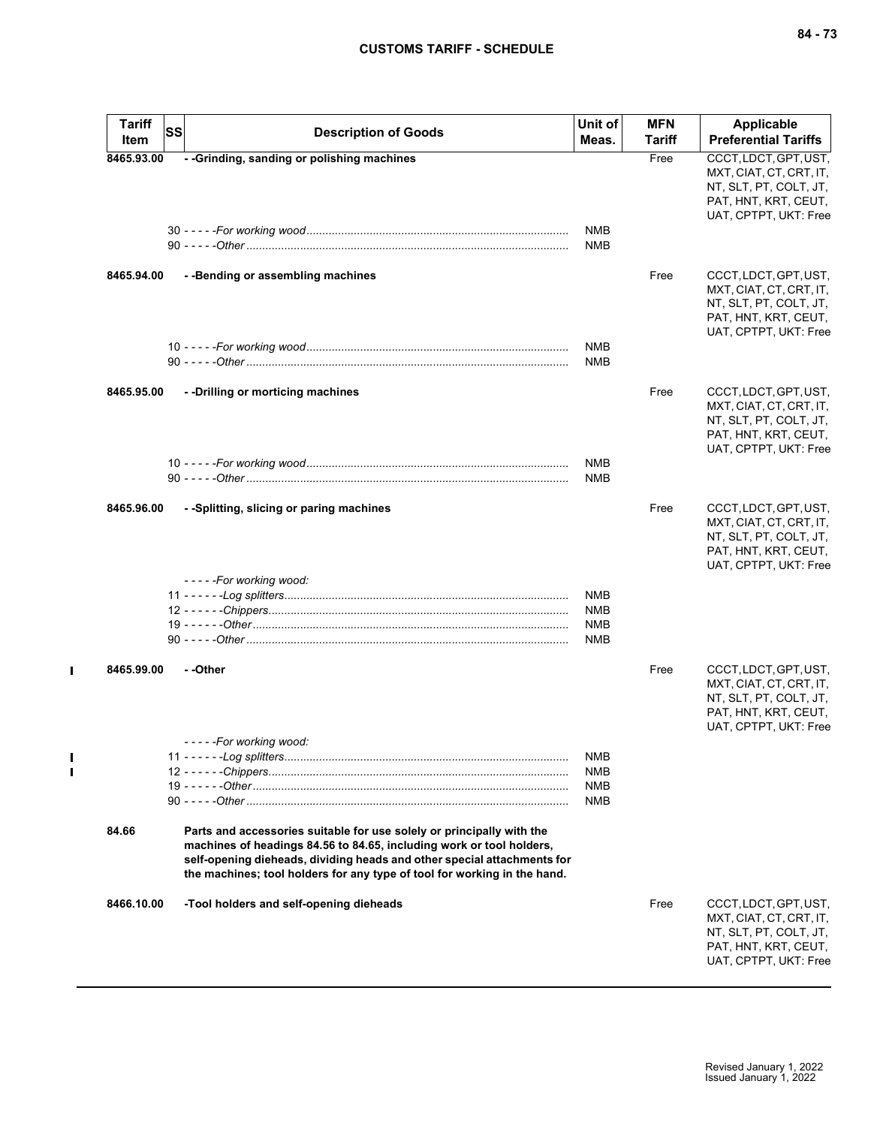| <b>Tariff</b><br>Item | <b>SS</b><br><b>Description of Goods</b>                                                                                                                                                                                                                                                             | Unit of<br>Meas.                                     | <b>MFN</b><br>Tariff | Applicable<br><b>Preferential Tariffs</b>                                                                                   |
|-----------------------|------------------------------------------------------------------------------------------------------------------------------------------------------------------------------------------------------------------------------------------------------------------------------------------------------|------------------------------------------------------|----------------------|-----------------------------------------------------------------------------------------------------------------------------|
| 8465.93.00            | - - Grinding, sanding or polishing machines                                                                                                                                                                                                                                                          |                                                      | Free                 | CCCT, LDCT, GPT, UST,<br>MXT, CIAT, CT, CRT, IT,<br>NT, SLT, PT, COLT, JT,<br>PAT, HNT, KRT, CEUT,<br>UAT, CPTPT, UKT: Free |
|                       |                                                                                                                                                                                                                                                                                                      | <b>NMB</b><br><b>NMB</b>                             |                      |                                                                                                                             |
| 8465.94.00            | - -Bending or assembling machines                                                                                                                                                                                                                                                                    |                                                      | Free                 | CCCT, LDCT, GPT, UST,<br>MXT, CIAT, CT, CRT, IT,<br>NT, SLT, PT, COLT, JT,<br>PAT, HNT, KRT, CEUT,<br>UAT, CPTPT, UKT: Free |
|                       |                                                                                                                                                                                                                                                                                                      | <b>NMB</b><br><b>NMB</b>                             |                      |                                                                                                                             |
| 8465.95.00            | --Drilling or morticing machines                                                                                                                                                                                                                                                                     |                                                      | Free                 | CCCT, LDCT, GPT, UST,<br>MXT, CIAT, CT, CRT, IT,<br>NT, SLT, PT, COLT, JT,<br>PAT, HNT, KRT, CEUT,<br>UAT, CPTPT, UKT: Free |
|                       |                                                                                                                                                                                                                                                                                                      | <b>NMB</b><br><b>NMB</b>                             |                      |                                                                                                                             |
| 8465.96.00            | - -Splitting, slicing or paring machines<br>- - - - - For working wood:                                                                                                                                                                                                                              |                                                      | Free                 | CCCT, LDCT, GPT, UST,<br>MXT, CIAT, CT, CRT, IT,<br>NT, SLT, PT, COLT, JT,<br>PAT, HNT, KRT, CEUT,<br>UAT, CPTPT, UKT: Free |
|                       |                                                                                                                                                                                                                                                                                                      | <b>NMB</b><br><b>NMB</b><br><b>NMB</b><br><b>NMB</b> |                      |                                                                                                                             |
| 8465.99.00            | - -Other                                                                                                                                                                                                                                                                                             |                                                      | Free                 | CCCT, LDCT, GPT, UST,<br>MXT, CIAT, CT, CRT, IT,<br>NT, SLT, PT, COLT, JT,<br>PAT, HNT, KRT, CEUT,<br>UAT, CPTPT, UKT: Free |
|                       | - - - - -For working wood:                                                                                                                                                                                                                                                                           | <b>NMB</b><br><b>NMB</b><br>NMB<br><b>NMB</b>        |                      |                                                                                                                             |
| 84.66                 | Parts and accessories suitable for use solely or principally with the<br>machines of headings 84.56 to 84.65, including work or tool holders,<br>self-opening dieheads, dividing heads and other special attachments for<br>the machines; tool holders for any type of tool for working in the hand. |                                                      |                      |                                                                                                                             |
| 8466.10.00            | -Tool holders and self-opening dieheads                                                                                                                                                                                                                                                              |                                                      | Free                 | CCCT, LDCT, GPT, UST,<br>MXT, CIAT, CT, CRT, IT,<br>NT, SLT, PT, COLT, JT,<br>PAT, HNT, KRT, CEUT,<br>UAT, CPTPT, UKT: Free |

 $\mathbf{I}$ 

 $\mathbf{I}$  $\blacksquare$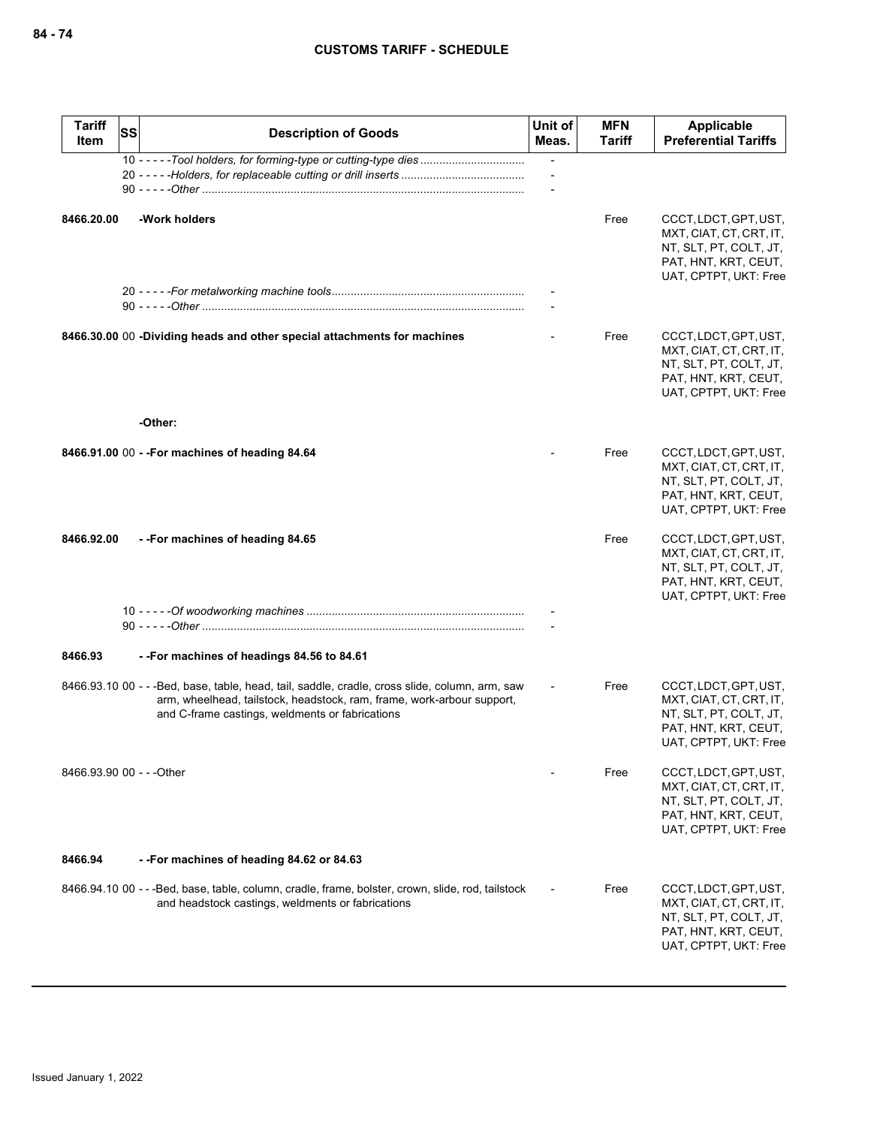| <b>Tariff</b><br>Item     | SS | <b>Description of Goods</b>                                                                                                                                                                                                 | Unit of<br>Meas. | <b>MFN</b><br>Tariff | Applicable<br><b>Preferential Tariffs</b>                                                                                   |
|---------------------------|----|-----------------------------------------------------------------------------------------------------------------------------------------------------------------------------------------------------------------------------|------------------|----------------------|-----------------------------------------------------------------------------------------------------------------------------|
|                           |    | 10 - - - - - Tool holders, for forming-type or cutting-type dies                                                                                                                                                            |                  |                      |                                                                                                                             |
| 8466.20.00                |    | -Work holders                                                                                                                                                                                                               |                  | Free                 | CCCT, LDCT, GPT, UST,<br>MXT, CIAT, CT, CRT, IT,<br>NT, SLT, PT, COLT, JT,<br>PAT, HNT, KRT, CEUT,<br>UAT, CPTPT, UKT: Free |
|                           |    |                                                                                                                                                                                                                             |                  |                      |                                                                                                                             |
|                           |    | 8466.30.00 00 -Dividing heads and other special attachments for machines                                                                                                                                                    |                  | Free                 | CCCT, LDCT, GPT, UST,<br>MXT, CIAT, CT, CRT, IT,<br>NT, SLT, PT, COLT, JT,<br>PAT, HNT, KRT, CEUT,<br>UAT, CPTPT, UKT: Free |
|                           |    | -Other:                                                                                                                                                                                                                     |                  |                      |                                                                                                                             |
|                           |    | 8466.91.00 00 - - For machines of heading 84.64                                                                                                                                                                             |                  | Free                 | CCCT, LDCT, GPT, UST,<br>MXT, CIAT, CT, CRT, IT,<br>NT, SLT, PT, COLT, JT,<br>PAT, HNT, KRT, CEUT,<br>UAT, CPTPT, UKT: Free |
| 8466.92.00                |    | --For machines of heading 84.65                                                                                                                                                                                             |                  | Free                 | CCCT, LDCT, GPT, UST,<br>MXT, CIAT, CT, CRT, IT,<br>NT, SLT, PT, COLT, JT,<br>PAT, HNT, KRT, CEUT,<br>UAT, CPTPT, UKT: Free |
|                           |    |                                                                                                                                                                                                                             |                  |                      |                                                                                                                             |
| 8466.93                   |    | --For machines of headings 84.56 to 84.61                                                                                                                                                                                   |                  |                      |                                                                                                                             |
|                           |    | 8466.93.10 00 - - -Bed, base, table, head, tail, saddle, cradle, cross slide, column, arm, saw<br>arm, wheelhead, tailstock, headstock, ram, frame, work-arbour support,<br>and C-frame castings, weldments or fabrications |                  | Free                 | CCCT, LDCT, GPT, UST,<br>MXT, CIAT, CT, CRT, IT,<br>NT, SLT, PT, COLT, JT,<br>PAT, HNT, KRT, CEUT,<br>UAT, CPTPT, UKT: Free |
| 8466.93.90 00 - - - Other |    |                                                                                                                                                                                                                             |                  | Free                 | CCCT, LDCT, GPT, UST,<br>MXT, CIAT, CT, CRT, IT,<br>NT, SLT, PT, COLT, JT,<br>PAT, HNT, KRT, CEUT,<br>UAT, CPTPT, UKT: Free |
| 8466.94                   |    | --For machines of heading 84.62 or 84.63                                                                                                                                                                                    |                  |                      |                                                                                                                             |
|                           |    | 8466.94.10 00 - - - Bed, base, table, column, cradle, frame, bolster, crown, slide, rod, tailstock<br>and headstock castings, weldments or fabrications                                                                     |                  | Free                 | CCCT, LDCT, GPT, UST,<br>MXT, CIAT, CT, CRT, IT,<br>NT, SLT, PT, COLT, JT,<br>PAT, HNT, KRT, CEUT,<br>UAT, CPTPT, UKT: Free |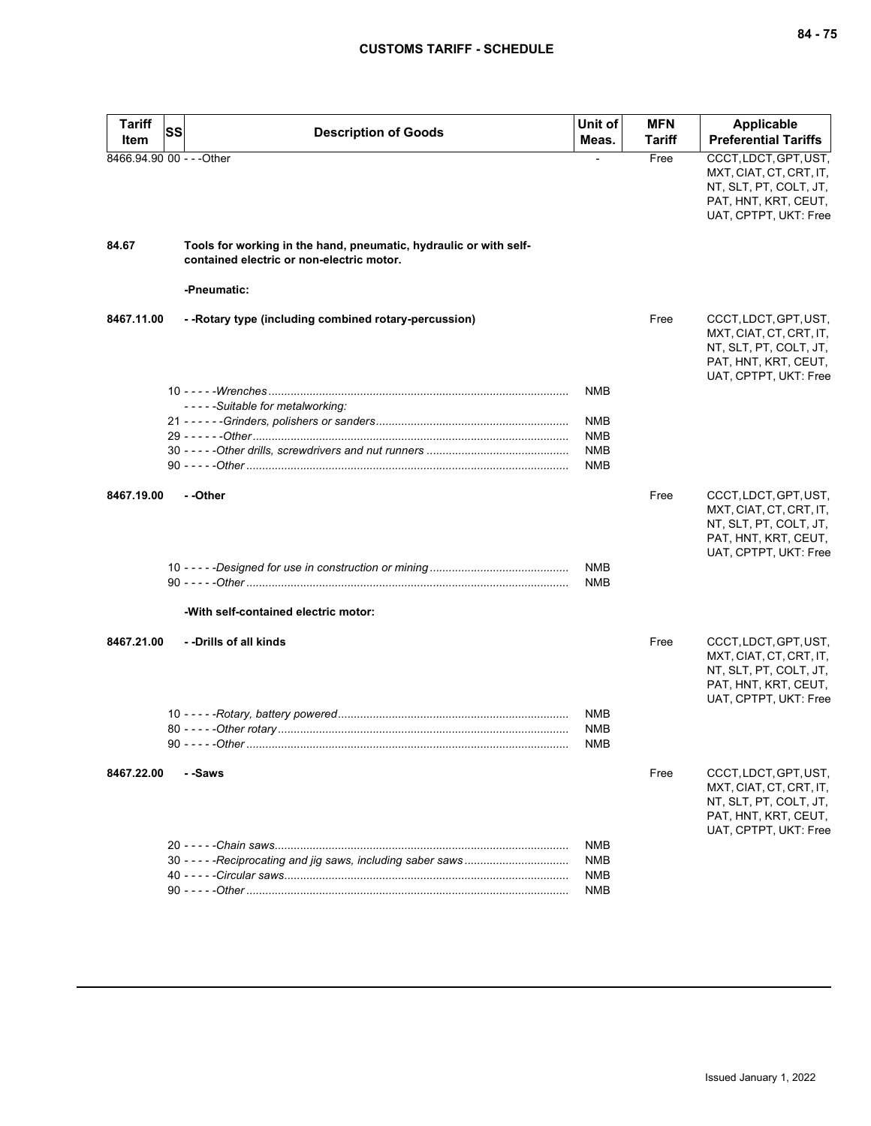| <b>Tariff</b><br>Item     | SS | <b>Description of Goods</b>                                                                                    | Unit of<br>Meas.         | <b>MFN</b><br>Tariff | <b>Applicable</b><br><b>Preferential Tariffs</b>                                                                            |
|---------------------------|----|----------------------------------------------------------------------------------------------------------------|--------------------------|----------------------|-----------------------------------------------------------------------------------------------------------------------------|
| 8466.94.90 00 - - - Other |    |                                                                                                                |                          | Free                 | CCCT, LDCT, GPT, UST,<br>MXT, CIAT, CT, CRT, IT,<br>NT, SLT, PT, COLT, JT,<br>PAT, HNT, KRT, CEUT,<br>UAT, CPTPT, UKT: Free |
| 84.67                     |    | Tools for working in the hand, pneumatic, hydraulic or with self-<br>contained electric or non-electric motor. |                          |                      |                                                                                                                             |
|                           |    | -Pneumatic:                                                                                                    |                          |                      |                                                                                                                             |
| 8467.11.00                |    | - - Rotary type (including combined rotary-percussion)                                                         |                          | Free                 | CCCT, LDCT, GPT, UST,<br>MXT, CIAT, CT, CRT, IT,<br>NT, SLT, PT, COLT, JT,<br>PAT, HNT, KRT, CEUT,<br>UAT, CPTPT, UKT: Free |
|                           |    |                                                                                                                | <b>NMB</b>               |                      |                                                                                                                             |
|                           |    | - - - - - Suitable for metalworking:                                                                           | NMB                      |                      |                                                                                                                             |
|                           |    |                                                                                                                | <b>NMB</b>               |                      |                                                                                                                             |
|                           |    |                                                                                                                | NMB<br><b>NMB</b>        |                      |                                                                                                                             |
| 8467.19.00                |    | - -Other                                                                                                       |                          | Free                 | CCCT, LDCT, GPT, UST,<br>MXT, CIAT, CT, CRT, IT,<br>NT, SLT, PT, COLT, JT,<br>PAT, HNT, KRT, CEUT,<br>UAT, CPTPT, UKT: Free |
|                           |    |                                                                                                                | <b>NMB</b><br><b>NMB</b> |                      |                                                                                                                             |
|                           |    | -With self-contained electric motor:                                                                           |                          |                      |                                                                                                                             |
| 8467.21.00                |    | - -Drills of all kinds                                                                                         |                          | Free                 | CCCT, LDCT, GPT, UST,<br>MXT, CIAT, CT, CRT, IT,<br>NT, SLT, PT, COLT, JT,<br>PAT, HNT, KRT, CEUT,<br>UAT, CPTPT, UKT: Free |
|                           |    |                                                                                                                | NMB                      |                      |                                                                                                                             |
|                           |    |                                                                                                                | <b>NMB</b><br>NMB        |                      |                                                                                                                             |
| 8467.22.00                |    | - -Saws                                                                                                        |                          | Free                 | CCCT, LDCT, GPT, UST,<br>MXT, CIAT, CT, CRT, IT,<br>NT, SLT, PT, COLT, JT,<br>PAT, HNT, KRT, CEUT,<br>UAT, CPTPT, UKT: Free |
|                           |    |                                                                                                                | NMB<br><b>NMB</b>        |                      |                                                                                                                             |
|                           |    |                                                                                                                | NMB                      |                      |                                                                                                                             |
|                           |    |                                                                                                                | NMB                      |                      |                                                                                                                             |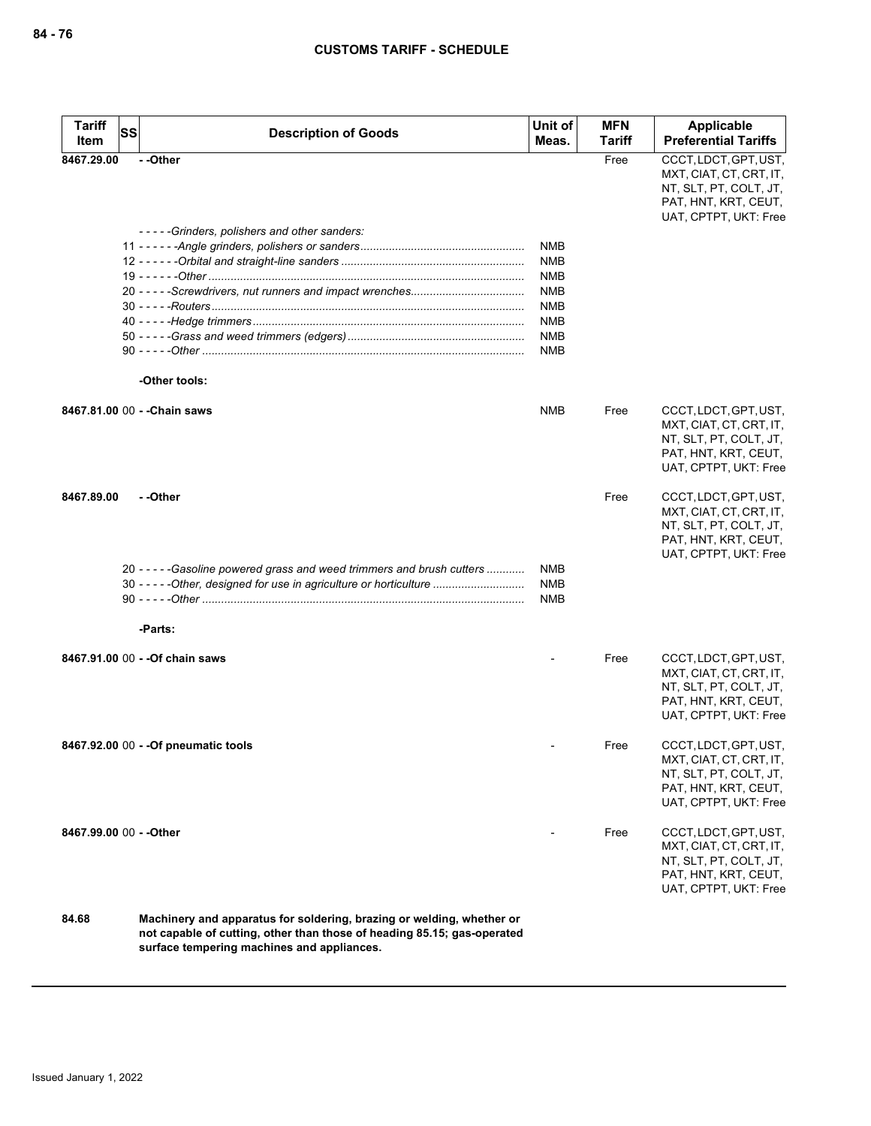| Tariff<br>Item          | SS | <b>Description of Goods</b>                                                                                                                                                                    | Unit of<br>Meas.                       | <b>MFN</b><br><b>Tariff</b> | Applicable<br><b>Preferential Tariffs</b>                                                                                   |
|-------------------------|----|------------------------------------------------------------------------------------------------------------------------------------------------------------------------------------------------|----------------------------------------|-----------------------------|-----------------------------------------------------------------------------------------------------------------------------|
| 8467.29.00              |    | - -Other                                                                                                                                                                                       |                                        | Free                        | CCCT, LDCT, GPT, UST,<br>MXT, CIAT, CT, CRT, IT,<br>NT, SLT, PT, COLT, JT,<br>PAT, HNT, KRT, CEUT,<br>UAT, CPTPT, UKT: Free |
|                         |    | -----Grinders, polishers and other sanders:                                                                                                                                                    | <b>NMB</b>                             |                             |                                                                                                                             |
|                         |    |                                                                                                                                                                                                | <b>NMB</b>                             |                             |                                                                                                                             |
|                         |    |                                                                                                                                                                                                | NMB                                    |                             |                                                                                                                             |
|                         |    |                                                                                                                                                                                                | <b>NMB</b>                             |                             |                                                                                                                             |
|                         |    |                                                                                                                                                                                                | <b>NMB</b>                             |                             |                                                                                                                             |
|                         |    |                                                                                                                                                                                                | <b>NMB</b>                             |                             |                                                                                                                             |
|                         |    |                                                                                                                                                                                                | <b>NMB</b>                             |                             |                                                                                                                             |
|                         |    |                                                                                                                                                                                                | NMB                                    |                             |                                                                                                                             |
|                         |    | -Other tools:                                                                                                                                                                                  |                                        |                             |                                                                                                                             |
|                         |    | 8467.81.00 00 - - Chain saws                                                                                                                                                                   | <b>NMB</b>                             | Free                        | CCCT, LDCT, GPT, UST,<br>MXT, CIAT, CT, CRT, IT,<br>NT, SLT, PT, COLT, JT,<br>PAT, HNT, KRT, CEUT,<br>UAT, CPTPT, UKT: Free |
| 8467.89.00              |    | - -Other                                                                                                                                                                                       |                                        | Free                        | CCCT, LDCT, GPT, UST,<br>MXT, CIAT, CT, CRT, IT,<br>NT, SLT, PT, COLT, JT,<br>PAT, HNT, KRT, CEUT,<br>UAT, CPTPT, UKT: Free |
|                         |    | 20 - - - - - Gasoline powered grass and weed trimmers and brush cutters<br>30 - - - - - Other, designed for use in agriculture or horticulture                                                 | <b>NMB</b><br><b>NMB</b><br><b>NMB</b> |                             |                                                                                                                             |
|                         |    | -Parts:                                                                                                                                                                                        |                                        |                             |                                                                                                                             |
|                         |    | 8467.91.00 00 - - Of chain saws                                                                                                                                                                |                                        | Free                        | CCCT, LDCT, GPT, UST,<br>MXT, CIAT, CT, CRT, IT,<br>NT, SLT, PT, COLT, JT,<br>PAT, HNT, KRT, CEUT,<br>UAT, CPTPT, UKT: Free |
|                         |    | 8467.92.00 00 - - Of pneumatic tools                                                                                                                                                           |                                        | Free                        | CCCT, LDCT, GPT, UST,<br>MXT, CIAT, CT, CRT, IT,<br>NT, SLT, PT, COLT, JT,<br>PAT, HNT, KRT, CEUT,<br>UAT, CPTPT, UKT: Free |
| 8467.99.00 00 - - Other |    |                                                                                                                                                                                                |                                        | Free                        | CCCT, LDCT, GPT, UST,<br>MXT, CIAT, CT, CRT, IT,<br>NT, SLT, PT, COLT, JT,<br>PAT, HNT, KRT, CEUT,<br>UAT, CPTPT, UKT: Free |
| 84.68                   |    | Machinery and apparatus for soldering, brazing or welding, whether or<br>not capable of cutting, other than those of heading 85.15; gas-operated<br>surface tempering machines and appliances. |                                        |                             |                                                                                                                             |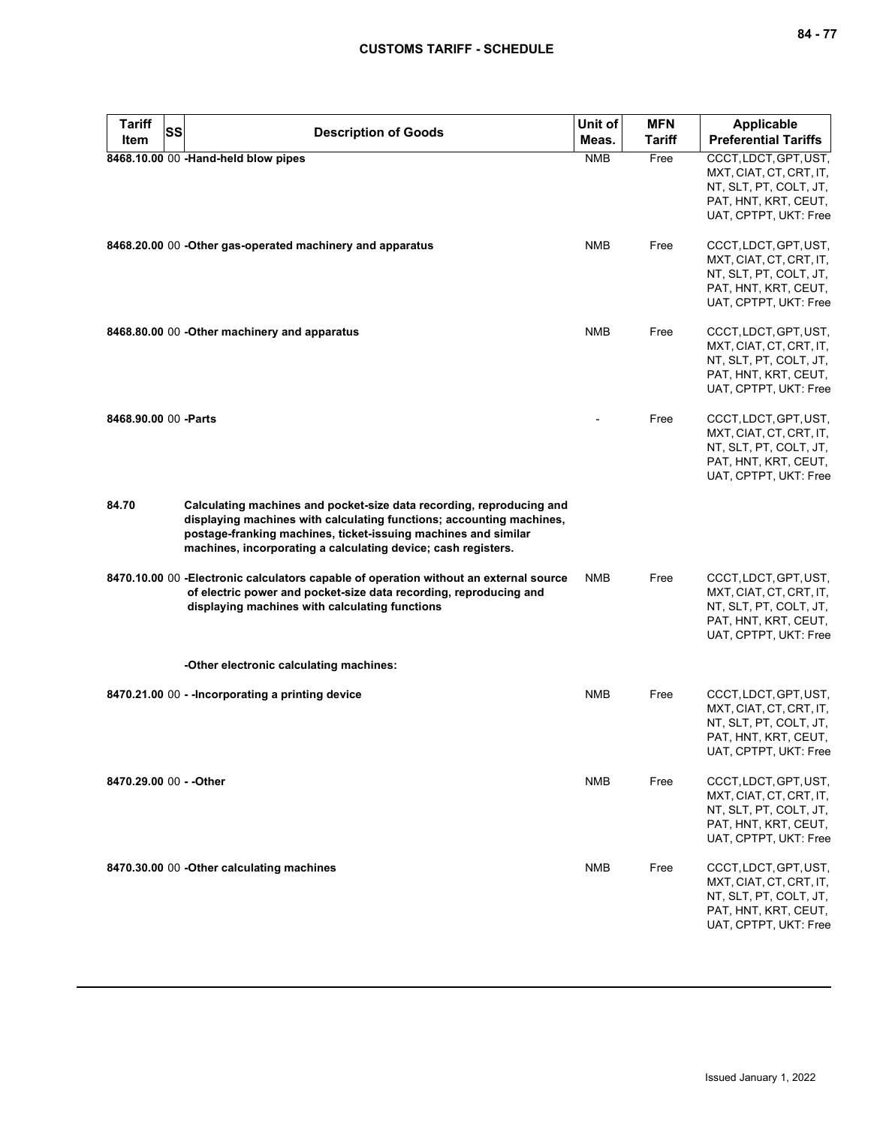| <b>Tariff</b>           | SS | <b>Description of Goods</b>                                                                                                                                                                                                                                                     | Unit of    | <b>MFN</b>    | <b>Applicable</b>                                                                                                           |
|-------------------------|----|---------------------------------------------------------------------------------------------------------------------------------------------------------------------------------------------------------------------------------------------------------------------------------|------------|---------------|-----------------------------------------------------------------------------------------------------------------------------|
| Item                    |    |                                                                                                                                                                                                                                                                                 | Meas.      | <b>Tariff</b> | <b>Preferential Tariffs</b>                                                                                                 |
|                         |    | 8468.10.00 00 -Hand-held blow pipes                                                                                                                                                                                                                                             | <b>NMB</b> | Free          | CCCT, LDCT, GPT, UST,<br>MXT, CIAT, CT, CRT, IT,<br>NT, SLT, PT, COLT, JT,<br>PAT, HNT, KRT, CEUT,<br>UAT, CPTPT, UKT: Free |
|                         |    | 8468.20.00 00 - Other gas-operated machinery and apparatus                                                                                                                                                                                                                      | <b>NMB</b> | Free          | CCCT, LDCT, GPT, UST,<br>MXT, CIAT, CT, CRT, IT,<br>NT, SLT, PT, COLT, JT,<br>PAT, HNT, KRT, CEUT,<br>UAT, CPTPT, UKT: Free |
|                         |    | 8468.80.00 00 - Other machinery and apparatus                                                                                                                                                                                                                                   | <b>NMB</b> | Free          | CCCT, LDCT, GPT, UST,<br>MXT, CIAT, CT, CRT, IT,<br>NT, SLT, PT, COLT, JT,<br>PAT, HNT, KRT, CEUT,<br>UAT, CPTPT, UKT: Free |
| 8468.90.00 00 - Parts   |    |                                                                                                                                                                                                                                                                                 |            | Free          | CCCT, LDCT, GPT, UST,<br>MXT, CIAT, CT, CRT, IT,<br>NT, SLT, PT, COLT, JT,<br>PAT, HNT, KRT, CEUT,<br>UAT, CPTPT, UKT: Free |
| 84.70                   |    | Calculating machines and pocket-size data recording, reproducing and<br>displaying machines with calculating functions; accounting machines,<br>postage-franking machines, ticket-issuing machines and similar<br>machines, incorporating a calculating device; cash registers. |            |               |                                                                                                                             |
|                         |    | 8470.10.00 00 - Electronic calculators capable of operation without an external source<br>of electric power and pocket-size data recording, reproducing and<br>displaying machines with calculating functions                                                                   | <b>NMB</b> | Free          | CCCT, LDCT, GPT, UST,<br>MXT, CIAT, CT, CRT, IT,<br>NT, SLT, PT, COLT, JT,<br>PAT, HNT, KRT, CEUT,<br>UAT, CPTPT, UKT: Free |
|                         |    | -Other electronic calculating machines:                                                                                                                                                                                                                                         |            |               |                                                                                                                             |
|                         |    | 8470.21.00 00 - - Incorporating a printing device                                                                                                                                                                                                                               | <b>NMB</b> | Free          | CCCT, LDCT, GPT, UST,<br>MXT, CIAT, CT, CRT, IT,<br>NT, SLT, PT, COLT, JT,<br>PAT, HNT, KRT, CEUT,<br>UAT, CPTPT, UKT: Free |
| 8470.29.00 00 - - Other |    |                                                                                                                                                                                                                                                                                 | NMB        | Free          | CCCT, LDCT, GPT, UST,<br>MXT, CIAT, CT, CRT, IT,<br>NT, SLT, PT, COLT, JT,<br>PAT, HNT, KRT, CEUT,<br>UAT, CPTPT, UKT: Free |
|                         |    | 8470.30.00 00 - Other calculating machines                                                                                                                                                                                                                                      | NMB        | Free          | CCCT, LDCT, GPT, UST,<br>MXT, CIAT, CT, CRT, IT,<br>NT, SLT, PT, COLT, JT,<br>PAT, HNT, KRT, CEUT,<br>UAT, CPTPT, UKT: Free |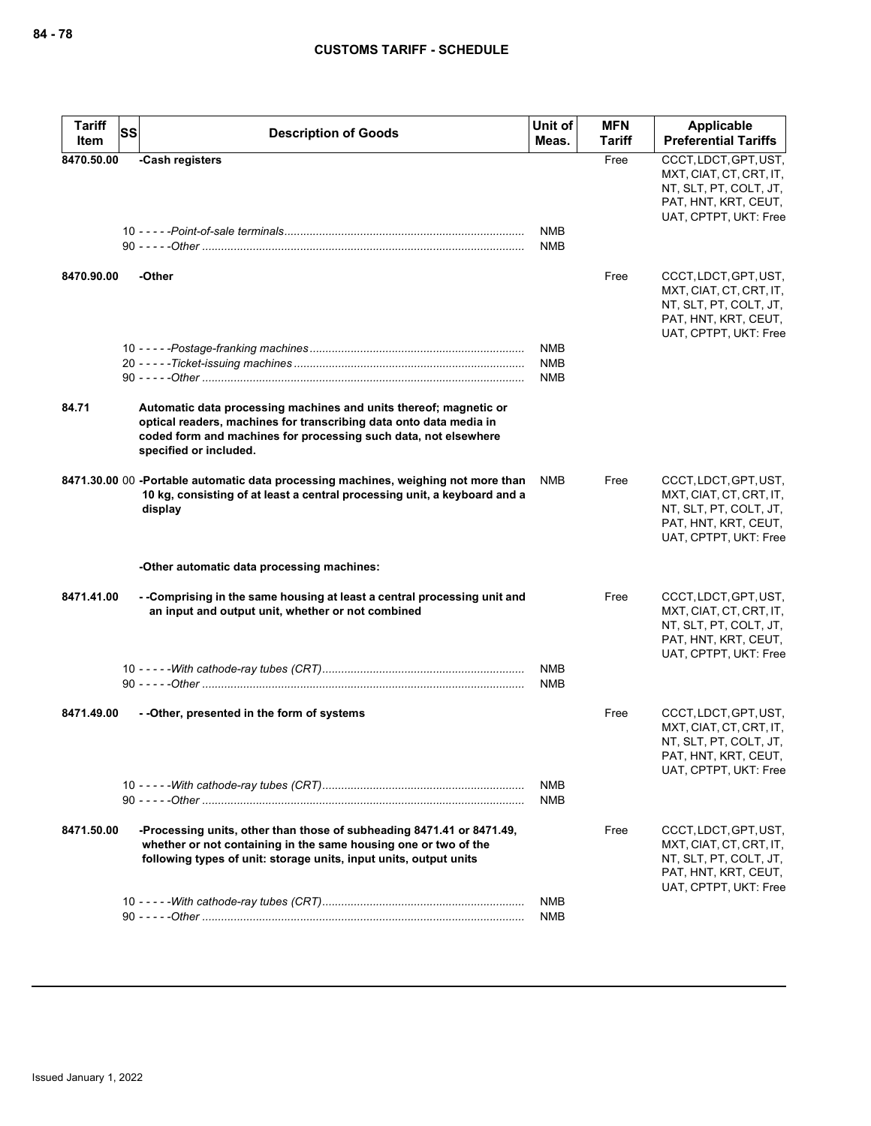| <b>Tariff</b> | <b>SS</b><br><b>Description of Goods</b>                                                                                                                                                                                             | Unit of                  | <b>MFN</b>    | Applicable                                                                                                                  |
|---------------|--------------------------------------------------------------------------------------------------------------------------------------------------------------------------------------------------------------------------------------|--------------------------|---------------|-----------------------------------------------------------------------------------------------------------------------------|
| Item          |                                                                                                                                                                                                                                      | Meas.                    | <b>Tariff</b> | <b>Preferential Tariffs</b>                                                                                                 |
| 8470.50.00    | -Cash registers                                                                                                                                                                                                                      | <b>NMB</b><br><b>NMB</b> | Free          | CCCT, LDCT, GPT, UST,<br>MXT, CIAT, CT, CRT, IT,<br>NT, SLT, PT, COLT, JT,<br>PAT, HNT, KRT, CEUT,<br>UAT, CPTPT, UKT: Free |
| 8470.90.00    | -Other                                                                                                                                                                                                                               |                          | Free          | CCCT, LDCT, GPT, UST,<br>MXT, CIAT, CT, CRT, IT,<br>NT, SLT, PT, COLT, JT,<br>PAT, HNT, KRT, CEUT,<br>UAT, CPTPT, UKT: Free |
|               |                                                                                                                                                                                                                                      | <b>NMB</b>               |               |                                                                                                                             |
|               |                                                                                                                                                                                                                                      | <b>NMB</b>               |               |                                                                                                                             |
|               |                                                                                                                                                                                                                                      | <b>NMB</b>               |               |                                                                                                                             |
| 84.71         | Automatic data processing machines and units thereof; magnetic or<br>optical readers, machines for transcribing data onto data media in<br>coded form and machines for processing such data, not elsewhere<br>specified or included. |                          |               |                                                                                                                             |
|               | 8471.30.00 00 -Portable automatic data processing machines, weighing not more than<br>10 kg, consisting of at least a central processing unit, a keyboard and a<br>display                                                           | NMB                      | Free          | CCCT, LDCT, GPT, UST,<br>MXT, CIAT, CT, CRT, IT,<br>NT, SLT, PT, COLT, JT,<br>PAT, HNT, KRT, CEUT,<br>UAT, CPTPT, UKT: Free |
|               | -Other automatic data processing machines:                                                                                                                                                                                           |                          |               |                                                                                                                             |
| 8471.41.00    | --Comprising in the same housing at least a central processing unit and<br>an input and output unit, whether or not combined                                                                                                         |                          | Free          | CCCT, LDCT, GPT, UST,<br>MXT, CIAT, CT, CRT, IT,<br>NT, SLT, PT, COLT, JT,<br>PAT, HNT, KRT, CEUT,<br>UAT, CPTPT, UKT: Free |
|               |                                                                                                                                                                                                                                      | <b>NMB</b><br><b>NMB</b> |               |                                                                                                                             |
| 8471.49.00    | - - Other, presented in the form of systems                                                                                                                                                                                          |                          | Free          | CCCT, LDCT, GPT, UST,<br>MXT, CIAT, CT, CRT, IT,<br>NT, SLT, PT, COLT, JT,<br>PAT, HNT, KRT, CEUT,<br>UAT, CPTPT, UKT: Free |
|               |                                                                                                                                                                                                                                      | NMB<br>NMB               |               |                                                                                                                             |
| 8471.50.00    | -Processing units, other than those of subheading 8471.41 or 8471.49,<br>whether or not containing in the same housing one or two of the<br>following types of unit: storage units, input units, output units                        |                          | Free          | CCCT, LDCT, GPT, UST,<br>MXT, CIAT, CT, CRT, IT,<br>NT, SLT, PT, COLT, JT,<br>PAT, HNT, KRT, CEUT,<br>UAT, CPTPT, UKT: Free |
|               |                                                                                                                                                                                                                                      | <b>NMB</b>               |               |                                                                                                                             |
|               |                                                                                                                                                                                                                                      | <b>NMB</b>               |               |                                                                                                                             |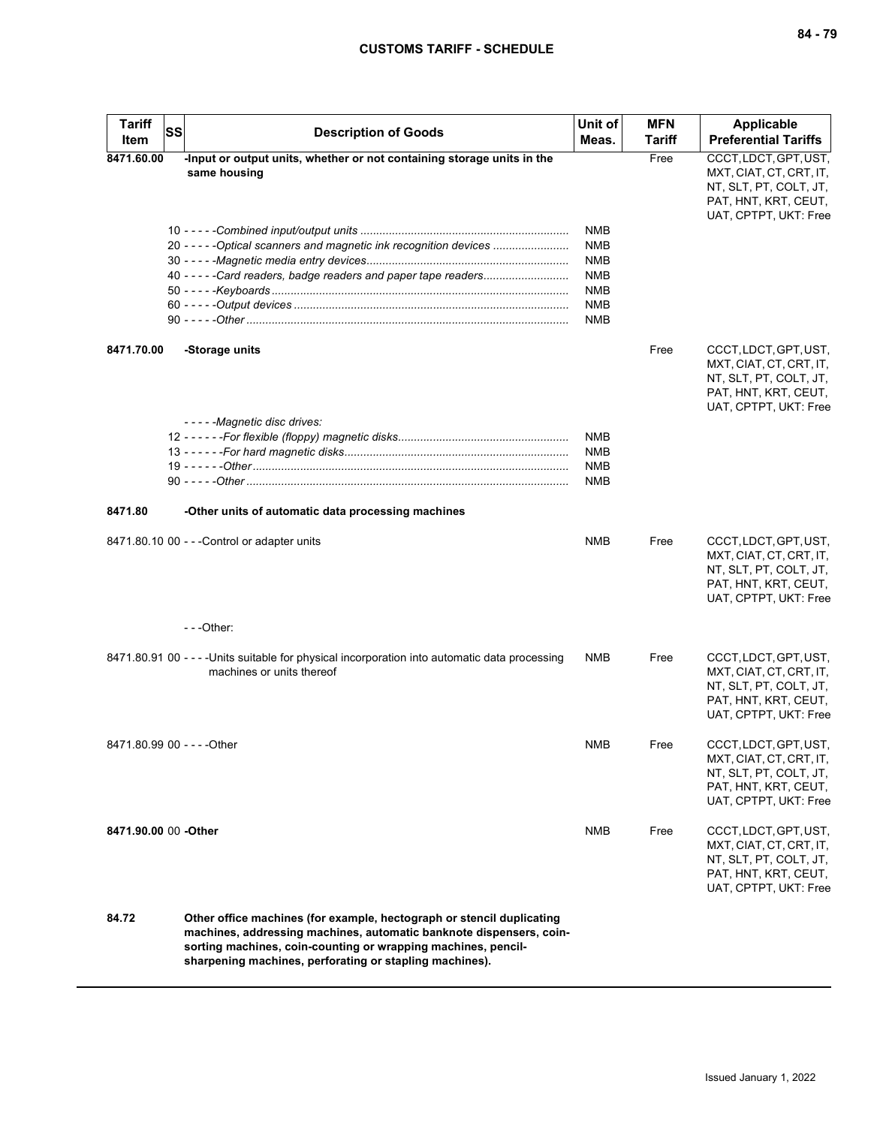| <b>Tariff</b><br>Item       | <b>SS</b> | <b>Description of Goods</b>                                                                                                                                                                                                                                              | Unit of<br>Meas.                                                   | <b>MFN</b><br><b>Tariff</b> | Applicable<br><b>Preferential Tariffs</b>                                                                                   |
|-----------------------------|-----------|--------------------------------------------------------------------------------------------------------------------------------------------------------------------------------------------------------------------------------------------------------------------------|--------------------------------------------------------------------|-----------------------------|-----------------------------------------------------------------------------------------------------------------------------|
| 8471.60.00                  |           | -Input or output units, whether or not containing storage units in the<br>same housing                                                                                                                                                                                   | NMB                                                                | Free                        | CCCT, LDCT, GPT, UST,<br>MXT, CIAT, CT, CRT, IT,<br>NT, SLT, PT, COLT, JT,<br>PAT, HNT, KRT, CEUT,<br>UAT, CPTPT, UKT: Free |
|                             |           | 20 - - - - - Optical scanners and magnetic ink recognition devices<br>40 - - - - - Card readers, badge readers and paper tape readers                                                                                                                                    | <b>NMB</b><br><b>NMB</b><br>NMB<br>NMB<br><b>NMB</b><br><b>NMB</b> |                             |                                                                                                                             |
| 8471.70.00                  |           | -Storage units                                                                                                                                                                                                                                                           |                                                                    | Free                        | CCCT, LDCT, GPT, UST,<br>MXT, CIAT, CT, CRT, IT,<br>NT, SLT, PT, COLT, JT,<br>PAT, HNT, KRT, CEUT,<br>UAT, CPTPT, UKT: Free |
|                             |           | - - - - - Magnetic disc drives:                                                                                                                                                                                                                                          | NMB<br><b>NMB</b><br><b>NMB</b><br>NMB                             |                             |                                                                                                                             |
| 8471.80                     |           | -Other units of automatic data processing machines                                                                                                                                                                                                                       |                                                                    |                             |                                                                                                                             |
|                             |           | 8471.80.10 00 - - - Control or adapter units                                                                                                                                                                                                                             | <b>NMB</b>                                                         | Free                        | CCCT, LDCT, GPT, UST,<br>MXT, CIAT, CT, CRT, IT,<br>NT, SLT, PT, COLT, JT,<br>PAT, HNT, KRT, CEUT,<br>UAT, CPTPT, UKT: Free |
|                             |           | $- -$ Other:                                                                                                                                                                                                                                                             |                                                                    |                             |                                                                                                                             |
|                             |           | 8471.80.91 00 - - - - Units suitable for physical incorporation into automatic data processing<br>machines or units thereof                                                                                                                                              | <b>NMB</b>                                                         | Free                        | CCCT, LDCT, GPT, UST,<br>MXT, CIAT, CT, CRT, IT,<br>NT, SLT, PT, COLT, JT,<br>PAT, HNT, KRT, CEUT,<br>UAT, CPTPT, UKT: Free |
| 8471.80.99 00 - - - - Other |           |                                                                                                                                                                                                                                                                          | <b>NMB</b>                                                         | Free                        | CCCT, LDCT, GPT, UST,<br>MXT, CIAT, CT, CRT, IT,<br>NT, SLT, PT, COLT, JT,<br>PAT, HNT, KRT, CEUT,<br>UAT, CPTPT, UKT: Free |
| 8471.90.00 00 -Other        |           |                                                                                                                                                                                                                                                                          | <b>NMB</b>                                                         | Free                        | CCCT, LDCT, GPT, UST,<br>MXT, CIAT, CT, CRT, IT,<br>NT, SLT, PT, COLT, JT,<br>PAT, HNT, KRT, CEUT,<br>UAT, CPTPT, UKT: Free |
| 84.72                       |           | Other office machines (for example, hectograph or stencil duplicating<br>machines, addressing machines, automatic banknote dispensers, coin-<br>sorting machines, coin-counting or wrapping machines, pencil-<br>sharpening machines, perforating or stapling machines). |                                                                    |                             |                                                                                                                             |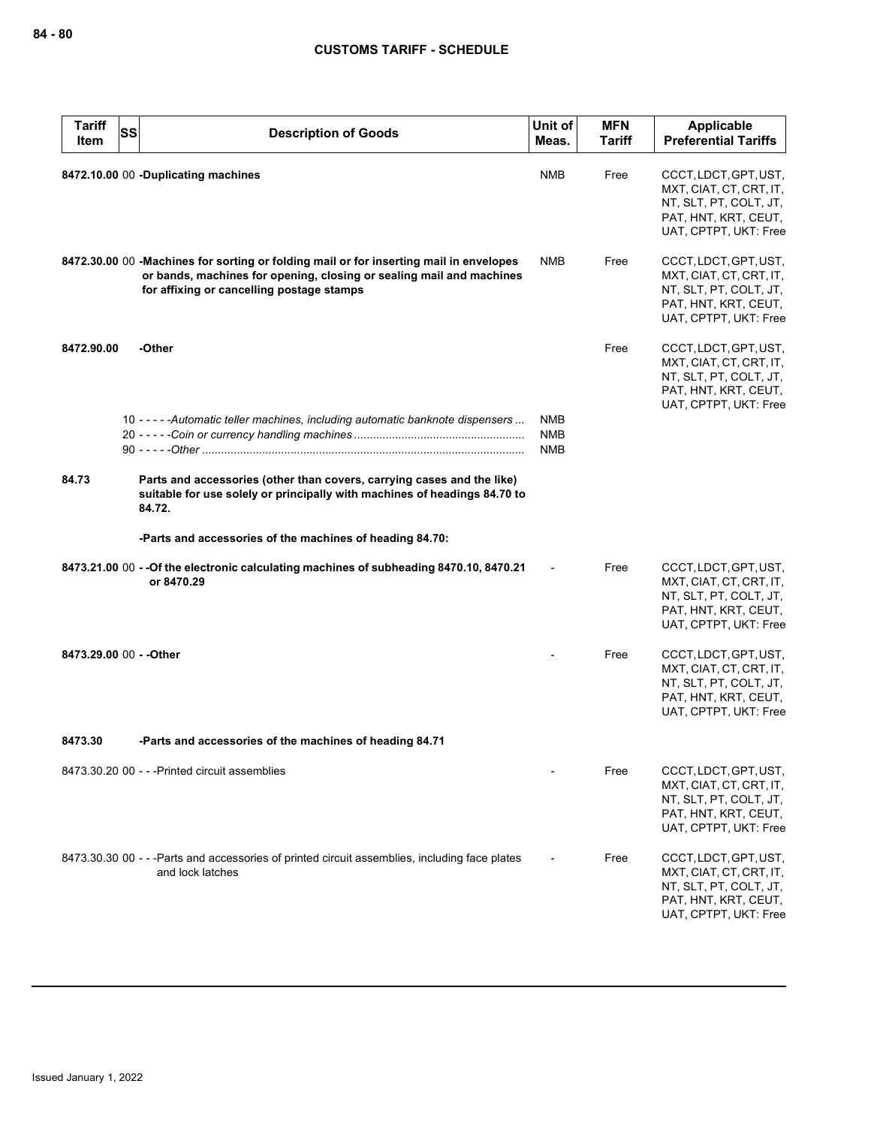| <b>Tariff</b><br>Item | <b>SS</b> | <b>Description of Goods</b>                                                                                                                                                                                 | Unit of<br>Meas.                       | <b>MFN</b><br><b>Tariff</b> | Applicable<br><b>Preferential Tariffs</b>                                                                                   |
|-----------------------|-----------|-------------------------------------------------------------------------------------------------------------------------------------------------------------------------------------------------------------|----------------------------------------|-----------------------------|-----------------------------------------------------------------------------------------------------------------------------|
|                       |           | 8472.10.00 00 -Duplicating machines                                                                                                                                                                         | <b>NMB</b>                             | Free                        | CCCT, LDCT, GPT, UST,<br>MXT, CIAT, CT, CRT, IT,<br>NT, SLT, PT, COLT, JT,<br>PAT, HNT, KRT, CEUT,<br>UAT, CPTPT, UKT: Free |
|                       |           | 8472.30.00 00 -Machines for sorting or folding mail or for inserting mail in envelopes<br>or bands, machines for opening, closing or sealing mail and machines<br>for affixing or cancelling postage stamps | NMB                                    | Free                        | CCCT, LDCT, GPT, UST,<br>MXT, CIAT, CT, CRT, IT,<br>NT, SLT, PT, COLT, JT,<br>PAT, HNT, KRT, CEUT,<br>UAT, CPTPT, UKT: Free |
| 8472.90.00            |           | -Other                                                                                                                                                                                                      |                                        | Free                        | CCCT, LDCT, GPT, UST,<br>MXT, CIAT, CT, CRT, IT,<br>NT, SLT, PT, COLT, JT,<br>PAT, HNT, KRT, CEUT,<br>UAT, CPTPT, UKT: Free |
|                       |           | 10 - - - - - Automatic teller machines, including automatic banknote dispensers                                                                                                                             | <b>NMB</b><br><b>NMB</b><br><b>NMB</b> |                             |                                                                                                                             |
| 84.73                 |           | Parts and accessories (other than covers, carrying cases and the like)<br>suitable for use solely or principally with machines of headings 84.70 to<br>84.72.                                               |                                        |                             |                                                                                                                             |
|                       |           | -Parts and accessories of the machines of heading 84.70:                                                                                                                                                    |                                        |                             |                                                                                                                             |
|                       |           | 8473.21.00 00 -- Of the electronic calculating machines of subheading 8470.10, 8470.21<br>or 8470.29                                                                                                        |                                        | Free                        | CCCT, LDCT, GPT, UST,<br>MXT, CIAT, CT, CRT, IT,<br>NT, SLT, PT, COLT, JT,<br>PAT, HNT, KRT, CEUT,<br>UAT, CPTPT, UKT: Free |
|                       |           | 8473.29.00 00 - - Other                                                                                                                                                                                     |                                        | Free                        | CCCT, LDCT, GPT, UST,<br>MXT, CIAT, CT, CRT, IT,<br>NT, SLT, PT, COLT, JT,<br>PAT, HNT, KRT, CEUT,<br>UAT, CPTPT, UKT: Free |
| 8473.30               |           | -Parts and accessories of the machines of heading 84.71                                                                                                                                                     |                                        |                             |                                                                                                                             |
|                       |           | 8473.30.20 00 - - - Printed circuit assemblies                                                                                                                                                              |                                        | Free                        | CCCT, LDCT, GPT, UST,<br>MXT, CIAT, CT, CRT, IT,<br>NT, SLT, PT, COLT, JT,<br>PAT, HNT, KRT, CEUT,<br>UAT, CPTPT, UKT: Free |
|                       |           | 8473.30.30 00 - - -Parts and accessories of printed circuit assemblies, including face plates<br>and lock latches                                                                                           |                                        | Free                        | CCCT, LDCT, GPT, UST,<br>MXT, CIAT, CT, CRT, IT,<br>NT, SLT, PT, COLT, JT,<br>PAT, HNT, KRT, CEUT,<br>UAT, CPTPT, UKT: Free |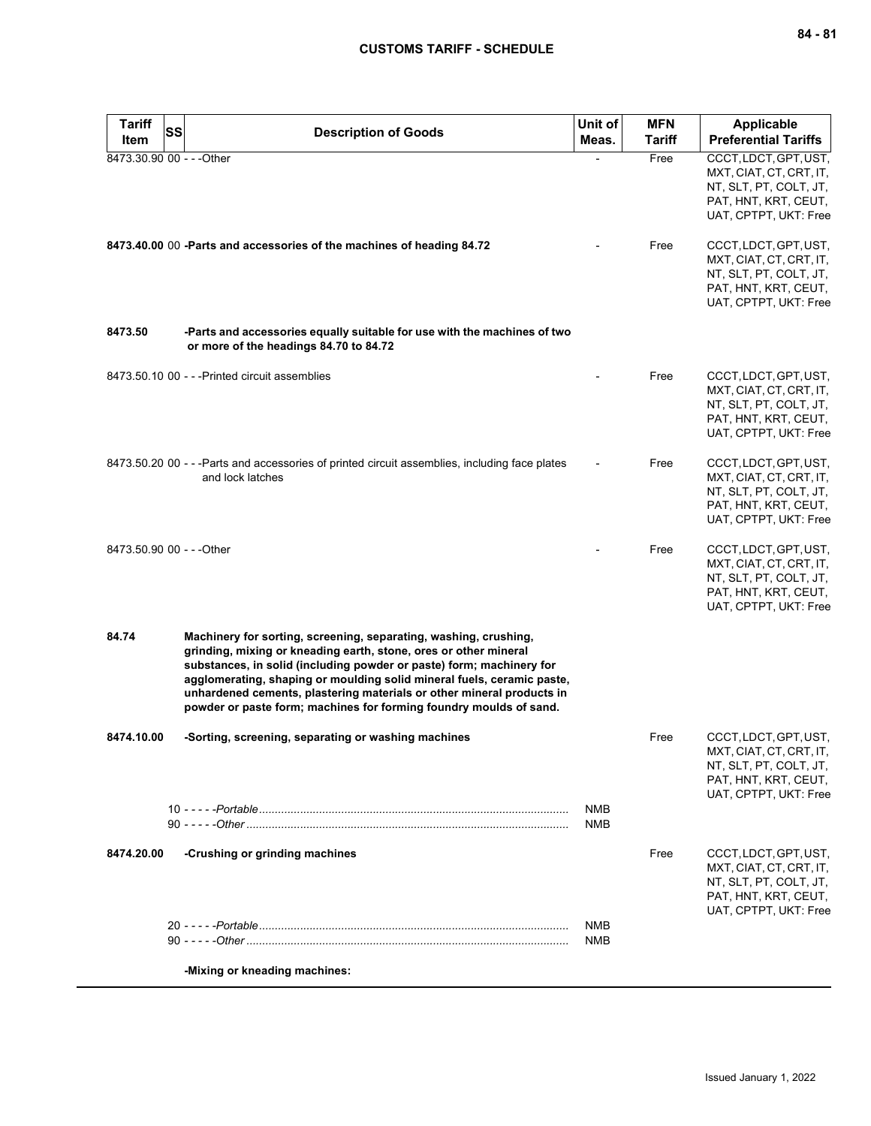| <b>Tariff</b><br>Item     | SS<br><b>Description of Goods</b>                                                                                                                                                                                                                                                                                                                                                                                                     | Unit of<br>Meas.         | <b>MFN</b><br>Tariff | Applicable<br><b>Preferential Tariffs</b>                                                                                   |
|---------------------------|---------------------------------------------------------------------------------------------------------------------------------------------------------------------------------------------------------------------------------------------------------------------------------------------------------------------------------------------------------------------------------------------------------------------------------------|--------------------------|----------------------|-----------------------------------------------------------------------------------------------------------------------------|
| 8473.30.90 00 - - - Other |                                                                                                                                                                                                                                                                                                                                                                                                                                       |                          | Free                 | CCCT, LDCT, GPT, UST,<br>MXT, CIAT, CT, CRT, IT,<br>NT, SLT, PT, COLT, JT,<br>PAT, HNT, KRT, CEUT,<br>UAT, CPTPT, UKT: Free |
|                           | 8473.40.00 00 -Parts and accessories of the machines of heading 84.72                                                                                                                                                                                                                                                                                                                                                                 |                          | Free                 | CCCT, LDCT, GPT, UST,<br>MXT, CIAT, CT, CRT, IT,<br>NT, SLT, PT, COLT, JT,<br>PAT, HNT, KRT, CEUT,<br>UAT, CPTPT, UKT: Free |
| 8473.50                   | -Parts and accessories equally suitable for use with the machines of two<br>or more of the headings 84.70 to 84.72                                                                                                                                                                                                                                                                                                                    |                          |                      |                                                                                                                             |
|                           | 8473.50.10 00 - - - Printed circuit assemblies                                                                                                                                                                                                                                                                                                                                                                                        |                          | Free                 | CCCT, LDCT, GPT, UST,<br>MXT, CIAT, CT, CRT, IT,<br>NT, SLT, PT, COLT, JT,<br>PAT, HNT, KRT, CEUT,<br>UAT, CPTPT, UKT: Free |
|                           | 8473.50.20 00 - - -Parts and accessories of printed circuit assemblies, including face plates<br>and lock latches                                                                                                                                                                                                                                                                                                                     |                          | Free                 | CCCT, LDCT, GPT, UST,<br>MXT, CIAT, CT, CRT, IT,<br>NT, SLT, PT, COLT, JT,<br>PAT, HNT, KRT, CEUT,<br>UAT, CPTPT, UKT: Free |
| 8473.50.90 00 - - - Other |                                                                                                                                                                                                                                                                                                                                                                                                                                       |                          | Free                 | CCCT, LDCT, GPT, UST,<br>MXT, CIAT, CT, CRT, IT,<br>NT, SLT, PT, COLT, JT,<br>PAT, HNT, KRT, CEUT,<br>UAT, CPTPT, UKT: Free |
| 84.74                     | Machinery for sorting, screening, separating, washing, crushing,<br>grinding, mixing or kneading earth, stone, ores or other mineral<br>substances, in solid (including powder or paste) form; machinery for<br>agglomerating, shaping or moulding solid mineral fuels, ceramic paste,<br>unhardened cements, plastering materials or other mineral products in<br>powder or paste form; machines for forming foundry moulds of sand. |                          |                      |                                                                                                                             |
| 8474.10.00                | -Sorting, screening, separating or washing machines                                                                                                                                                                                                                                                                                                                                                                                   |                          | Free                 | CCCT, LDCT, GPT, UST,<br>MXT, CIAT, CT, CRT, IT,<br>NT, SLT, PT, COLT, JT,<br>PAT, HNT, KRT, CEUT,<br>UAT, CPTPT, UKT: Free |
|                           |                                                                                                                                                                                                                                                                                                                                                                                                                                       | <b>NMB</b><br><b>NMB</b> |                      |                                                                                                                             |
| 8474.20.00                | -Crushing or grinding machines                                                                                                                                                                                                                                                                                                                                                                                                        |                          | Free                 | CCCT, LDCT, GPT, UST,<br>MXT, CIAT, CT, CRT, IT,<br>NT, SLT, PT, COLT, JT,<br>PAT, HNT, KRT, CEUT,<br>UAT, CPTPT, UKT: Free |
|                           |                                                                                                                                                                                                                                                                                                                                                                                                                                       | NMB<br><b>NMB</b>        |                      |                                                                                                                             |
|                           | -Mixing or kneading machines:                                                                                                                                                                                                                                                                                                                                                                                                         |                          |                      |                                                                                                                             |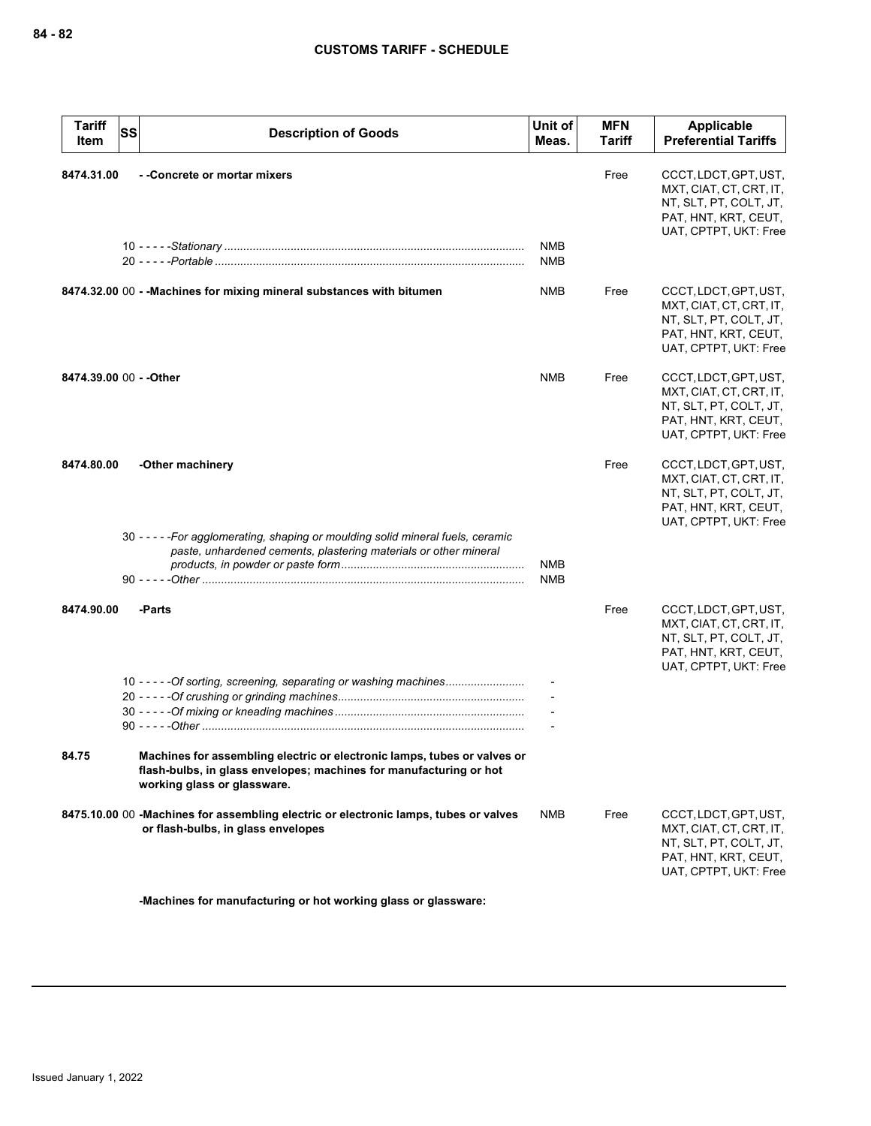| <b>Tariff</b><br>Item | <b>SS</b><br><b>Description of Goods</b>                                                                                                                                      | Unit of<br>Meas.         | <b>MFN</b><br><b>Tariff</b> | Applicable<br><b>Preferential Tariffs</b>                                                                                   |
|-----------------------|-------------------------------------------------------------------------------------------------------------------------------------------------------------------------------|--------------------------|-----------------------------|-----------------------------------------------------------------------------------------------------------------------------|
| 8474.31.00            | --Concrete or mortar mixers                                                                                                                                                   | <b>NMB</b>               | Free                        | CCCT, LDCT, GPT, UST,<br>MXT, CIAT, CT, CRT, IT,<br>NT, SLT, PT, COLT, JT,<br>PAT, HNT, KRT, CEUT,<br>UAT, CPTPT, UKT: Free |
|                       |                                                                                                                                                                               | NMB                      |                             |                                                                                                                             |
|                       | 8474.32.00 00 - - Machines for mixing mineral substances with bitumen                                                                                                         | <b>NMB</b>               | Free                        | CCCT, LDCT, GPT, UST,<br>MXT, CIAT, CT, CRT, IT,<br>NT, SLT, PT, COLT, JT,<br>PAT, HNT, KRT, CEUT,<br>UAT, CPTPT, UKT: Free |
|                       | 8474.39.00 00 - - Other                                                                                                                                                       | <b>NMB</b>               | Free                        | CCCT, LDCT, GPT, UST,<br>MXT, CIAT, CT, CRT, IT,<br>NT, SLT, PT, COLT, JT,<br>PAT, HNT, KRT, CEUT,<br>UAT, CPTPT, UKT: Free |
| 8474.80.00            | -Other machinery<br>30 - - - - - For agglomerating, shaping or moulding solid mineral fuels, ceramic                                                                          |                          | Free                        | CCCT, LDCT, GPT, UST,<br>MXT, CIAT, CT, CRT, IT,<br>NT, SLT, PT, COLT, JT,<br>PAT, HNT, KRT, CEUT,<br>UAT, CPTPT, UKT: Free |
|                       | paste, unhardened cements, plastering materials or other mineral                                                                                                              | <b>NMB</b><br><b>NMB</b> |                             |                                                                                                                             |
| 8474.90.00            | -Parts                                                                                                                                                                        |                          | Free                        | CCCT, LDCT, GPT, UST,<br>MXT, CIAT, CT, CRT, IT,<br>NT, SLT, PT, COLT, JT,<br>PAT, HNT, KRT, CEUT,<br>UAT, CPTPT, UKT: Free |
|                       | 10 - - - - - Of sorting, screening, separating or washing machines                                                                                                            |                          |                             |                                                                                                                             |
| 84.75                 | Machines for assembling electric or electronic lamps, tubes or valves or<br>flash-bulbs, in glass envelopes; machines for manufacturing or hot<br>working glass or glassware. |                          |                             |                                                                                                                             |
|                       | 8475.10.00 00 -Machines for assembling electric or electronic lamps, tubes or valves<br>or flash-bulbs, in glass envelopes                                                    | NMB                      | Free                        | CCCT, LDCT, GPT, UST,<br>MXT, CIAT, CT, CRT, IT,<br>NT, SLT, PT, COLT, JT,<br>PAT, HNT, KRT, CEUT,<br>UAT, CPTPT, UKT: Free |

**-Machines for manufacturing or hot working glass or glassware:**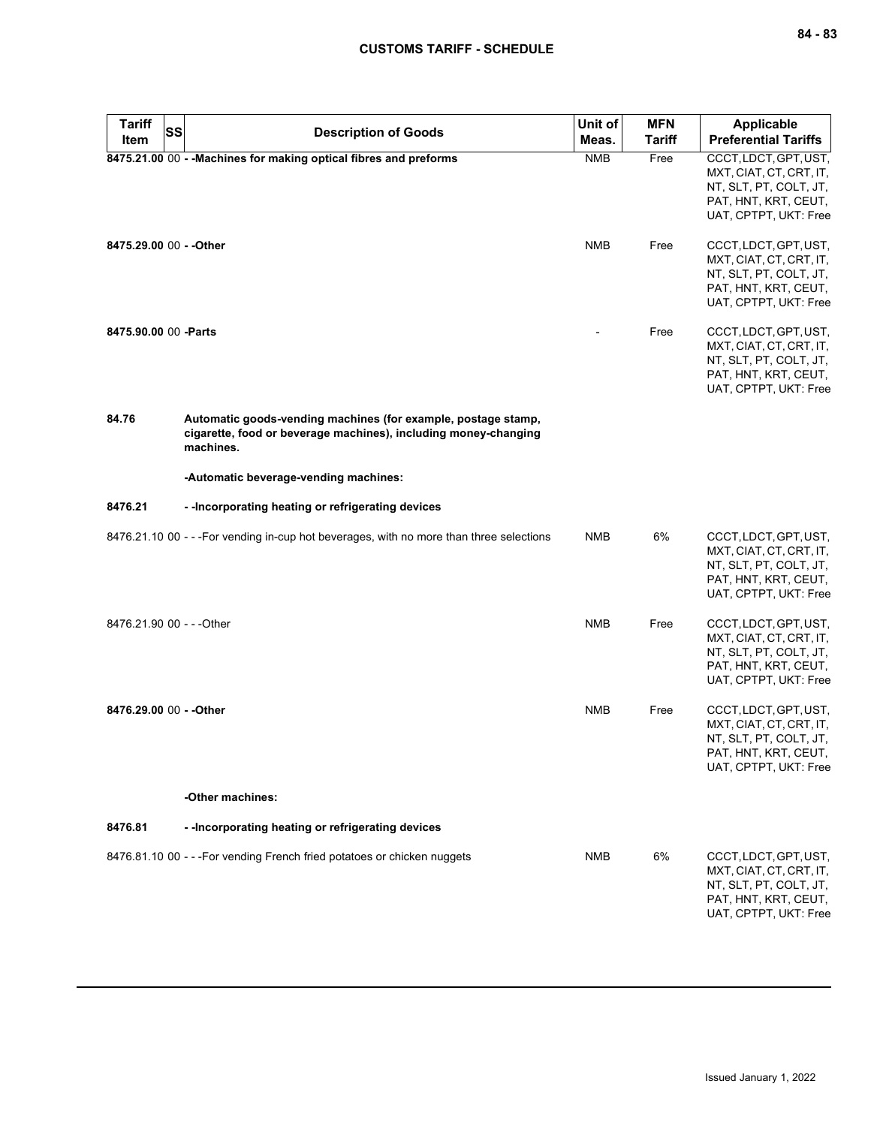| <b>Tariff</b><br><b>SS</b> | <b>Description of Goods</b>                                                                                                                   | Unit of    | <b>MFN</b>    | <b>Applicable</b>                                                                                                           |
|----------------------------|-----------------------------------------------------------------------------------------------------------------------------------------------|------------|---------------|-----------------------------------------------------------------------------------------------------------------------------|
| Item                       |                                                                                                                                               | Meas.      | <b>Tariff</b> | <b>Preferential Tariffs</b>                                                                                                 |
|                            | 8475.21.00 00 - - Machines for making optical fibres and preforms                                                                             | <b>NMB</b> | Free          | CCCT, LDCT, GPT, UST,<br>MXT, CIAT, CT, CRT, IT,<br>NT, SLT, PT, COLT, JT,<br>PAT, HNT, KRT, CEUT,<br>UAT, CPTPT, UKT: Free |
| 8475.29.00 00 - - Other    |                                                                                                                                               | <b>NMB</b> | Free          | CCCT, LDCT, GPT, UST,<br>MXT, CIAT, CT, CRT, IT,<br>NT, SLT, PT, COLT, JT,<br>PAT, HNT, KRT, CEUT,<br>UAT, CPTPT, UKT: Free |
| 8475.90.00 00 -Parts       |                                                                                                                                               |            | Free          | CCCT, LDCT, GPT, UST,<br>MXT, CIAT, CT, CRT, IT,<br>NT, SLT, PT, COLT, JT,<br>PAT, HNT, KRT, CEUT,<br>UAT, CPTPT, UKT: Free |
| 84.76                      | Automatic goods-vending machines (for example, postage stamp,<br>cigarette, food or beverage machines), including money-changing<br>machines. |            |               |                                                                                                                             |
|                            | -Automatic beverage-vending machines:                                                                                                         |            |               |                                                                                                                             |
| 8476.21                    | - - Incorporating heating or refrigerating devices                                                                                            |            |               |                                                                                                                             |
|                            | 8476.21.10 00 - - - For vending in-cup hot beverages, with no more than three selections                                                      | <b>NMB</b> | 6%            | CCCT, LDCT, GPT, UST,<br>MXT, CIAT, CT, CRT, IT,<br>NT, SLT, PT, COLT, JT,<br>PAT, HNT, KRT, CEUT,<br>UAT, CPTPT, UKT: Free |
| 8476.21.90 00 - - - Other  |                                                                                                                                               | <b>NMB</b> | Free          | CCCT, LDCT, GPT, UST,<br>MXT, CIAT, CT, CRT, IT,<br>NT, SLT, PT, COLT, JT,<br>PAT, HNT, KRT, CEUT,<br>UAT, CPTPT, UKT: Free |
| 8476.29.00 00 - - Other    |                                                                                                                                               | <b>NMB</b> | Free          | CCCT, LDCT, GPT, UST,<br>MXT, CIAT, CT, CRT, IT,<br>NT, SLT, PT, COLT, JT,<br>PAT, HNT, KRT, CEUT,<br>UAT, CPTPT, UKT: Free |
|                            | -Other machines:                                                                                                                              |            |               |                                                                                                                             |
| 8476.81                    | - - Incorporating heating or refrigerating devices                                                                                            |            |               |                                                                                                                             |
|                            | 8476.81.10 00 - - - For vending French fried potatoes or chicken nuggets                                                                      | <b>NMB</b> | 6%            | CCCT, LDCT, GPT, UST,<br>MXT, CIAT, CT, CRT, IT,<br>NT, SLT, PT, COLT, JT,<br>PAT, HNT, KRT, CEUT,<br>UAT, CPTPT, UKT: Free |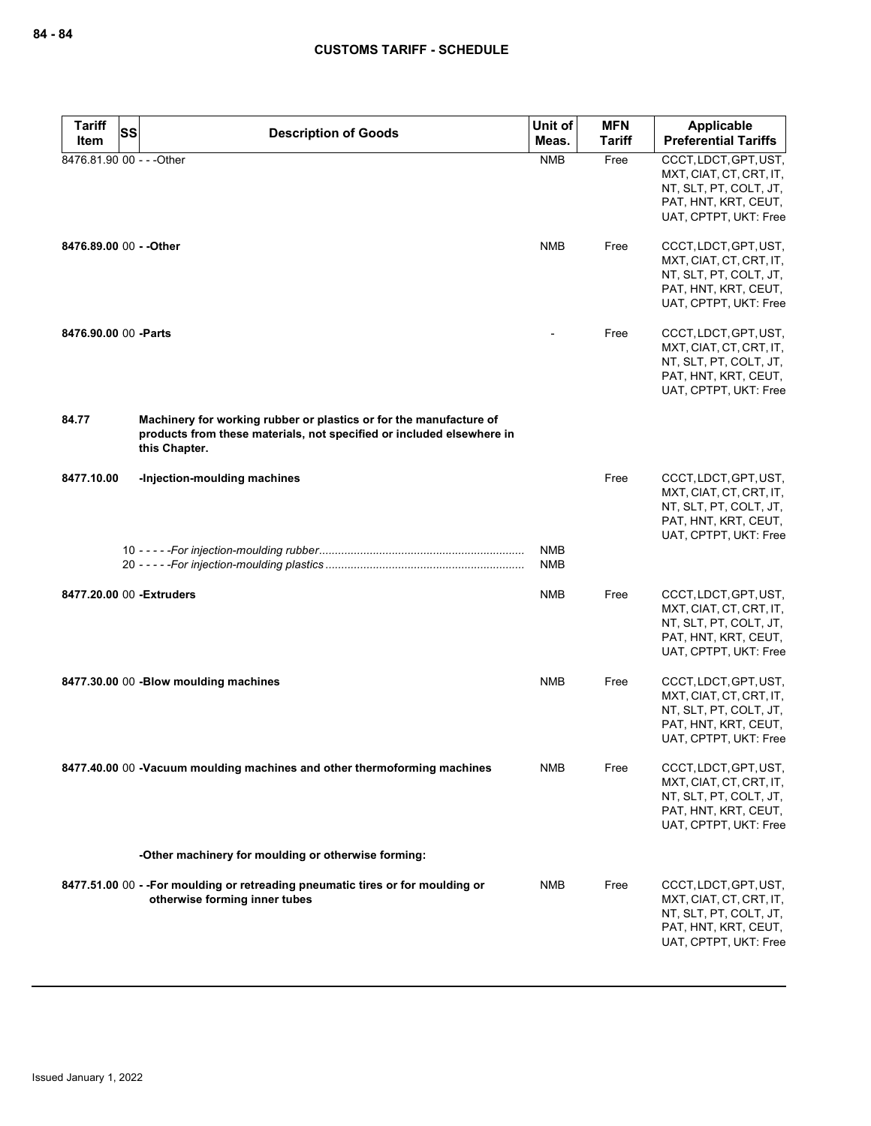| <b>Tariff</b><br><b>SS</b> | <b>Description of Goods</b>                                                                                                                                  | Unit of    | <b>MFN</b>    | Applicable                                                                                                                  |
|----------------------------|--------------------------------------------------------------------------------------------------------------------------------------------------------------|------------|---------------|-----------------------------------------------------------------------------------------------------------------------------|
| Item                       |                                                                                                                                                              | Meas.      | <b>Tariff</b> | <b>Preferential Tariffs</b>                                                                                                 |
| 8476.81.90 00 - - - Other  |                                                                                                                                                              | <b>NMB</b> | Free          | CCCT, LDCT, GPT, UST,<br>MXT, CIAT, CT, CRT, IT,<br>NT, SLT, PT, COLT, JT,<br>PAT, HNT, KRT, CEUT,<br>UAT, CPTPT, UKT: Free |
| 8476.89.00 00 - - Other    |                                                                                                                                                              | <b>NMB</b> | Free          | CCCT, LDCT, GPT, UST,<br>MXT, CIAT, CT, CRT, IT,<br>NT, SLT, PT, COLT, JT,<br>PAT, HNT, KRT, CEUT,<br>UAT, CPTPT, UKT: Free |
| 8476.90.00 00 - Parts      |                                                                                                                                                              |            | Free          | CCCT, LDCT, GPT, UST,<br>MXT, CIAT, CT, CRT, IT,<br>NT, SLT, PT, COLT, JT,<br>PAT, HNT, KRT, CEUT,<br>UAT, CPTPT, UKT: Free |
| 84.77                      | Machinery for working rubber or plastics or for the manufacture of<br>products from these materials, not specified or included elsewhere in<br>this Chapter. |            |               |                                                                                                                             |
| 8477.10.00                 | -Injection-moulding machines                                                                                                                                 | <b>NMB</b> | Free          | CCCT, LDCT, GPT, UST,<br>MXT, CIAT, CT, CRT, IT,<br>NT, SLT, PT, COLT, JT,<br>PAT, HNT, KRT, CEUT,<br>UAT, CPTPT, UKT: Free |
|                            |                                                                                                                                                              | <b>NMB</b> |               |                                                                                                                             |
| 8477.20.00 00 - Extruders  |                                                                                                                                                              | <b>NMB</b> | Free          | CCCT, LDCT, GPT, UST,<br>MXT, CIAT, CT, CRT, IT,<br>NT, SLT, PT, COLT, JT,<br>PAT, HNT, KRT, CEUT,<br>UAT, CPTPT, UKT: Free |
|                            | 8477.30.00 00 -Blow moulding machines                                                                                                                        | <b>NMB</b> | Free          | CCCT, LDCT, GPT, UST,<br>MXT, CIAT, CT, CRT, IT,<br>NT, SLT, PT, COLT, JT,<br>PAT, HNT, KRT, CEUT,<br>UAT, CPTPT, UKT: Free |
|                            | 8477.40.00 00 -Vacuum moulding machines and other thermoforming machines                                                                                     | NMB        | Free          | CCCT, LDCT, GPT, UST,<br>MXT, CIAT, CT, CRT, IT,<br>NT, SLT, PT, COLT, JT,<br>PAT, HNT, KRT, CEUT,<br>UAT, CPTPT, UKT: Free |
|                            | -Other machinery for moulding or otherwise forming:                                                                                                          |            |               |                                                                                                                             |
|                            | 8477.51.00 00 - - For moulding or retreading pneumatic tires or for moulding or<br>otherwise forming inner tubes                                             | NMB        | Free          | CCCT, LDCT, GPT, UST,<br>MXT, CIAT, CT, CRT, IT,<br>NT, SLT, PT, COLT, JT,<br>PAT, HNT, KRT, CEUT,<br>UAT, CPTPT, UKT: Free |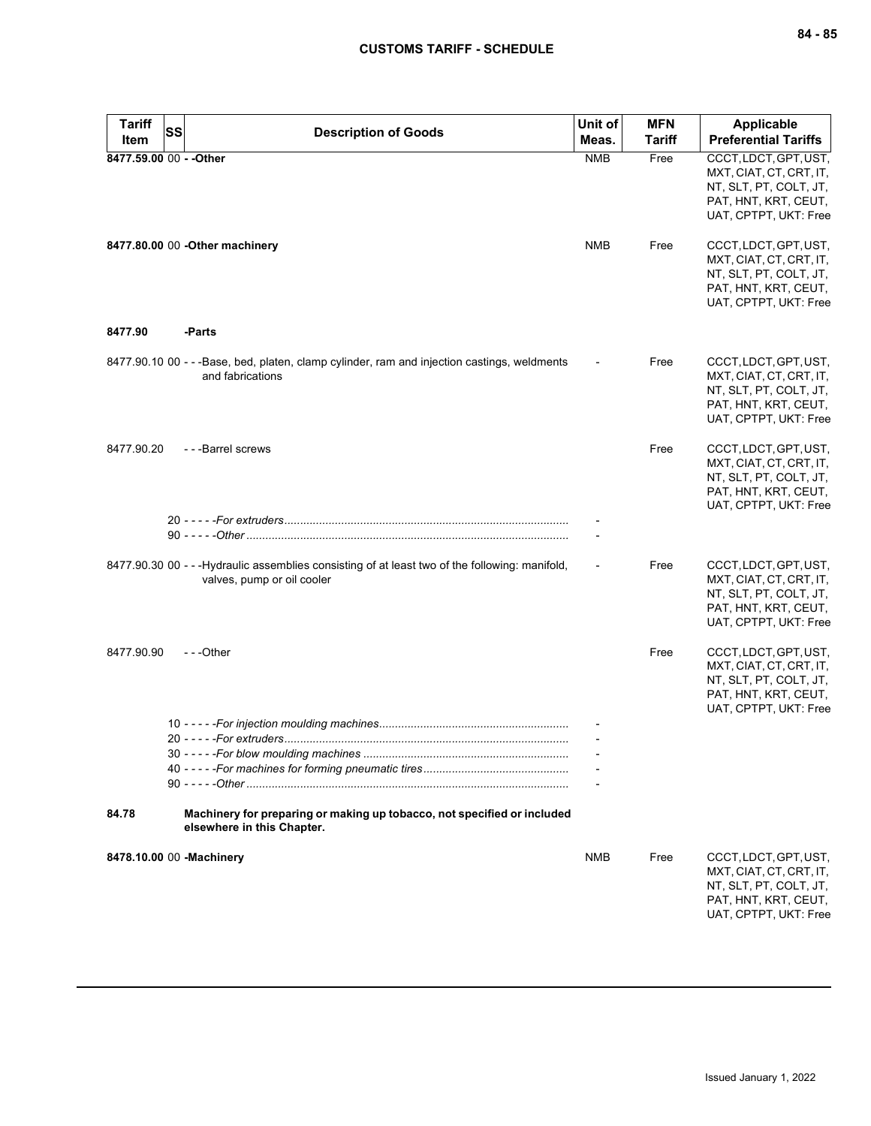| <b>Tariff</b><br>Item | SS<br><b>Description of Goods</b>                                                                                             | Unit of<br>Meas. | <b>MFN</b><br>Tariff | <b>Applicable</b><br><b>Preferential Tariffs</b>                                                                            |
|-----------------------|-------------------------------------------------------------------------------------------------------------------------------|------------------|----------------------|-----------------------------------------------------------------------------------------------------------------------------|
|                       | 8477.59.00 00 - - Other                                                                                                       | <b>NMB</b>       | Free                 | CCCT, LDCT, GPT, UST,<br>MXT, CIAT, CT, CRT, IT,<br>NT, SLT, PT, COLT, JT,<br>PAT, HNT, KRT, CEUT,<br>UAT, CPTPT, UKT: Free |
|                       | 8477.80.00 00 - Other machinery                                                                                               | <b>NMB</b>       | Free                 | CCCT, LDCT, GPT, UST,<br>MXT, CIAT, CT, CRT, IT,<br>NT, SLT, PT, COLT, JT,<br>PAT, HNT, KRT, CEUT,<br>UAT, CPTPT, UKT: Free |
| 8477.90               | -Parts                                                                                                                        |                  |                      |                                                                                                                             |
|                       | 8477.90.10 00 - - -Base, bed, platen, clamp cylinder, ram and injection castings, weldments<br>and fabrications               |                  | Free                 | CCCT, LDCT, GPT, UST,<br>MXT, CIAT, CT, CRT, IT,<br>NT, SLT, PT, COLT, JT,<br>PAT, HNT, KRT, CEUT,<br>UAT, CPTPT, UKT: Free |
| 8477.90.20            | --Barrel screws                                                                                                               |                  | Free                 | CCCT, LDCT, GPT, UST,<br>MXT, CIAT, CT, CRT, IT,<br>NT, SLT, PT, COLT, JT,<br>PAT, HNT, KRT, CEUT,<br>UAT, CPTPT, UKT: Free |
|                       |                                                                                                                               |                  |                      |                                                                                                                             |
|                       | 8477.90.30 00 - - - Hydraulic assemblies consisting of at least two of the following: manifold,<br>valves, pump or oil cooler |                  | Free                 | CCCT, LDCT, GPT, UST,<br>MXT, CIAT, CT, CRT, IT,<br>NT, SLT, PT, COLT, JT,<br>PAT, HNT, KRT, CEUT,<br>UAT, CPTPT, UKT: Free |
| 8477.90.90            | $- -$ Other                                                                                                                   |                  | Free                 | CCCT, LDCT, GPT, UST,<br>MXT, CIAT, CT, CRT, IT,<br>NT, SLT, PT, COLT, JT,<br>PAT, HNT, KRT, CEUT,<br>UAT, CPTPT, UKT: Free |
|                       |                                                                                                                               |                  |                      |                                                                                                                             |
|                       |                                                                                                                               |                  |                      |                                                                                                                             |
|                       |                                                                                                                               |                  |                      |                                                                                                                             |
| 84.78                 | Machinery for preparing or making up tobacco, not specified or included<br>elsewhere in this Chapter.                         |                  |                      |                                                                                                                             |
|                       | 8478.10.00 00 -Machinery                                                                                                      | <b>NMB</b>       | Free                 | CCCT, LDCT, GPT, UST,<br>MXT, CIAT, CT, CRT, IT,<br>NT, SLT, PT, COLT, JT,<br>PAT, HNT, KRT, CEUT,<br>UAT, CPTPT, UKT: Free |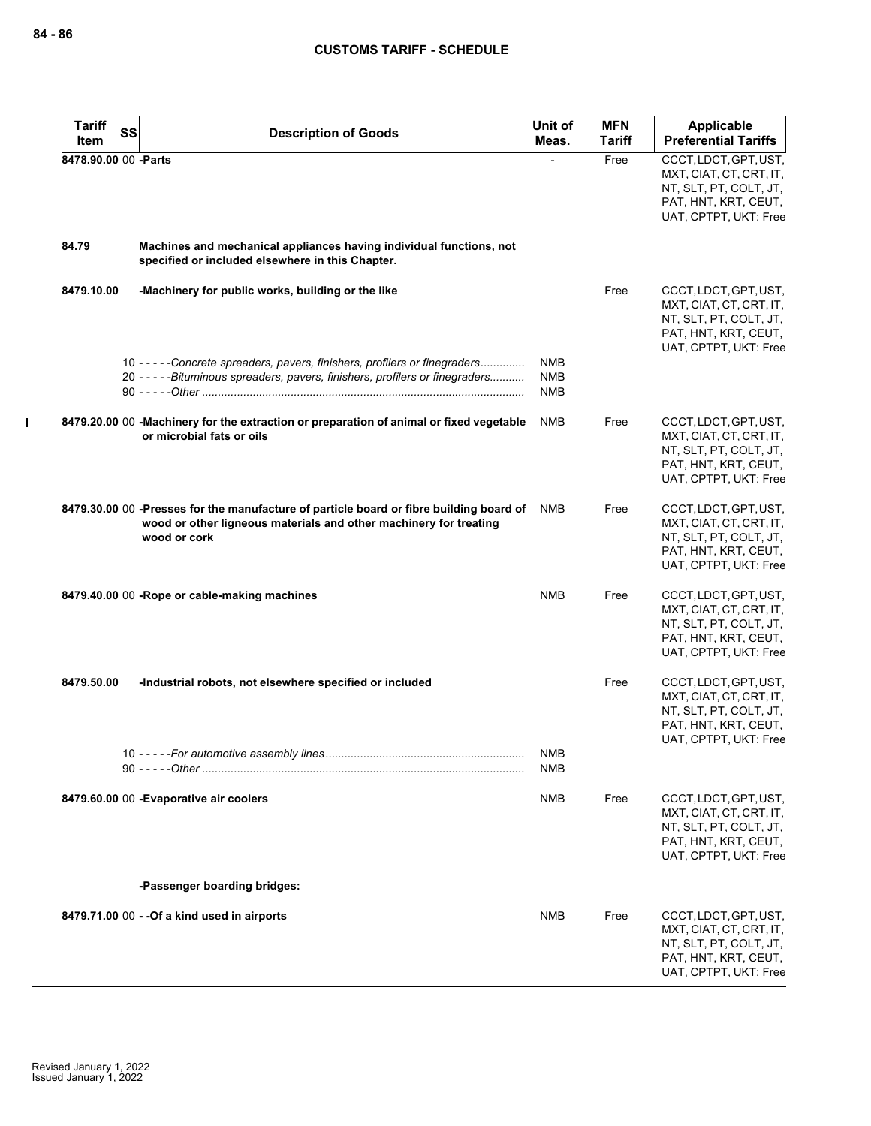| <b>Tariff</b>        | <b>SS</b> | <b>Description of Goods</b>                                                                                                                                                  | Unit of                                | <b>MFN</b>    | <b>Applicable</b>                                                                                                           |
|----------------------|-----------|------------------------------------------------------------------------------------------------------------------------------------------------------------------------------|----------------------------------------|---------------|-----------------------------------------------------------------------------------------------------------------------------|
| Item                 |           |                                                                                                                                                                              | Meas.                                  | <b>Tariff</b> | <b>Preferential Tariffs</b>                                                                                                 |
| 8478.90.00 00 -Parts |           |                                                                                                                                                                              |                                        | Free          | CCCT, LDCT, GPT, UST,<br>MXT, CIAT, CT, CRT, IT,<br>NT, SLT, PT, COLT, JT,<br>PAT, HNT, KRT, CEUT,<br>UAT, CPTPT, UKT: Free |
| 84.79                |           | Machines and mechanical appliances having individual functions, not<br>specified or included elsewhere in this Chapter.                                                      |                                        |               |                                                                                                                             |
| 8479.10.00           |           | -Machinery for public works, building or the like                                                                                                                            |                                        | Free          | CCCT, LDCT, GPT, UST,<br>MXT, CIAT, CT, CRT, IT,<br>NT, SLT, PT, COLT, JT,<br>PAT, HNT, KRT, CEUT,<br>UAT, CPTPT, UKT: Free |
|                      |           | 10 - - - - - Concrete spreaders, pavers, finishers, profilers or finegraders<br>20 - - - - - Bituminous spreaders, pavers, finishers, profilers or finegraders               | <b>NMB</b><br><b>NMB</b><br><b>NMB</b> |               |                                                                                                                             |
|                      |           | 8479.20.00 00 - Machinery for the extraction or preparation of animal or fixed vegetable<br>or microbial fats or oils                                                        | <b>NMB</b>                             | Free          | CCCT, LDCT, GPT, UST,<br>MXT, CIAT, CT, CRT, IT,<br>NT, SLT, PT, COLT, JT,<br>PAT, HNT, KRT, CEUT,<br>UAT, CPTPT, UKT: Free |
|                      |           | 8479.30.00 00 -Presses for the manufacture of particle board or fibre building board of<br>wood or other ligneous materials and other machinery for treating<br>wood or cork | NMB                                    | Free          | CCCT, LDCT, GPT, UST,<br>MXT, CIAT, CT, CRT, IT,<br>NT, SLT, PT, COLT, JT,<br>PAT, HNT, KRT, CEUT,<br>UAT, CPTPT, UKT: Free |
|                      |           | 8479.40.00 00 -Rope or cable-making machines                                                                                                                                 | <b>NMB</b>                             | Free          | CCCT, LDCT, GPT, UST,<br>MXT, CIAT, CT, CRT, IT,<br>NT, SLT, PT, COLT, JT,<br>PAT, HNT, KRT, CEUT,<br>UAT, CPTPT, UKT: Free |
| 8479.50.00           |           | -Industrial robots, not elsewhere specified or included                                                                                                                      |                                        | Free          | CCCT, LDCT, GPT, UST,<br>MXT, CIAT, CT, CRT, IT,<br>NT, SLT, PT, COLT, JT,<br>PAT, HNT, KRT, CEUT,<br>UAT, CPTPT, UKT: Free |
|                      |           |                                                                                                                                                                              | <b>NMB</b><br>NMB                      |               |                                                                                                                             |
|                      |           | 8479.60.00 00 - Evaporative air coolers<br>-Passenger boarding bridges:                                                                                                      | NMB                                    | Free          | CCCT, LDCT, GPT, UST,<br>MXT, CIAT, CT, CRT, IT,<br>NT, SLT, PT, COLT, JT,<br>PAT, HNT, KRT, CEUT,<br>UAT, CPTPT, UKT: Free |
|                      |           |                                                                                                                                                                              |                                        |               |                                                                                                                             |
|                      |           | 8479.71.00 00 - - Of a kind used in airports                                                                                                                                 | <b>NMB</b>                             | Free          | CCCT, LDCT, GPT, UST,<br>MXT, CIAT, CT, CRT, IT,<br>NT, SLT, PT, COLT, JT,<br>PAT, HNT, KRT, CEUT,<br>UAT, CPTPT, UKT: Free |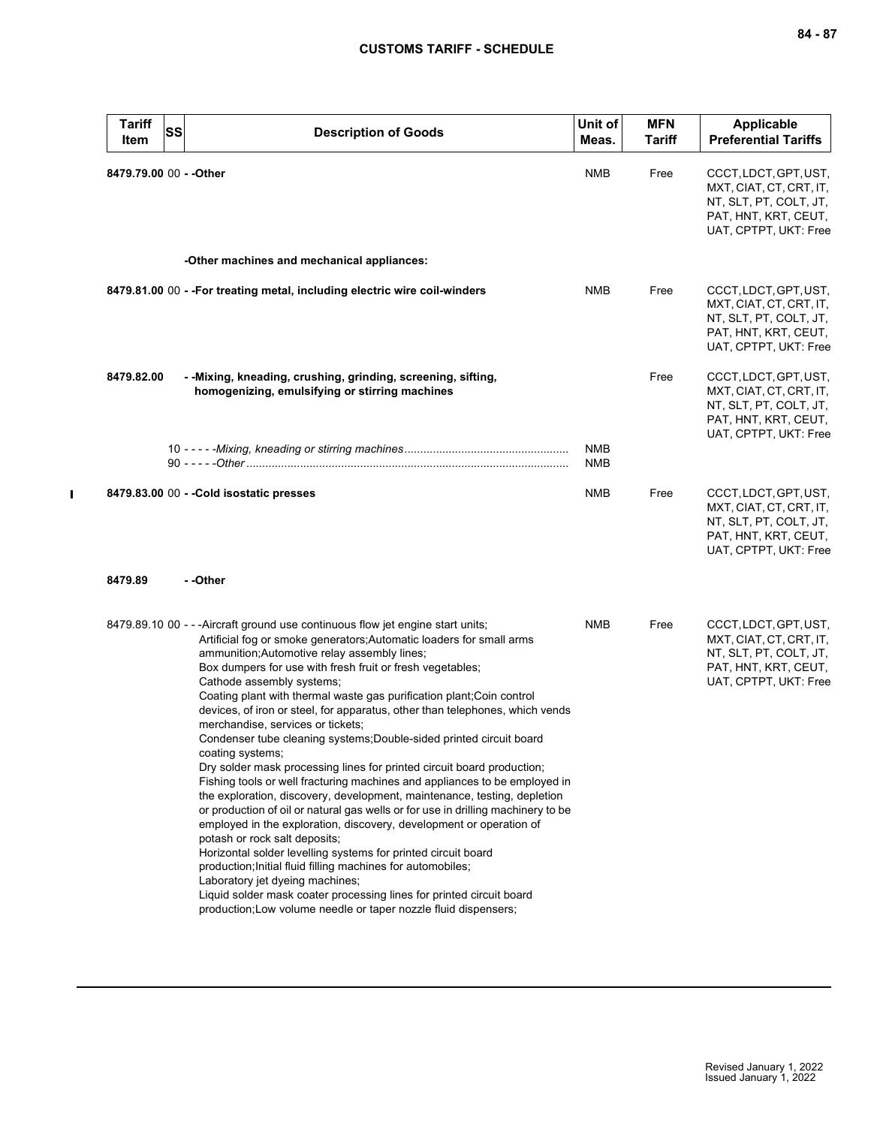| <b>Tariff</b><br>Item   | <b>SS</b> | <b>Description of Goods</b>                                                                                                                                                                                                                                                                                                                                                                                                                                                                                                                                                                                                                                                                                                                                                                                                                                                                                                                                                                                                                                                                                                                                                                                                                                                                                                              | Unit of<br>Meas.         | <b>MFN</b><br><b>Tariff</b> | <b>Applicable</b><br><b>Preferential Tariffs</b>                                                                            |
|-------------------------|-----------|------------------------------------------------------------------------------------------------------------------------------------------------------------------------------------------------------------------------------------------------------------------------------------------------------------------------------------------------------------------------------------------------------------------------------------------------------------------------------------------------------------------------------------------------------------------------------------------------------------------------------------------------------------------------------------------------------------------------------------------------------------------------------------------------------------------------------------------------------------------------------------------------------------------------------------------------------------------------------------------------------------------------------------------------------------------------------------------------------------------------------------------------------------------------------------------------------------------------------------------------------------------------------------------------------------------------------------------|--------------------------|-----------------------------|-----------------------------------------------------------------------------------------------------------------------------|
| 8479.79.00 00 - - Other |           |                                                                                                                                                                                                                                                                                                                                                                                                                                                                                                                                                                                                                                                                                                                                                                                                                                                                                                                                                                                                                                                                                                                                                                                                                                                                                                                                          | NMB                      | Free                        | CCCT, LDCT, GPT, UST,<br>MXT, CIAT, CT, CRT, IT,<br>NT, SLT, PT, COLT, JT,<br>PAT, HNT, KRT, CEUT,<br>UAT, CPTPT, UKT: Free |
|                         |           | -Other machines and mechanical appliances:                                                                                                                                                                                                                                                                                                                                                                                                                                                                                                                                                                                                                                                                                                                                                                                                                                                                                                                                                                                                                                                                                                                                                                                                                                                                                               |                          |                             |                                                                                                                             |
|                         |           | 8479.81.00 00 - - For treating metal, including electric wire coil-winders                                                                                                                                                                                                                                                                                                                                                                                                                                                                                                                                                                                                                                                                                                                                                                                                                                                                                                                                                                                                                                                                                                                                                                                                                                                               | <b>NMB</b>               | Free                        | CCCT, LDCT, GPT, UST,<br>MXT, CIAT, CT, CRT, IT,<br>NT, SLT, PT, COLT, JT,<br>PAT, HNT, KRT, CEUT,<br>UAT, CPTPT, UKT: Free |
| 8479.82.00              |           | - - Mixing, kneading, crushing, grinding, screening, sifting,<br>homogenizing, emulsifying or stirring machines                                                                                                                                                                                                                                                                                                                                                                                                                                                                                                                                                                                                                                                                                                                                                                                                                                                                                                                                                                                                                                                                                                                                                                                                                          |                          | Free                        | CCCT, LDCT, GPT, UST,<br>MXT, CIAT, CT, CRT, IT,<br>NT, SLT, PT, COLT, JT,<br>PAT, HNT, KRT, CEUT,<br>UAT, CPTPT, UKT: Free |
|                         |           |                                                                                                                                                                                                                                                                                                                                                                                                                                                                                                                                                                                                                                                                                                                                                                                                                                                                                                                                                                                                                                                                                                                                                                                                                                                                                                                                          | <b>NMB</b><br><b>NMB</b> |                             |                                                                                                                             |
|                         |           | 8479.83.00 00 - - Cold isostatic presses                                                                                                                                                                                                                                                                                                                                                                                                                                                                                                                                                                                                                                                                                                                                                                                                                                                                                                                                                                                                                                                                                                                                                                                                                                                                                                 | NMB                      | Free                        | CCCT, LDCT, GPT, UST,<br>MXT, CIAT, CT, CRT, IT,<br>NT, SLT, PT, COLT, JT,<br>PAT, HNT, KRT, CEUT,<br>UAT, CPTPT, UKT: Free |
| 8479.89                 |           | - -Other                                                                                                                                                                                                                                                                                                                                                                                                                                                                                                                                                                                                                                                                                                                                                                                                                                                                                                                                                                                                                                                                                                                                                                                                                                                                                                                                 |                          |                             |                                                                                                                             |
|                         |           | 8479.89.10 00 - - - Aircraft ground use continuous flow jet engine start units;<br>Artificial fog or smoke generators; Automatic loaders for small arms<br>ammunition; Automotive relay assembly lines;<br>Box dumpers for use with fresh fruit or fresh vegetables;<br>Cathode assembly systems;<br>Coating plant with thermal waste gas purification plant; Coin control<br>devices, of iron or steel, for apparatus, other than telephones, which vends<br>merchandise, services or tickets;<br>Condenser tube cleaning systems; Double-sided printed circuit board<br>coating systems;<br>Dry solder mask processing lines for printed circuit board production;<br>Fishing tools or well fracturing machines and appliances to be employed in<br>the exploration, discovery, development, maintenance, testing, depletion<br>or production of oil or natural gas wells or for use in drilling machinery to be<br>employed in the exploration, discovery, development or operation of<br>potash or rock salt deposits;<br>Horizontal solder levelling systems for printed circuit board<br>production; Initial fluid filling machines for automobiles;<br>Laboratory jet dyeing machines;<br>Liquid solder mask coater processing lines for printed circuit board<br>production; Low volume needle or taper nozzle fluid dispensers; | <b>NMB</b>               | Free                        | CCCT, LDCT, GPT, UST,<br>MXT, CIAT, CT, CRT, IT,<br>NT, SLT, PT, COLT, JT,<br>PAT, HNT, KRT, CEUT,<br>UAT, CPTPT, UKT: Free |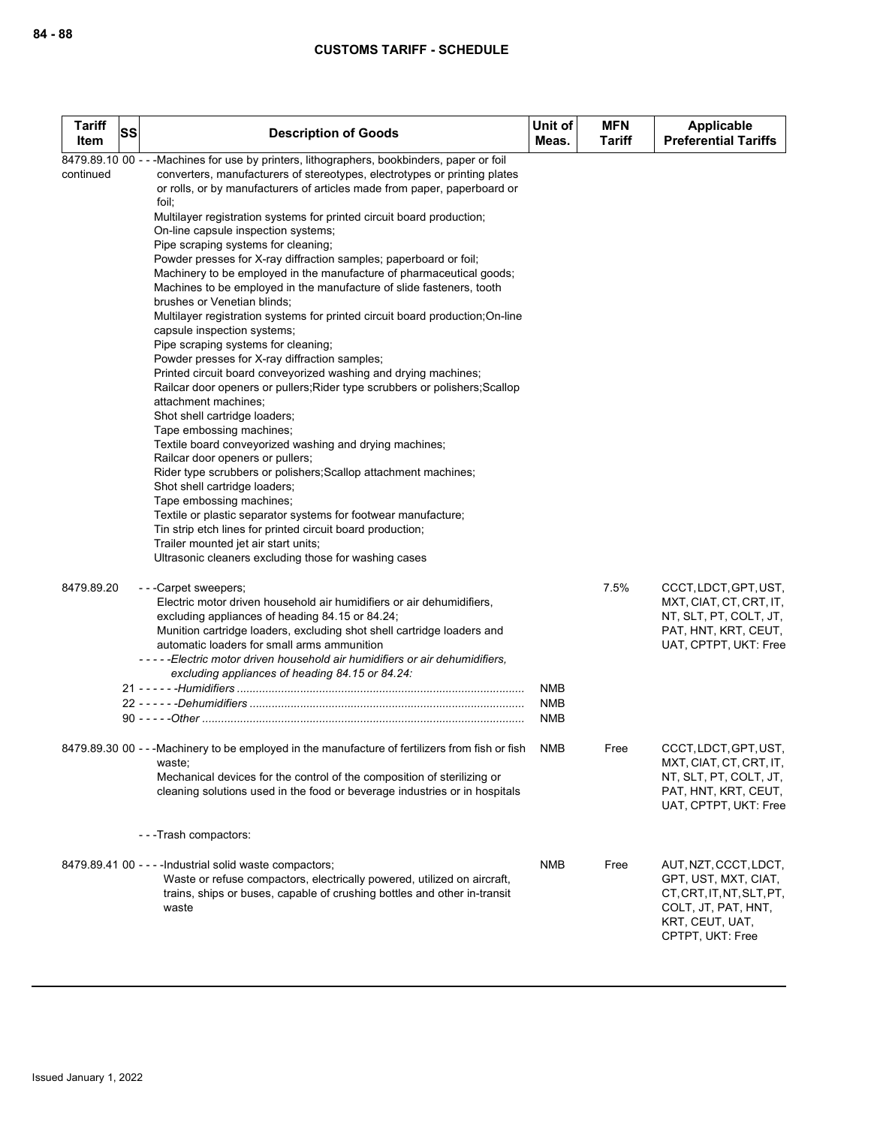| <b>Tariff</b><br>Item | SS | <b>Description of Goods</b>                                                                                                                                                                                                                                         | Unit of<br>Meas.  | <b>MFN</b><br><b>Tariff</b> | Applicable<br><b>Preferential Tariffs</b>                                                                                                |
|-----------------------|----|---------------------------------------------------------------------------------------------------------------------------------------------------------------------------------------------------------------------------------------------------------------------|-------------------|-----------------------------|------------------------------------------------------------------------------------------------------------------------------------------|
| continued             |    | 8479.89.10 00 - - - Machines for use by printers, lithographers, bookbinders, paper or foil<br>converters, manufacturers of stereotypes, electrotypes or printing plates<br>or rolls, or by manufacturers of articles made from paper, paperboard or                |                   |                             |                                                                                                                                          |
|                       |    | foil;<br>Multilayer registration systems for printed circuit board production;                                                                                                                                                                                      |                   |                             |                                                                                                                                          |
|                       |    | On-line capsule inspection systems;<br>Pipe scraping systems for cleaning;                                                                                                                                                                                          |                   |                             |                                                                                                                                          |
|                       |    | Powder presses for X-ray diffraction samples; paperboard or foil;<br>Machinery to be employed in the manufacture of pharmaceutical goods;<br>Machines to be employed in the manufacture of slide fasteners, tooth<br>brushes or Venetian blinds;                    |                   |                             |                                                                                                                                          |
|                       |    | Multilayer registration systems for printed circuit board production; On-line<br>capsule inspection systems;                                                                                                                                                        |                   |                             |                                                                                                                                          |
|                       |    | Pipe scraping systems for cleaning;<br>Powder presses for X-ray diffraction samples;<br>Printed circuit board conveyorized washing and drying machines;                                                                                                             |                   |                             |                                                                                                                                          |
|                       |    | Railcar door openers or pullers; Rider type scrubbers or polishers; Scallop<br>attachment machines;<br>Shot shell cartridge loaders;                                                                                                                                |                   |                             |                                                                                                                                          |
|                       |    | Tape embossing machines;<br>Textile board conveyorized washing and drying machines;<br>Railcar door openers or pullers;                                                                                                                                             |                   |                             |                                                                                                                                          |
|                       |    | Rider type scrubbers or polishers; Scallop attachment machines;<br>Shot shell cartridge loaders;<br>Tape embossing machines;                                                                                                                                        |                   |                             |                                                                                                                                          |
|                       |    | Textile or plastic separator systems for footwear manufacture;<br>Tin strip etch lines for printed circuit board production;<br>Trailer mounted jet air start units;                                                                                                |                   |                             |                                                                                                                                          |
|                       |    | Ultrasonic cleaners excluding those for washing cases                                                                                                                                                                                                               |                   |                             |                                                                                                                                          |
| 8479.89.20            |    | ---Carpet sweepers;<br>Electric motor driven household air humidifiers or air dehumidifiers,<br>excluding appliances of heading 84.15 or 84.24;                                                                                                                     |                   | 7.5%                        | CCCT, LDCT, GPT, UST,<br>MXT, CIAT, CT, CRT, IT,<br>NT, SLT, PT, COLT, JT,                                                               |
|                       |    | Munition cartridge loaders, excluding shot shell cartridge loaders and<br>automatic loaders for small arms ammunition                                                                                                                                               |                   |                             | PAT, HNT, KRT, CEUT,<br>UAT, CPTPT, UKT: Free                                                                                            |
|                       |    | - - - - - Electric motor driven household air humidifiers or air dehumidifiers,<br>excluding appliances of heading 84.15 or 84.24:                                                                                                                                  |                   |                             |                                                                                                                                          |
|                       |    |                                                                                                                                                                                                                                                                     | NMB<br><b>NMB</b> |                             |                                                                                                                                          |
|                       |    |                                                                                                                                                                                                                                                                     | <b>NMB</b>        |                             |                                                                                                                                          |
|                       |    | 8479.89.30 00 - - - Machinery to be employed in the manufacture of fertilizers from fish or fish<br>waste;<br>Mechanical devices for the control of the composition of sterilizing or<br>cleaning solutions used in the food or beverage industries or in hospitals | <b>NMB</b>        | Free                        | CCCT, LDCT, GPT, UST,<br>MXT, CIAT, CT, CRT, IT,<br>NT, SLT, PT, COLT, JT,<br>PAT, HNT, KRT, CEUT,                                       |
|                       |    |                                                                                                                                                                                                                                                                     |                   |                             | UAT, CPTPT, UKT: Free                                                                                                                    |
|                       |    | ---Trash compactors:                                                                                                                                                                                                                                                |                   |                             |                                                                                                                                          |
|                       |    | 8479.89.41 00 - - - - Industrial solid waste compactors;<br>Waste or refuse compactors, electrically powered, utilized on aircraft,<br>trains, ships or buses, capable of crushing bottles and other in-transit<br>waste                                            | NMB               | Free                        | AUT, NZT, CCCT, LDCT,<br>GPT, UST, MXT, CIAT,<br>CT, CRT, IT, NT, SLT, PT,<br>COLT, JT, PAT, HNT,<br>KRT, CEUT, UAT,<br>CPTPT, UKT: Free |
|                       |    |                                                                                                                                                                                                                                                                     |                   |                             |                                                                                                                                          |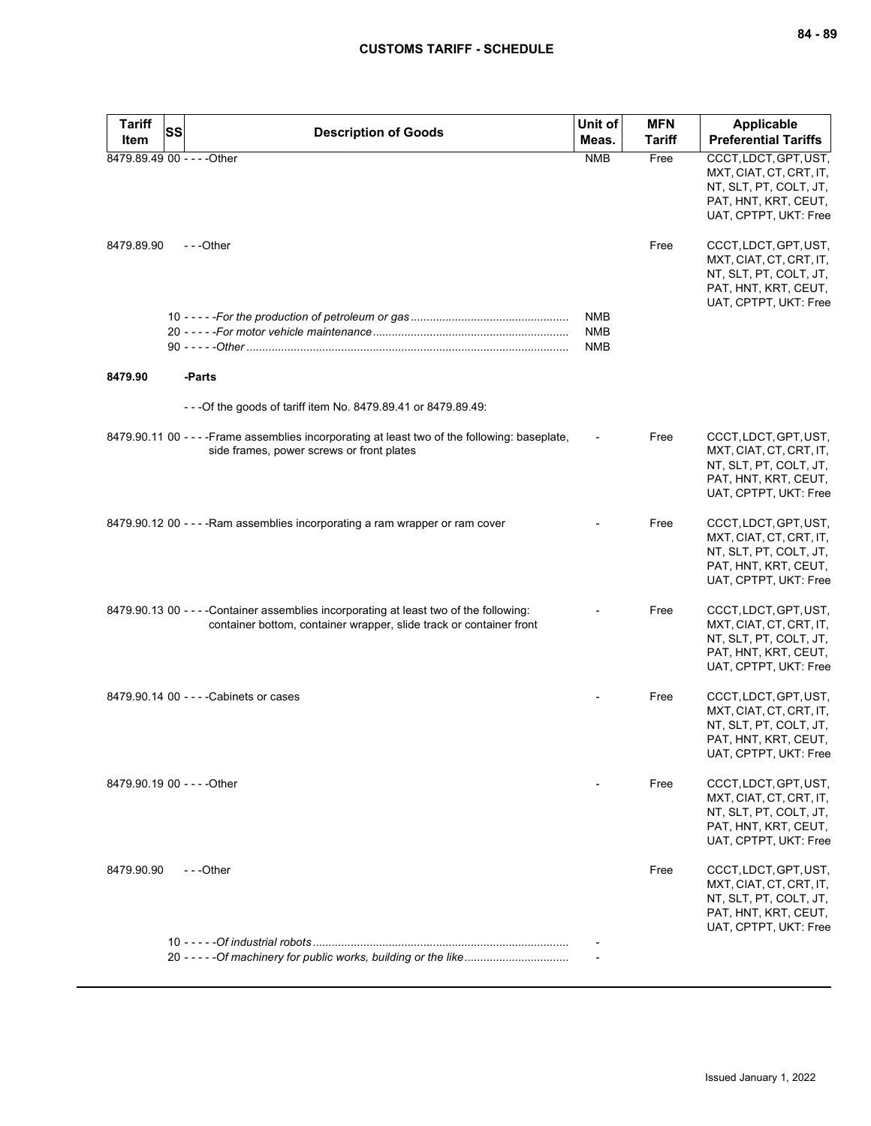| <b>Tariff</b><br>Item | SS<br><b>Description of Goods</b>                                                                                                                              | Unit of<br>Meas.                       | <b>MFN</b><br><b>Tariff</b> | <b>Applicable</b><br><b>Preferential Tariffs</b>                                                                            |
|-----------------------|----------------------------------------------------------------------------------------------------------------------------------------------------------------|----------------------------------------|-----------------------------|-----------------------------------------------------------------------------------------------------------------------------|
|                       | 8479.89.49 00 - - - - Other                                                                                                                                    | <b>NMB</b>                             | Free                        | CCCT, LDCT, GPT, UST,                                                                                                       |
|                       |                                                                                                                                                                |                                        |                             | MXT, CIAT, CT, CRT, IT,<br>NT, SLT, PT, COLT, JT,<br>PAT, HNT, KRT, CEUT,<br>UAT, CPTPT, UKT: Free                          |
| 8479.89.90            | ---Other                                                                                                                                                       |                                        | Free                        | CCCT, LDCT, GPT, UST,<br>MXT, CIAT, CT, CRT, IT,<br>NT, SLT, PT, COLT, JT,<br>PAT, HNT, KRT, CEUT,<br>UAT, CPTPT, UKT: Free |
|                       |                                                                                                                                                                | <b>NMB</b><br><b>NMB</b><br><b>NMB</b> |                             |                                                                                                                             |
| 8479.90               | -Parts                                                                                                                                                         |                                        |                             |                                                                                                                             |
|                       | - - - Of the goods of tariff item No. 8479.89.41 or 8479.89.49:                                                                                                |                                        |                             |                                                                                                                             |
|                       | 8479.90.11 00 - - - - Frame assemblies incorporating at least two of the following: baseplate,<br>side frames, power screws or front plates                    |                                        | Free                        | CCCT, LDCT, GPT, UST,<br>MXT, CIAT, CT, CRT, IT,<br>NT, SLT, PT, COLT, JT,<br>PAT, HNT, KRT, CEUT,<br>UAT, CPTPT, UKT: Free |
|                       | 8479.90.12 00 - - - - Ram assemblies incorporating a ram wrapper or ram cover                                                                                  |                                        | Free                        | CCCT, LDCT, GPT, UST,<br>MXT, CIAT, CT, CRT, IT,<br>NT, SLT, PT, COLT, JT,<br>PAT, HNT, KRT, CEUT,<br>UAT, CPTPT, UKT: Free |
|                       | 8479.90.13 00 - - - - Container assemblies incorporating at least two of the following:<br>container bottom, container wrapper, slide track or container front |                                        | Free                        | CCCT, LDCT, GPT, UST,<br>MXT, CIAT, CT, CRT, IT,<br>NT, SLT, PT, COLT, JT,<br>PAT, HNT, KRT, CEUT,<br>UAT, CPTPT, UKT: Free |
|                       | 8479.90.14 00 - - - - Cabinets or cases                                                                                                                        |                                        | Free                        | CCCT, LDCT, GPT, UST,<br>MXT, CIAT, CT, CRT, IT,<br>NT, SLT, PT, COLT, JT,<br>PAT, HNT, KRT, CEUT,<br>UAI, CPIPI, UKI: Free |
|                       | 8479.90.19 00 - - - - Other                                                                                                                                    |                                        | Free                        | CCCT, LDCT, GPT, UST,<br>MXT, CIAT, CT, CRT, IT,<br>NT, SLT, PT, COLT, JT,<br>PAT, HNT, KRT, CEUT,<br>UAT, CPTPT, UKT: Free |
| 8479.90.90            | $- -$ Other                                                                                                                                                    |                                        | Free                        | CCCT, LDCT, GPT, UST,<br>MXT, CIAT, CT, CRT, IT,<br>NT, SLT, PT, COLT, JT,<br>PAT, HNT, KRT, CEUT,<br>UAT, CPTPT, UKT: Free |
|                       | 20 - - - - - Of machinery for public works, building or the like                                                                                               |                                        |                             |                                                                                                                             |
|                       |                                                                                                                                                                |                                        |                             |                                                                                                                             |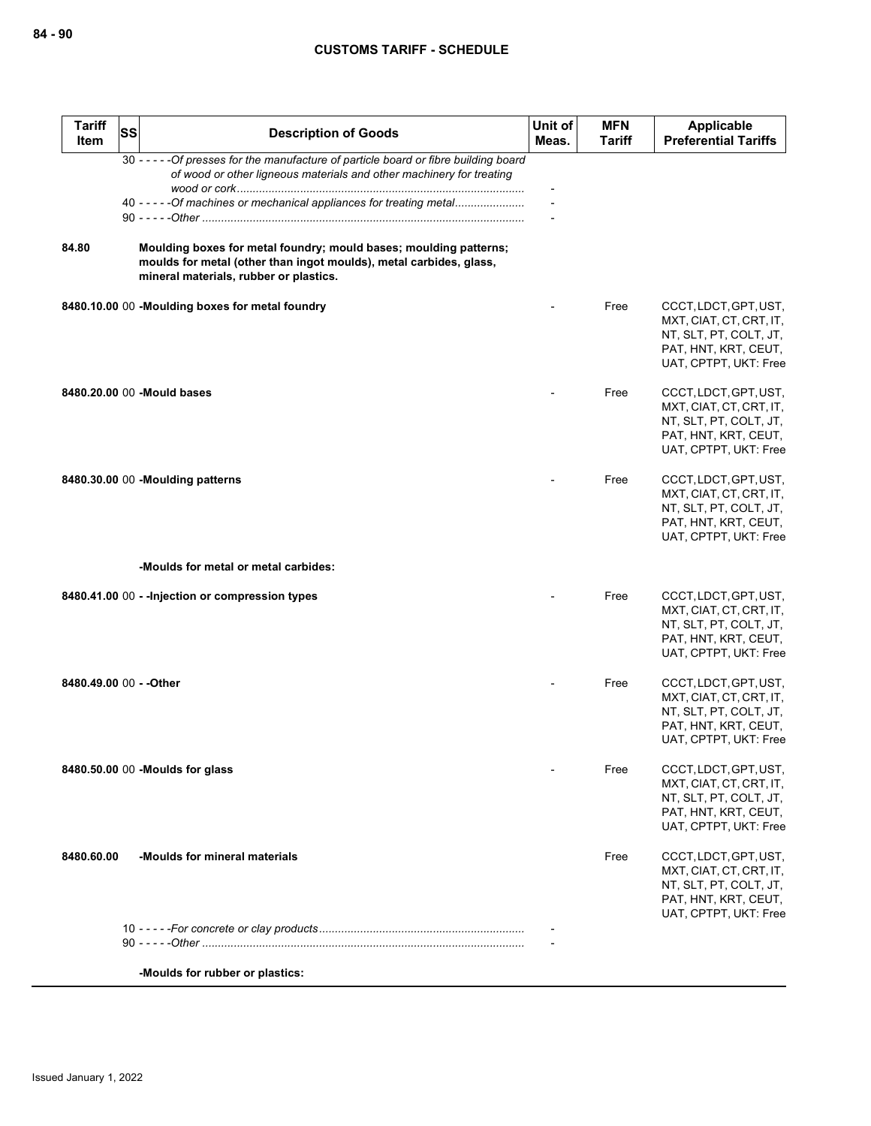| <b>Tariff</b><br><b>Item</b> | SS | <b>Description of Goods</b>                                                                                                                                                       | Unit of<br>Meas. | <b>MFN</b><br>Tariff | <b>Applicable</b><br><b>Preferential Tariffs</b>                                                                            |
|------------------------------|----|-----------------------------------------------------------------------------------------------------------------------------------------------------------------------------------|------------------|----------------------|-----------------------------------------------------------------------------------------------------------------------------|
|                              |    | 30 - - - - - Of presses for the manufacture of particle board or fibre building board<br>of wood or other ligneous materials and other machinery for treating                     |                  |                      |                                                                                                                             |
|                              |    | 40 - - - - - Of machines or mechanical appliances for treating metal                                                                                                              |                  |                      |                                                                                                                             |
| 84.80                        |    | Moulding boxes for metal foundry; mould bases; moulding patterns;<br>moulds for metal (other than ingot moulds), metal carbides, glass,<br>mineral materials, rubber or plastics. |                  |                      |                                                                                                                             |
|                              |    | 8480.10.00 00 -Moulding boxes for metal foundry                                                                                                                                   |                  | Free                 | CCCT, LDCT, GPT, UST,<br>MXT, CIAT, CT, CRT, IT,<br>NT, SLT, PT, COLT, JT,<br>PAT, HNT, KRT, CEUT,<br>UAT, CPTPT, UKT: Free |
|                              |    | 8480.20.00 00 - Mould bases                                                                                                                                                       |                  | Free                 | CCCT, LDCT, GPT, UST,<br>MXT, CIAT, CT, CRT, IT,<br>NT, SLT, PT, COLT, JT,<br>PAT, HNT, KRT, CEUT,<br>UAT, CPTPT, UKT: Free |
|                              |    | 8480.30.00 00 -Moulding patterns                                                                                                                                                  |                  | Free                 | CCCT, LDCT, GPT, UST,<br>MXT, CIAT, CT, CRT, IT,<br>NT, SLT, PT, COLT, JT,<br>PAT, HNT, KRT, CEUT,<br>UAT, CPTPT, UKT: Free |
|                              |    | -Moulds for metal or metal carbides:                                                                                                                                              |                  |                      |                                                                                                                             |
|                              |    | 8480.41.00 00 - - Injection or compression types                                                                                                                                  |                  | Free                 | CCCT, LDCT, GPT, UST,<br>MXT, CIAT, CT, CRT, IT,<br>NT, SLT, PT, COLT, JT,<br>PAT, HNT, KRT, CEUT,<br>UAT, CPTPT, UKT: Free |
| 8480.49.00 00 - - Other      |    |                                                                                                                                                                                   |                  | Free                 | CCCT, LDCT, GPT, UST,<br>MXT, CIAT, CT, CRT, IT,<br>NT, SLT, PT, COLT, JT,<br>PAT, HNT, KRT, CEUT,<br>UAT, CPTPT, UKT: Free |
|                              |    | 8480.50.00 00 -Moulds for glass                                                                                                                                                   |                  | Free                 | CCCT, LDCT, GPT, UST,<br>MXT, CIAT, CT, CRT, IT,<br>NT, SLT, PT, COLT, JT,<br>PAT, HNT, KRT, CEUT,<br>UAT, CPTPT, UKT: Free |
| 8480.60.00                   |    | -Moulds for mineral materials                                                                                                                                                     |                  | Free                 | CCCT, LDCT, GPT, UST,<br>MXT, CIAT, CT, CRT, IT,<br>NT, SLT, PT, COLT, JT,<br>PAT, HNT, KRT, CEUT,<br>UAT, CPTPT, UKT: Free |
|                              |    |                                                                                                                                                                                   |                  |                      |                                                                                                                             |
|                              |    | -Moulds for rubber or plastics:                                                                                                                                                   |                  |                      |                                                                                                                             |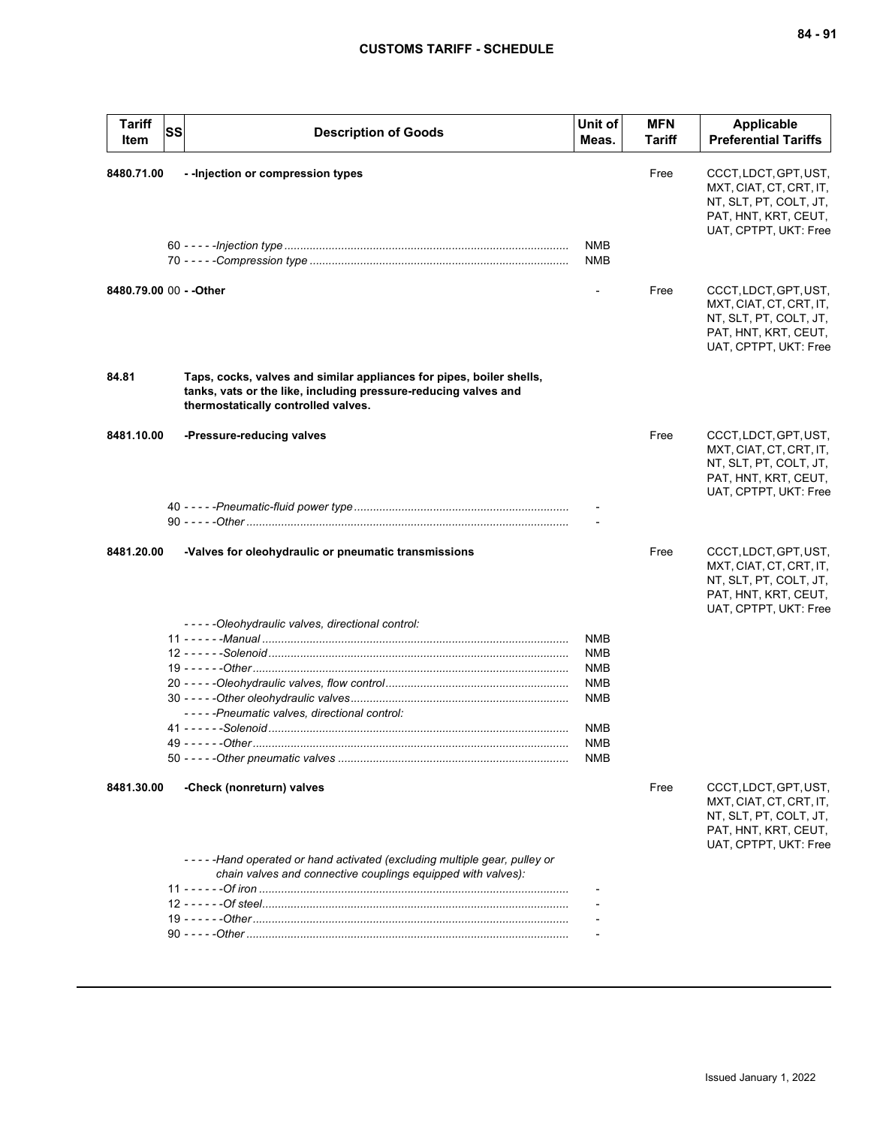| <b>Tariff</b><br>Item   | SS | <b>Description of Goods</b>                                                                                                                                                    | Unit of<br>Meas.         | MFN<br>Tariff | <b>Applicable</b><br><b>Preferential Tariffs</b>                                                                            |
|-------------------------|----|--------------------------------------------------------------------------------------------------------------------------------------------------------------------------------|--------------------------|---------------|-----------------------------------------------------------------------------------------------------------------------------|
| 8480.71.00              |    | - - Injection or compression types                                                                                                                                             |                          | Free          | CCCT, LDCT, GPT, UST,<br>MXT, CIAT, CT, CRT, IT,<br>NT, SLT, PT, COLT, JT,<br>PAT, HNT, KRT, CEUT,<br>UAT, CPTPT, UKT: Free |
|                         |    |                                                                                                                                                                                | <b>NMB</b><br><b>NMB</b> |               |                                                                                                                             |
| 8480.79.00 00 - - Other |    |                                                                                                                                                                                |                          | Free          | CCCT, LDCT, GPT, UST,<br>MXT, CIAT, CT, CRT, IT,<br>NT, SLT, PT, COLT, JT,<br>PAT, HNT, KRT, CEUT,<br>UAT, CPTPT, UKT: Free |
| 84.81                   |    | Taps, cocks, valves and similar appliances for pipes, boiler shells,<br>tanks, vats or the like, including pressure-reducing valves and<br>thermostatically controlled valves. |                          |               |                                                                                                                             |
| 8481.10.00              |    | -Pressure-reducing valves                                                                                                                                                      |                          | Free          | CCCT, LDCT, GPT, UST,<br>MXT, CIAT, CT, CRT, IT,<br>NT, SLT, PT, COLT, JT,<br>PAT, HNT, KRT, CEUT,<br>UAT, CPTPT, UKT: Free |
|                         |    |                                                                                                                                                                                |                          |               |                                                                                                                             |
| 8481.20.00              |    | -Valves for oleohydraulic or pneumatic transmissions                                                                                                                           |                          | Free          | CCCT, LDCT, GPT, UST,<br>MXT, CIAT, CT, CRT, IT,<br>NT, SLT, PT, COLT, JT,<br>PAT, HNT, KRT, CEUT,<br>UAT, CPTPT, UKT: Free |
|                         |    | -----Oleohydraulic valves, directional control:                                                                                                                                |                          |               |                                                                                                                             |
|                         |    |                                                                                                                                                                                | NMB                      |               |                                                                                                                             |
|                         |    |                                                                                                                                                                                | <b>NMB</b>               |               |                                                                                                                             |
|                         |    |                                                                                                                                                                                | <b>NMB</b>               |               |                                                                                                                             |
|                         |    |                                                                                                                                                                                | <b>NMB</b>               |               |                                                                                                                             |
|                         |    |                                                                                                                                                                                | <b>NMB</b>               |               |                                                                                                                             |
|                         |    | -----Pneumatic valves, directional control:                                                                                                                                    | <b>NMB</b>               |               |                                                                                                                             |
|                         |    |                                                                                                                                                                                | <b>NMB</b>               |               |                                                                                                                             |
|                         |    |                                                                                                                                                                                | <b>NMB</b>               |               |                                                                                                                             |
| 8481.30.00              |    | -Check (nonreturn) valves                                                                                                                                                      |                          | Free          | CCCT, LDCT, GPT, UST,<br>MXT, CIAT, CT, CRT, IT,<br>NT, SLT, PT, COLT, JT,<br>PAT, HNT, KRT, CEUT,<br>UAT, CPTPT, UKT: Free |
|                         |    | -----Hand operated or hand activated (excluding multiple gear, pulley or<br>chain valves and connective couplings equipped with valves):                                       |                          |               |                                                                                                                             |
|                         |    |                                                                                                                                                                                |                          |               |                                                                                                                             |
|                         |    |                                                                                                                                                                                |                          |               |                                                                                                                             |
|                         |    |                                                                                                                                                                                |                          |               |                                                                                                                             |
|                         |    |                                                                                                                                                                                |                          |               |                                                                                                                             |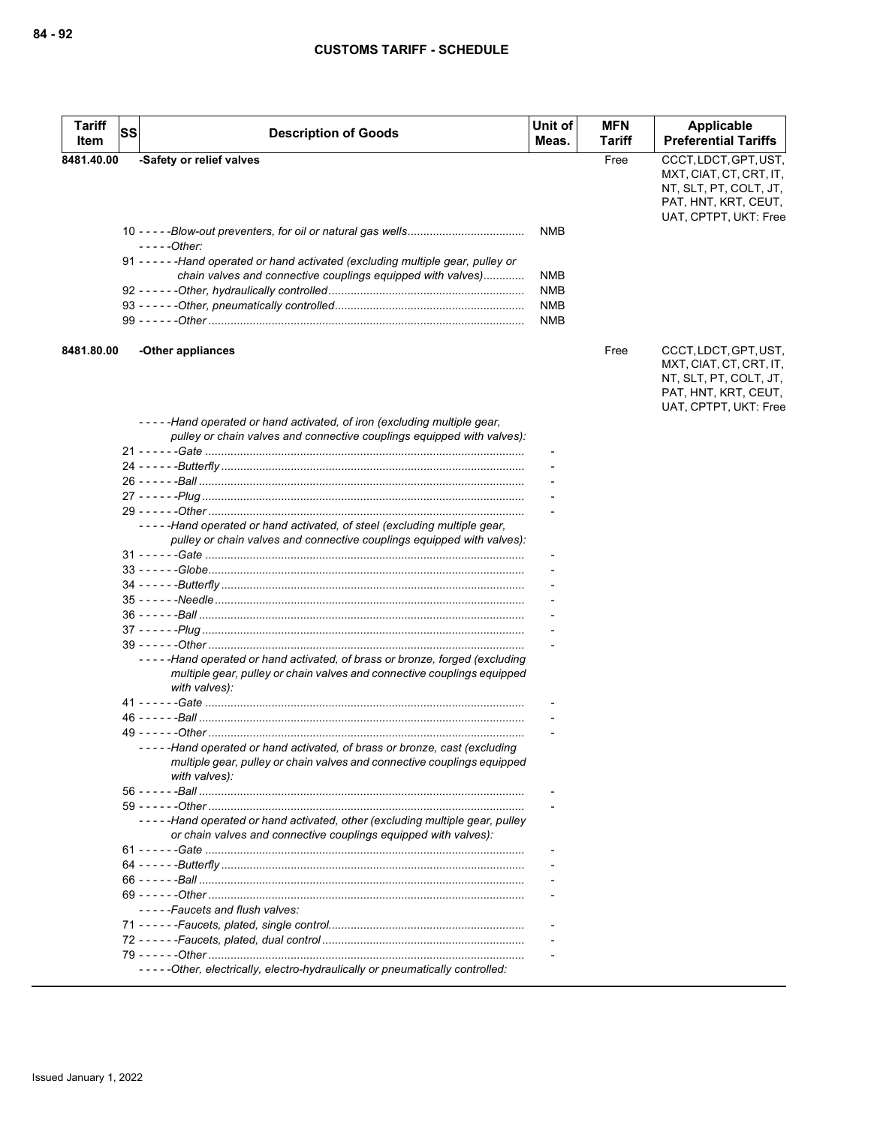| <b>Tariff</b><br>Item | SS | <b>Description of Goods</b>                                                                                                                                           | Unit of<br>Meas. | <b>MFN</b><br><b>Tariff</b> | Applicable<br><b>Preferential Tariffs</b>                                                                                   |
|-----------------------|----|-----------------------------------------------------------------------------------------------------------------------------------------------------------------------|------------------|-----------------------------|-----------------------------------------------------------------------------------------------------------------------------|
| 8481.40.00            |    | -Safety or relief valves                                                                                                                                              |                  | Free                        | CCCT, LDCT, GPT, UST,<br>MXT, CIAT, CT, CRT, IT,<br>NT, SLT, PT, COLT, JT,<br>PAT, HNT, KRT, CEUT,<br>UAT, CPTPT, UKT: Free |
|                       |    | $---Other:$                                                                                                                                                           | NMB              |                             |                                                                                                                             |
|                       |    | 91 - - - - - - Hand operated or hand activated (excluding multiple gear, pulley or<br>chain valves and connective couplings equipped with valves)                     | <b>NMB</b>       |                             |                                                                                                                             |
|                       |    |                                                                                                                                                                       | NMB              |                             |                                                                                                                             |
|                       |    |                                                                                                                                                                       | <b>NMB</b>       |                             |                                                                                                                             |
|                       |    |                                                                                                                                                                       | <b>NMB</b>       |                             |                                                                                                                             |
| 8481.80.00            |    | -Other appliances                                                                                                                                                     |                  | Free                        | CCCT, LDCT, GPT, UST,<br>MXT, CIAT, CT, CRT, IT,<br>NT, SLT, PT, COLT, JT,<br>PAT, HNT, KRT, CEUT,<br>UAT, CPTPT, UKT: Free |
|                       |    | -----Hand operated or hand activated, of iron (excluding multiple gear,<br>pulley or chain valves and connective couplings equipped with valves):                     |                  |                             |                                                                                                                             |
|                       |    |                                                                                                                                                                       |                  |                             |                                                                                                                             |
|                       |    |                                                                                                                                                                       |                  |                             |                                                                                                                             |
|                       |    |                                                                                                                                                                       |                  |                             |                                                                                                                             |
|                       |    |                                                                                                                                                                       |                  |                             |                                                                                                                             |
|                       |    |                                                                                                                                                                       |                  |                             |                                                                                                                             |
|                       |    | -----Hand operated or hand activated, of steel (excluding multiple gear,<br>pulley or chain valves and connective couplings equipped with valves):                    |                  |                             |                                                                                                                             |
|                       |    |                                                                                                                                                                       |                  |                             |                                                                                                                             |
|                       |    |                                                                                                                                                                       |                  |                             |                                                                                                                             |
|                       |    |                                                                                                                                                                       |                  |                             |                                                                                                                             |
|                       |    |                                                                                                                                                                       |                  |                             |                                                                                                                             |
|                       |    |                                                                                                                                                                       |                  |                             |                                                                                                                             |
|                       |    |                                                                                                                                                                       |                  |                             |                                                                                                                             |
|                       |    | -----Hand operated or hand activated, of brass or bronze, forged (excluding                                                                                           |                  |                             |                                                                                                                             |
|                       |    | multiple gear, pulley or chain valves and connective couplings equipped<br>with valves):                                                                              |                  |                             |                                                                                                                             |
|                       |    |                                                                                                                                                                       |                  |                             |                                                                                                                             |
|                       |    |                                                                                                                                                                       |                  |                             |                                                                                                                             |
|                       |    |                                                                                                                                                                       |                  |                             |                                                                                                                             |
|                       |    | -----Hand operated or hand activated, of brass or bronze, cast (excluding<br>multiple gear, pulley or chain valves and connective couplings equipped<br>with valves): |                  |                             |                                                                                                                             |
|                       |    |                                                                                                                                                                       |                  |                             |                                                                                                                             |
|                       |    |                                                                                                                                                                       |                  |                             |                                                                                                                             |
|                       |    | -----Hand operated or hand activated, other (excluding multiple gear, pulley                                                                                          |                  |                             |                                                                                                                             |
|                       |    | or chain valves and connective couplings equipped with valves):                                                                                                       |                  |                             |                                                                                                                             |
|                       |    |                                                                                                                                                                       |                  |                             |                                                                                                                             |
|                       |    |                                                                                                                                                                       |                  |                             |                                                                                                                             |
|                       |    |                                                                                                                                                                       |                  |                             |                                                                                                                             |
|                       |    |                                                                                                                                                                       |                  |                             |                                                                                                                             |
|                       |    | -----Faucets and flush valves:                                                                                                                                        |                  |                             |                                                                                                                             |
|                       |    |                                                                                                                                                                       |                  |                             |                                                                                                                             |
|                       |    |                                                                                                                                                                       |                  |                             |                                                                                                                             |
|                       |    | - - - - - Other, electrically, electro-hydraulically or pneumatically controlled:                                                                                     |                  |                             |                                                                                                                             |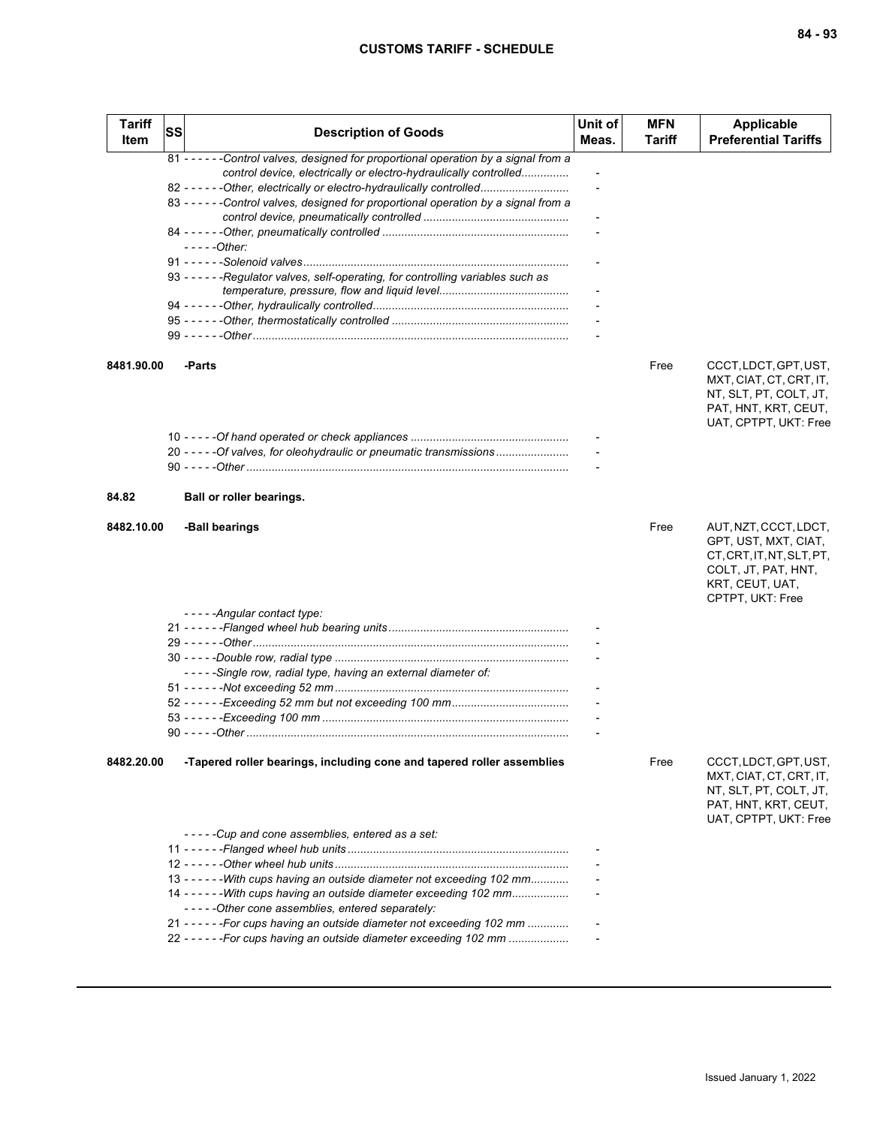| <b>Tariff</b><br>Item | <b>SS</b> | <b>Description of Goods</b>                                                                                             | Unit of<br>Meas.         | <b>MFN</b><br>Tariff | Applicable<br><b>Preferential Tariffs</b>                                                                                                |
|-----------------------|-----------|-------------------------------------------------------------------------------------------------------------------------|--------------------------|----------------------|------------------------------------------------------------------------------------------------------------------------------------------|
|                       |           | 81 - - - - - - Control valves, designed for proportional operation by a signal from a                                   |                          |                      |                                                                                                                                          |
|                       |           | control device, electrically or electro-hydraulically controlled                                                        | $\overline{\phantom{a}}$ |                      |                                                                                                                                          |
|                       |           | 82 - - - - - - Other, electrically or electro-hydraulically controlled                                                  |                          |                      |                                                                                                                                          |
|                       |           | 83 - - - - - - Control valves, designed for proportional operation by a signal from a                                   |                          |                      |                                                                                                                                          |
|                       |           |                                                                                                                         |                          |                      |                                                                                                                                          |
|                       |           | $---Other:$                                                                                                             |                          |                      |                                                                                                                                          |
|                       |           |                                                                                                                         |                          |                      |                                                                                                                                          |
|                       |           | 93 - - - - - - Regulator valves, self-operating, for controlling variables such as                                      |                          |                      |                                                                                                                                          |
|                       |           |                                                                                                                         |                          |                      |                                                                                                                                          |
|                       |           |                                                                                                                         |                          |                      |                                                                                                                                          |
|                       |           |                                                                                                                         |                          |                      |                                                                                                                                          |
|                       |           |                                                                                                                         |                          |                      |                                                                                                                                          |
| 8481.90.00            |           | -Parts                                                                                                                  |                          | Free                 | CCCT, LDCT, GPT, UST,<br>MXT, CIAT, CT, CRT, IT,<br>NT, SLT, PT, COLT, JT,<br>PAT, HNT, KRT, CEUT,<br>UAT, CPTPT, UKT: Free              |
|                       |           |                                                                                                                         |                          |                      |                                                                                                                                          |
|                       |           | 20 - - - - - Of valves, for oleohydraulic or pneumatic transmissions                                                    |                          |                      |                                                                                                                                          |
|                       |           |                                                                                                                         |                          |                      |                                                                                                                                          |
| 84.82                 |           | Ball or roller bearings.                                                                                                |                          |                      |                                                                                                                                          |
| 8482.10.00            |           | -Ball bearings                                                                                                          |                          | Free                 | AUT, NZT, CCCT, LDCT,<br>GPT, UST, MXT, CIAT,<br>CT, CRT, IT, NT, SLT, PT,<br>COLT, JT, PAT, HNT,<br>KRT, CEUT, UAT,<br>CPTPT, UKT: Free |
|                       |           | - - - - - Angular contact type:                                                                                         |                          |                      |                                                                                                                                          |
|                       |           |                                                                                                                         |                          |                      |                                                                                                                                          |
|                       |           |                                                                                                                         |                          |                      |                                                                                                                                          |
|                       |           |                                                                                                                         |                          |                      |                                                                                                                                          |
|                       |           | -----Single row, radial type, having an external diameter of:                                                           |                          |                      |                                                                                                                                          |
|                       |           |                                                                                                                         |                          |                      |                                                                                                                                          |
|                       |           |                                                                                                                         |                          |                      |                                                                                                                                          |
|                       |           |                                                                                                                         |                          |                      |                                                                                                                                          |
|                       |           |                                                                                                                         |                          |                      |                                                                                                                                          |
| 8482.20.00            |           | -Tapered roller bearings, including cone and tapered roller assemblies                                                  |                          | Free                 | CCCT, LDCT, GPT, UST,<br>MXT, CIAT, CT, CRT, IT,<br>NT, SLT, PT, COLT, JT,<br>PAT, HNT, KRT, CEUT,<br>UAT, CPTPT, UKT: Free              |
|                       |           | -----Cup and cone assemblies, entered as a set:                                                                         |                          |                      |                                                                                                                                          |
|                       |           |                                                                                                                         |                          |                      |                                                                                                                                          |
|                       |           |                                                                                                                         |                          |                      |                                                                                                                                          |
|                       |           | 13 - - - - - - With cups having an outside diameter not exceeding 102 mm                                                |                          |                      |                                                                                                                                          |
|                       |           | 14 - - - - - - With cups having an outside diameter exceeding 102 mm<br>-----Other cone assemblies, entered separately: |                          |                      |                                                                                                                                          |
|                       |           | 21 - - - - - - For cups having an outside diameter not exceeding 102 mm                                                 |                          |                      |                                                                                                                                          |
|                       |           | 22 - - - - - - For cups having an outside diameter exceeding 102 mm                                                     |                          |                      |                                                                                                                                          |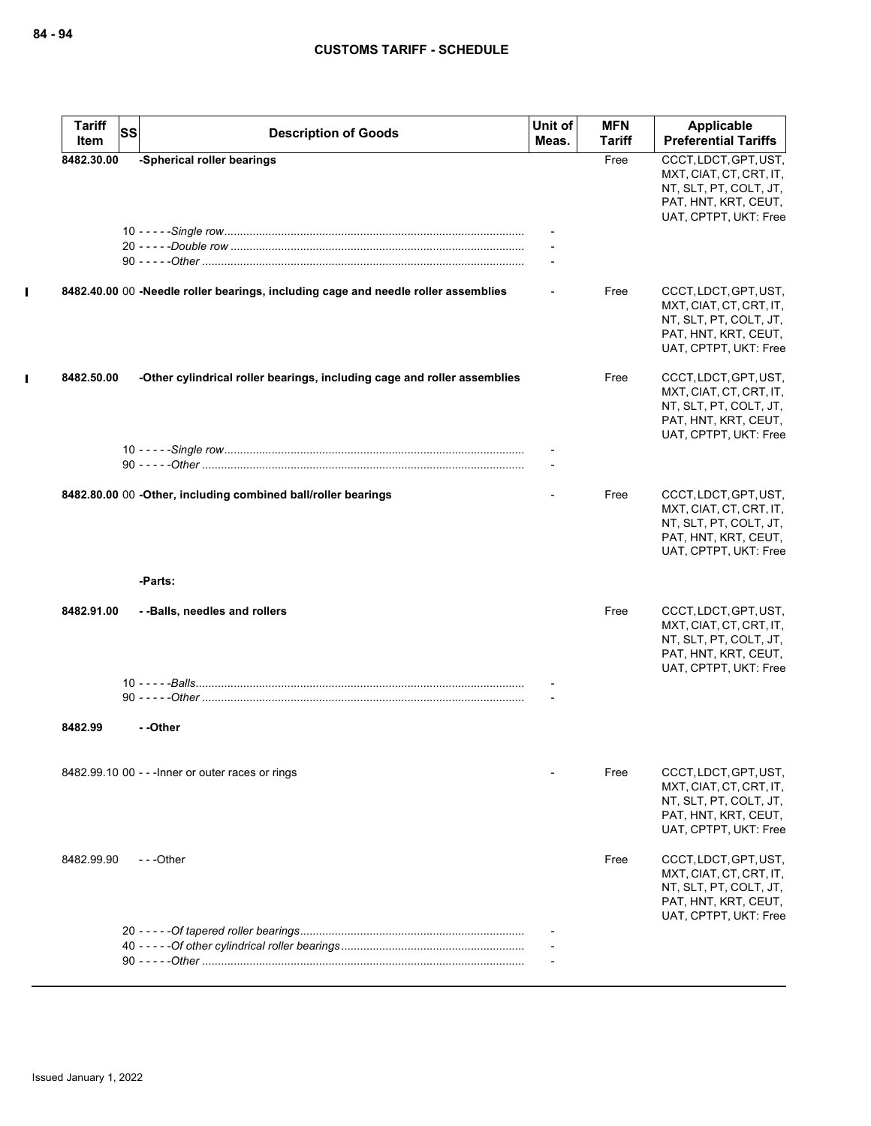$\mathbf{I}$ 

| <b>Tariff</b> | <b>SS</b><br><b>Description of Goods</b>                                           | Unit of | <b>MFN</b> | Applicable                                                                                                                  |
|---------------|------------------------------------------------------------------------------------|---------|------------|-----------------------------------------------------------------------------------------------------------------------------|
| Item          |                                                                                    | Meas.   | Tariff     | <b>Preferential Tariffs</b>                                                                                                 |
| 8482.30.00    | -Spherical roller bearings                                                         |         | Free       | CCCT, LDCT, GPT, UST,<br>MXT, CIAT, CT, CRT, IT,<br>NT, SLT, PT, COLT, JT,<br>PAT, HNT, KRT, CEUT,<br>UAT, CPTPT, UKT: Free |
|               |                                                                                    |         |            |                                                                                                                             |
|               | 8482.40.00 00 -Needle roller bearings, including cage and needle roller assemblies |         | Free       | CCCT, LDCT, GPT, UST,<br>MXT, CIAT, CT, CRT, IT,<br>NT, SLT, PT, COLT, JT,<br>PAT, HNT, KRT, CEUT,<br>UAT, CPTPT, UKT: Free |
| 8482.50.00    | -Other cylindrical roller bearings, including cage and roller assemblies           |         | Free       | CCCT, LDCT, GPT, UST,<br>MXT, CIAT, CT, CRT, IT,<br>NT, SLT, PT, COLT, JT,<br>PAT, HNT, KRT, CEUT,<br>UAT, CPTPT, UKT: Free |
|               |                                                                                    |         |            |                                                                                                                             |
|               | 8482.80.00 00 -Other, including combined ball/roller bearings                      |         | Free       | CCCT, LDCT, GPT, UST,<br>MXT, CIAT, CT, CRT, IT,<br>NT, SLT, PT, COLT, JT,<br>PAT, HNT, KRT, CEUT,<br>UAT, CPTPT, UKT: Free |
|               | -Parts:                                                                            |         |            |                                                                                                                             |
| 8482.91.00    | --Balls, needles and rollers                                                       |         | Free       | CCCT, LDCT, GPT, UST,<br>MXT, CIAT, CT, CRT, IT,<br>NT, SLT, PT, COLT, JT,<br>PAT, HNT, KRT, CEUT,<br>UAT, CPTPT, UKT: Free |
|               |                                                                                    |         |            |                                                                                                                             |
| 8482.99       | --Other                                                                            |         |            |                                                                                                                             |
|               | 8482.99.10 00 - - - Inner or outer races or rings                                  |         | Free       | CCCT, LDCT, GPT, UST,<br>MXT, CIAT, CT, CRT, IT,<br>NT, SLT, PT, COLT, JT,<br>PAT, HNT, KRT, CEUT,<br>UAT, CPTPT, UKT: Free |
| 8482.99.90    | $- -$ Other                                                                        |         | Free       | CCCT, LDCT, GPT, UST,<br>MXT, CIAT, CT, CRT, IT,<br>NT, SLT, PT, COLT, JT,<br>PAT, HNT, KRT, CEUT,<br>UAT, CPTPT, UKT: Free |
|               |                                                                                    |         |            |                                                                                                                             |
|               |                                                                                    |         |            |                                                                                                                             |
|               |                                                                                    |         |            |                                                                                                                             |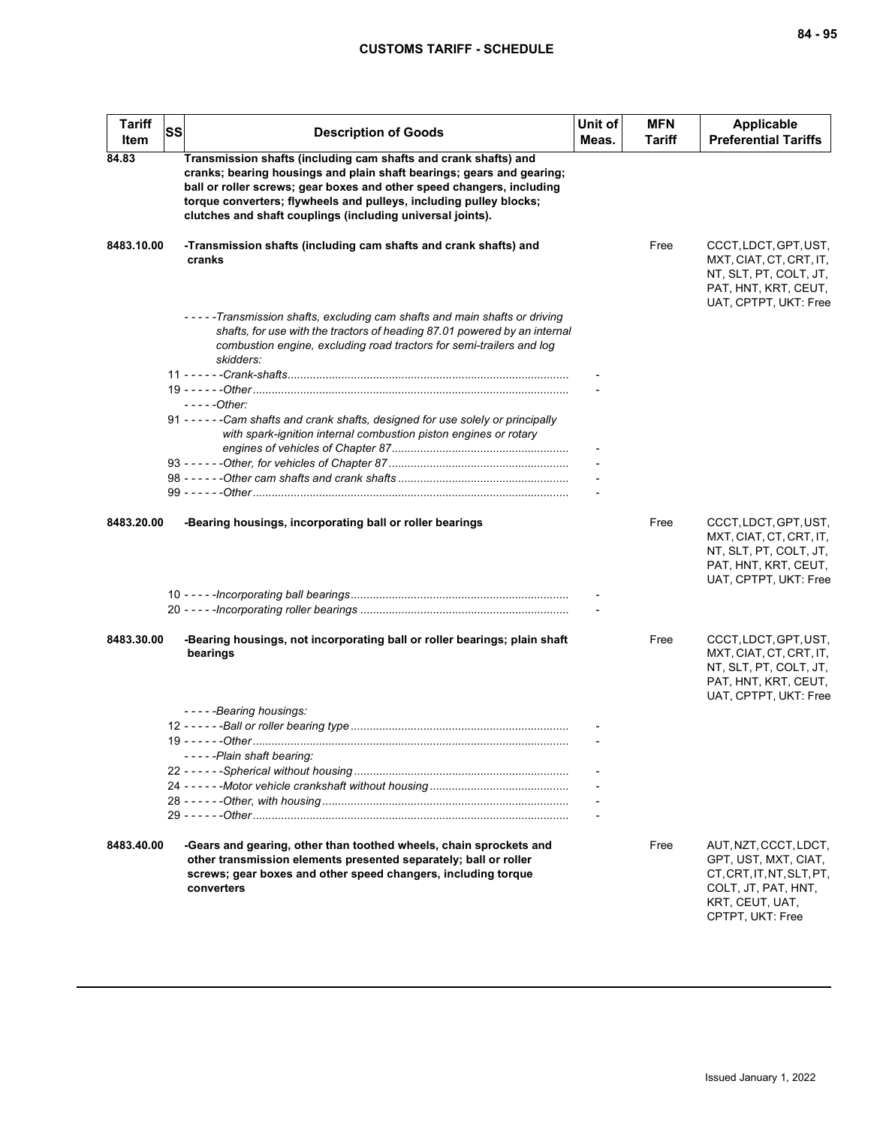| <b>Tariff</b><br>Item | <b>SS</b> | <b>Description of Goods</b>                                                                                                                                                                                                                                                                                                                           | Unit of<br>Meas. | <b>MFN</b><br><b>Tariff</b> | Applicable<br><b>Preferential Tariffs</b>                                                                                                |
|-----------------------|-----------|-------------------------------------------------------------------------------------------------------------------------------------------------------------------------------------------------------------------------------------------------------------------------------------------------------------------------------------------------------|------------------|-----------------------------|------------------------------------------------------------------------------------------------------------------------------------------|
| 84.83                 |           | Transmission shafts (including cam shafts and crank shafts) and<br>cranks; bearing housings and plain shaft bearings; gears and gearing;<br>ball or roller screws; gear boxes and other speed changers, including<br>torque converters; flywheels and pulleys, including pulley blocks;<br>clutches and shaft couplings (including universal joints). |                  |                             |                                                                                                                                          |
| 8483.10.00            |           | -Transmission shafts (including cam shafts and crank shafts) and<br>cranks                                                                                                                                                                                                                                                                            |                  | Free                        | CCCT, LDCT, GPT, UST,<br>MXT, CIAT, CT, CRT, IT,<br>NT, SLT, PT, COLT, JT,<br>PAT, HNT, KRT, CEUT,<br>UAT, CPTPT, UKT: Free              |
|                       |           | -----Transmission shafts, excluding cam shafts and main shafts or driving<br>shafts, for use with the tractors of heading 87.01 powered by an internal<br>combustion engine, excluding road tractors for semi-trailers and log<br>skidders:                                                                                                           |                  |                             |                                                                                                                                          |
|                       |           |                                                                                                                                                                                                                                                                                                                                                       |                  |                             |                                                                                                                                          |
|                       |           |                                                                                                                                                                                                                                                                                                                                                       |                  |                             |                                                                                                                                          |
|                       |           | - - - - - Other:                                                                                                                                                                                                                                                                                                                                      |                  |                             |                                                                                                                                          |
|                       |           | 91 - - - - - - Cam shafts and crank shafts, designed for use solely or principally<br>with spark-ignition internal combustion piston engines or rotary                                                                                                                                                                                                |                  |                             |                                                                                                                                          |
|                       |           |                                                                                                                                                                                                                                                                                                                                                       |                  |                             |                                                                                                                                          |
|                       |           |                                                                                                                                                                                                                                                                                                                                                       |                  |                             |                                                                                                                                          |
|                       |           |                                                                                                                                                                                                                                                                                                                                                       |                  |                             |                                                                                                                                          |
|                       |           |                                                                                                                                                                                                                                                                                                                                                       |                  |                             |                                                                                                                                          |
| 8483.20.00            |           | -Bearing housings, incorporating ball or roller bearings                                                                                                                                                                                                                                                                                              |                  | Free                        | CCCT, LDCT, GPT, UST,<br>MXT, CIAT, CT, CRT, IT,<br>NT, SLT, PT, COLT, JT,<br>PAT, HNT, KRT, CEUT,<br>UAT, CPTPT, UKT: Free              |
|                       |           |                                                                                                                                                                                                                                                                                                                                                       |                  |                             |                                                                                                                                          |
|                       |           |                                                                                                                                                                                                                                                                                                                                                       |                  |                             |                                                                                                                                          |
| 8483.30.00            |           | -Bearing housings, not incorporating ball or roller bearings; plain shaft<br>bearings                                                                                                                                                                                                                                                                 |                  | Free                        | CCCT, LDCT, GPT, UST,<br>MXT, CIAT, CT, CRT, IT,<br>NT, SLT, PT, COLT, JT,<br>PAT, HNT, KRT, CEUT,<br>UAT, CPTPT, UKT: Free              |
|                       |           | -----Bearing housings:                                                                                                                                                                                                                                                                                                                                |                  |                             |                                                                                                                                          |
|                       |           |                                                                                                                                                                                                                                                                                                                                                       |                  |                             |                                                                                                                                          |
|                       |           |                                                                                                                                                                                                                                                                                                                                                       |                  |                             |                                                                                                                                          |
|                       |           | -----Plain shaft bearing:                                                                                                                                                                                                                                                                                                                             |                  |                             |                                                                                                                                          |
|                       |           |                                                                                                                                                                                                                                                                                                                                                       |                  |                             |                                                                                                                                          |
|                       |           |                                                                                                                                                                                                                                                                                                                                                       |                  |                             |                                                                                                                                          |
|                       |           |                                                                                                                                                                                                                                                                                                                                                       |                  |                             |                                                                                                                                          |
|                       |           |                                                                                                                                                                                                                                                                                                                                                       |                  |                             |                                                                                                                                          |
| 8483.40.00            |           | -Gears and gearing, other than toothed wheels, chain sprockets and<br>other transmission elements presented separately; ball or roller<br>screws; gear boxes and other speed changers, including torque<br>converters                                                                                                                                 |                  | Free                        | AUT, NZT, CCCT, LDCT,<br>GPT, UST, MXT, CIAT,<br>CT, CRT, IT, NT, SLT, PT,<br>COLT, JT, PAT, HNT,<br>KRT, CEUT, UAT,<br>CPTPT, UKT: Free |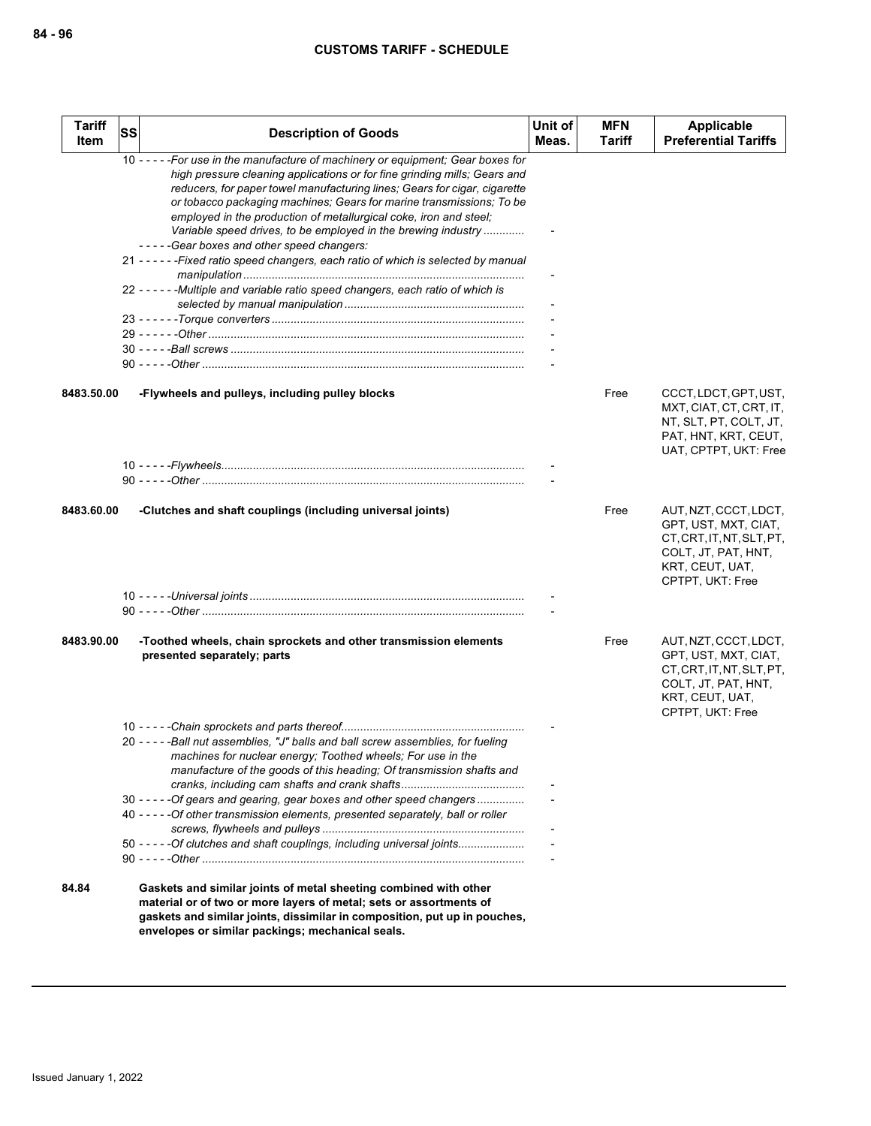| <b>Tariff</b><br>Item | <b>SS</b> | <b>Description of Goods</b>                                                                                                                                                                                                                                                                                                                                                                                                                                                                                                                                                                                                                                                         | Unit of<br>Meas. | <b>MFN</b><br>Tariff | Applicable<br><b>Preferential Tariffs</b>                                                                                                |
|-----------------------|-----------|-------------------------------------------------------------------------------------------------------------------------------------------------------------------------------------------------------------------------------------------------------------------------------------------------------------------------------------------------------------------------------------------------------------------------------------------------------------------------------------------------------------------------------------------------------------------------------------------------------------------------------------------------------------------------------------|------------------|----------------------|------------------------------------------------------------------------------------------------------------------------------------------|
|                       |           | 10 - - - - - For use in the manufacture of machinery or equipment; Gear boxes for<br>high pressure cleaning applications or for fine grinding mills; Gears and<br>reducers, for paper towel manufacturing lines; Gears for cigar, cigarette<br>or tobacco packaging machines; Gears for marine transmissions; To be<br>employed in the production of metallurgical coke, iron and steel;<br>Variable speed drives, to be employed in the brewing industry<br>-----Gear boxes and other speed changers:<br>21 - - - - - - Fixed ratio speed changers, each ratio of which is selected by manual<br>22 - - - - - - Multiple and variable ratio speed changers, each ratio of which is |                  |                      |                                                                                                                                          |
|                       |           |                                                                                                                                                                                                                                                                                                                                                                                                                                                                                                                                                                                                                                                                                     |                  |                      |                                                                                                                                          |
|                       |           |                                                                                                                                                                                                                                                                                                                                                                                                                                                                                                                                                                                                                                                                                     |                  |                      |                                                                                                                                          |
|                       |           |                                                                                                                                                                                                                                                                                                                                                                                                                                                                                                                                                                                                                                                                                     |                  |                      |                                                                                                                                          |
| 8483.50.00            |           | -Flywheels and pulleys, including pulley blocks                                                                                                                                                                                                                                                                                                                                                                                                                                                                                                                                                                                                                                     |                  | Free                 | CCCT, LDCT, GPT, UST,<br>MXT, CIAT, CT, CRT, IT,<br>NT, SLT, PT, COLT, JT,<br>PAT, HNT, KRT, CEUT,<br>UAT, CPTPT, UKT: Free              |
|                       |           |                                                                                                                                                                                                                                                                                                                                                                                                                                                                                                                                                                                                                                                                                     |                  |                      |                                                                                                                                          |
| 8483.60.00            |           | -Clutches and shaft couplings (including universal joints)                                                                                                                                                                                                                                                                                                                                                                                                                                                                                                                                                                                                                          |                  | Free                 | AUT, NZT, CCCT, LDCT,<br>GPT, UST, MXT, CIAT,<br>CT, CRT, IT, NT, SLT, PT,<br>COLT, JT, PAT, HNT,<br>KRT, CEUT, UAT,<br>CPTPT, UKT: Free |
|                       |           |                                                                                                                                                                                                                                                                                                                                                                                                                                                                                                                                                                                                                                                                                     |                  |                      |                                                                                                                                          |
|                       |           |                                                                                                                                                                                                                                                                                                                                                                                                                                                                                                                                                                                                                                                                                     |                  |                      |                                                                                                                                          |
|                       |           |                                                                                                                                                                                                                                                                                                                                                                                                                                                                                                                                                                                                                                                                                     |                  |                      |                                                                                                                                          |
| 8483.90.00            |           | -Toothed wheels, chain sprockets and other transmission elements<br>presented separately; parts                                                                                                                                                                                                                                                                                                                                                                                                                                                                                                                                                                                     |                  | Free                 | AUT, NZT, CCCT, LDCT,<br>GPT, UST, MXT, CIAT,<br>CT, CRT, IT, NT, SLT, PT,<br>COLT, JT, PAT, HNT,<br>KRT, CEUT, UAT,<br>CPTPT, UKT: Free |
|                       |           |                                                                                                                                                                                                                                                                                                                                                                                                                                                                                                                                                                                                                                                                                     |                  |                      |                                                                                                                                          |
|                       |           | 20 - - - - - Ball nut assemblies, "J" balls and ball screw assemblies, for fueling<br>machines for nuclear energy; Toothed wheels; For use in the<br>manufacture of the goods of this heading; Of transmission shafts and                                                                                                                                                                                                                                                                                                                                                                                                                                                           |                  |                      |                                                                                                                                          |
|                       |           |                                                                                                                                                                                                                                                                                                                                                                                                                                                                                                                                                                                                                                                                                     |                  |                      |                                                                                                                                          |
|                       |           | 30 - - - - - Of gears and gearing, gear boxes and other speed changers<br>40 - - - - - Of other transmission elements, presented separately, ball or roller                                                                                                                                                                                                                                                                                                                                                                                                                                                                                                                         |                  |                      |                                                                                                                                          |
|                       |           | 50 ----- - Of clutches and shaft couplings, including universal joints                                                                                                                                                                                                                                                                                                                                                                                                                                                                                                                                                                                                              |                  |                      |                                                                                                                                          |
| 84.84                 |           | Gaskets and similar joints of metal sheeting combined with other<br>material or of two or more layers of metal; sets or assortments of<br>gaskets and similar joints, dissimilar in composition, put up in pouches,<br>envelopes or similar packings; mechanical seals.                                                                                                                                                                                                                                                                                                                                                                                                             |                  |                      |                                                                                                                                          |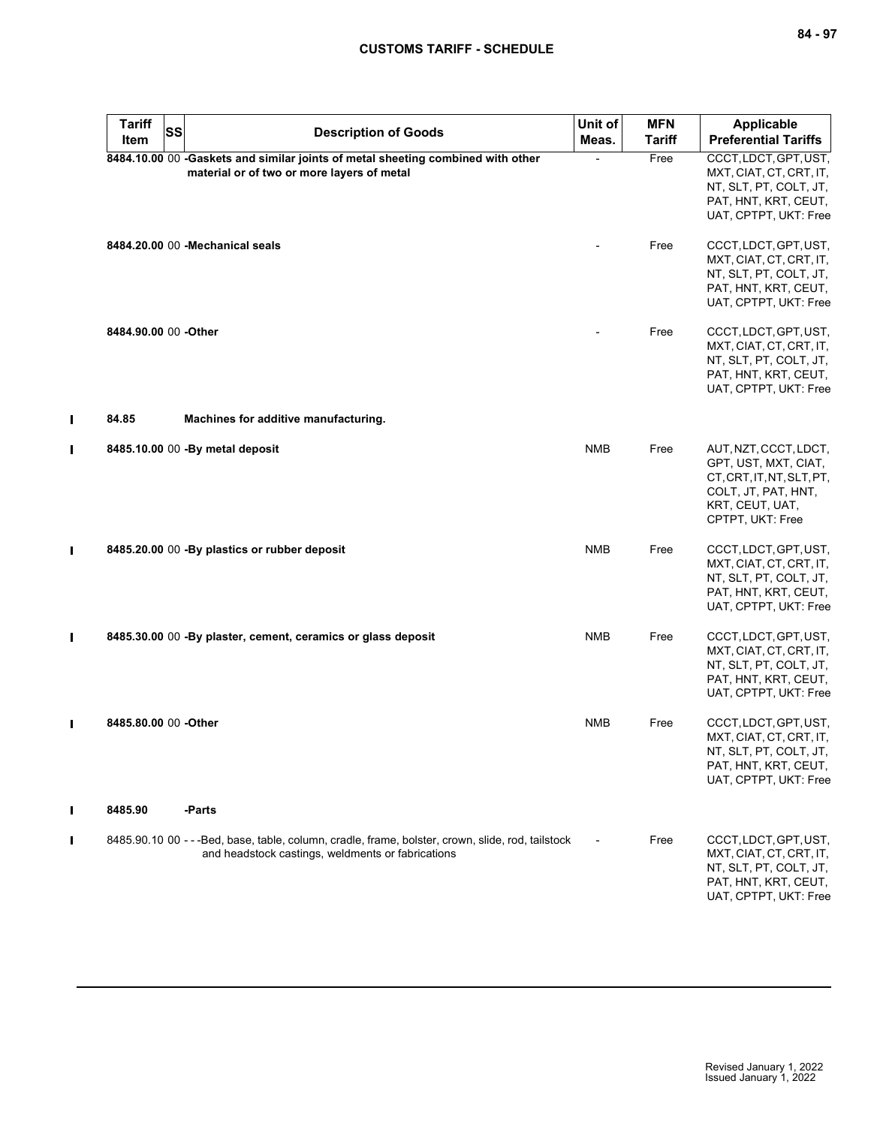| <b>Tariff</b><br>Item | SS | <b>Description of Goods</b>                                                                                                                            | Unit of<br>Meas. | <b>MFN</b><br>Tariff | <b>Applicable</b><br><b>Preferential Tariffs</b>                                                                                         |
|-----------------------|----|--------------------------------------------------------------------------------------------------------------------------------------------------------|------------------|----------------------|------------------------------------------------------------------------------------------------------------------------------------------|
|                       |    | 8484.10.00 00 -Gaskets and similar joints of metal sheeting combined with other<br>material or of two or more layers of metal                          |                  | Free                 | CCCT, LDCT, GPT, UST,<br>MXT, CIAT, CT, CRT, IT,<br>NT, SLT, PT, COLT, JT,<br>PAT, HNT, KRT, CEUT,<br>UAT, CPTPT, UKT: Free              |
|                       |    | 8484.20.00 00 - Mechanical seals                                                                                                                       |                  | Free                 | CCCT, LDCT, GPT, UST,<br>MXT, CIAT, CT, CRT, IT,<br>NT, SLT, PT, COLT, JT,<br>PAT, HNT, KRT, CEUT,<br>UAT, CPTPT, UKT: Free              |
| 8484.90.00 00 -Other  |    |                                                                                                                                                        |                  | Free                 | CCCT, LDCT, GPT, UST,<br>MXT, CIAT, CT, CRT, IT,<br>NT, SLT, PT, COLT, JT,<br>PAT, HNT, KRT, CEUT,<br>UAT, CPTPT, UKT: Free              |
| 84.85                 |    | Machines for additive manufacturing.                                                                                                                   |                  |                      |                                                                                                                                          |
|                       |    | 8485.10.00 00 -By metal deposit                                                                                                                        | <b>NMB</b>       | Free                 | AUT, NZT, CCCT, LDCT,<br>GPT, UST, MXT, CIAT,<br>CT, CRT, IT, NT, SLT, PT,<br>COLT, JT, PAT, HNT,<br>KRT, CEUT, UAT,<br>CPTPT, UKT: Free |
|                       |    | 8485.20.00 00 - By plastics or rubber deposit                                                                                                          | <b>NMB</b>       | Free                 | CCCT, LDCT, GPT, UST,<br>MXT, CIAT, CT, CRT, IT,<br>NT, SLT, PT, COLT, JT,<br>PAT, HNT, KRT, CEUT,<br>UAT, CPTPT, UKT: Free              |
|                       |    | 8485.30.00 00 -By plaster, cement, ceramics or glass deposit                                                                                           | <b>NMB</b>       | Free                 | CCCT, LDCT, GPT, UST,<br>MXT, CIAT, CT, CRT, IT,<br>NT, SLT, PT, COLT, JT,<br>PAT, HNT, KRT, CEUT,<br>UAT, CPTPT, UKT: Free              |
| 8485.80.00 00 -Other  |    |                                                                                                                                                        | <b>NMB</b>       | Free                 | CCCT, LDCT, GPT, UST,<br>MXT, CIAT, CT, CRT, IT,<br>NT, SLT, PT, COLT, JT,<br>PAT, HNT, KRT, CEUT,<br>UAT, CPTPT, UKT: Free              |
| 8485.90               |    | -Parts                                                                                                                                                 |                  |                      |                                                                                                                                          |
|                       |    | 8485.90.10 00 - - -Bed, base, table, column, cradle, frame, bolster, crown, slide, rod, tailstock<br>and headstock castings, weldments or fabrications |                  | Free                 | CCCT, LDCT, GPT, UST,<br>MXT, CIAT, CT, CRT, IT,<br>NT, SLT, PT, COLT, JT,<br>PAT, HNT, KRT, CEUT,<br>UAT, CPTPT, UKT: Free              |

 $\mathbf I$  $\mathbf{I}$ 

 $\mathbf{I}$ 

 $\mathbf{I}$ 

 $\blacksquare$ 

 $\blacksquare$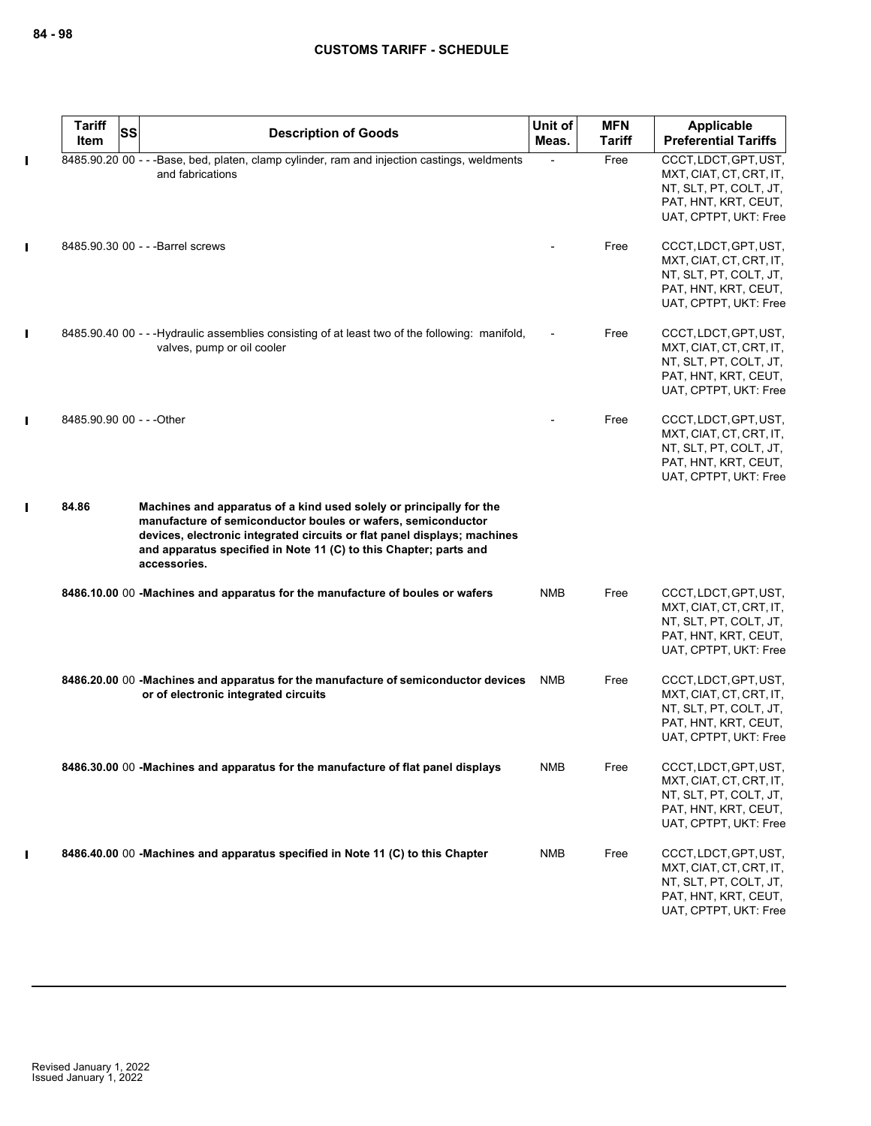|   | <b>Tariff</b><br><b>SS</b><br>Item | <b>Description of Goods</b>                                                                                                                                                                                                                                                                          | Unit of<br>Meas. | <b>MFN</b><br>Tariff | Applicable<br><b>Preferential Tariffs</b>                                                                                   |
|---|------------------------------------|------------------------------------------------------------------------------------------------------------------------------------------------------------------------------------------------------------------------------------------------------------------------------------------------------|------------------|----------------------|-----------------------------------------------------------------------------------------------------------------------------|
| Ш |                                    | 8485.90.20 00 - - - Base, bed, platen, clamp cylinder, ram and injection castings, weldments<br>and fabrications                                                                                                                                                                                     |                  | Free                 | CCCT, LDCT, GPT, UST,<br>MXT, CIAT, CT, CRT, IT,<br>NT, SLT, PT, COLT, JT,<br>PAT, HNT, KRT, CEUT,<br>UAT, CPTPT, UKT: Free |
|   |                                    | 8485.90.30 00 - - - Barrel screws                                                                                                                                                                                                                                                                    |                  | Free                 | CCCT, LDCT, GPT, UST,<br>MXT, CIAT, CT, CRT, IT,<br>NT, SLT, PT, COLT, JT,<br>PAT, HNT, KRT, CEUT,<br>UAT, CPTPT, UKT: Free |
| Ш |                                    | 8485.90.40 00 - - - Hydraulic assemblies consisting of at least two of the following: manifold,<br>valves, pump or oil cooler                                                                                                                                                                        |                  | Free                 | CCCT, LDCT, GPT, UST,<br>MXT, CIAT, CT, CRT, IT,<br>NT, SLT, PT, COLT, JT,<br>PAT, HNT, KRT, CEUT,<br>UAT, CPTPT, UKT: Free |
| Ш | 8485.90.90 00 - - - Other          |                                                                                                                                                                                                                                                                                                      |                  | Free                 | CCCT, LDCT, GPT, UST,<br>MXT, CIAT, CT, CRT, IT,<br>NT, SLT, PT, COLT, JT,<br>PAT, HNT, KRT, CEUT,<br>UAT, CPTPT, UKT: Free |
|   | 84.86                              | Machines and apparatus of a kind used solely or principally for the<br>manufacture of semiconductor boules or wafers, semiconductor<br>devices, electronic integrated circuits or flat panel displays; machines<br>and apparatus specified in Note 11 (C) to this Chapter; parts and<br>accessories. |                  |                      |                                                                                                                             |
|   |                                    | 8486.10.00 00 -Machines and apparatus for the manufacture of boules or wafers                                                                                                                                                                                                                        | <b>NMB</b>       | Free                 | CCCT, LDCT, GPT, UST,<br>MXT, CIAT, CT, CRT, IT,<br>NT, SLT, PT, COLT, JT,<br>PAT, HNT, KRT, CEUT,<br>UAT, CPTPT, UKT: Free |
|   |                                    | 8486.20.00 00 -Machines and apparatus for the manufacture of semiconductor devices<br>or of electronic integrated circuits                                                                                                                                                                           | <b>NMB</b>       | Free                 | CCCT, LDCT, GPT, UST,<br>MXT, CIAT, CT, CRT, IT,<br>NT, SLT, PT, COLT, JT,<br>PAT, HNT, KRT, CEUT,<br>UAT, CPTPT, UKT: Free |
|   |                                    | 8486.30.00 00 -Machines and apparatus for the manufacture of flat panel displays                                                                                                                                                                                                                     | <b>NMB</b>       | Free                 | CCCT, LDCT, GPT, UST,<br>MXT, CIAT, CT, CRT, IT,<br>NT, SLT, PT, COLT, JT,<br>PAT, HNT, KRT, CEUT,<br>UAT, CPTPT, UKT: Free |
|   |                                    | 8486.40.00 00 - Machines and apparatus specified in Note 11 (C) to this Chapter                                                                                                                                                                                                                      | <b>NMB</b>       | Free                 | CCCT, LDCT, GPT, UST,<br>MXT, CIAT, CT, CRT, IT,<br>NT, SLT, PT, COLT, JT,<br>PAT, HNT, KRT, CEUT,<br>UAT, CPTPT, UKT: Free |